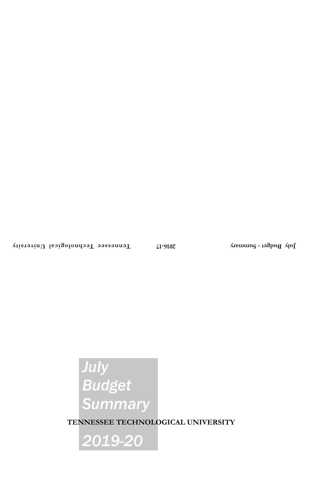# *July Budget Summary*

**TENNESSEE TECHNOLOGICAL UNIVERSITY**

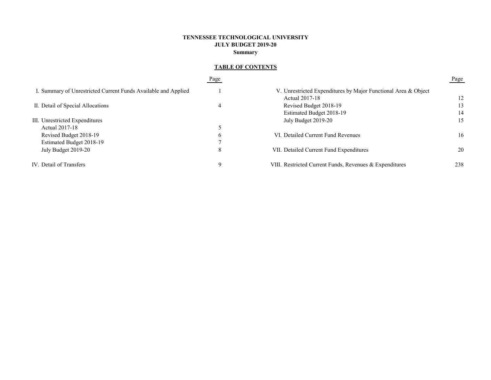# **TENNESSEE TECHNOLOGICAL UNIVERSITY JULY BUDGET 2019-20 Summary**

# **TABLE OF CONTENTS**

|                                                                | Page |                                                                | Page |
|----------------------------------------------------------------|------|----------------------------------------------------------------|------|
| I. Summary of Unrestricted Current Funds Available and Applied |      | V. Unrestricted Expenditures by Major Functional Area & Object |      |
|                                                                |      | Actual 2017-18                                                 | 12   |
| II. Detail of Special Allocations                              | 4    | Revised Budget 2018-19                                         | 13   |
|                                                                |      | Estimated Budget 2018-19                                       | 14   |
| III. Unrestricted Expenditures                                 |      | July Budget 2019-20                                            | 15   |
| Actual 2017-18                                                 |      |                                                                |      |
| Revised Budget 2018-19                                         | b    | VI. Detailed Current Fund Revenues                             | 16   |
| Estimated Budget 2018-19                                       |      |                                                                |      |
| July Budget 2019-20                                            | 8    | VII. Detailed Current Fund Expenditures                        | 20   |
| IV. Detail of Transfers                                        |      | VIII. Restricted Current Funds, Revenues & Expenditures        | 238  |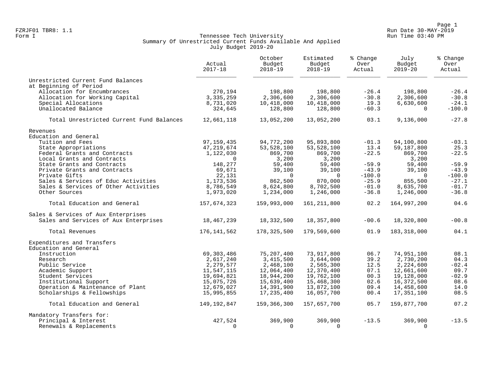Page 1<br>FZRJF01 TBR8: 1.1 Run Date 30-MAY-2019 FZRJF01 TBR8: 1.1 Run Date 30-MAY-2019

# Form I Georgian Communication of the Communication of Tennessee Tech University Communication Run Time 03:40 PM Summary Of Unrestricted Current Funds Available And Applied July Budget 2019-20

|                                          | Actual<br>$2017 - 18$ | October<br>Budget<br>$2018 - 19$ | Estimated<br>Budget<br>$2018 - 19$ | % Change<br>Over<br>Actual | July<br>Budget<br>$2019 - 20$ | % Change<br>Over<br>Actual |
|------------------------------------------|-----------------------|----------------------------------|------------------------------------|----------------------------|-------------------------------|----------------------------|
| Unrestricted Current Fund Balances       |                       |                                  |                                    |                            |                               |                            |
| at Beginning of Period                   |                       |                                  |                                    |                            |                               |                            |
| Allocation for Encumbrances              | 270,194               | 198,800                          | 198,800                            | $-26.4$                    | 198,800                       | $-26.4$                    |
| Allocation for Working Capital           | 3, 335, 259           | 2,306,600                        | 2,306,600                          | $-30.8$                    | 2,306,600                     | $-30.8$                    |
| Special Allocations                      | 8,731,020             | 10,418,000                       | 10,418,000                         | 19.3                       | 6,630,600                     | $-24.1$                    |
| Unallocated Balance                      | 324,645               | 128,800                          | 128,800                            | $-60.3$                    | $\Omega$                      | $-100.0$                   |
| Total Unrestricted Current Fund Balances | 12,661,118            | 13,052,200                       | 13,052,200                         | 03.1                       | 9,136,000                     | $-27.8$                    |
| Revenues                                 |                       |                                  |                                    |                            |                               |                            |
| Education and General                    |                       |                                  |                                    |                            |                               |                            |
| Tuition and Fees                         | 97, 159, 435          | 94,772,200                       | 95,893,800                         | $-01.3$                    | 94,100,800                    | $-03.1$                    |
| State Appropriations                     | 47,219,674            | 53, 528, 100                     | 53,528,100                         | 13.4                       | 59,187,800                    | 25.3                       |
| Federal Grants and Contracts             | 1,122,030             | 869,700                          | 869,700                            | $-22.5$                    | 869,700                       | $-22.5$                    |
| Local Grants and Contracts               | $\Omega$              | 3,200                            | 3,200                              |                            | 3,200                         |                            |
| State Grants and Contracts               | 148,277               | 59,400                           | 59,400                             | $-59.9$                    | 59,400                        | $-59.9$                    |
| Private Grants and Contracts             | 69,671                | 39,100                           | 39,100                             | $-43.9$                    | 39,100                        | $-43.9$                    |
| Private Gifts                            | 22,131                | $\Omega$                         | $\Omega$                           | $-100.0$                   | $\Omega$                      | $-100.0$                   |
| Sales & Services of Educ Activities      | 1,173,536             | 862,500                          | 870,000                            | $-25.9$                    | 855,500                       | $-27.1$                    |
| Sales & Services of Other Activities     | 8,786,549             | 8,624,800                        | 8,702,500                          | $-01.0$                    | 8,635,700                     | $-01.7$                    |
| Other Sources                            | 1,973,020             | 1,234,000                        | 1,246,000                          | $-36.8$                    | 1,246,000                     | $-36.8$                    |
| Total Education and General              | 157,674,323           | 159,993,000                      | 161, 211, 800                      | 02.2                       | 164,997,200                   | 04.6                       |
| Sales & Services of Aux Enterprises      |                       |                                  |                                    |                            |                               |                            |
| Sales and Services of Aux Enterprises    | 18,467,239            | 18,332,500                       | 18,357,800                         | $-00.6$                    | 18,320,800                    | $-00.8$                    |
| Total Revenues                           | 176, 141, 562         | 178,325,500                      | 179,569,600                        | 01.9                       | 183, 318, 000                 | 04.1                       |
| Expenditures and Transfers               |                       |                                  |                                    |                            |                               |                            |
| Education and General                    |                       |                                  |                                    |                            |                               |                            |
| Instruction                              | 69,303,486            | 75, 207, 400                     | 73,917,800                         | 06.7                       | 74,951,100                    | 08.1                       |
| Research                                 | 2,617,240             | 3, 415, 500                      | 3,644,000                          | 39.2                       | 2,730,200                     | 04.3                       |
| Public Service                           | 2,279,577             | 2,468,100                        | 2,565,300                          | 12.5                       | 2,224,600                     | $-02.4$                    |
| Academic Support                         | 11,547,115            | 12,064,400                       | 12,370,400                         | 07.1                       | 12,661,600                    | 09.7                       |
| Student Services                         | 19,694,821            | 18,944,200                       | 19,762,100                         | 00.3                       | 19,128,000                    | $-02.9$                    |
| Institutional Support                    | 15,075,726            | 15,639,400                       | 15,468,300                         | 02.6                       | 16,372,500                    | 08.6                       |
| Operation & Maintenance of Plant         | 12,679,027            | 14,391,900                       | 13,872,100                         | 09.4                       | 14,458,600                    | 14.0                       |
| Scholarships & Fellowships               | 15,995,855            | 17,235,400                       | 16,057,700                         | 00.4                       | 17,351,100                    | 08.5                       |
| Total Education and General              | 149,192,847           | 159,366,300                      | 157,657,700                        | 05.7                       | 159,877,700                   | 07.2                       |
| Mandatory Transfers for:                 |                       |                                  |                                    |                            |                               |                            |
| Principal & Interest                     | 427,524               | 369,900                          | 369,900                            | $-13.5$                    | 369,900                       | $-13.5$                    |
| Renewals & Replacements                  | $\Omega$              | $\Omega$                         | $\Omega$                           |                            | $\Omega$                      |                            |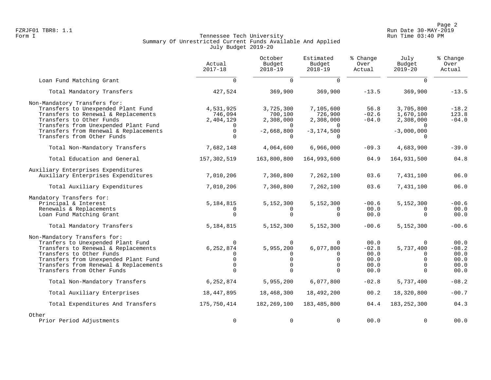Page 2<br>FZRJF01 TBR8: 1.1 Page 2 FZRJF01 TBR8: 1.1 Run Date 30-MAY-2019

# Form I Georgian Communication of the Communication of Tennessee Tech University Communication Run Time 03:40 PM Summary Of Unrestricted Current Funds Available And Applied July Budget 2019-20

|                                                                 | Actual<br>$2017 - 18$   | October<br>Budget<br>$2018 - 19$ | Estimated<br>Budget<br>$2018 - 19$ | % Change<br>Over<br>Actual | July<br>Budget<br>$2019 - 20$ | % Change<br>Over<br>Actual |
|-----------------------------------------------------------------|-------------------------|----------------------------------|------------------------------------|----------------------------|-------------------------------|----------------------------|
| Loan Fund Matching Grant                                        | $\Omega$                | $\Omega$                         | $\Omega$                           |                            | $\Omega$                      |                            |
| Total Mandatory Transfers                                       | 427,524                 | 369,900                          | 369,900                            | $-13.5$                    | 369,900                       | $-13.5$                    |
| Non-Mandatory Transfers for:                                    |                         |                                  |                                    |                            |                               |                            |
| Transfers to Unexpended Plant Fund                              | 4,531,925               | 3,725,300                        | 7,105,600                          | 56.8                       | 3,705,800                     | $-18.2$                    |
| Transfers to Renewal & Replacements<br>Transfers to Other Funds | 746,094                 | 700,100                          | 726,900                            | $-02.6$                    | 1,670,100                     | 123.8<br>$-04.0$           |
| Transfers from Unexpended Plant Fund                            | 2,404,129               | 2,308,000<br>$\Omega$            | 2,308,000                          | $-04.0$                    | 2,308,000                     |                            |
| Transfers from Renewal & Replacements                           | $\mathbf 0$             | $-2,668,800$                     | $-3, 174, 500$                     |                            | $-3,000,000$                  |                            |
| Transfers from Other Funds                                      |                         | $\Omega$                         |                                    |                            |                               |                            |
| Total Non-Mandatory Transfers                                   | 7,682,148               | 4,064,600                        | 6,966,000                          | $-09.3$                    | 4,683,900                     | $-39.0$                    |
| Total Education and General                                     | 157, 302, 519           | 163,800,800                      | 164,993,600                        | 04.9                       | 164,931,500                   | 04.8                       |
| Auxiliary Enterprises Expenditures                              |                         |                                  |                                    |                            |                               |                            |
| Auxiliary Enterprises Expenditures                              | 7,010,206               | 7,360,800                        | 7,262,100                          | 03.6                       | 7,431,100                     | 06.0                       |
| Total Auxiliary Expenditures                                    | 7,010,206               | 7,360,800                        | 7,262,100                          | 03.6                       | 7,431,100                     | 06.0                       |
| Mandatory Transfers for:                                        |                         |                                  |                                    |                            |                               |                            |
| Principal & Interest                                            | 5,184,815               | 5,152,300                        | 5,152,300                          | $-00.6$                    | 5,152,300                     | $-00.6$                    |
| Renewals & Replacements                                         |                         | $\Omega$                         | $\Omega$                           | 00.0                       | $\Omega$                      | 00.0                       |
| Loan Fund Matching Grant                                        | $\Omega$                | $\Omega$                         | $\Omega$                           | 00.0                       | $\Omega$                      | 00.0                       |
| Total Mandatory Transfers                                       | 5, 184, 815             | 5,152,300                        | 5,152,300                          | $-00.6$                    | 5,152,300                     | $-00.6$                    |
| Non-Mandatory Transfers for:                                    |                         |                                  |                                    |                            |                               |                            |
| Tranfers to Unexpended Plant Fund                               | $\Omega$                | $\Omega$                         | 0                                  | 00.0                       | $\Omega$                      | 00.0                       |
| Transfers to Renewal & Replacements<br>Transfers to Other Funds | 6, 252, 874<br>$\Omega$ | 5,955,200<br>$\Omega$            | 6,077,800<br>0                     | $-02.8$<br>00.0            | 5,737,400<br>$\Omega$         | $-08.2$<br>00.0            |
| Transfers from Unexpended Plant Fund                            | $\Omega$                | $\mathbf 0$                      | $\mathbf 0$                        | 00.0                       | $\Omega$                      | 00.0                       |
| Transfers from Renewal & Replacements                           | $\Omega$                | $\Omega$                         | $\Omega$                           | 00.0                       | $\Omega$                      | 00.0                       |
| Transfers from Other Funds                                      | $\cap$                  | $\Omega$                         | $\Omega$                           | 00.0                       | $\Omega$                      | 00.0                       |
| Total Non-Mandatory Transfers                                   | 6,252,874               | 5,955,200                        | 6,077,800                          | $-02.8$                    | 5,737,400                     | $-08.2$                    |
| Total Auxiliary Enterprises                                     | 18,447,895              | 18,468,300                       | 18,492,200                         | 00.2                       | 18,320,800                    | $-00.7$                    |
| Total Expenditures And Transfers                                | 175,750,414             | 182, 269, 100                    | 183,485,800                        | 04.4                       | 183, 252, 300                 | 04.3                       |
| Other                                                           |                         |                                  |                                    |                            |                               |                            |
| Prior Period Adjustments                                        | 0                       | $\mathbf 0$                      | $\mathbf 0$                        | 00.0                       | $\Omega$                      | 00.0                       |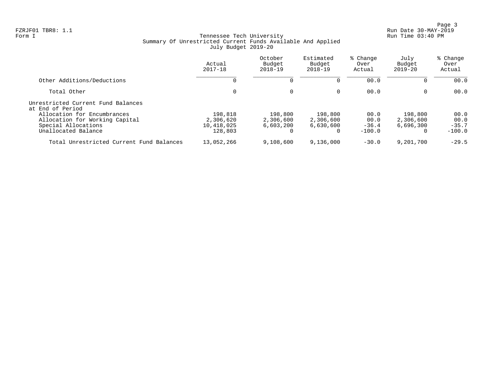Page 3<br>Run Date 30-MAY-2019 Run Date 30-MAY-2019

# Form I Georgian Communication of the Communication of Tennessee Tech University Communication Run Time 03:40 PM Summary Of Unrestricted Current Funds Available And Applied July Budget 2019-20

|                                                                                      | Actual<br>$2017 - 18$              | October<br>Budget<br>$2018 - 19$  | Estimated<br>Budget<br>$2018 - 19$ | % Change<br>Over<br>Actual | July<br>Budget<br>$2019 - 20$     | % Change<br>Over<br>Actual |
|--------------------------------------------------------------------------------------|------------------------------------|-----------------------------------|------------------------------------|----------------------------|-----------------------------------|----------------------------|
| Other Additions/Deductions                                                           | 0                                  |                                   |                                    | 00.0                       | 0                                 | 00.0                       |
| Total Other                                                                          | 0                                  | $\Omega$                          | $\Omega$                           | 00.0                       | $\mathbf{0}$                      | 00.0                       |
| Unrestricted Current Fund Balances<br>at End of Period                               |                                    |                                   |                                    |                            |                                   |                            |
| Allocation for Encumbrances<br>Allocation for Working Capital<br>Special Allocations | 198,818<br>2,306,620<br>10,418,025 | 198,800<br>2,306,600<br>6,603,200 | 198,800<br>2,306,600<br>6,630,600  | 00.0<br>00.0<br>$-36.4$    | 198,800<br>2,306,600<br>6.696.300 | 00.0<br>00.0<br>$-35.7$    |
| Unallocated Balance                                                                  | 128,803                            |                                   | 0                                  | $-100.0$                   | $\Omega$                          | $-100.0$                   |
| Total Unrestricted Current Fund Balances                                             | 13,052,266                         | 9,108,600                         | 9,136,000                          | $-30.0$                    | 9,201,700                         | $-29.5$                    |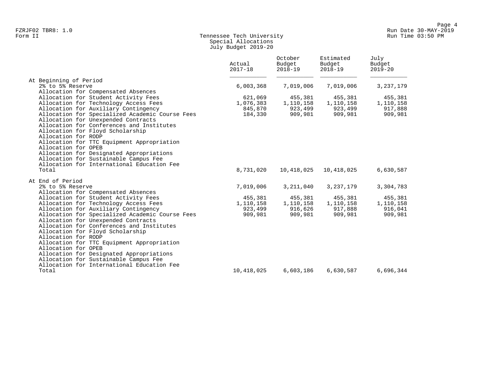# Form II Tennessee Tech University Run Time 03:50 PM Special Allocations July Budget 2019-20

|                                                                                     | Actual<br>$2017 - 18$ | October<br>Budget<br>$2018 - 19$ | Estimated<br>Budget<br>$2018 - 19$ | July<br>Budget<br>$2019 - 20$ |
|-------------------------------------------------------------------------------------|-----------------------|----------------------------------|------------------------------------|-------------------------------|
| At Beginning of Period                                                              |                       |                                  |                                    |                               |
| 2% to 5% Reserve                                                                    | 6,003,368             | 7,019,006                        | 7,019,006                          | 3, 237, 179                   |
| Allocation for Compensated Absences                                                 |                       |                                  |                                    |                               |
| Allocation for Student Activity Fees                                                | 621,069               | 455,381                          | 455,381                            | 455,381                       |
| Allocation for Technology Access Fees                                               | 1,076,383             | 1,110,158                        | 1,110,158                          | 1,110,158                     |
| Allocation for Auxiliary Contingency                                                | 845,870               | 923,499                          | 923,499                            | 917,888                       |
| Allocation for Specialized Academic Course Fees                                     | 184,330               | 909,981                          | 909,981                            | 909,981                       |
| Allocation for Unexpended Contracts                                                 |                       |                                  |                                    |                               |
| Allocation for Conferences and Institutes                                           |                       |                                  |                                    |                               |
| Allocation for Floyd Scholarship                                                    |                       |                                  |                                    |                               |
| Allocation for RODP                                                                 |                       |                                  |                                    |                               |
| Allocation for TTC Equipment Appropriation                                          |                       |                                  |                                    |                               |
| Allocation for OPEB                                                                 |                       |                                  |                                    |                               |
| Allocation for Designated Appropriations                                            |                       |                                  |                                    |                               |
| Allocation for Sustainable Campus Fee                                               |                       |                                  |                                    |                               |
| Allocation for International Education Fee                                          |                       |                                  |                                    |                               |
| Total                                                                               | 8,731,020             | 10,418,025                       | 10,418,025                         | 6,630,587                     |
| At End of Period                                                                    |                       |                                  |                                    |                               |
| 2% to 5% Reserve                                                                    | 7,019,006             | 3,211,040                        | 3,237,179                          | 3,304,783                     |
| Allocation for Compensated Absences                                                 |                       |                                  |                                    |                               |
| Allocation for Student Activity Fees                                                | 455,381               | 455,381                          | 455,381                            | 455,381                       |
| Allocation for Technology Access Fees                                               | 1,110,158             | 1,110,158                        | 1,110,158                          | 1,110,158                     |
| Allocation for Auxiliary Contingency                                                | 923,499               | 916,626                          | 917,888                            | 916,041                       |
| Allocation for Specialized Academic Course Fees                                     | 909,981               | 909,981                          | 909,981                            | 909,981                       |
| Allocation for Unexpended Contracts                                                 |                       |                                  |                                    |                               |
| Allocation for Conferences and Institutes                                           |                       |                                  |                                    |                               |
| Allocation for Floyd Scholarship                                                    |                       |                                  |                                    |                               |
| Allocation for RODP                                                                 |                       |                                  |                                    |                               |
| Allocation for TTC Equipment Appropriation                                          |                       |                                  |                                    |                               |
| Allocation for OPEB                                                                 |                       |                                  |                                    |                               |
| Allocation for Designated Appropriations                                            |                       |                                  |                                    |                               |
| Allocation for Sustainable Campus Fee<br>Allocation for International Education Fee |                       |                                  |                                    |                               |
|                                                                                     |                       |                                  |                                    |                               |
| Total                                                                               | 10,418,025            | 6,603,186                        | 6,630,587                          | 6,696,344                     |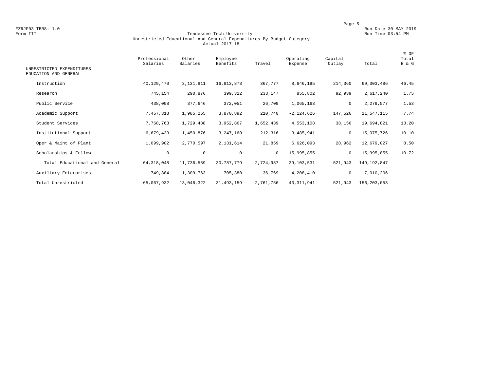#### Form III Tennessee Tech University Run Time 03:54 PM Unrestricted Educational And General Expenditures By Budget Category Actual 2017-18

| UNRESTRICTED EXPENDITURES<br>EDUCATION AND GENERAL | Professional<br>Salaries | Other<br>Salaries | Employee<br>Benefits | Travel       | Operating<br>Expense | Capital<br>Outlay | Total       | % OF<br>Total<br>E & G |
|----------------------------------------------------|--------------------------|-------------------|----------------------|--------------|----------------------|-------------------|-------------|------------------------|
| Instruction                                        | 40,129,470               | 3, 131, 811       | 16,813,873           | 367,777      | 8,646,195            | 214,360           | 69,303,486  | 46.45                  |
| Research                                           | 745,154                  | 290,876           | 399,322              | 233,147      | 855,802              | 92,939            | 2,617,240   | 1.75                   |
| Public Service                                     | 438,008                  | 377,646           | 372,051              | 26,709       | 1,065,163            | 0                 | 2,279,577   | 1.53                   |
| Academic Support                                   | 7,457,318                | 1,985,265         | 3,870,892            | 210,740      | $-2, 124, 626$       | 147,526           | 11,547,115  | 7.74                   |
| Student Services                                   | 7,768,763                | 1,729,488         | 3,952,867            | 1,652,439    | 4,553,108            | 38,156            | 19,694,821  | 13.20                  |
| Institutional Support                              | 6,679,433                | 1,450,876         | 3,247,160            | 212,316      | 3,485,941            | $\mathbf 0$       | 15,075,726  | 10.10                  |
| Oper & Maint of Plant                              | 1,099,902                | 2,770,597         | 2,131,614            | 21,859       | 6,626,093            | 28,962            | 12,679,027  | 8.50                   |
| Scholarships & Fellow                              | $\mathbf 0$              | $\mathsf 0$       | $\mathbf 0$          | $\mathbf{0}$ | 15,995,855           | 0                 | 15,995,855  | 10.72                  |
| Total Educational and General                      | 64, 318, 048             | 11,736,559        | 30,787,779           | 2,724,987    | 39,103,531           | 521,943           | 149,192,847 |                        |
| Auxiliary Enterprises                              | 749,884                  | 1,309,763         | 705,380              | 36,769       | 4,208,410            | 0                 | 7,010,206   |                        |
| Total Unrestricted                                 | 65,067,932               | 13,046,322        | 31, 493, 159         | 2,761,756    | 43, 311, 941         | 521,943           | 156,203,053 |                        |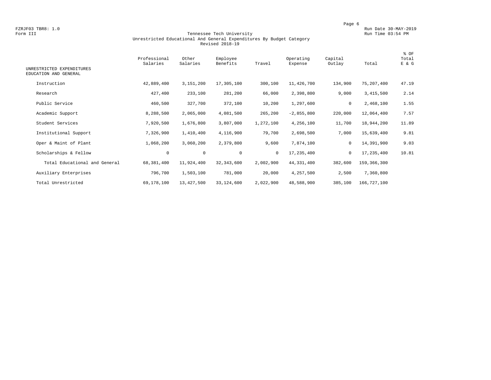#### Form III Tennessee Tech University Run Time 03:54 PM Unrestricted Educational And General Expenditures By Budget Category Revised 2018-19

| UNRESTRICTED EXPENDITURES     | Professional<br>Salaries | Other<br>Salaries | Employee<br>Benefits | Travel       | Operating<br>Expense | Capital<br>Outlay | Total       | % OF<br>Total<br>E & G |
|-------------------------------|--------------------------|-------------------|----------------------|--------------|----------------------|-------------------|-------------|------------------------|
| EDUCATION AND GENERAL         |                          |                   |                      |              |                      |                   |             |                        |
| Instruction                   | 42,889,400               | 3,151,200         | 17,305,100           | 300,100      | 11,426,700           | 134,900           | 75,207,400  | 47.19                  |
| Research                      | 427,400                  | 233,100           | 281,200              | 66,000       | 2,398,800            | 9,000             | 3,415,500   | 2.14                   |
| Public Service                | 460,500                  | 327,700           | 372,100              | 10,200       | 1,297,600            | 0                 | 2,468,100   | 1.55                   |
| Academic Support              | 8,288,500                | 2,065,000         | 4,081,500            | 265,200      | $-2,855,800$         | 220,000           | 12,064,400  | 7.57                   |
| Student Services              | 7,920,500                | 1,676,800         | 3,807,000            | 1,272,100    | 4,256,100            | 11,700            | 18,944,200  | 11.89                  |
| Institutional Support         | 7,326,900                | 1,410,400         | 4,116,900            | 79,700       | 2,698,500            | 7,000             | 15,639,400  | 9.81                   |
| Oper & Maint of Plant         | 1,068,200                | 3,060,200         | 2,379,800            | 9,600        | 7,874,100            | $\mathbf 0$       | 14,391,900  | 9.03                   |
| Scholarships & Fellow         | $\circ$                  | $\mathbf 0$       | $\mathbf 0$          | $\mathbf{0}$ | 17,235,400           | $\mathbf 0$       | 17,235,400  | 10.81                  |
| Total Educational and General | 68,381,400               | 11,924,400        | 32, 343, 600         | 2,002,900    | 44, 331, 400         | 382,600           | 159,366,300 |                        |
| Auxiliary Enterprises         | 796,700                  | 1,503,100         | 781,000              | 20,000       | 4,257,500            | 2,500             | 7,360,800   |                        |
| Total Unrestricted            | 69,178,100               | 13,427,500        | 33,124,600           | 2,022,900    | 48,588,900           | 385,100           | 166,727,100 |                        |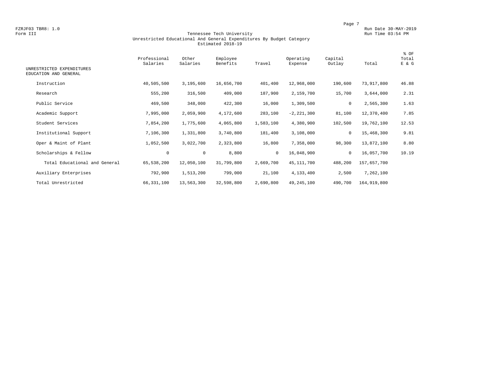#### Form III Tennessee Tech University Run Time 03:54 PM Unrestricted Educational And General Expenditures By Budget Category Estimated 2018-19

| UNRESTRICTED EXPENDITURES<br>EDUCATION AND GENERAL | Professional<br>Salaries | Other<br>Salaries | Employee<br>Benefits | Travel       | Operating<br>Expense | Capital<br>Outlay | Total       | % OF<br>Total<br>E & G |
|----------------------------------------------------|--------------------------|-------------------|----------------------|--------------|----------------------|-------------------|-------------|------------------------|
| Instruction                                        | 40,505,500               | 3,195,600         | 16,656,700           | 401,400      | 12,968,000           | 190,600           | 73,917,800  | 46.88                  |
| Research                                           | 555,200                  | 316,500           | 409,000              | 187,900      | 2,159,700            | 15,700            | 3,644,000   | 2.31                   |
| Public Service                                     | 469,500                  | 348,000           | 422,300              | 16,000       | 1,309,500            | 0                 | 2,565,300   | 1.63                   |
| Academic Support                                   | 7,995,000                | 2,059,900         | 4,172,600            | 283,100      | $-2, 221, 300$       | 81,100            | 12,370,400  | 7.85                   |
| Student Services                                   | 7,854,200                | 1,775,600         | 4,065,800            | 1,583,100    | 4,380,900            | 102,500           | 19,762,100  | 12.53                  |
| Institutional Support                              | 7,106,300                | 1,331,800         | 3,740,800            | 181,400      | 3,108,000            | 0                 | 15,468,300  | 9.81                   |
| Oper & Maint of Plant                              | 1,052,500                | 3,022,700         | 2,323,800            | 16,800       | 7,358,000            | 98,300            | 13,872,100  | 8.80                   |
| Scholarships & Fellow                              | $\mathbf 0$              | $\mathbf 0$       | 8,800                | $\mathbf{0}$ | 16,048,900           | $\mathbf 0$       | 16,057,700  | 10.19                  |
| Total Educational and General                      | 65,538,200               | 12,050,100        | 31,799,800           | 2,669,700    | 45, 111, 700         | 488,200           | 157,657,700 |                        |
| Auxiliary Enterprises                              | 792,900                  | 1,513,200         | 799,000              | 21,100       | 4,133,400            | 2,500             | 7,262,100   |                        |
| Total Unrestricted                                 | 66, 331, 100             | 13,563,300        | 32,598,800           | 2,690,800    | 49, 245, 100         | 490,700           | 164,919,800 |                        |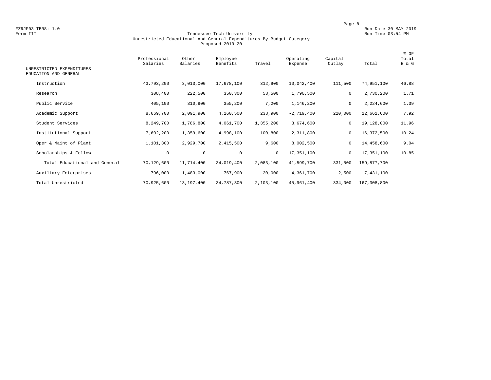#### Form III Tennessee Tech University Run Time 03:54 PM Unrestricted Educational And General Expenditures By Budget Category Proposed 2019-20

| UNRESTRICTED EXPENDITURES<br>EDUCATION AND GENERAL | Professional<br>Salaries | Other<br>Salaries | Employee<br>Benefits | Travel       | Operating<br>Expense | Capital<br>Outlay | Total       | % OF<br>Total<br>E & G |
|----------------------------------------------------|--------------------------|-------------------|----------------------|--------------|----------------------|-------------------|-------------|------------------------|
| Instruction                                        | 43,793,200               | 3,013,000         | 17,678,100           | 312,900      | 10,042,400           | 111,500           | 74,951,100  | 46.88                  |
| Research                                           | 308,400                  | 222,500           | 350,300              | 58,500       | 1,790,500            | 0                 | 2,730,200   | 1.71                   |
| Public Service                                     | 405,100                  | 310,900           | 355,200              | 7,200        | 1,146,200            | 0                 | 2,224,600   | 1.39                   |
| Academic Support                                   | 8,669,700                | 2,091,900         | 4,160,500            | 238,900      | $-2,719,400$         | 220,000           | 12,661,600  | 7.92                   |
| Student Services                                   | 8,249,700                | 1,786,800         | 4,061,700            | 1,355,200    | 3,674,600            | $\mathbf 0$       | 19,128,000  | 11.96                  |
| Institutional Support                              | 7,602,200                | 1,359,600         | 4,998,100            | 100,800      | 2,311,800            | 0                 | 16,372,500  | 10.24                  |
| Oper & Maint of Plant                              | 1,101,300                | 2,929,700         | 2,415,500            | 9,600        | 8,002,500            | 0                 | 14,458,600  | 9.04                   |
| Scholarships & Fellow                              | $\mathsf{O}\xspace$      | $\mathbf 0$       | $\mathbf 0$          | $\mathbf{0}$ | 17,351,100           | $\mathbf 0$       | 17,351,100  | 10.85                  |
| Total Educational and General                      | 70,129,600               | 11,714,400        | 34,019,400           | 2,083,100    | 41,599,700           | 331,500           | 159,877,700 |                        |
| Auxiliary Enterprises                              | 796,000                  | 1,483,000         | 767,900              | 20,000       | 4,361,700            | 2,500             | 7,431,100   |                        |
| Total Unrestricted                                 | 70,925,600               | 13,197,400        | 34,787,300           | 2,103,100    | 45,961,400           | 334,000           | 167,308,800 |                        |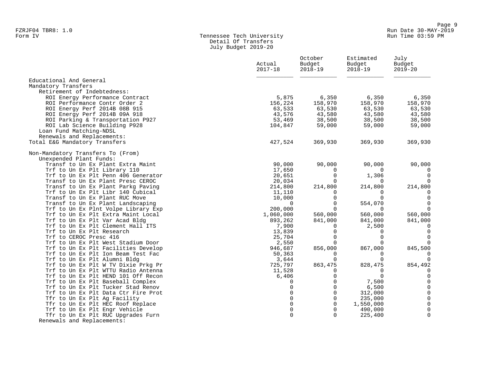# Form IV Tennessee Tech University Run Time 03:59 PM Detail Of Transfers July Budget 2019-20

|                                                                     | Actual<br>$2017 - 18$ | October<br>Budget<br>$2018 - 19$ | Estimated<br>Budget<br>$2018 - 19$ | July<br>Budget<br>$2019 - 20$ |
|---------------------------------------------------------------------|-----------------------|----------------------------------|------------------------------------|-------------------------------|
|                                                                     |                       |                                  |                                    |                               |
| Educational And General                                             |                       |                                  |                                    |                               |
| Mandatory Transfers                                                 |                       |                                  |                                    |                               |
| Retirement of Indebtedness:                                         |                       |                                  |                                    |                               |
| ROI Energy Performance Contract                                     | 5,875                 | 6,350                            | 6,350                              | 6,350                         |
| ROI Performance Contr Order 2                                       | 156,224               | 158,970                          | 158,970                            | 158,970                       |
| ROI Energy Perf 2014B 08B 915                                       | 63,533                | 63,530                           | 63,530                             | 63,530                        |
| ROI Energy Perf 2014B 09A 918                                       | 43,576                | 43,580                           | 43,580                             | 43,580                        |
| ROI Parking & Transportation P927                                   | 53,469                | 38,500                           | 38,500                             | 38,500                        |
| ROI Lab Science Building P928                                       | 104,847               | 59,000                           | 59,000                             | 59,000                        |
| Loan Fund Matching-NDSL                                             |                       |                                  |                                    |                               |
| Renewals and Replacements:                                          |                       |                                  |                                    |                               |
| Total E&G Mandatory Transfers                                       | 427,524               | 369,930                          | 369,930                            | 369,930                       |
| Non-Mandatory Transfers To (From)                                   |                       |                                  |                                    |                               |
| Unexpended Plant Funds:                                             |                       |                                  |                                    |                               |
| Transf to Un Ex Plant Extra Maint                                   | 90,000                | 90,000                           | 90,000                             | 90,000                        |
| Trf to Un Ex Plt Library 110                                        | 17,650                | 0                                | $\Omega$                           | $\overline{0}$                |
| Trf to Un Ex Plt Penn 406 Generator                                 | 20,651                | $\Omega$                         | 1,306                              | $\Omega$                      |
| Transf to Un Ex Plant Presc CEROC                                   | 20,034                | $\Omega$                         | $\Omega$                           | $\Omega$                      |
| Transf to Un Ex Plant Parkg Paving                                  | 214,800               | 214,800                          | 214,800                            | 214,800                       |
| Trf to Un Ex Plt Libr 140 Cubical                                   | 11,110                | $\Omega$                         | $\Omega$                           | $\Omega$                      |
| Transf to Un Ex Plant RUC Move                                      | 10,000                | $\Omega$                         | $\Omega$                           | $\Omega$                      |
| Transf to Un Ex Plant Landscaping                                   | $\Omega$              | $\Omega$                         | 554,070                            | $\Omega$<br>$\Omega$          |
| Trf to Un Ex Plnt Volpe Library Exp                                 | 200,000               | $\Omega$                         | $\Omega$                           |                               |
| Trf to Un Ex Plt Extra Maint Local                                  | 1,060,000             | 560,000                          | 560,000                            | 560,000                       |
| Trf to Un Ex Plt Var Acad Bldg<br>Trf to Un Ex Plt Clement Hall ITS | 893,262               | 841,000<br>$\Omega$              | 841,000<br>2,500                   | 841,000<br>$\overline{0}$     |
| Trf to Un Ex Plt Research                                           | 7,900<br>13,839       | 0                                | $\Omega$                           | $\mathbf 0$                   |
| Trf to CEROC Presc 416                                              | 25,704                | $\mathbf 0$                      | $\Omega$                           | $\mathbf 0$                   |
| Trf to Un Ex Plt West Stadium Door                                  | 2,550                 | $\Omega$                         | $\Omega$                           | $\Omega$                      |
| Trf to Un Ex Plt Facilities Develop                                 | 946,687               | 856,000                          | 867,000                            | 845,500                       |
| Trf to Un Ex Plt Ion Beam Test Fac                                  | 50,363                | 0                                | $\Omega$                           | 0                             |
| Trf to Un Ex Plt Alumni Bldg                                        | 3,644                 | 0                                | $\Omega$                           | $\Omega$                      |
| Trf to Un Ex Plt W TV Dixie Prkg Pr                                 | 725,797               | 863,475                          | 828,475                            | 854,492                       |
| Trf to Un Ex Plt WTTU Radio Antenna                                 | 11,528                | 0                                | $\mathbf 0$                        | $\mathbf 0$                   |
| Trf to Un Ex Plt HEND 101 Off Recon                                 | 6,406                 | $\overline{0}$                   | $\mathbf 0$                        | $\mathsf{O}$                  |
| Trf to Un Ex Plt Baseball Complex                                   | 0                     | $\overline{0}$                   | 7,500                              | $\mathbf 0$                   |
| Trf to Un Ex Plt Tucker Stad Renov                                  | 0                     | $\overline{0}$                   | 6,500                              | $\mathsf 0$                   |
| Trf to Un Ex Plt Data Ctr Fire Prot                                 | $\Omega$              | $\Omega$                         | 312,000                            | $\mathsf 0$                   |
| Tfr to Un Ex Plt Ag Facility                                        | 0                     | $\mathsf 0$                      | 235,000                            | $\mathsf{O}\xspace$           |
| Tfr to Un Ex Plt HEC Roof Replace                                   | $\mathbf 0$           | $\mathbf 0$                      | 1,550,000                          | $\mathsf{O}$                  |
| Trf to Un Ex Plt Engr Vehicle                                       | $\mathbf 0$           | $\mathbf 0$                      | 490,000                            | $\mathbf 0$                   |
| Tfr to Un Ex Plt RUC Upgrades Furn                                  | $\Omega$              | $\Omega$                         | 225,400                            | $\mathbf 0$                   |
| Renewals and Replacements:                                          |                       |                                  |                                    |                               |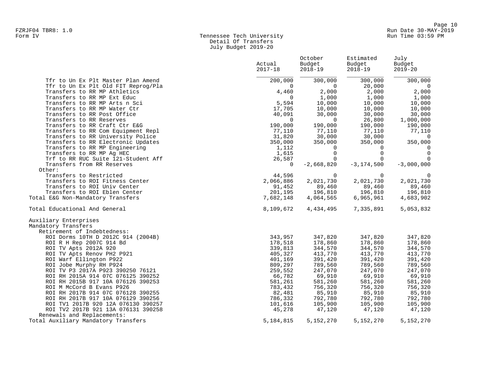# Form IV Tennessee Tech University Run Time 03:59 PM Detail Of Transfers July Budget 2019-20

|                                                                 | Actual<br>$2017 - 18$ | October<br>Budget<br>$2018 - 19$ | Estimated<br>Budget<br>$2018 - 19$ | July<br>Budget<br>$2019 - 20$ |
|-----------------------------------------------------------------|-----------------------|----------------------------------|------------------------------------|-------------------------------|
| Tfr to Un Ex Plt Master Plan Amend                              | 200,000               | 300,000                          | 300,000                            | 300,000                       |
| Tfr to Un Ex Plt Old FIT Reprog/Pla                             | $\mathbf 0$           | $\overline{0}$                   | 20,000                             | $\overline{0}$                |
| Transfers to RR MP Athletics                                    | 4,460                 | 2,000                            | 2,000                              | 2,000                         |
| Transfers to RR MP Ext Educ                                     | $\mathbf 0$           | 1,000                            | 1,000                              | 1,000                         |
| Transfers to RR MP Arts n Sci                                   | 5,594                 | 10,000                           | 10,000                             | 10,000                        |
| Transfers to RR MP Water Ctr<br>Transfers to RR Post Office     | 17,705<br>40,091      | 10,000<br>30,000                 | 10,000<br>30,000                   | 10,000<br>30,000              |
| Transfers to RR Reserves                                        | $\Omega$              | $\Omega$                         | 26,800                             | 1,000,000                     |
| Transfers to RR Craft Ctr E&G                                   | 190,000               | 190,000                          | 190,000                            | 190,000                       |
| Transfers to RR Com Equipment Repl                              | 77,110                | 77,110                           | 77,110                             | 77,110                        |
| Transfers to RR University Police                               | 31,820                | 30,000                           | 30,000                             | $\overline{0}$                |
| Transfers to RR Electronic Updates                              | 350,000               | 350,000                          | 350,000                            | 350,000                       |
| Transfers to RR MP Engineering                                  | 1,112                 | $\overline{0}$                   | $\overline{0}$                     | $\overline{0}$                |
| Transfers to RR MP Ag HEC                                       | 1,615                 | $\overline{0}$                   | $\mathbf 0$                        | $\mathbf 0$                   |
| Trf to RR RUC Suite 121-Student Aff                             | 26,587                | $\overline{0}$                   | $\mathbf 0$                        | $\Omega$                      |
| Transfers from RR Reserves                                      | $\mathbf 0$           | $-2,668,820$                     | $-3, 174, 500$                     | $-3,000,000$                  |
| Other:                                                          |                       |                                  |                                    |                               |
| Transfers to Restricted                                         | 44,596                | $\mathbf 0$                      | $\Omega$                           | $\mathbf 0$                   |
| Transfers to ROI Fitness Center<br>Transfers to ROI Univ Center | 2,066,886<br>91,452   | 2,021,730<br>89,460              | 2,021,730<br>89,460                | 2,021,730<br>89,460           |
| Transfers to ROI Eblen Center                                   | 201,195               | 196,810                          | 196,810                            | 196,810                       |
| Total E&G Non-Mandatory Transfers                               | 7,682,148             | 4,064,565                        | 6,965,961                          | 4,683,902                     |
|                                                                 |                       |                                  |                                    |                               |
| Total Educational And General                                   | 8,109,672             | 4,434,495                        | 7,335,891                          | 5,053,832                     |
| Auxiliary Enterprises                                           |                       |                                  |                                    |                               |
| Mandatory Transfers                                             |                       |                                  |                                    |                               |
| Retirement of Indebtedness:                                     |                       |                                  |                                    |                               |
| ROI Dorms 10TH D 2012C 914 (2004B)                              | 343,957               | 347,820                          | 347,820                            | 347,820                       |
| ROI R H Rep 2007C 914 Bd                                        | 178,518               | 178,860                          | 178,860                            | 178,860                       |
| ROI TV Apts 2012A 920                                           | 339,813<br>405,327    | 344,570<br>413,770               | 344,570<br>413,770                 | 344,570<br>413,770            |
| ROI TV Apts Renov PH2 P921<br>ROI Warf Ellington P922           | 401,169               | 391,420                          | 391,420                            | 391,420                       |
| ROI Jobe Murphy RH P924                                         | 809,297               | 789,560                          | 789,560                            | 789,560                       |
| ROI TV P3 2017A P923 390250 76121                               | 259,552               | 247,070                          | 247,070                            | 247,070                       |
| ROI RH 2015A 914 07C 076125 390252                              | 66,782                | 69,910                           | 69,910                             | 69,910                        |
| ROI RH 2015B 917 10A 076126 390253                              | 581,261               | 581,260                          | 581,260                            | 581,260                       |
| ROI M McCord B Evans P926                                       | 783,432               | 756,320                          | 756,320                            | 756,320                       |
| ROI RH 2017B 914 07C 076128 390255                              | 82,481                | 85,910                           | 85,910                             | 85,910                        |
| ROI RH 2017B 917 10A 076129 390256                              | 786,332               | 792,780                          | 792,780                            | 792,780                       |
| ROI TV1 2017B 920 12A 076130 390257                             | 101,616               | 105,900                          | 105,900                            | 105,900                       |
| ROI TV2 2017B 921 13A 076131 390258                             | 45,278                | 47,120                           | 47,120                             | 47,120                        |
| Renewals and Replacements:                                      |                       |                                  |                                    |                               |
| Total Auxiliary Mandatory Transfers                             | 5, 184, 815           | 5, 152, 270                      | 5,152,270                          | 5,152,270                     |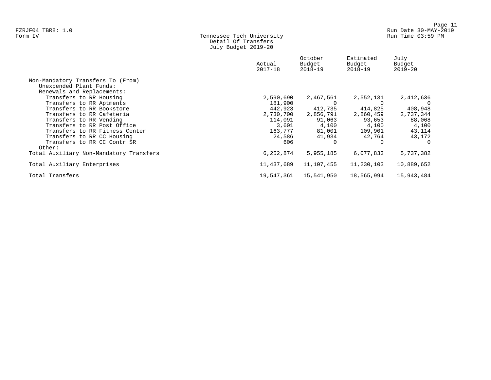# Form IV Tennessee Tech University Run Time 03:59 PM Detail Of Transfers July Budget 2019-20

|                                         | Actual<br>$2017 - 18$ | October<br>Budget<br>2018-19 | Estimated<br>Budget<br>$2018 - 19$ | July<br>Budget<br>$2019 - 20$ |
|-----------------------------------------|-----------------------|------------------------------|------------------------------------|-------------------------------|
| Non-Mandatory Transfers To (From)       |                       |                              |                                    |                               |
| Unexpended Plant Funds:                 |                       |                              |                                    |                               |
| Renewals and Replacements:              |                       |                              |                                    |                               |
| Transfers to RR Housing                 | 2,590,690             | 2,467,561                    | 2,552,131                          | 2,412,636                     |
| Transfers to RR Aptments                | 181,900               |                              |                                    | $\Omega$                      |
| Transfers to RR Bookstore               | 442,923               | 412,735                      | 414,825                            | 408,948                       |
| Transfers to RR Cafeteria               | 2,730,700             | 2,856,791                    | 2,860,459                          | 2,737,344                     |
| Transfers to RR Vending                 | 114,091               | 91,063                       | 93,653                             | 88,068                        |
| Transfers to RR Post Office             | 3,601                 | 4,100                        | 4,100                              | 4,100                         |
| Transfers to RR Fitness Center          | 163,777               | 81,001                       | 109,901                            | 43,114                        |
| Transfers to RR CC Housing              | 24,586                | 41,934                       | 42,764                             | 43,172                        |
| Transfers to RR CC Contr SR             | 606                   | $\Omega$                     |                                    | $\Omega$                      |
| Other:                                  |                       |                              |                                    |                               |
| Total Auxiliary Non-Mandatory Transfers | 6,252,874             | 5,955,185                    | 6,077,833                          | 5,737,382                     |
| Total Auxiliary Enterprises             | 11,437,689            | 11,107,455                   | 11,230,103                         | 10,889,652                    |
| Total Transfers                         | 19,547,361            | 15,541,950                   | 18,565,994                         | 15,943,484                    |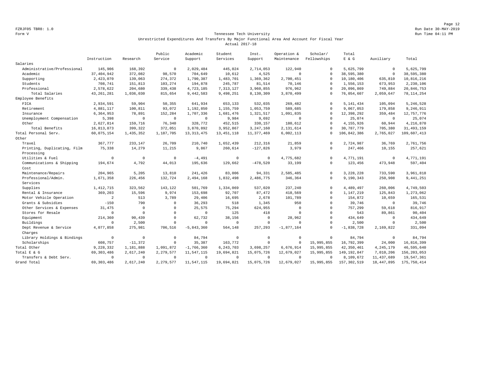#### Form V Tennessee Tech University Run Time 04:11 PM Unrestricted Expenditures And Transfers By Major Functional Area And Account For Fiscal Year Actual 2017-18

|                             |              |                | Public       | Academic     | Student      | Inst.        | Operation &  | Scholar/     | Total         |              |               |
|-----------------------------|--------------|----------------|--------------|--------------|--------------|--------------|--------------|--------------|---------------|--------------|---------------|
|                             | Instruction  | Research       | Service      | Support      | Services     | Support      | Maintenance  | Fellowships  | E & E G       | Auxiliary    | Total         |
| Salaries                    |              |                |              |              |              |              |              |              |               |              |               |
| Administrative/Professional | 145,906      | 168,392        | $\mathbf 0$  | 2,029,484    | 445,024      | 2,714,053    | 122,940      | $\Omega$     | 5,625,799     | $\mathbf 0$  | 5,625,799     |
| Academic                    | 37, 404, 942 | 372,082        | 98,570       | 704,649      | 10,612       | 4,525        | $\mathbf 0$  | $\Omega$     | 38,595,380    | $\mathbf 0$  | 38,595,380    |
| Supporting                  | 2,423,070    | 139,063        | 274,372      | 1,790,387    | 1,483,701    | 1,369,362    | 2,700,451    | $\Omega$     | 10,180,406    | 635,810      | 10,816,216    |
| Students                    | 708,741      | 151,813        | 103,274      | 194,878      | 245,787      | 81,514       | 70,146       | $\Omega$     | 1,556,153     | 673,953      | 2,230,106     |
| Professional                | 2,578,622    | 204,680        | 339,438      | 4,723,185    | 7,313,127    | 3,960,855    | 976,962      | $\Omega$     | 20,096,869    | 749,884      | 20,846,753    |
| Total Salaries              | 43, 261, 281 | 1,036,030      | 815,654      | 9,442,583    | 9,498,251    | 8,130,309    | 3,870,499    | $\Omega$     | 76,054,607    | 2,059,647    | 78, 114, 254  |
| Employee Benefits           |              |                |              |              |              |              |              |              |               |              |               |
| FICA                        | 2,934,591    | 59,904         | 50.355       | 641,934      | 653,133      | 532,035      | 269,482      | $\Omega$     | 5, 141, 434   | 105,094      | 5,246,528     |
| Retirement                  | 4,881,117    | 100,811        | 93,072       | 1,192,850    | 1,155,759    | 1,053,759    | 589,685      | $\Omega$     | 9,067,053     | 179,858      | 9,246,911     |
| Insurance                   | 6,364,953    | 78,891         | 152,284      | 1,707,336    | 1,681,476    | 1,321,517    | 1,091,835    | $\Omega$     | 12,398,292    | 359,484      | 12,757,776    |
| Unemployment Compensation   | 5,398        | $\circ$        | $\circ$      | $\mathbf{0}$ | 9,984        | 9,692        | $\Omega$     | $\Omega$     | 25,074        | $\circ$      | 25,074        |
| Other                       | 2,627,814    | 159,716        | 76,340       | 328,772      | 452,515      | 330,157      | 180,612      | $\Omega$     | 4,155,926     | 60,944       | 4,216,870     |
| Total Benefits              | 16,813,873   | 399,322        | 372,051      | 3,870,892    | 3,952,867    | 3,247,160    | 2,131,614    | $\Omega$     | 30,787,779    | 705,380      | 31, 493, 159  |
| Total Personal Serv.        | 60,075,154   | 1,435,352      | 1,187,705    | 13, 313, 475 | 13, 451, 118 | 11, 377, 469 | 6,002,113    | $\Omega$     | 106,842,386   | 2,765,027    | 109,607,413   |
| Other                       |              |                |              |              |              |              |              |              |               |              |               |
| Travel                      | 367,777      | 233,147        | 26,709       | 210,740      | 1,652,439    | 212,316      | 21,859       | $\Omega$     | 2,724,987     | 36,769       | 2,761,756     |
| Printing, Duplicating, Film | 75,338       | 14,279         | 11,215       | 9,867        | 260,614      | $-127,826$   | 3,979        | $\Omega$     | 247,466       | 10,155       | 257,621       |
| Processing                  |              |                |              |              |              |              |              |              |               |              |               |
| Utilities & Fuel            | $\Omega$     | $\overline{0}$ | $\Omega$     | $-4,491$     | $\mathbf 0$  | $\Omega$     | 4,775,682    | $\Omega$     | 4,771,191     | $\Omega$     | 4,771,191     |
| Communications & Shipping   | 194,674      | 4,792          | 44,013       | 195,636      | 129,662      | $-478,520$   | 33,199       | $\Omega$     | 123,456       | 473,948      | 597,404       |
| Cost                        |              |                |              |              |              |              |              |              |               |              |               |
| Maintenance/Repairs         | 204,965      | 5,205          | 13,810       | 241,426      | 83,006       | 94,331       | 2,585,485    | $\mathbf{0}$ | 3,228,228     | 733,590      | 3,961,818     |
| Professional/Admin.         | 1,671,358    | 226,456        | 132,724      | 2,494,168    | 1,832,498    | 2,486,775    | 346,364      | $\Omega$     | 9,190,343     | 250,908      | 9,441,251     |
| Services                    |              |                |              |              |              |              |              |              |               |              |               |
| Supplies                    | 1, 412, 715  | 323,562        | 143,122      | 501,769      | 1,334,069    | 537,020      | 237,240      | $\Omega$     | 4,489,497     | 260,006      | 4,749,503     |
| Rental & Insurance          | 369,203      | 15,596         | 9,974        | 153,698      | 92,707       | 87,472       | 418,569      | $\Omega$     | 1,147,219     | 125,843      | 1,273,062     |
| Motor Vehicle Operation     | 2            | 513            | 3,789        | 29,406       | 16,695       | 2,678        | 101,789      | $\Omega$     | 154,872       | 10,659       | 165,531       |
| Grants & Subsidies          | $-150$       | 790            | $\Omega$     | 36,293       | 518          | 1,345        | 950          | $\Omega$     | 39,746        | $\circ$      | 39,746        |
| Other Services & Expenses   | 31,475       | $\Omega$       | $\mathbf{0}$ | 25,575       | 75,294       | 624,955      | $\mathbb O$  | $\Omega$     | 757,299       | 59,618       | 816,917       |
| Stores for Resale           | $\mathbf 0$  | $\Omega$       | $\mathbf 0$  | $\mathbf{0}$ | 125          | 418          | $\mathbf 0$  | $\Omega$     | 543           | 89,861       | 90,404        |
| Equipment                   | 214,360      | 90,439         | $\Omega$     | 62,732       | 38,156       | $\Omega$     | 28,962       | $\Omega$     | 434,649       | $^{\circ}$   | 434,649       |
| Buildings                   | $\mathbf{0}$ | 2,500          | $\Omega$     | $\mathbf{0}$ | $^{\circ}$   | $^{\circ}$   | $\mathbf 0$  | $\Omega$     | 2,500         | $^{\circ}$   | 2,500         |
| Dept Revenue & Service      | 4,077,858    | 275,981        | 706,516      | $-5,843,360$ | 564,148      | 257,293      | $-1,877,164$ | $\Omega$     | $-1,838,728$  | 2,169,822    | 331,094       |
| Charges                     |              |                |              |              |              |              |              |              |               |              |               |
| Library Holdings & Bindings | $\mathbf 0$  | $\mathbf 0$    | $\mathbf 0$  | 84,794       | $\Omega$     | $\mathbf 0$  | $\mathbf 0$  | $\Omega$     | 84,794        | $\mathbf 0$  | 84,794        |
| Scholarships                | 608,757      | $-11,372$      | $\Omega$     | 35,387       | 163,772      | $\Omega$     | $^{\circ}$   | 15,995,855   | 16,792,399    | 24,000       | 16,816,399    |
| Total Other                 | 9,228,332    | 1,181,888      | 1,091,872    | $-1,766,360$ | 6, 243, 703  | 3,698,257    | 6.676.914    | 15,995,855   | 42, 350, 461  | 4, 245, 179  | 46,595,640    |
| Total E & G                 | 69, 303, 486 | 2,617,240      | 2,279,577    | 11,547,115   | 19,694,821   | 15,075,726   | 12,679,027   | 15,995,855   | 149, 192, 847 | 7,010,206    | 156, 203, 053 |
| Transfers & Debt Serv.      | $\mathbf 0$  | $\overline{0}$ | $\mathbf{0}$ | $^{\circ}$   | $\Omega$     | $^{\circ}$   | $\mathbf 0$  | $\Omega$     | 8,109,672     | 11, 437, 689 | 19,547,361    |
| Grand Total                 | 69, 303, 486 | 2,617,240      | 2, 279, 577  | 11,547,115   | 19,694,821   | 15,075,726   | 12,679,027   | 15,995,855   | 157, 302, 519 | 18, 447, 895 | 175,750,414   |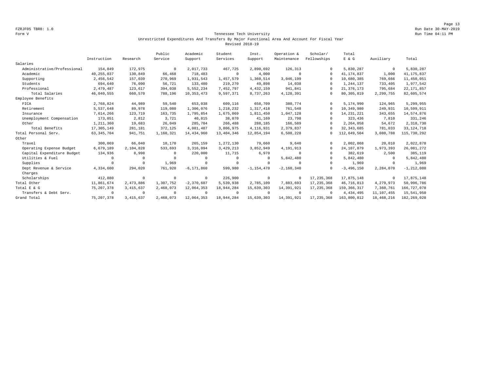#### Form V Tennessee Tech University Run Time 04:11 PM Unrestricted Expenditures And Transfers By Major Functional Area And Account For Fiscal Year Revised 2018-19

|                             |              |             | Public       | Academic       | Student      | Inst.          | Operation &  | Scholar/     | Total         |              |                |
|-----------------------------|--------------|-------------|--------------|----------------|--------------|----------------|--------------|--------------|---------------|--------------|----------------|
|                             | Instruction  | Research    | Service      | Support        | Services     | Support        | Maintenance  | Fellowships  | E & G         | Auxiliary    | Total          |
| Salaries                    |              |             |              |                |              |                |              |              |               |              |                |
| Administrative/Professional | 154,849      | 172,975     | $^{\circ}$   | 2,017,733      | 467,725      | 2,890,692      | 126,313      | $\Omega$     | 5,830,287     | $^{\circ}$   | 5,830,287      |
| Academic                    | 40, 255, 037 | 130,849     | 66,468       | 718,483        | $\circ$      | 4,000          | $\Omega$     | $\Omega$     | 41, 174, 837  | 1,000        | 41, 175, 837   |
| Supporting                  | 2,456,542    | 157,039     | 270,969      | 1,931,543      | 1,457,579    | 1,360,514      | 3,046,199    | $\Omega$     | 10,680,385    | 769,666      | 11,450,051     |
| Students                    | 694,640      | 76,090      | 56,721       | 133,480        | 219,270      | 49,898         | 14,038       | $\Omega$     | 1,244,137     | 733,405      | 1,977,542      |
| Professional                | 2,479,487    | 123,617     | 394,038      | 5,552,234      | 7,452,797    | 4, 432, 159    | 941,841      | $\Omega$     | 21, 376, 173  | 795,684      | 22, 171, 857   |
| Total Salaries              | 46,040,555   | 660,570     | 788,196      | 10, 353, 473   | 9,597,371    | 8,737,263      | 4,128,391    | $\Omega$     | 80, 305, 819  | 2,299,755    | 82,605,574     |
| Employee Benefits           |              |             |              |                |              |                |              |              |               |              |                |
| FICA                        | 2,768,824    | 44,989      | 59,540       | 653,038        | 609,116      | 658,709        | 380,774      | $\Omega$     | 5,174,990     | 124,965      | 5,299,955      |
| Retirement                  | 5,537,648    | 89,978      | 119,080      | 1,306,076      | 1,218,232    | 1,317,418      | 761,548      | $\Omega$     | 10,349,980    | 249,931      | 10,599,911     |
| Insurance                   | 7,614,266    | 123,719     | 163,735      | 1,795,854      | 1,675,069    | 1,811,450      | 1,047,128    | $\cap$       | 14, 231, 221  | 343,655      | 14,574,876     |
| Unemployment Compensation   | 173,051      | 2,812       | 3.721        | 40.815         | 38,070       | 41,169         | 23,798       | $\Omega$     | 323,436       | 7.810        | 331,246        |
| Other                       | 1,211,360    | 19,683      | 26,049       | 285,704        | 266,488      | 288,185        | 166,589      | $\Omega$     | 2,264,058     | 54,672       | 2,318,730      |
| Total Benefits              | 17,305,149   | 281,181     | 372,125      | 4,081,487      | 3,806,975    | 4, 116, 931    | 2,379,837    | $\Omega$     | 32, 343, 685  | 781,033      | 33, 124, 718   |
| Total Personal Serv.        | 63, 345, 704 | 941,751     | 1,160,321    | 14,434,960     | 13, 404, 346 | 12,854,194     | 6,508,228    | $^{\circ}$   | 112,649,504   | 3,080,788    | 115,730,292    |
| Other                       |              |             |              |                |              |                |              |              |               |              |                |
| Travel                      | 300,069      | 66,040      | 10,170       | 265,159        | 1,272,130    | 79,660         | 9,640        | $\Omega$     | 2,002,868     | 20,010       | 2,022,878      |
| Operating Expense Budget    | 6,679,189    | 2,104,828   | 533,693      | 3,316,094      | 3,429,213    | 3,852,949      | 4,191,913    | $\Omega$     | 24, 107, 879  | 1,973,393    | 26,081,272     |
| Capital Expenditure Budget  | 134,936      | 8,998       | $\Omega$     | 220,000        | 11,715       | 6,970          | $\Omega$     | $\Omega$     | 382,619       | 2,500        | 385,119        |
| Utilities & Fuel            | $\Omega$     | $^{\circ}$  | $\Omega$     | $^{\circ}$     | $\circ$      | $^{\circ}$     | 5,842,480    | $\Omega$     | 5,842,480     | $\mathbf{0}$ | 5,842,480      |
| Supplies                    | $\Omega$     | $^{\circ}$  | 1,969        | $^{\circ}$     | $\circ$      | $\Omega$       | $\Omega$     | $\Omega$     | 1,969         | $\mathbf{0}$ | 1,969          |
| Dept Revenue & Service      | 4,334,600    | 294,020     | 761,920      | $-6, 171, 860$ | 599,980      | $-1, 154, 470$ | $-2,160,340$ | $\Omega$     | $-3,496,150$  | 2,284,070    | $-1, 212, 080$ |
| Charges                     |              |             |              |                |              |                |              |              |               |              |                |
| Scholarships                | 412,880      | $\circ$     | $\mathbf{0}$ | $\mathbf 0$    | 226,900      | $\circ$        | $^{\circ}$   | 17, 235, 368 | 17,875,148    | $^{\circ}$   | 17,875,148     |
| Total Other                 | 11,861,674   | 2,473,886   | 1,307,752    | $-2,370,607$   | 5,539,938    | 2,785,109      | 7,883,693    | 17, 235, 368 | 46,716,813    | 4,279,973    | 50,996,786     |
| Total E & G                 | 75, 207, 378 | 3, 415, 637 | 2,468,073    | 12,064,353     | 18,944,284   | 15,639,303     | 14,391,921   | 17, 235, 368 | 159, 366, 317 | 7,360,761    | 166, 727, 078  |
| Transfers & Debt Serv.      | $\Omega$     | $^{\circ}$  | $\Omega$     | $^{\circ}$     | $\Omega$     | $\Omega$       | $\Omega$     | $\Omega$     | 4,434,495     | 11, 107, 455 | 15,541,950     |
| Grand Total                 | 75, 207, 378 | 3, 415, 637 | 2,468,073    | 12,064,353     | 18,944,284   | 15,639,303     | 14,391,921   | 17, 235, 368 | 163,800,812   | 18,468,216   | 182, 269, 028  |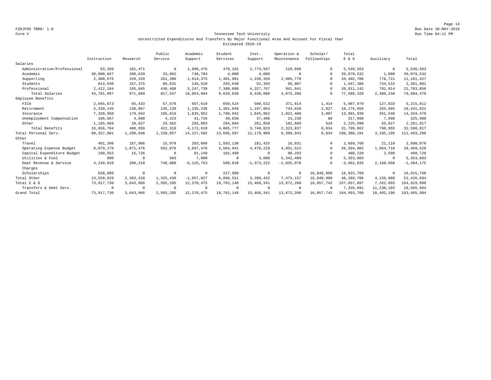#### Form V Tennessee Tech University Run Time 04:11 PM Unrestricted Expenditures And Transfers By Major Functional Area And Account For Fiscal Year Estimated 2018-19

|                             |              |            | Public    | Academic       | Student    | Inst.          | Operation &  | Scholar/    | Total        |            |                |
|-----------------------------|--------------|------------|-----------|----------------|------------|----------------|--------------|-------------|--------------|------------|----------------|
|                             | Instruction  | Research   | Service   | Support        | Services   | Support        | Maintenance  | Fellowships | E & G        | Auxiliary  | Total          |
| Salaries                    |              |            |           |                |            |                |              |             |              |            |                |
| Administrative/Professional | 93,260       | 101,471    | $\Omega$  | 1,998,476      | 470,101    | 2,774,567      | 110,688      | 0           | 5,548,563    | $^{\circ}$ | 5,548,563      |
| Academic                    | 38,000,047   | 288,639    | 33,062    | 748,784        | 4,000      | 4,000          | $^{\circ}$   | $\Omega$    | 39,078,532   | 1,000      | 39,079,532     |
| Supporting                  | 2,380,676    | 159,159    | 261,386   | 1,914,375      | 1,481,981  | 1,239,359      | 2,965,770    |             | 10,402,706   | 778,721    | 11, 181, 427   |
| Students                    | 814,930      | 157,375    | 86,631    | 145,510        | 293,640    | 92,393         | 56,907       | $\Omega$    | 1,647,386    | 734,515    | 2,381,901      |
| Professional                | 2, 412, 184  | 165,045    | 436,468   | 5, 247, 739    | 7,380,098  | 4,327,767      | 941,841      | $\Omega$    | 20, 911, 142 | 791,914    | 21,703,056     |
| Total Salaries              | 43,701,097   | 871,689    | 817,547   | 10,054,884     | 9,629,820  | 8,438,086      | 4,075,206    | $\Omega$    | 77,588,329   | 2,306,150  | 79,894,479     |
| Employee Benefits           |              |            |           |                |            |                |              |             |              |            |                |
| FICA                        | 2,665,073    | 65,433     | 67,570    | 667,619        | 650,524    | 598,532        | 371,814      | 1,414       | 5,087,979    | 127,833    | 5, 215, 812    |
| Retirement                  | 5,330,145    | 130,867    | 135,139   | 1,335,238      | 1,301,049  | 1,197,063      | 743,628      | 2,827       | 10,175,956   | 255,665    | 10, 431, 621   |
| Insurance                   | 7,328,950    | 179,942    | 185,816   | 1,835,952      | 1,788,942  | 1,645,962      | 1,022,488    | 3,887       | 13,991,939   | 351,540    | 14, 343, 479   |
| Unemployment Compensation   | 166,567      | 4,090      | 4,223     | 41,726         | 40,658     | 37,408         | 23,238       | 88          | 317,998      | 7,990      | 325,988        |
| Other                       | 1,165,969    | 28,627     | 29,562    | 292,083        | 284,604    | 261,858        | 162,669      | 618         | 2,225,990    | 55,927     | 2,281,917      |
| Total Benefits              | 16,656,704   | 408,959    | 422,310   | 4,172,618      | 4,065,777  | 3,740,823      | 2,323,837    | 8,834       | 31,799,862   | 798,955    | 32,598,817     |
| Total Personal Serv.        | 60, 357, 801 | 1,280,648  | 1,239,857 | 14, 227, 502   | 13,695,597 | 12,178,909     | 6,399,043    | 8,834       | 109,388,191  | 3,105,105  | 112,493,296    |
| Other                       |              |            |           |                |            |                |              |             |              |            |                |
| Travel                      | 401,398      | 187,906    | 15,979    | 283,099        | 1,583,130  | 181,425        | 16,831       |             | 2,669,768    | 21,110     | 2,690,878      |
| Operating Expense Budget    | 8,079,179    | 1,871,476  | 562,076   | 3,897,478      | 3,564,941  | 4,478,229      | 4,051,523    | $\Omega$    | 26.504.902   | 1,964,718  | 28,469,620     |
| Capital Expenditure Budget  | 190,562      | 15,726     | $\Omega$  | 81,149         | 102,490    | $^{\circ}$     | 98,293       | $\Omega$    | 488,220      | 2,500      | 490,720        |
| Utilities & Fuel            | 900          | $^{\circ}$ | 503       | 7,000          | $^{\circ}$ | 3,000          | 5,342,480    | $\Omega$    | 5, 353, 883  | $\circ$    | 5, 353, 883    |
| Dept Revenue & Service      | 4,249,010    | 288,210    | 746,880   | $-6, 125, 753$ | 588,010    | $-1, 373, 222$ | $-2,035,970$ | $\cap$      | $-3,662,835$ | 2,168,660  | $-1, 494, 175$ |
| Charges                     |              |            |           |                |            |                |              |             |              |            |                |
| Scholarships                | 638,880      | $^{\circ}$ | $\Omega$  | $^{\circ}$     | 227,980    | $^{\circ}$     | $^{\circ}$   | 16,048,908  | 16, 915, 768 | $^{\circ}$ | 16,915,768     |
| Total Other                 | 13,559,929   | 2,363,318  | 1,325,438 | $-1.857.027$   | 6,066,551  | 3,289,432      | 7,473,157    | 16,048,908  | 48,269,706   | 4,156,988  | 52,426,694     |
| Total E & G                 | 73,917,730   | 3,643,966  | 2,565,295 | 12,370,475     | 19,762,148 | 15,468,341     | 13,872,200   | 16,057,742  | 157,657,897  | 7,262,093  | 164, 919, 990  |
| Transfers & Debt Serv.      | $\Omega$     | $^{\circ}$ | $\Omega$  | $^{\circ}$     | $\circ$    | $\Omega$       | $\Omega$     | $\Omega$    | 7,335,891    | 11,230,103 | 18,565,994     |
| Grand Total                 | 73, 917, 730 | 3,643,966  | 2,565,295 | 12,370,475     | 19,762,148 | 15,468,341     | 13,872,200   | 16,057,742  | 164,993,788  | 18,492,196 | 183, 485, 984  |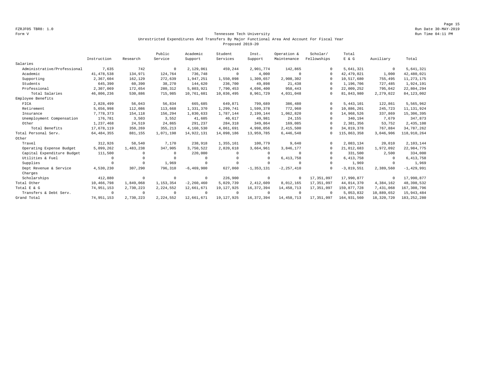Page 15 FZRJF05 TBR8: 1.0 Run Date 30-MAY-2019

#### Form V Tennessee Tech University Run Time 04:11 PM Unrestricted Expenditures And Transfers By Major Functional Area And Account For Fiscal Year Proposed 2019-20

|                             |              |            | Public      | Academic       | Student      | Inst.          | Operation &    | Scholar/    | Total        |             |                |
|-----------------------------|--------------|------------|-------------|----------------|--------------|----------------|----------------|-------------|--------------|-------------|----------------|
|                             | Instruction  | Research   | Service     | Support        | Services     | Support        | Maintenance    | Fellowships | E & G        | Auxiliary   | Total          |
| Salaries                    |              |            |             |                |              |                |                |             |              |             |                |
| Administrative/Professional | 7,635        | 742        | $^{\circ}$  | 2,129,061      | 459,244      | 2,901,774      | 142,865        | $\Omega$    | 5,641,321    | $\mathbf 0$ | 5,641,321      |
| Academic                    | 41, 478, 538 | 134,971    | 124,764     | 736,748        | $^{\circ}$   | 4,000          | $\Omega$       | $\Omega$    | 42, 479, 021 | 1,000       | 42,480,021     |
| Supporting                  | 2,367,604    | 162,129    | 272,639     | 1,947,251      | 1,550,098    | 1,309,657      | 2,908,302      | $\Omega$    | 10,517,680   | 755,495     | 11, 273, 175   |
| Students                    | 645,390      | 60,390     | 38,270      | 144,620        | 236,700      | 49,898         | 21,438         | $\Omega$    | 1,196,706    | 727,485     | 1,924,191      |
| Professional                | 2,307,069    | 172,654    | 280,312     | 5,803,921      | 7,790,453    | 4,696,400      | 958,443        | $\Omega$    | 22,009,252   | 795,042     | 22,804,294     |
| Total Salaries              | 46,806,236   | 530,886    | 715,985     | 10,761,601     | 10,036,495   | 8,961,729      | 4,031,048      | $\Omega$    | 81,843,980   | 2,279,022   | 84, 123, 002   |
| Employee Benefits           |              |            |             |                |              |                |                |             |              |             |                |
| FICA                        | 2,828,499    | 56,043     | 56,834      | 665,685        | 649,871      | 799,689        | 386,480        | $\Omega$    | 5, 443, 101  | 122,861     | 5,565,962      |
| Retirement                  | 5,656,998    | 112,086    | 113,668     | 1,331,370      | 1,299,741    | 1,599,378      | 772,960        | $\Omega$    | 10,886,201   | 245,723     | 11, 131, 924   |
| Insurance                   | 7,778,373    | 154,118    | 156,294     | 1,830,633      | 1,787,144    | 2,199,144      | 1,062,820      | $\Omega$    | 14,968,526   | 337,869     | 15, 306, 395   |
| Unemployment Compensation   | 176,781      | 3,503      | 3,552       | 41,605         | 40,617       | 49,981         | 24,155         | $\Omega$    | 340,194      | 7.679       | 347,873        |
| Other                       | 1,237,468    | 24,519     | 24,865      | 291,237        | 284,318      | 349,864        | 169,085        | $\Omega$    | 2,381,356    | 53,752      | 2,435,108      |
| Total Benefits              | 17,678,119   | 350,269    | 355,213     | 4,160,530      | 4,061,691    | 4,998,056      | 2,415,500      | $\Omega$    | 34,019,378   | 767,884     | 34,787,262     |
| Total Personal Serv.        | 64, 484, 355 | 881,155    | 1,071,198   | 14,922,131     | 14,098,186   | 13,959,785     | 6,446,548      | $^{\circ}$  | 115,863,358  | 3,046,906   | 118,910,264    |
| Other                       |              |            |             |                |              |                |                |             |              |             |                |
| Travel                      | 312,926      | 58,540     | 7,170       | 238,918        | 1,355,161    | 100,779        | 9,640          | $\Omega$    | 2,083,134    | 20,010      | 2,103,144      |
| Operating Expense Budget    | 5,099,262    | 1,483,238  | 347,905     | 3,750,522      | 2,820,618    | 3,664,961      | 3,846,177      | $\Omega$    | 21,012,683   | 1,972,092   | 22,984,775     |
| Capital Expenditure Budget  | 111,500      | $\Omega$   | $\Omega$    | 220,000        | $\Omega$     | $\Omega$       | $\Omega$       | $\Omega$    | 331,500      | 2,500       | 334,000        |
| Utilities & Fuel            | $\Omega$     | $\Omega$   | $\Omega$    | $\Omega$       | $\Omega$     | $\Omega$       | 6, 413, 758    | $\Omega$    | 6, 413, 758  | $^{\circ}$  | 6, 413, 758    |
| Supplies                    | $\Omega$     | $^{\circ}$ | 1,969       | $^{\circ}$     | $\mathbf 0$  | $\Omega$       | $\Omega$       | $\Omega$    | 1,969        | $^{\circ}$  | 1,969          |
| Dept Revenue & Service      | 4,530,230    | 307.290    | 796,310     | $-6, 469, 900$ | 627,060      | $-1, 353, 131$ | $-2, 257, 410$ | $\Omega$    | $-3,819,551$ | 2,389,560   | $-1, 429, 991$ |
| Charges                     |              |            |             |                |              |                |                |             |              |             |                |
| Scholarships                | 412,880      | $\circ$    | $^{\circ}$  | $\mathbf 0$    | 226,900      | $^{\circ}$     | $^{\circ}$     | 17,351,097  | 17,990,877   | $^{\circ}$  | 17,990,877     |
| Total Other                 | 10,466,798   | 1,849,068  | 1, 153, 354 | $-2, 260, 460$ | 5,029,739    | 2,412,609      | 8,012,165      | 17,351,097  | 44,014,370   | 4,384,162   | 48,398,532     |
| Total E & G                 | 74, 951, 153 | 2,730,223  | 2,224,552   | 12,661,671     | 19, 127, 925 | 16,372,394     | 14, 458, 713   | 17,351,097  | 159,877,728  | 7,431,068   | 167, 308, 796  |
| Transfers & Debt Serv.      | $\Omega$     | $^{\circ}$ | $\Omega$    | $^{\circ}$     | $^{\circ}$   | $\Omega$       | $\Omega$       | $\Omega$    | 5,053,832    | 10,889,652  | 15,943,484     |
| Grand Total                 | 74,951,153   | 2,730,223  | 2,224,552   | 12,661,671     | 19, 127, 925 | 16, 372, 394   | 14,458,713     | 17,351,097  | 164,931,560  | 18,320,720  | 183, 252, 280  |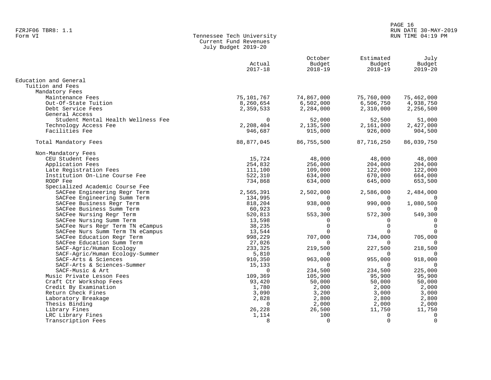### PAGE 16 FZRJF06 TBR8: 1.1 RUN DATE 30-MAY-2019 RUN TIME 04:19 PM

| Form VI | Tennessee Tech University |
|---------|---------------------------|
|         | Current Fund Revenues     |
|         | July Budget 2019-20       |

|                                    | Actual<br>$2017 - 18$ | October<br>Budget<br>$2018 - 19$ | Estimated<br>Budget<br>$2018 - 19$ | July<br>Budget<br>$2019 - 20$ |
|------------------------------------|-----------------------|----------------------------------|------------------------------------|-------------------------------|
| Education and General              |                       |                                  |                                    |                               |
| Tuition and Fees                   |                       |                                  |                                    |                               |
| Mandatory Fees                     |                       |                                  |                                    |                               |
| Maintenance Fees                   | 75,101,767            | 74,867,000                       | 75,760,000                         | 75,462,000                    |
| Out-Of-State Tuition               | 8,260,654             | 6,502,000                        | 6,506,750                          | 4,938,750                     |
| Debt Service Fees                  | 2,359,533             | 2,284,000                        | 2,310,000                          | 2,256,500                     |
| General Access                     |                       |                                  |                                    |                               |
| Student Mental Health Wellness Fee | $\Omega$              | 52,000                           | 52,500                             | 51,000                        |
| Technology Access Fee              | 2,208,404             | 2,135,500                        | 2,161,000                          | 2,427,000                     |
| Facilities Fee                     | 946,687               | 915,000                          | 926,000                            | 904,500                       |
| Total Mandatory Fees               | 88,877,045            | 86,755,500                       | 87,716,250                         | 86,039,750                    |
| Non-Mandatory Fees                 |                       |                                  |                                    |                               |
| CEU Student Fees                   | 15,724                | 48,000                           | 48,000                             | 48,000                        |
| Application Fees                   | 254,832               | 256,000                          | 204,000                            | 204,000                       |
| Late Registration Fees             | 111,100               | 109,000                          | 122,000                            | 122,000                       |
| Institution On-Line Course Fee     | 522,310               | 634,000                          | 670,000                            | 664,000                       |
| RODP Fee                           | 734,868               | 634,000                          | 645,000                            | 653,500                       |
| Specialized Academic Course Fee    |                       |                                  |                                    |                               |
| SACFee Engineering Regr Term       | 2,565,391             | 2,502,000                        | 2,586,000                          | 2,484,000                     |
| SACFee Engineering Summ Term       | 134,995               | $\Omega$                         | $\Omega$                           | 0                             |
| SACFee Business Regr Term          | 818,204               | 938,000                          | 990,000                            | 1,080,500                     |
| SACFee Business Summ Term          | 60,923                | $\Omega$                         | $\Omega$                           | $\Omega$                      |
| SACFee Nursing Regr Term           | 520,813               | 553,300                          | 572,300                            | 549,300                       |
| SACFee Nursing Summ Term           | 13,598                | $\Omega$                         | $\Omega$                           | $\Omega$                      |
| SACFee Nurs Regr Term TN eCampus   | 38,235                | $\Omega$                         | $\Omega$                           | $\mathbf 0$                   |
| SACFee Nurs Summ Term TN eCampus   | 13,544                | $\Omega$                         |                                    |                               |
| SACFee Education Regr Term         | 998,229               | 707,000                          | 734,000                            | 705,000                       |
| SACFee Education Summ Term         | 27,026                | $\Omega$                         | $\Omega$                           |                               |
| SACF-Agric/Human Ecology           | 233,325               | 219,500                          | 227,500                            | 218,500                       |
| SACF-Agric/Human Ecology-Summer    | 5,810                 |                                  |                                    |                               |
| SACF-Arts & Sciences               | 910,350               | 963,000                          | 955,000                            | 918,000                       |
| SACF-Arts & Sciences-Summer        | 15,133                | $\Omega$                         | $\Omega$                           | $\Omega$                      |
| SACF-Music & Art                   | $\Omega$              | 234,500                          | 234,500                            | 225,000                       |
| Music Private Lesson Fees          | 109,369               | 105,900                          | 95,900                             | 95,900                        |
| Craft Ctr Workshop Fees            | 93,420                | 50,000                           | 50,000                             | 50,000                        |
| Credit By Examination              | 1,780                 | 2,000                            | 2,000                              | 2,000                         |
| Return Check Fines                 | 3,090                 | 3,200                            | 3,000                              | 3,000                         |
| Laboratory Breakage                | 2,828                 | 2,800                            | 2,800                              | 2,800                         |
| Thesis Binding                     | $\Omega$              | 2,000                            | 2,000                              | 2,000                         |
| Library Fines                      | 26,228                | 26,500                           | 11,750                             | 11,750                        |
| LRC Library Fines                  | 1,114                 | 100                              | 0                                  | 0                             |
| Transcription Fees                 | 8                     | $\Omega$                         | $\Omega$                           | $\Omega$                      |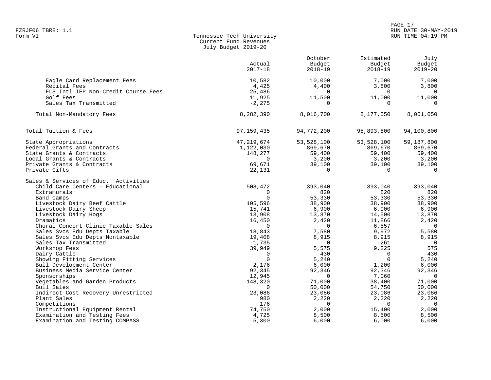### PAGE 17 FZRJF06 TBR8: 1.1 RUN DATE 30-MAY-2019 RUN TIME 04:19 PM

| Form VI | Tennessee Tech University |
|---------|---------------------------|
|         | Current Fund Revenues     |
|         | July Budget 2019-20       |

|                                      |              | October     | Estimated   | July           |
|--------------------------------------|--------------|-------------|-------------|----------------|
|                                      | Actual       | Budget      | Budget      | Budget         |
|                                      | $2017 - 18$  | $2018 - 19$ | $2018 - 19$ | $2019 - 20$    |
|                                      |              |             |             |                |
| Eagle Card Replacement Fees          | 10,582       | 10,000      | 7,000       | 7,000          |
| Recital Fees                         | 4,425        | 4,400       | 3,800       | 3,800          |
| FLS Intl IEP Non-Credit Course Fees  | 25,486       | $\Omega$    | $\Omega$    | 0              |
| Golf Fees                            | 11,925       | 11,500      | 11,000      | 11,000         |
| Sales Tax Transmitted                | $-2, 275$    | $\Omega$    | $\Omega$    | $\Omega$       |
| Total Non-Mandatory Fees             | 8,282,390    | 8,016,700   | 8,177,550   | 8,061,050      |
| Total Tuition & Fees                 | 97, 159, 435 | 94,772,200  | 95,893,800  | 94,100,800     |
| State Appropriations                 | 47,219,674   | 53,528,100  | 53,528,100  | 59,187,800     |
| Federal Grants and Contracts         | 1,122,030    | 869,670     | 869,670     | 869,670        |
| State Grants & Contracts             | 148,277      | 59,400      | 59,400      | 59,400         |
| Local Grants & Contracts             | $\mathbf 0$  | 3,200       | 3,200       | 3,200          |
| Private Grants & Contracts           | 69,671       | 39,100      | 39,100      | 39,100         |
| Private Gifts                        | 22,131       | $\Omega$    | $\Omega$    | $\mathbf{0}$   |
|                                      |              |             |             |                |
| Sales & Services of Educ. Activities |              |             |             |                |
| Child Care Centers - Educational     | 508,472      | 393,040     | 393,040     | 393,040        |
| Extramurals                          | $\mathbf 0$  | 820         | 820         | 820            |
| Band Camps                           | $\Omega$     | 53,330      | 53,330      | 53,330         |
| Livestock Dairy Beef Cattle          | 105,596      | 38,900      | 38,900      | 38,900         |
| Livestock Dairy Sheep                | 15,741       | 6,900       | 6,900       | 6,900          |
| Livestock Dairy Hogs                 | 13,908       | 13,870      | 14,500      | 13,870         |
| Dramatics                            | 16,450       | 2,420       | 11,866      | 2,420          |
| Choral Concert Clinic Taxable Sales  | $\Omega$     | 0           | 6,557       | $\overline{0}$ |
| Sales Svcs Edu Depts Taxable         | 18,843       | 7,580       | 9,972       | 5,580          |
| Sales Svcs Edu Depts Nontaxable      | 19,408       | 8,915       | 8,915       | 8,915          |
| Sales Tax Transmitted                | $-1,735$     | $\Omega$    | $-261$      | $\overline{0}$ |
| Workshop Fees                        | 39,949       | 5,575       | 9,225       | 575            |
| Dairy Cattle                         | $\Omega$     | 430         | $\Omega$    | 430            |
| Showing Fitting Services             | $\Omega$     | 5,240       | $\Omega$    | 5,240          |
| Bull Development Center              | 2,176        | 6,000       | 1,200       | 6,000          |
| Business Media Service Center        | 92,345       | 92,346      | 92,346      | 92,346         |
| Sponsorships                         | 12,945       | $\Omega$    | 7,060       | $\overline{0}$ |
| Vegetables and Garden Products       | 148,320      | 71,000      | 38,400      | 71,000         |
| Bull Sales                           | $\Omega$     | 50,000      | 54,750      | 50,000         |
| Indirect Cost Recovery Unrestricted  | 23,086       | 23,086      | 23,086      | 23,086         |
| Plant Sales                          | 980          | 2,220       | 2,220       | 2,220          |
| Competitions                         | 176          | $\Omega$    | $\Omega$    | $\overline{0}$ |
| Instructional Equipment Rental       | 74,750       | 2,000       | 15,400      | 2,000          |
| Examination and Testing Fees         | 4,725        | 8,500       | 8,500       | 8,500          |
| Examination and Testing COMPASS      | 5,300        | 6,000       | 6,000       | 6,000          |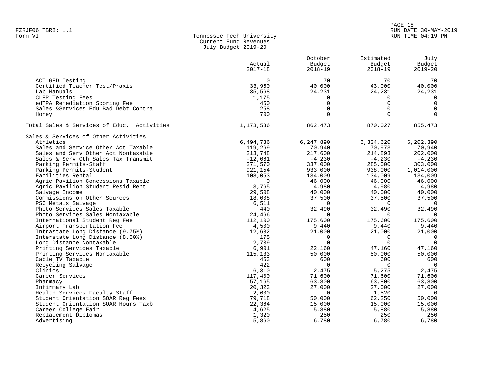# PAGE 18 FZRJF06 TBR8: 1.1<br>Form VI RUN DATE 30-MAY-2019 Tennessee Tech University Number of RUN DATE 30-MAY-2019 RUN TIME 04:19 PM

| Form VI | Tennessee Tech University |
|---------|---------------------------|
|         | Current Fund Revenues     |
|         | July Budget 2019-20       |

|                                                       | Actual           | October<br>Budget    | Estimated<br>Budget | July<br>Budget             |
|-------------------------------------------------------|------------------|----------------------|---------------------|----------------------------|
|                                                       | $2017 - 18$      | $2018 - 19$          | $2018 - 19$         | $2019 - 20$                |
| ACT GED Testing                                       | $\Omega$         | 70                   | 70                  | 70                         |
| Certified Teacher Test/Praxis                         | 33,950           | 40,000               | 43,000              | 40,000                     |
| Lab Manuals                                           | 35,568           | 24,231               | 24,231              | 24,231                     |
| CLEP Testing Fees                                     | 1,175            | $\Omega$             | $\Omega$            | $\mathbf 0$                |
| edTPA Remediation Scoring Fee                         | 450              | $\mathbf 0$          | $\Omega$            | $\mathbf 0$                |
| Sales & Services Edu Bad Debt Contra                  | 258              | $\mathbf 0$          | $\Omega$            | $\mathbf 0$                |
| Honey                                                 | 700              | $\Omega$             | $\Omega$            | $\Omega$                   |
| Total Sales & Services of Educ. Activities            | 1,173,536        | 862,473              | 870,027             | 855,473                    |
| Sales & Services of Other Activities                  |                  |                      |                     |                            |
| Athletics                                             | 6,494,736        | 6,247,890            | 6,334,620           | 6, 202, 390                |
| Sales and Service Other Act Taxable                   | 119,269          | 70,940               | 70,973              | 70,940                     |
| Sales and Serv Other Act Nontaxable                   | 213,748          | 217,600              | 214,893             | 202,000                    |
| Sales & Serv Oth Sales Tax Transmit                   | $-12,061$        | $-4,230$             | $-4,230$            | $-4,230$                   |
| Parking Permits-Staff                                 | 271,570          | 337,000              | 285,000             | 303,000                    |
| Parking Permits-Student                               | 921,154          | 933,000              | 938,000             | 1,014,000                  |
| Facilities Rental                                     | 108,053          | 134,009              | 134,009             | 134,009                    |
| Agric Pavilion Concessions Taxable                    | $\Omega$         | 46,000               | 46,000              | 46,000                     |
| Agric Pavilion Student Resid Rent                     | 3,765            | 4,980                | 4,980               | 4,980                      |
| Salvage Income                                        | 29,508           | 40,000               | 40,000              | 40,000                     |
| Commissions on Other Sources                          | 18,008           | 37,500               | 37,500              | 37,500                     |
| PSC Metals Salvage                                    | 6,511            | $\Omega$             | $\bigcap$           | $\overline{0}$             |
| Photo Services Sales Taxable                          | 440              | 32,490               | 32,490              | 32,490                     |
| Photo Services Sales Nontaxable                       | 24,466           | $\Omega$             | $\Omega$            | $\overline{0}$             |
| International Student Req Fee                         | 112,100          | 175,600              | 175,600             | 175,600                    |
| Airport Transportation Fee                            | 4,500            | 9,440                | 9,440               | 9,440                      |
| Intrastate Long Distance (9.75%)                      | 12,682           | 21,000               | 21,000<br>$\Omega$  | 21,000                     |
| Interstate Long Distance (8.50%)                      | 175<br>2,739     | $\Omega$<br>$\Omega$ | $\Omega$            | $\overline{0}$<br>$\Omega$ |
| Long Distance Nontaxable<br>Printing Services Taxable |                  | 22,160               | 47,160              | 47,160                     |
| Printing Services Nontaxable                          | 6,901<br>115,133 | 50,000               | 50,000              | 50,000                     |
| Cable TV Taxable                                      | 453              | 600                  | 600                 | 600                        |
| Recycling Salvage                                     | 422              | $\mathbf 0$          | $\overline{0}$      | $\overline{\phantom{0}}$   |
| Clinics                                               | 6,310            | 2,475                | 5,275               | 2,475                      |
| Career Services                                       | 117,400          | 71,600               | 71,600              | 71,600                     |
| Pharmacy                                              | 57,165           | 63,800               | 63,800              | 63,800                     |
| Infirmary Lab                                         | 20,323           | 27,000               | 27,000              | 27,000                     |
| Health Services Faculty Staff                         | 2,600            | $\Omega$             | 1,520               | $\overline{0}$             |
| Student Orientation SOAR Req Fees                     | 79,718           | 50,000               | 62,250              | 50,000                     |
| Student Orientation SOAR Hours Taxb                   | 22,364           | 15,000               | 15,000              | 15,000                     |
| Career College Fair                                   | 4,625            | 5,880                | 5,880               | 5,880                      |
| Replacement Diplomas                                  | 1,320            | 250                  | 250                 | 250                        |
| Advertising                                           | 5,860            | 6,780                | 6,780               | 6,780                      |
|                                                       |                  |                      |                     |                            |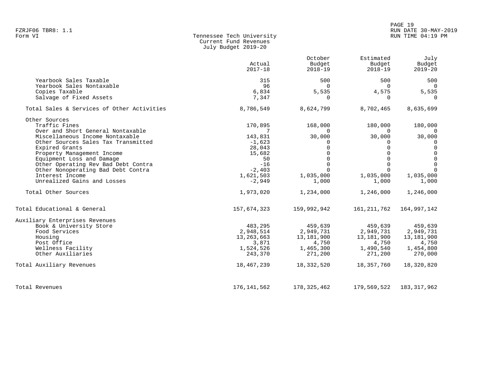|                   |                           | PAGE 19           |                      |
|-------------------|---------------------------|-------------------|----------------------|
| FZRJF06 TBR8: 1.1 |                           |                   | RUN DATE 30-MAY-2019 |
| Form VI           | Tennessee Tech University | RUN TIME 04:19 PM |                      |

| Form VI | Tennessee Tech University | RUN TIME 04:19 PM |
|---------|---------------------------|-------------------|
|         | Current Fund Revenues     |                   |
|         | July Budget 2019-20       |                   |

|                                            | Actual<br>$2017 - 18$ | October<br>Budget<br>$2018 - 19$ | Estimated<br>Budget<br>$2018 - 19$ | July<br>Budget<br>$2019 - 20$ |
|--------------------------------------------|-----------------------|----------------------------------|------------------------------------|-------------------------------|
| Yearbook Sales Taxable                     | 315                   | 500                              | 500                                | 500                           |
| Yearbook Sales Nontaxable                  | 96                    | $\Omega$                         | $\Omega$                           | $\Omega$                      |
| Copies Taxable                             | 6,834                 | 5,535                            | 4,575                              | 5,535                         |
| Salvage of Fixed Assets                    | 7,347                 | $\Omega$                         | 0                                  | $\Omega$                      |
| Total Sales & Services of Other Activities | 8,786,549             | 8,624,799                        | 8,702,465                          | 8,635,699                     |
| Other Sources                              |                       |                                  |                                    |                               |
| Traffic Fines                              | 170,895               | 168,000                          | 180,000                            | 180,000                       |
| Over and Short General Nontaxable          | 7                     |                                  | $\Omega$                           | $\Omega$                      |
| Miscellaneous Income Nontaxable            | 143,831               | 30,000                           | 30,000                             | 30,000                        |
| Other Sources Sales Tax Transmitted        | $-1,623$              | $\Omega$                         | $\Omega$                           | $\Omega$                      |
| Expired Grants                             | 28,043                |                                  |                                    | $\Omega$                      |
| Property Management Income                 | 15,682                |                                  |                                    | $\Omega$                      |
| Equipment Loss and Damage                  | 50                    |                                  | 0                                  | $\Omega$                      |
| Other Operating Rev Bad Debt Contra        | $-16$                 | $\Omega$                         | $\Omega$                           | $\Omega$                      |
| Other Nonoperating Bad Debt Contra         | $-2,403$              |                                  | $\Omega$                           | $\Omega$                      |
| Interest Income                            | 1,621,503             | 1,035,000                        | 1,035,000                          | 1,035,000                     |
| Unrealized Gains and Losses                | $-2,949$              | 1,000                            | 1,000                              | 1,000                         |
| Total Other Sources                        | 1,973,020             | 1,234,000                        | 1,246,000                          | 1,246,000                     |
| Total Educational & General                | 157,674,323           | 159,992,942                      | 161, 211, 762                      | 164,997,142                   |
| Auxiliary Enterprises Revenues             |                       |                                  |                                    |                               |
| Book & University Store                    | 483,295               | 459,639                          | 459,639                            | 459,639                       |
| Food Services                              | 2,948,514             | 2,949,731                        | 2,949,731                          | 2,949,731                     |
| Housing                                    | 13, 263, 663          | 13,181,900                       | 13,181,900                         | 13,181,900                    |
| Post Office                                | 3,871                 | 4,750                            | 4,750                              | 4,750                         |
| Wellness Facility                          | 1,524,526             | 1,465,300                        | 1,490,540                          | 1,454,800                     |
| Other Auxiliaries                          | 243,370               | 271,200                          | 271,200                            | 270,000                       |
| Total Auxiliary Revenues                   | 18,467,239            | 18,332,520                       | 18,357,760                         | 18,320,820                    |
| Total Revenues                             | 176,141,562           | 178,325,462                      | 179,569,522                        | 183, 317, 962                 |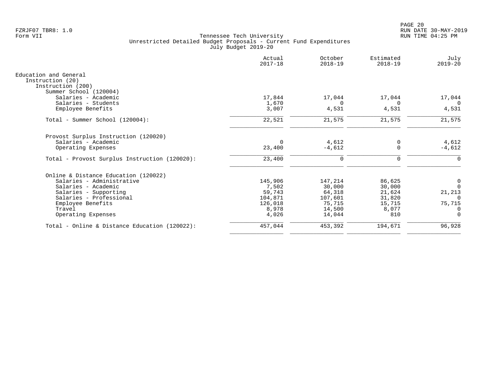|                                               | Actual<br>$2017 - 18$ | October<br>$2018 - 19$ | Estimated<br>$2018 - 19$ | July<br>$2019 - 20$ |
|-----------------------------------------------|-----------------------|------------------------|--------------------------|---------------------|
| Education and General                         |                       |                        |                          |                     |
| Instruction (20)                              |                       |                        |                          |                     |
| Instruction (200)                             |                       |                        |                          |                     |
| Summer School (120004)<br>Salaries - Academic | 17,844                | 17,044                 | 17,044                   | 17,044              |
| Salaries - Students                           | 1,670                 | $\Omega$               | $\Omega$                 | $\Omega$            |
| Employee Benefits                             | 3,007                 | 4,531                  | 4,531                    | 4,531               |
|                                               |                       |                        |                          |                     |
| Total - Summer School (120004):               | 22,521                | 21,575                 | 21,575                   | 21,575              |
| Provost Surplus Instruction (120020)          |                       |                        |                          |                     |
| Salaries - Academic                           | $\Omega$              | 4,612                  | 0                        | 4,612               |
| Operating Expenses                            | 23,400                | $-4,612$               | $\Omega$                 | $-4,612$            |
| Total - Provost Surplus Instruction (120020): | 23,400                | $\mathbf 0$            | 0                        | 0                   |
| Online & Distance Education (120022)          |                       |                        |                          |                     |
| Salaries - Administrative                     | 145,906               | 147,214                | 86,625                   | 0                   |
| Salaries - Academic                           | 7,502                 | 30,000                 | 30,000                   | $\Omega$            |
| Salaries - Supporting                         | 59,743                | 64,318                 | 21,624                   | 21,213              |
| Salaries - Professional                       | 104,871               | 107,601                | 31,820                   | $\Omega$            |
| Employee Benefits                             | 126,018               | 75,715                 | 15,715                   | 75,715              |
| Travel                                        | 8,978                 | 14,500                 | 8,077                    | 0                   |
| Operating Expenses                            | 4,026                 | 14,044                 | 810                      | $\Omega$            |
| Total - Online & Distance Education (120022): | 457,044               | 453,392                | 194,671                  | 96,928              |
|                                               |                       |                        |                          |                     |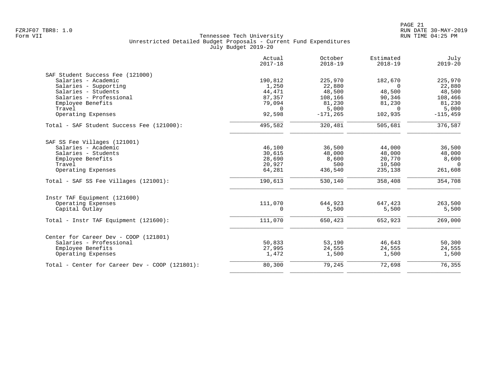|                                                   | Actual<br>$2017 - 18$ | October<br>$2018 - 19$ | Estimated<br>$2018 - 19$ | July<br>$2019 - 20$ |
|---------------------------------------------------|-----------------------|------------------------|--------------------------|---------------------|
| SAF Student Success Fee (121000)                  |                       |                        |                          |                     |
| Salaries - Academic                               | 190,812               | 225,970                | 182,670                  | 225,970             |
| Salaries - Supporting                             | 1,250                 | 22,880                 | $\Omega$                 | 22,880              |
| Salaries - Students                               | 44,471                | 48,500                 | 48,500                   | 48,500              |
| Salaries - Professional                           | 87,357                | 108,166                | 90,346                   | 108,466             |
| Employee Benefits                                 | 79,094                | 81,230                 | 81,230                   | 81,230              |
| Travel                                            | $\Omega$              | 5,000                  | $\Omega$                 | 5,000               |
| Operating Expenses                                | 92,598                | $-171, 265$            | 102,935                  | $-115, 459$         |
| Total - SAF Student Success Fee (121000):         | 495,582               | 320,481                | 505,681                  | 376,587             |
| SAF SS Fee Villages (121001)                      |                       |                        |                          |                     |
| Salaries - Academic                               | 46,100                | 36,500                 | 44,000                   | 36,500              |
| Salaries - Students                               | 30,615                | 48,000                 | 48,000                   | 48,000              |
| Employee Benefits                                 | 28,690                | 8,600                  | 20,770                   | 8,600               |
| Travel                                            | 20,927                | 500                    | 10,500                   | $\overline{0}$      |
| Operating Expenses                                | 64,281                | 436,540                | 235,138                  | 261,608             |
| Total - SAF SS Fee Villages (121001):             | 190,613               | 530,140                | 358,408                  | 354,708             |
| Instr TAF Equipment (121600)                      |                       |                        |                          |                     |
| Operating Expenses                                | 111,070               | 644,923                | 647,423                  | 263,500             |
| Capital Outlay                                    | $\mathbf 0$           | 5,500                  | 5,500                    | 5,500               |
| Total - Instr TAF Equipment (121600):             | 111,070               | 650,423                | 652,923                  | 269,000             |
| Center for Career Dev - COOP (121801)             |                       |                        |                          |                     |
| Salaries - Professional                           | 50,833                | 53,190                 | 46,643                   | 50,300              |
| Employee Benefits                                 | 27,995                | 24,555                 | 24,555                   | 24,555              |
| Operating Expenses                                | 1,472                 | 1,500                  | 1,500                    | 1,500               |
| Total - Center for Career Dev - COOP $(121801)$ : | 80,300                | 79,245                 | 72,698                   | 76,355              |
|                                                   |                       |                        |                          |                     |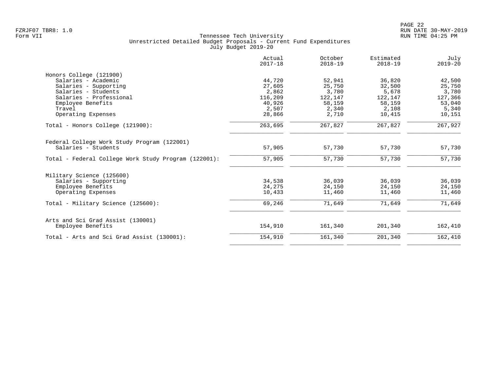|                                                      | Actual<br>$2017 - 18$ | October<br>$2018 - 19$ | Estimated<br>$2018 - 19$ | July<br>$2019 - 20$ |
|------------------------------------------------------|-----------------------|------------------------|--------------------------|---------------------|
| Honors College (121900)                              |                       |                        |                          |                     |
| Salaries - Academic                                  | 44,720                | 52,941                 | 36,820                   | 42,500              |
| Salaries - Supporting                                | 27,605                | 25,750                 | 32,500                   | 25,750              |
| Salaries - Students                                  | 2,862                 | 3,780                  | 5,678                    | 3,780               |
| Salaries - Professional                              | 116,209               | 122,147                | 122,147                  | 127,366             |
| Employee Benefits                                    | 40,926                | 58,159                 | 58,159                   | 53,040              |
| Travel                                               | 2,507                 | 2,340                  | 2,108                    | 5,340               |
| Operating Expenses                                   | 28,866                | 2,710                  | 10,415                   | 10,151              |
| Total - Honors College (121900):                     | 263,695               | 267,827                | 267,827                  | 267,927             |
| Federal College Work Study Program (122001)          |                       |                        |                          |                     |
| Salaries - Students                                  | 57,905                | 57,730                 | 57,730                   | 57,730              |
| Total - Federal College Work Study Program (122001): | 57,905                | 57,730                 | 57,730                   | 57,730              |
| Military Science (125600)                            |                       |                        |                          |                     |
| Salaries - Supporting                                | 34,538                | 36,039                 | 36,039                   | 36,039              |
| Employee Benefits                                    | 24,275                | 24,150                 | 24,150                   | 24,150              |
| Operating Expenses                                   | 10,433                | 11,460                 | 11,460                   | 11,460              |
| Total - Military Science (125600):                   | 69,246                | 71,649                 | 71,649                   | 71,649              |
| Arts and Sci Grad Assist (130001)                    |                       |                        |                          |                     |
| Employee Benefits                                    | 154,910               | 161,340                | 201,340                  | 162,410             |
| Total - Arts and Sci Grad Assist (130001):           | 154,910               | 161,340                | 201,340                  | 162,410             |
|                                                      |                       |                        |                          |                     |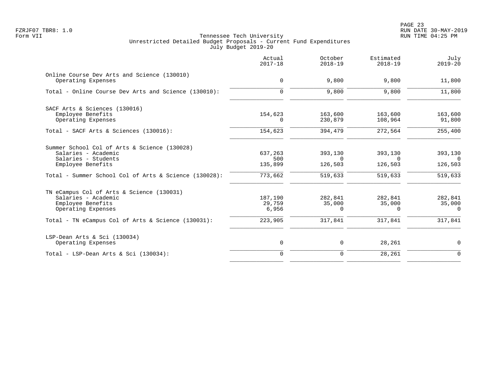|                                                                                                             | Actual<br>$2017 - 18$      | October<br>$2018 - 19$ | Estimated<br>$2018 - 19$ | July<br>$2019 - 20$    |
|-------------------------------------------------------------------------------------------------------------|----------------------------|------------------------|--------------------------|------------------------|
| Online Course Dev Arts and Science (130010)<br>Operating Expenses                                           | $\mathbf 0$                | 9,800                  | 9,800                    | 11,800                 |
| Total - Online Course Dev Arts and Science (130010):                                                        | $\Omega$                   | 9,800                  | 9,800                    | 11,800                 |
| SACF Arts & Sciences (130016)<br>Employee Benefits                                                          | 154,623                    | 163,600                | 163,600                  | 163,600                |
| Operating Expenses<br>Total - SACF Arts & Sciences (130016):                                                | $\Omega$<br>154,623        | 230,879<br>394,479     | 108,964<br>272,564       | 91,800<br>255,400      |
| Summer School Col of Arts & Science (130028)<br>Salaries - Academic                                         | 637,263                    | 393,130                | 393,130                  | 393,130                |
| Salaries - Students<br>Employee Benefits                                                                    | 500<br>135,899             | $\Omega$<br>126,503    | $\Omega$<br>126,503      | റ<br>126,503           |
| Total - Summer School Col of Arts & Science (130028):                                                       | 773,662                    | 519,633                | 519,633                  | 519,633                |
| TN eCampus Col of Arts & Science (130031)<br>Salaries - Academic<br>Employee Benefits<br>Operating Expenses | 187,190<br>29,759<br>6,956 | 282,841<br>35,000<br>0 | 282,841<br>35,000<br>0   | 282,841<br>35,000<br>0 |
| Total - TN eCampus Col of Arts & Science (130031):                                                          | 223,905                    | 317,841                | 317,841                  | 317,841                |
| LSP-Dean Arts & Sci (130034)<br>Operating Expenses                                                          | $\mathsf{O}$               | 0                      | 28,261                   | $\mathbf 0$            |
| Total - LSP-Dean Arts & Sci $(130034)$ :                                                                    | $\overline{0}$             | $\mathbf 0$            | 28,261                   | $\mathbf 0$            |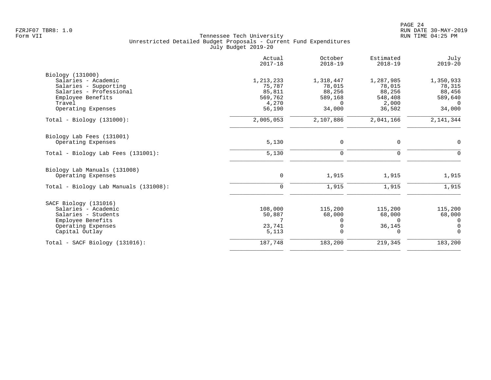|                                                                                                                                                  | Actual<br>$2017 - 18$                                       | October<br>$2018 - 19$                                         | Estimated<br>$2018 - 19$                                    | July<br>$2019 - 20$                                            |
|--------------------------------------------------------------------------------------------------------------------------------------------------|-------------------------------------------------------------|----------------------------------------------------------------|-------------------------------------------------------------|----------------------------------------------------------------|
| Biology (131000)<br>Salaries - Academic<br>Salaries - Supporting<br>Salaries - Professional<br>Employee Benefits<br>Travel<br>Operating Expenses | 1,213,233<br>75,787<br>85,811<br>569,762<br>4,270<br>56,190 | 1,318,447<br>78,015<br>88,256<br>589,168<br>$\Omega$<br>34,000 | 1,287,985<br>78,015<br>88,256<br>548,408<br>2,000<br>36,502 | 1,350,933<br>78,315<br>88,456<br>589,640<br>$\Omega$<br>34,000 |
| $Total - Biology (131000):$                                                                                                                      | 2,005,053                                                   | 2,107,886                                                      | 2,041,166                                                   | 2, 141, 344                                                    |
| Biology Lab Fees (131001)<br>Operating Expenses                                                                                                  | 5,130                                                       | 0                                                              | $\mathbf 0$                                                 | 0                                                              |
| Total - Biology Lab Fees (131001):                                                                                                               | 5,130                                                       | $\mathbf 0$                                                    | $\mathbf 0$                                                 | $\mathbf 0$                                                    |
| Biology Lab Manuals (131008)<br>Operating Expenses<br>Total - Biology Lab Manuals (131008):                                                      | 0<br>$\Omega$                                               | 1,915<br>1,915                                                 | 1,915<br>1,915                                              | 1,915<br>1,915                                                 |
|                                                                                                                                                  |                                                             |                                                                |                                                             |                                                                |
| SACF Biology (131016)<br>Salaries - Academic<br>Salaries - Students<br>Employee Benefits<br>Operating Expenses<br>Capital Outlay                 | 108,000<br>50,887<br>23,741<br>5,113                        | 115,200<br>68,000<br>$\Omega$<br>0<br>$\Omega$                 | 115,200<br>68,000<br>$\Omega$<br>36,145<br>0                | 115,200<br>68,000<br>0<br>$\mathbf 0$<br>$\Omega$              |
| $Total - SACF Biology (131016):$                                                                                                                 | 187,748                                                     | 183,200                                                        | 219,345                                                     | 183,200                                                        |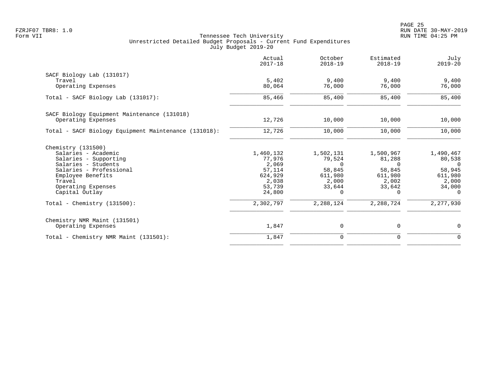|                                                      | Actual<br>$2017 - 18$ | October<br>$2018 - 19$ | Estimated<br>$2018 - 19$ | July<br>$2019 - 20$ |
|------------------------------------------------------|-----------------------|------------------------|--------------------------|---------------------|
| SACF Biology Lab (131017)                            |                       |                        |                          |                     |
| Travel<br>Operating Expenses                         | 5,402<br>80,064       | 9,400<br>76,000        | 9,400<br>76,000          | 9,400<br>76,000     |
| Total - SACF Biology Lab (131017):                   | 85,466                | 85,400                 | 85,400                   | 85,400              |
| SACF Biology Equipment Maintenance (131018)          |                       |                        |                          |                     |
| Operating Expenses                                   | 12,726                | 10,000                 | 10,000                   | 10,000              |
| Total - SACF Biology Equipment Maintenance (131018): | 12,726                | 10,000                 | 10,000                   | 10,000              |
| Chemistry (131500)                                   |                       |                        |                          |                     |
| Salaries - Academic                                  | 1,460,132             | 1,502,131              | 1,500,967                | 1,490,467           |
| Salaries - Supporting                                | 77,976                | 79,524                 | 81,288                   | 80,538              |
| Salaries - Students                                  | 2,069                 | $\Omega$               | $\Omega$                 | $\Omega$            |
| Salaries - Professional                              | 57,114                | 58,845                 | 58,845                   | 58,945              |
| Employee Benefits<br>Travel                          | 624,929<br>2,038      | 611,980<br>2,000       | 611,980<br>2,002         | 611,980<br>2,000    |
| Operating Expenses                                   | 53,739                | 33,644                 | 33,642                   | 34,000              |
| Capital Outlay                                       | 24,800                | $\Omega$               | $\Omega$                 | $\Omega$            |
| Total - Chemistry $(131500)$ :                       | 2,302,797             | 2,288,124              | 2,288,724                | 2,277,930           |
| Chemistry NMR Maint (131501)                         |                       |                        |                          |                     |
| Operating Expenses                                   | 1,847                 | 0                      | 0                        | 0                   |
| Total - Chemistry NMR Maint (131501):                | 1,847                 | $\mathbf 0$            | $\mathbf 0$              | $\mathbf 0$         |
|                                                      |                       |                        |                          |                     |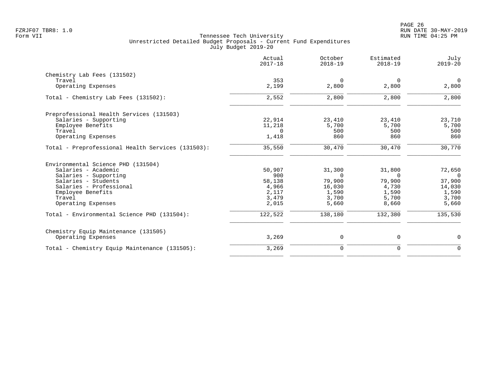|                                                   | Actual<br>$2017 - 18$ | October<br>$2018 - 19$ | Estimated<br>$2018 - 19$ | July<br>$2019 - 20$ |
|---------------------------------------------------|-----------------------|------------------------|--------------------------|---------------------|
| Chemistry Lab Fees (131502)                       |                       |                        |                          |                     |
| Travel                                            | 353                   | $\overline{0}$         | 0                        | $\overline{0}$      |
| Operating Expenses                                | 2,199                 | 2,800                  | 2,800                    | 2,800               |
| Total - Chemistry Lab Fees (131502):              | 2,552                 | 2,800                  | 2,800                    | 2,800               |
| Preprofessional Health Services (131503)          |                       |                        |                          |                     |
| Salaries - Supporting                             | 22,914                | 23,410                 | 23,410                   | 23,710              |
| Employee Benefits                                 | 11,218                | 5,700                  | 5,700                    | 5,700               |
| Travel                                            | $\Omega$              | 500                    | 500                      | 500                 |
| Operating Expenses                                | 1,418                 | 860                    | 860                      | 860                 |
| Total - Preprofessional Health Services (131503): | 35,550                | 30,470                 | 30,470                   | 30,770              |
| Environmental Science PHD (131504)                |                       |                        |                          |                     |
| Salaries - Academic                               | 50,907                | 31,300                 | 31,800                   | 72,650              |
| Salaries - Supporting                             | 900                   | $\Omega$               | $\Omega$                 | $\Omega$            |
| Salaries - Students                               | 58,138                | 79,900                 | 79,900                   | 37,900              |
| Salaries - Professional                           | 4,966                 | 16,030                 | 4,730                    | 14,030              |
| Employee Benefits                                 | 2,117                 | 1,590                  | 1,590                    | 1,590               |
| Travel                                            | 3,479                 | 3,700                  | 5,700                    | 3,700               |
| Operating Expenses                                | 2,015                 | 5,660                  | 8,660                    | 5,660               |
| Total - Environmental Science PHD (131504):       | 122,522               | 138,180                | 132,380                  | 135,530             |
| Chemistry Equip Maintenance (131505)              |                       |                        |                          |                     |
| Operating Expenses                                | 3,269                 | 0                      | $\mathbf 0$              | 0                   |
| Total - Chemistry Equip Maintenance (131505):     | 3,269                 | $\mathbf 0$            | $\mathbf 0$              | $\mathbf 0$         |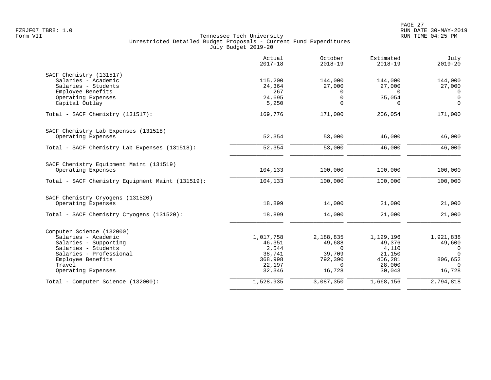|                                                  | Actual<br>$2017 - 18$ | October<br>$2018 - 19$ | Estimated<br>$2018 - 19$ | July<br>$2019 - 20$ |
|--------------------------------------------------|-----------------------|------------------------|--------------------------|---------------------|
| SACF Chemistry (131517)                          |                       |                        |                          |                     |
| Salaries - Academic                              | 115,200               | 144,000                | 144,000                  | 144,000             |
| Salaries - Students                              | 24,364                | 27,000                 | 27,000                   | 27,000              |
| Employee Benefits                                | 267                   | $\mathbf 0$            | $\Omega$                 | 0                   |
| Operating Expenses                               | 24,695                | $\mathsf 0$            | 35,054                   | $\overline{0}$      |
| Capital Outlay                                   | 5,250                 | $\Omega$               | $\Omega$                 | $\mathbf 0$         |
| Total - SACF Chemistry (131517):                 | 169,776               | 171,000                | 206,054                  | 171,000             |
| SACF Chemistry Lab Expenses (131518)             |                       |                        |                          |                     |
| Operating Expenses                               | 52,354                | 53,000                 | 46,000                   | 46,000              |
| Total - SACF Chemistry Lab Expenses (131518):    | 52,354                | 53,000                 | 46,000                   | 46,000              |
| SACF Chemistry Equipment Maint (131519)          |                       |                        |                          |                     |
| Operating Expenses                               | 104,133               | 100,000                | 100,000                  | 100,000             |
| Total - SACF Chemistry Equipment Maint (131519): | 104,133               | 100,000                | 100,000                  | 100,000             |
| SACF Chemistry Cryogens (131520)                 |                       |                        |                          |                     |
| Operating Expenses                               | 18,899                | 14,000                 | 21,000                   | 21,000              |
| Total - SACF Chemistry Cryogens (131520):        | 18,899                | 14,000                 | 21,000                   | 21,000              |
| Computer Science (132000)                        |                       |                        |                          |                     |
| Salaries - Academic                              | 1,017,758             | 2,188,835              | 1,129,196                | 1,921,838           |
| Salaries - Supporting                            | 46,351                | 49,688                 | 49,376                   | 49,600              |
| Salaries - Students                              | 2,544                 | $\Omega$               | 4,110                    | $\mathbf 0$         |
| Salaries - Professional                          | 38,741                | 39,709                 | 21,150                   | $\Omega$            |
| Employee Benefits                                | 368,998               | 792,390                | 406,281                  | 806,652             |
| Travel                                           | 22,197                | $\Omega$               | 28,000                   | $\Omega$            |
| Operating Expenses                               | 32,346                | 16,728                 | 30,043                   | 16,728              |
| Total - Computer Science (132000):               | 1,528,935             | 3,087,350              | 1,668,156                | 2,794,818           |
|                                                  |                       |                        |                          |                     |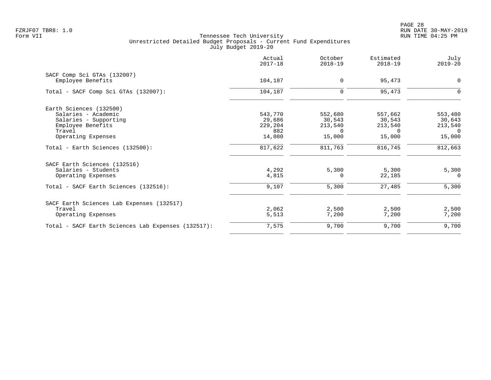PAGE 28 FZRJF07 TBR8: 1.0 RUN DATE 30-MAY-2019

|                                                    | Actual<br>$2017 - 18$ | October<br>$2018 - 19$ | Estimated<br>$2018 - 19$ | July<br>$2019 - 20$ |
|----------------------------------------------------|-----------------------|------------------------|--------------------------|---------------------|
| SACF Comp Sci GTAs (132007)<br>Employee Benefits   | 104,187               | $\mathbf 0$            | 95,473                   | 0                   |
| Total - SACF Comp Sci GTAs (132007):               | 104,187               | $\mathbf 0$            | 95,473                   | $\Omega$            |
| Earth Sciences (132500)                            |                       |                        |                          |                     |
| Salaries - Academic                                | 543,770               | 552,680                | 557,662                  | 553,480             |
| Salaries - Supporting                              | 29,686                | 30,543                 | 30,543                   | 30,643              |
| Employee Benefits                                  | 229,204               | 213,540                | 213,540                  | 213,540             |
| Travel                                             | 882                   | $\Omega$               | $\Omega$                 | $\Omega$            |
| Operating Expenses                                 | 14,080                | 15,000                 | 15,000                   | 15,000              |
| Total - Earth Sciences (132500):                   | 817,622               | 811,763                | 816,745                  | 812,663             |
| SACF Earth Sciences (132516)                       |                       |                        |                          |                     |
| Salaries - Students                                | 4,292                 | 5,300                  | 5,300                    | 5,300               |
| Operating Expenses                                 | 4,815                 | $\Omega$               | 22,185                   | $\Omega$            |
| Total - SACF Earth Sciences (132516):              | 9,107                 | 5,300                  | 27,485                   | 5,300               |
| SACF Earth Sciences Lab Expenses (132517)          |                       |                        |                          |                     |
| Travel                                             | 2,062                 | 2,500                  | 2,500                    | 2,500               |
| Operating Expenses                                 | 5,513                 | 7,200                  | 7,200                    | 7,200               |
| Total - SACF Earth Sciences Lab Expenses (132517): | 7,575                 | 9,700                  | 9,700                    | 9,700               |
|                                                    |                       |                        |                          |                     |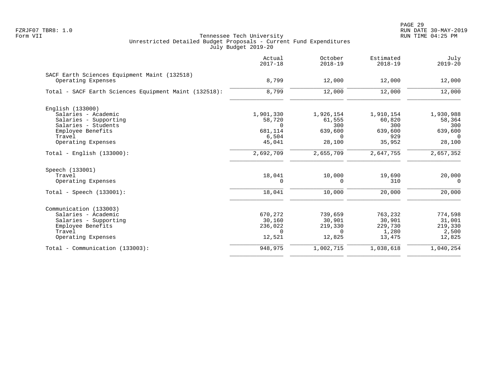|                                                                    | Actual<br>$2017 - 18$ | October<br>$2018 - 19$ | Estimated<br>$2018 - 19$ | July<br>$2019 - 20$ |
|--------------------------------------------------------------------|-----------------------|------------------------|--------------------------|---------------------|
| SACF Earth Sciences Equipment Maint (132518)<br>Operating Expenses | 8,799                 | 12,000                 | 12,000                   | 12,000              |
| Total - SACF Earth Sciences Equipment Maint (132518):              | 8,799                 | 12,000                 | 12,000                   | 12,000              |
| English (133000)                                                   |                       |                        |                          |                     |
| Salaries - Academic                                                | 1,901,330             | 1,926,154              | 1,910,154                | 1,930,988           |
| Salaries - Supporting                                              | 58,720                | 61,555                 | 60,820                   | 58,364              |
| Salaries - Students                                                | $\Omega$              | 300                    | 300                      | 300                 |
| Employee Benefits                                                  | 681,114               | 639,600                | 639,600                  | 639,600             |
| Travel                                                             | 6,504                 | $\Omega$               | 929                      | $\Omega$            |
| Operating Expenses                                                 | 45,041                | 28,100                 | 35,952                   | 28,100              |
| $Total - English (133000):$                                        | 2,692,709             | 2,655,709              | 2,647,755                | 2,657,352           |
| Speech (133001)                                                    |                       |                        |                          |                     |
| Travel                                                             | 18,041                | 10,000                 | 19,690                   | 20,000              |
| Operating Expenses                                                 | 0                     | $\Omega$               | 310                      | $\Omega$            |
| $Total - Speech (133001):$                                         | 18,041                | 10,000                 | 20,000                   | 20,000              |
| Communication (133003)                                             |                       |                        |                          |                     |
| Salaries - Academic                                                | 670,272               | 739,659                | 763,232                  | 774,598             |
| Salaries - Supporting                                              | 30,160                | 30,901                 | 30,901                   | 31,001              |
| Employee Benefits                                                  | 236,022               | 219,330                | 229,730                  | 219,330             |
| Travel                                                             | $\Omega$              | $\Omega$               | 1,280                    | 2,500               |
| Operating Expenses                                                 | 12,521                | 12,825                 | 13,475                   | 12,825              |
| Total - Communication (133003):                                    | 948,975               | 1,002,715              | 1,038,618                | 1,040,254           |
|                                                                    |                       |                        |                          |                     |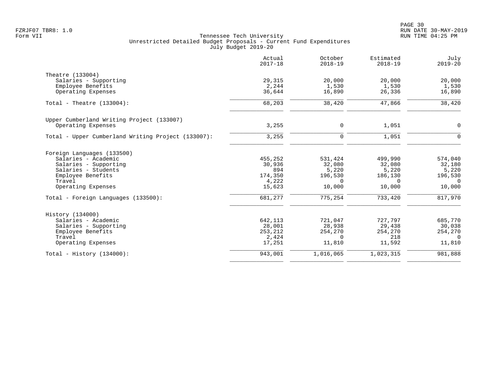|                                                    | Actual<br>$2017 - 18$ | October<br>$2018 - 19$ | Estimated<br>$2018 - 19$ | July<br>$2019 - 20$ |
|----------------------------------------------------|-----------------------|------------------------|--------------------------|---------------------|
| Theatre (133004)                                   |                       |                        |                          |                     |
| Salaries - Supporting                              | 29,315                | 20,000                 | 20,000                   | 20,000              |
| Employee Benefits                                  | 2,244                 | 1,530                  | 1,530                    | 1,530               |
| Operating Expenses                                 | 36,644                | 16,890                 | 26,336                   | 16,890              |
| Total - Theatre $(133004)$ :                       | 68,203                | 38,420                 | 47,866                   | 38,420              |
| Upper Cumberland Writing Project (133007)          |                       |                        |                          |                     |
| Operating Expenses                                 | 3,255                 | 0                      | 1,051                    | $\mathbf 0$         |
| Total - Upper Cumberland Writing Project (133007): | 3,255                 | 0                      | 1,051                    | $\mathsf{O}$        |
| Foreign Languages (133500)                         |                       |                        |                          |                     |
| Salaries - Academic                                | 455,252               | 531,424                | 499,990                  | 574,040             |
| Salaries - Supporting                              | 30,936                | 32,080                 | 32,080                   | 32,180              |
| Salaries - Students                                | 894                   | 5,220                  | 5,220                    | 5,220               |
| Employee Benefits                                  | 174,350               | 196,530                | 186,130                  | 196,530             |
| Travel                                             | 4,222                 | $\Omega$               | $\Omega$                 | $\overline{0}$      |
| Operating Expenses                                 | 15,623                | 10,000                 | 10,000                   | 10,000              |
| Total - Foreign Languages (133500):                | 681,277               | 775,254                | 733,420                  | 817,970             |
| History (134000)                                   |                       |                        |                          |                     |
| Salaries - Academic                                | 642,113               | 721,047                | 727,797                  | 685,770             |
| Salaries - Supporting                              | 28,001                | 28,938                 | 29,438                   | 30,038              |
| Employee Benefits                                  | 253,212               | 254,270                | 254,270                  | 254,270             |
| Travel                                             | 2,424                 | $\Omega$               | 218                      | $\Omega$            |
| Operating Expenses                                 | 17,251                | 11,810                 | 11,592                   | 11,810              |
| Total - History $(134000)$ :                       | 943,001               | 1,016,065              | 1,023,315                | 981,888             |
|                                                    |                       |                        |                          |                     |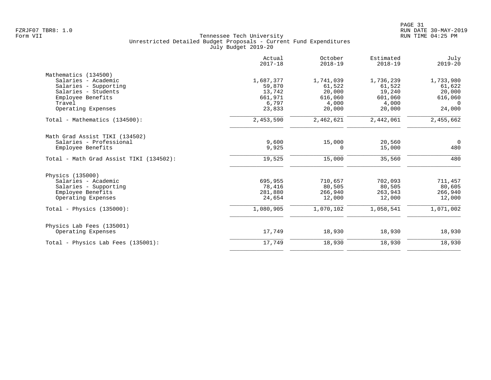|                                         | Actual<br>$2017 - 18$ | October<br>$2018 - 19$ | Estimated<br>$2018 - 19$ | July<br>$2019 - 20$ |
|-----------------------------------------|-----------------------|------------------------|--------------------------|---------------------|
| Mathematics (134500)                    |                       |                        |                          |                     |
| Salaries - Academic                     | 1,687,377             | 1,741,039              | 1,736,239                | 1,733,980           |
| Salaries - Supporting                   | 59,870                | 61,522                 | 61,522                   | 61,622              |
| Salaries - Students                     | 13,742                | 20,000                 | 19,240                   | 20,000              |
| Employee Benefits                       | 661,971               | 616,060                | 601,060                  | 616,060             |
| Travel                                  | 6,797                 | 4,000                  | 4,000                    | $\Omega$            |
| Operating Expenses                      | 23,833                | 20,000                 | 20,000                   | 24,000              |
| Total - Mathematics (134500):           | 2,453,590             | 2,462,621              | 2,442,061                | 2,455,662           |
| Math Grad Assist TIKI (134502)          |                       |                        |                          |                     |
| Salaries - Professional                 | 9,600                 | 15,000                 | 20,560                   | $\overline{0}$      |
| Employee Benefits                       | 9,925                 | 0                      | 15,000                   | 480                 |
| Total - Math Grad Assist TIKI (134502): | 19,525                | 15,000                 | 35,560                   | 480                 |
| Physics (135000)                        |                       |                        |                          |                     |
| Salaries - Academic                     | 695,955               | 710,657                | 702,093                  | 711,457             |
| Salaries - Supporting                   | 78,416                | 80,505                 | 80,505                   | 80,605              |
| Employee Benefits                       | 281,880               | 266,940                | 263,943                  | 266,940             |
| Operating Expenses                      | 24,654                | 12,000                 | 12,000                   | 12,000              |
| Total - Physics $(135000)$ :            | 1,080,905             | 1,070,102              | 1,058,541                | 1,071,002           |
| Physics Lab Fees (135001)               |                       |                        |                          |                     |
| Operating Expenses                      | 17,749                | 18,930                 | 18,930                   | 18,930              |
| Total - Physics Lab Fees (135001):      | 17,749                | 18,930                 | 18,930                   | 18,930              |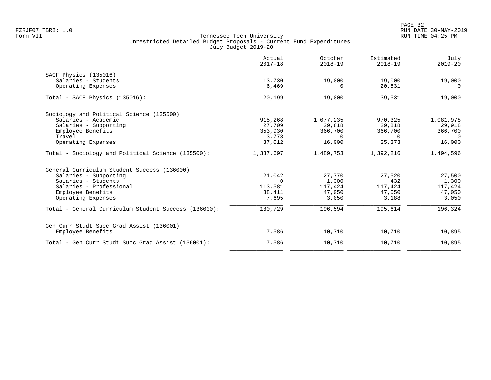|                                                      | Actual<br>$2017 - 18$ | October<br>$2018 - 19$ | Estimated<br>$2018 - 19$ | July<br>$2019 - 20$ |
|------------------------------------------------------|-----------------------|------------------------|--------------------------|---------------------|
| SACF Physics (135016)                                |                       |                        |                          |                     |
| Salaries - Students                                  | 13,730                | 19,000                 | 19,000                   | 19,000              |
| Operating Expenses                                   | 6,469                 | 0                      | 20,531                   | $\Omega$            |
| Total - SACF Physics (135016):                       | 20,199                | 19,000                 | 39,531                   | 19,000              |
| Sociology and Political Science (135500)             |                       |                        |                          |                     |
| Salaries - Academic                                  | 915,268               | 1,077,235              | 970,325                  | 1,081,978           |
| Salaries - Supporting                                | 27,709                | 29,818                 | 29,818                   | 29,918              |
| Employee Benefits                                    | 353,930               | 366,700                | 366,700                  | 366,700             |
| Travel                                               | 3,778                 | $\Omega$               | $\Omega$                 | $\Omega$            |
| Operating Expenses                                   | 37,012                | 16,000                 | 25,373                   | 16,000              |
| Total - Sociology and Political Science (135500):    | 1,337,697             | 1,489,753              | 1,392,216                | 1,494,596           |
| General Curriculum Student Success (136000)          |                       |                        |                          |                     |
| Salaries - Supporting                                | 21,042                | 27,770                 | 27,520                   | 27,500              |
| Salaries - Students                                  | $\Omega$              | 1,300                  | 432                      | 1,300               |
| Salaries - Professional                              | 113,581               | 117,424                | 117,424                  | 117,424             |
| Employee Benefits                                    | 38,411                | 47,050                 | 47,050                   | 47,050              |
| Operating Expenses                                   | 7,695                 | 3,050                  | 3,188                    | 3,050               |
| Total - General Curriculum Student Success (136000): | 180,729               | 196,594                | 195,614                  | 196,324             |
| Gen Curr Studt Succ Grad Assist (136001)             |                       |                        |                          |                     |
| Employee Benefits                                    | 7,586                 | 10,710                 | 10,710                   | 10,895              |
| Total - Gen Curr Studt Succ Grad Assist (136001):    | 7,586                 | 10,710                 | 10,710                   | 10,895              |
|                                                      |                       |                        |                          |                     |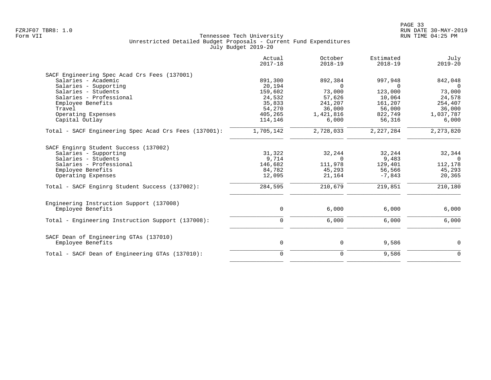|                                                             | Actual<br>$2017 - 18$ | October<br>$2018 - 19$ | Estimated<br>$2018 - 19$ | July<br>$2019 - 20$ |
|-------------------------------------------------------------|-----------------------|------------------------|--------------------------|---------------------|
| SACF Engineering Spec Acad Crs Fees (137001)                |                       |                        |                          |                     |
| Salaries - Academic                                         | 891,300               | 892,384                | 997,948                  | 842,048             |
| Salaries - Supporting                                       | 20,194                | $\Omega$               |                          |                     |
| Salaries - Students                                         | 159,602               | 73,000                 | 123,000                  | 73,000              |
| Salaries - Professional                                     | 24,532                | 57,626                 | 10,064                   | 24,578              |
| Employee Benefits                                           | 35,833                | 241,207                | 161,207                  | 254,407             |
| Travel                                                      | 54,270                | 36,000                 | 56,000                   | 36,000              |
| Operating Expenses                                          | 405,265               | 1,421,816              | 822,749                  | 1,037,787           |
| Capital Outlay                                              | 114,146               | 6,000                  | 56,316                   | 6,000               |
| Total - SACF Engineering Spec Acad Crs Fees (137001):       | 1,705,142             | 2,728,033              | 2,227,284                | 2, 273, 820         |
| SACF Enginrg Student Success (137002)                       |                       |                        |                          |                     |
| Salaries - Supporting                                       | 31,322                | 32,244                 | 32,244                   | 32,344              |
| Salaries - Students                                         | 9,714                 | $\Omega$               | 9,483                    | $\cap$              |
| Salaries - Professional                                     | 146,682               | 111,978                | 129,401                  | 112,178             |
| Employee Benefits                                           | 84,782                | 45,293                 | 56,566                   | 45,293              |
| Operating Expenses                                          | 12,095                | 21,164                 | $-7,843$                 | 20,365              |
| Total - SACF Enginrg Student Success (137002):              | 284,595               | 210,679                | 219,851                  | 210,180             |
| Engineering Instruction Support (137008)                    |                       |                        |                          |                     |
| Employee Benefits                                           | 0                     | 6,000                  | 6,000                    | 6,000               |
| Total - Engineering Instruction Support (137008):           | $\mathbf 0$           | 6,000                  | 6,000                    | 6,000               |
|                                                             |                       |                        |                          |                     |
| SACF Dean of Engineering GTAs (137010)<br>Employee Benefits | $\mathsf{O}$          | 0                      | 9,586                    | 0                   |
|                                                             |                       |                        |                          | $\Omega$            |
| Total - SACF Dean of Engineering GTAs (137010):             | $\mathbf 0$           | $\mathbf 0$            | 9,586                    |                     |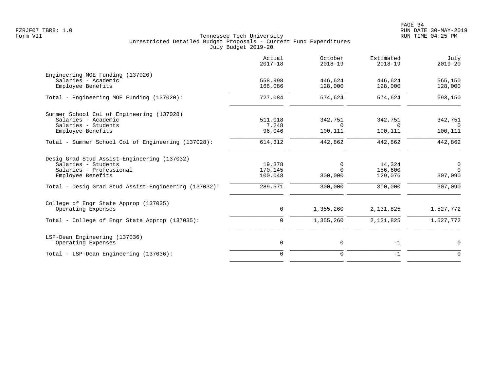|                                                      | Actual<br>$2017 - 18$ | October<br>$2018 - 19$ | Estimated<br>$2018 - 19$ | July<br>$2019 - 20$ |
|------------------------------------------------------|-----------------------|------------------------|--------------------------|---------------------|
| Engineering MOE Funding (137020)                     |                       |                        |                          |                     |
| Salaries - Academic                                  | 558,998               | 446,624                | 446,624                  | 565,150             |
| Employee Benefits                                    | 168,086               | 128,000                | 128,000                  | 128,000             |
| Total - Engineering MOE Funding (137020):            | 727,084               | 574,624                | 574,624                  | 693,150             |
| Summer School Col of Engineering (137028)            |                       |                        |                          |                     |
| Salaries - Academic                                  | 511,018               | 342,751                | 342,751                  | 342,751             |
| Salaries - Students                                  | 7,248                 | $\Omega$               | $\Omega$                 | $\Omega$            |
| Employee Benefits                                    | 96,046                | 100,111                | 100,111                  | 100,111             |
| Total - Summer School Col of Engineering (137028):   | 614,312               | 442,862                | 442,862                  | 442,862             |
| Desig Grad Stud Assist-Engineering (137032)          |                       |                        |                          |                     |
| Salaries - Students                                  | 19,378                | 0                      | 14,324                   | $\overline{0}$      |
| Salaries - Professional                              | 170,145               | $\Omega$               | 156,600                  | $\Omega$            |
| Employee Benefits                                    | 100,048               | 300,000                | 129,076                  | 307,090             |
| Total - Desig Grad Stud Assist-Engineering (137032): | 289,571               | 300,000                | 300,000                  | 307,090             |
| College of Engr State Approp (137035)                |                       |                        |                          |                     |
| Operating Expenses                                   | 0                     | 1,355,260              | 2, 131, 825              | 1,527,772           |
| Total - College of Engr State Approp (137035):       | 0                     | 1,355,260              | 2,131,825                | 1,527,772           |
| LSP-Dean Engineering (137036)                        |                       |                        |                          |                     |
| Operating Expenses                                   | 0                     | 0                      | $-1$                     | 0                   |
| Total - LSP-Dean Engineering (137036):               | $\overline{0}$        | $\mathbf 0$            | $-1$                     | $\Omega$            |
|                                                      |                       |                        |                          |                     |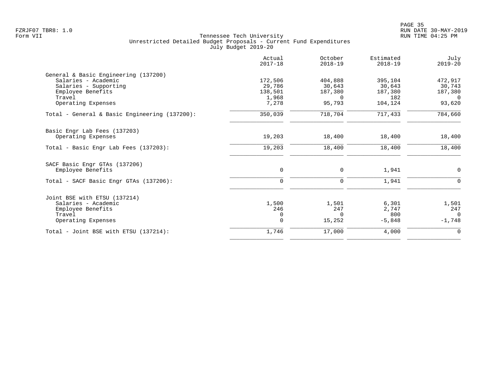|                                               | Actual<br>$2017 - 18$ | October<br>$2018 - 19$ | Estimated<br>$2018 - 19$ | July<br>$2019 - 20$ |
|-----------------------------------------------|-----------------------|------------------------|--------------------------|---------------------|
| General & Basic Engineering (137200)          |                       |                        |                          |                     |
| Salaries - Academic                           | 172,506               | 404,888                | 395,104                  | 472,917             |
| Salaries - Supporting                         | 29,786                | 30,643                 | 30,643                   | 30,743              |
| Employee Benefits                             | 138,501               | 187,380                | 187,380                  | 187,380             |
| Travel<br>Operating Expenses                  | 1,968<br>7,278        | $\Omega$<br>95,793     | 182<br>104,124           | $\Omega$<br>93,620  |
|                                               |                       |                        |                          |                     |
| Total - General & Basic Engineering (137200): | 350,039               | 718,704                | 717,433                  | 784,660             |
| Basic Engr Lab Fees (137203)                  |                       |                        |                          |                     |
| Operating Expenses                            | 19,203                | 18,400                 | 18,400                   | 18,400              |
| Total - Basic Engr Lab Fees (137203):         | 19,203                | 18,400                 | 18,400                   | 18,400              |
| SACF Basic Engr GTAs (137206)                 |                       |                        |                          |                     |
| Employee Benefits                             | $\mathbf 0$           | 0                      | 1,941                    | $\mathbf 0$         |
| Total - SACF Basic Engr GTAs (137206):        | 0                     | $\mathbf 0$            | 1,941                    |                     |
| Joint BSE with ETSU (137214)                  |                       |                        |                          |                     |
| Salaries - Academic                           | 1,500                 | 1,501                  | 6,301                    | 1,501               |
| Employee Benefits                             | 246                   | 247                    | 2,747                    | 247                 |
| Travel                                        | 0                     | $\Omega$               | 800                      | $\Omega$            |
| Operating Expenses                            | $\mathbf 0$           | 15,252                 | $-5,848$                 | $-1,748$            |
| Total - Joint BSE with ETSU (137214):         | 1,746                 | 17,000                 | 4,000                    | 0                   |
|                                               |                       |                        |                          |                     |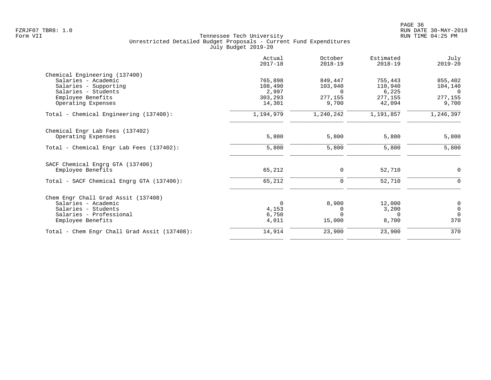|                                              | Actual<br>$2017 - 18$ | October<br>$2018 - 19$ | Estimated<br>$2018 - 19$ | July<br>$2019 - 20$ |
|----------------------------------------------|-----------------------|------------------------|--------------------------|---------------------|
| Chemical Engineering (137400)                |                       |                        |                          |                     |
| Salaries - Academic                          | 765,898               | 849,447                | 755,443                  | 855,402             |
| Salaries - Supporting                        | 108,490               | 103,940                | 110,940                  | 104,140             |
| Salaries - Students                          | 2,997                 | $\Omega$               | 6,225                    | $\Omega$            |
| Employee Benefits                            | 303,293               | 277,155                | 277,155                  | 277,155             |
| Operating Expenses                           | 14,301                | 9,700                  | 42,094                   | 9,700               |
| Total - Chemical Engineering (137400):       | 1,194,979             | 1,240,242              | 1,191,857                | 1,246,397           |
| Chemical Engr Lab Fees (137402)              |                       |                        |                          |                     |
| Operating Expenses                           | 5,800                 | 5,800                  | 5,800                    | 5,800               |
| Total - Chemical Engr Lab Fees (137402):     | 5,800                 | 5,800                  | 5,800                    | 5,800               |
| SACF Chemical Engrg GTA (137406)             |                       |                        |                          |                     |
| Employee Benefits                            | 65,212                | 0                      | 52,710                   | $\mathbf 0$         |
| Total - SACF Chemical Engrg GTA (137406):    | 65,212                | $\mathbf 0$            | 52,710                   | 0                   |
| Chem Engr Chall Grad Assit (137408)          |                       |                        |                          |                     |
| Salaries - Academic                          | $\mathbf 0$           | 8,900                  | 12,000                   | 0                   |
| Salaries - Students                          | 4,153                 | $\Omega$               | 3,200                    | $\mathsf{O}\xspace$ |
| Salaries - Professional                      | 6,750                 | <sup>n</sup>           | $\Omega$                 | $\Omega$            |
| Employee Benefits                            | 4,011                 | 15,000                 | 8,700                    | 370                 |
| Total - Chem Engr Chall Grad Assit (137408): | 14,914                | 23,900                 | 23,900                   | 370                 |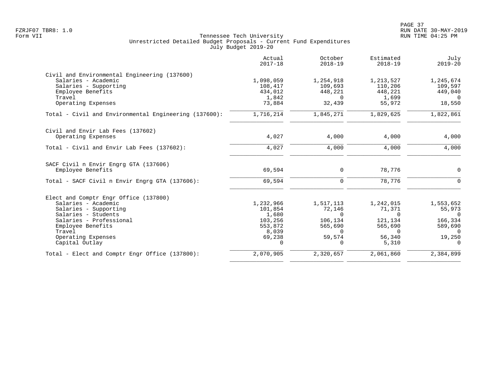|                                                       | Actual<br>$2017 - 18$ | October<br>$2018 - 19$ | Estimated<br>$2018 - 19$ | July<br>$2019 - 20$ |
|-------------------------------------------------------|-----------------------|------------------------|--------------------------|---------------------|
| Civil and Environmental Engineering (137600)          |                       |                        |                          |                     |
| Salaries - Academic                                   | 1,098,059             | 1,254,918              | 1,213,527                | 1,245,674           |
| Salaries - Supporting                                 | 108,417               | 109,693                | 110,206                  | 109,597             |
| Employee Benefits                                     | 434,012               | 448,221                | 448,221                  | 449,040             |
| Travel                                                | 1,842                 | $\Omega$               | 1,699                    | $\Omega$            |
| Operating Expenses                                    | 73,884                | 32,439                 | 55,972                   | 18,550              |
| Total - Civil and Environmental Engineering (137600): | 1,716,214             | 1,845,271              | 1,829,625                | 1,822,861           |
| Civil and Envir Lab Fees (137602)                     |                       |                        |                          |                     |
| Operating Expenses                                    | 4,027                 | 4,000                  | 4,000                    | 4,000               |
| Total - Civil and Envir Lab Fees (137602):            | 4,027                 | 4,000                  | 4,000                    | 4,000               |
| SACF Civil n Envir Engrg GTA (137606)                 |                       |                        |                          |                     |
| Employee Benefits                                     | 69,594                | 0                      | 78,776                   | $\mathbf 0$         |
| Total - SACF Civil n Envir Engrg GTA (137606):        | 69,594                | $\mathbf 0$            | 78,776                   | $\mathbf 0$         |
| Elect and Comptr Engr Office (137800)                 |                       |                        |                          |                     |
| Salaries - Academic                                   | 1,232,966             | 1,517,113              | 1,242,015                | 1,553,652           |
| Salaries - Supporting                                 | 101,854               | 72,146                 | 71,371                   | 55,973              |
| Salaries - Students                                   | 1,680                 | $\Omega$               | $\mathbf 0$              | $\overline{0}$      |
| Salaries - Professional                               | 103,256               | 106,134                | 121,134                  | 166,334             |
| Employee Benefits                                     | 553,872               | 565,690                | 565,690                  | 589,690             |
| Travel                                                | 8,039                 | $\Omega$               | $\mathbf 0$              | 0                   |
| Operating Expenses                                    | 69,238                | 59,574                 | 56,340                   | 19,250              |
| Capital Outlay                                        | 0                     | 0                      | 5,310                    | $\mathbf 0$         |
| Total - Elect and Comptr Engr Office (137800):        | 2,070,905             | 2,320,657              | 2,061,860                | 2,384,899           |
|                                                       |                       |                        |                          |                     |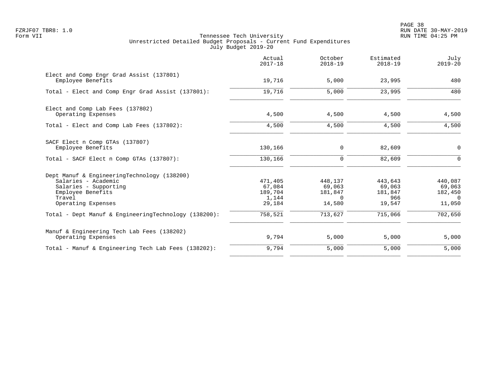PAGE 38 FZRJF07 TBR8: 1.0 RUN DATE 30-MAY-2019

|                                                                                                                                                  | Actual<br>$2017 - 18$                           | October<br>$2018 - 19$                             | Estimated<br>$2018 - 19$                      | July<br>$2019 - 20$                                |
|--------------------------------------------------------------------------------------------------------------------------------------------------|-------------------------------------------------|----------------------------------------------------|-----------------------------------------------|----------------------------------------------------|
| Elect and Comp Engr Grad Assist (137801)<br>Employee Benefits                                                                                    | 19,716                                          | 5,000                                              | 23,995                                        | 480                                                |
| Total - Elect and Comp Engr Grad Assist (137801):                                                                                                | 19,716                                          | 5,000                                              | 23,995                                        | 480                                                |
| Elect and Comp Lab Fees (137802)<br>Operating Expenses                                                                                           | 4,500                                           | 4,500                                              | 4,500                                         | 4,500                                              |
| Total - Elect and Comp Lab Fees (137802):                                                                                                        | 4,500                                           | 4,500                                              | 4,500                                         | 4,500                                              |
| SACF Elect n Comp GTAs (137807)<br>Employee Benefits                                                                                             | 130,166                                         | $\mathbf 0$                                        | 82,609                                        | $\mathbf 0$                                        |
| Total - SACF Elect n Comp GTAs (137807):                                                                                                         | 130,166                                         | $\mathbf 0$                                        | 82,609                                        | $\Omega$                                           |
| Dept Manuf & EngineeringTechnology (138200)<br>Salaries - Academic<br>Salaries - Supporting<br>Employee Benefits<br>Travel<br>Operating Expenses | 471,405<br>67,084<br>189,704<br>1,144<br>29,184 | 448,137<br>69,063<br>181,847<br>$\Omega$<br>14,580 | 443,643<br>69,063<br>181,847<br>966<br>19,547 | 440,087<br>69,063<br>182,450<br>$\Omega$<br>11,050 |
| Total - Dept Manuf & EngineeringTechnology (138200):                                                                                             | 758,521                                         | 713,627                                            | 715,066                                       | 702,650                                            |
| Manuf & Engineering Tech Lab Fees (138202)<br>Operating Expenses                                                                                 | 9,794                                           | 5,000                                              | 5,000                                         | 5,000                                              |
| Total - Manuf & Engineering Tech Lab Fees (138202):                                                                                              | 9,794                                           | 5,000                                              | 5,000                                         | 5,000                                              |
|                                                                                                                                                  |                                                 |                                                    |                                               |                                                    |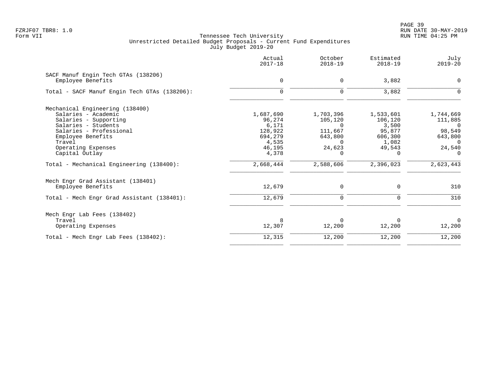|                                              | Actual<br>$2017 - 18$ | October<br>$2018 - 19$ | Estimated<br>$2018 - 19$ | July<br>$2019 - 20$ |
|----------------------------------------------|-----------------------|------------------------|--------------------------|---------------------|
| SACF Manuf Engin Tech GTAs (138206)          |                       |                        |                          |                     |
| Employee Benefits                            | 0                     | 0                      | 3,882                    | 0                   |
| Total - SACF Manuf Engin Tech GTAs (138206): | $\Omega$              | 0                      | 3,882                    | $\Omega$            |
| Mechanical Engineering (138400)              |                       |                        |                          |                     |
| Salaries - Academic                          | 1,687,690             | 1,703,396              | 1,533,601                | 1,744,669           |
| Salaries - Supporting                        | 96,274                | 105,120                | 106,120                  | 111,885             |
| Salaries - Students                          | 6,171                 | $\Omega$               | 3,500                    | $\overline{0}$      |
| Salaries - Professional                      | 128,922               | 111,667                | 95,877                   | 98,549              |
| Employee Benefits                            | 694,279               | 643,800                | 606,300                  | 643,800             |
| Travel                                       | 4,535                 | $\Omega$               | 1,082                    | $\Omega$            |
| Operating Expenses                           | 46,195                | 24,623                 | 49,543                   | 24,540              |
| Capital Outlay                               | 4,378                 | 0                      | $\Omega$                 | $\Omega$            |
| Total - Mechanical Engineering (138400):     | 2,668,444             | 2,588,606              | 2,396,023                | 2,623,443           |
| Mech Engr Grad Assistant (138401)            |                       |                        |                          |                     |
| Employee Benefits                            | 12,679                | 0                      | 0                        | 310                 |
| Total - Mech Engr Grad Assistant (138401):   | 12,679                | 0                      | 0                        | 310                 |
| Mech Engr Lab Fees (138402)                  |                       |                        |                          |                     |
| Travel                                       |                       | $\Omega$               |                          | $\Omega$            |
| Operating Expenses                           | 12,307                | 12,200                 | 12,200                   | 12,200              |
| Total - Mech Engr Lab Fees (138402):         | 12,315                | 12,200                 | 12,200                   | 12,200              |
|                                              |                       |                        |                          |                     |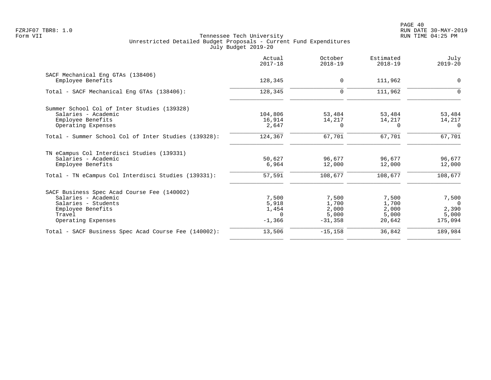|                                                      | Actual<br>$2017 - 18$ | October<br>$2018 - 19$ | Estimated<br>$2018 - 19$ | July<br>$2019 - 20$ |
|------------------------------------------------------|-----------------------|------------------------|--------------------------|---------------------|
| SACF Mechanical Eng GTAs (138406)                    |                       |                        |                          |                     |
| Employee Benefits                                    | 128,345               | $\mathbf 0$            | 111,962                  | 0                   |
| Total - SACF Mechanical Eng GTAs (138406):           | 128,345               | $\mathbf 0$            | 111,962                  | $\Omega$            |
| Summer School Col of Inter Studies (139328)          |                       |                        |                          |                     |
| Salaries - Academic                                  | 104,806               | 53,484                 | 53,484                   | 53,484              |
| Employee Benefits                                    | 16,914                | 14,217                 | 14,217                   | 14,217              |
| Operating Expenses                                   | 2,647                 | $\Omega$               | $\Omega$                 | $\Omega$            |
| Total - Summer School Col of Inter Studies (139328): | 124,367               | 67,701                 | 67,701                   | 67,701              |
| TN eCampus Col Interdisci Studies (139331)           |                       |                        |                          |                     |
| Salaries - Academic                                  | 50,627                | 96,677                 | 96,677                   | 96,677              |
| Employee Benefits                                    | 6,964                 | 12,000                 | 12,000                   | 12,000              |
| Total - TN eCampus Col Interdisci Studies (139331):  | 57,591                | 108,677                | 108,677                  | 108,677             |
| SACF Business Spec Acad Course Fee (140002)          |                       |                        |                          |                     |
| Salaries - Academic                                  | 7,500                 | 7,500                  | 7,500                    | 7,500               |
| Salaries - Students                                  | 5,918                 | 1,700                  | 1,700                    | $\Omega$            |
| Employee Benefits                                    | 1,454                 | 2,000                  | 2,000                    | 2,390               |
| Travel                                               | $\Omega$              | 5,000                  | 5,000                    | 5,000               |
| Operating Expenses                                   | $-1,366$              | $-31,358$              | 20,642                   | 175,094             |
| Total - SACF Business Spec Acad Course Fee (140002): | 13,506                | $-15, 158$             | 36,842                   | 189,984             |
|                                                      |                       |                        |                          |                     |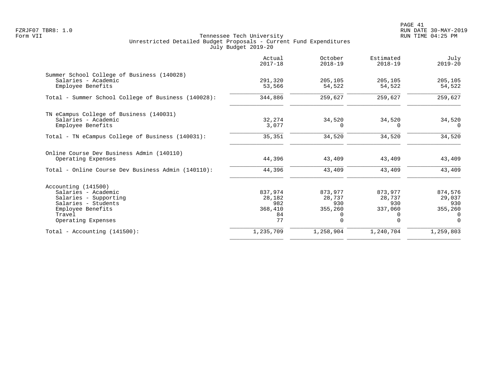PAGE 41 FZRJF07 TBR8: 1.0 RUN DATE 30-MAY-2019

|                                                                   | Actual<br>$2017 - 18$ | October<br>$2018 - 19$ | Estimated<br>$2018 - 19$ | July<br>$2019 - 20$ |
|-------------------------------------------------------------------|-----------------------|------------------------|--------------------------|---------------------|
| Summer School College of Business (140028)<br>Salaries - Academic | 291,320               | 205,105                | 205,105                  | 205,105             |
| Employee Benefits                                                 | 53,566                | 54,522                 | 54,522                   | 54,522              |
| Total - Summer School College of Business (140028):               | 344,886               | 259,627                | 259,627                  | 259,627             |
| TN eCampus College of Business (140031)                           |                       |                        |                          |                     |
| Salaries - Academic<br>Employee Benefits                          | 32,274<br>3,077       | 34,520<br>$\Omega$     | 34,520<br>$\Omega$       | 34,520<br>$\Omega$  |
| Total - TN eCampus College of Business (140031):                  | 35,351                | 34,520                 | 34,520                   | 34,520              |
| Online Course Dev Business Admin (140110)                         |                       |                        |                          |                     |
| Operating Expenses                                                | 44,396                | 43,409                 | 43,409                   | 43,409              |
| Total - Online Course Dev Business Admin (140110):                | 44,396                | 43,409                 | 43,409                   | 43,409              |
| Accounting (141500)                                               |                       |                        |                          |                     |
| Salaries - Academic                                               | 837,974               | 873,977                | 873,977                  | 874,576             |
| Salaries - Supporting                                             | 28,182                | 28,737                 | 28,737                   | 29,037              |
| Salaries - Students<br>Employee Benefits                          | 982<br>368,410        | 930<br>355,260         | 930<br>337,060           | 930<br>355,260      |
| Travel                                                            | 84                    | 0                      | 0                        | $\Omega$            |
| Operating Expenses                                                | 77                    | $\Omega$               | $\Omega$                 | $\Omega$            |
| Total - Accounting $(141500)$ :                                   | 1,235,709             | 1,258,904              | 1,240,704                | 1,259,803           |
|                                                                   |                       |                        |                          |                     |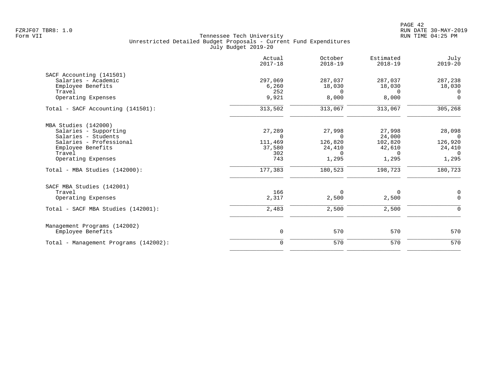|                                       | Actual<br>$2017 - 18$ | October<br>$2018 - 19$ | Estimated<br>$2018 - 19$ | July<br>$2019 - 20$ |
|---------------------------------------|-----------------------|------------------------|--------------------------|---------------------|
| SACF Accounting (141501)              |                       |                        |                          |                     |
| Salaries - Academic                   | 297,069               | 287,037                | 287,037                  | 287,238             |
| Employee Benefits                     | 6,260                 | 18,030                 | 18,030                   | 18,030              |
| Travel                                | 252                   | $\Omega$               | $\Omega$                 | $\Omega$            |
| Operating Expenses                    | 9,921                 | 8,000                  | 8,000                    | $\mathbf 0$         |
| Total - SACF Accounting (141501):     | 313,502               | 313,067                | 313,067                  | 305, 268            |
| MBA Studies (142000)                  |                       |                        |                          |                     |
| Salaries - Supporting                 | 27,289                | 27,998                 | 27,998                   | 28,098              |
| Salaries - Students                   | $\Omega$              | $\Omega$               | 24,000                   | $\Omega$            |
| Salaries - Professional               | 111,469               | 126,820                | 102,820                  | 126,920             |
| Employee Benefits                     | 37,580                | 24,410                 | 42,610                   | 24,410              |
| Travel                                | 302                   | $\Omega$               | $\mathbf 0$              | $\overline{0}$      |
| Operating Expenses                    | 743                   | 1,295                  | 1,295                    | 1,295               |
| Total - MBA Studies (142000):         | 177,383               | 180,523                | 198,723                  | 180,723             |
| SACF MBA Studies (142001)             |                       |                        |                          |                     |
| Travel                                | 166                   | 0                      | 0                        | 0                   |
| Operating Expenses                    | 2,317                 | 2,500                  | 2,500                    | $\mathbf 0$         |
| Total - SACF MBA Studies (142001):    | 2,483                 | 2,500                  | 2,500                    | $\mathbf 0$         |
| Management Programs (142002)          |                       |                        |                          |                     |
| Employee Benefits                     | $\mathbf 0$           | 570                    | 570                      | 570                 |
| Total - Management Programs (142002): | $\mathbf 0$           | 570                    | 570                      | 570                 |
|                                       |                       |                        |                          |                     |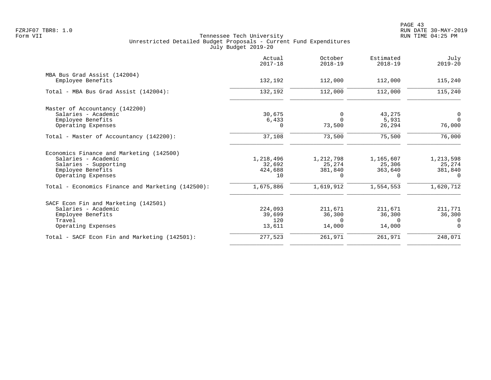|                                                   | Actual<br>$2017 - 18$ | October<br>$2018 - 19$ | Estimated<br>$2018 - 19$ | July<br>$2019 - 20$ |
|---------------------------------------------------|-----------------------|------------------------|--------------------------|---------------------|
| MBA Bus Grad Assist (142004)                      |                       |                        |                          |                     |
| Employee Benefits                                 | 132,192               | 112,000                | 112,000                  | 115,240             |
| Total - MBA Bus Grad Assist (142004):             | 132,192               | 112,000                | 112,000                  | 115,240             |
| Master of Accountancy (142200)                    |                       |                        |                          |                     |
| Salaries - Academic                               | 30,675                | 0                      | 43,275                   | 0                   |
| Employee Benefits                                 | 6,433                 | $\Omega$               | 5,931                    | $\Omega$            |
| Operating Expenses                                | 0                     | 73,500                 | 26,294                   | 76,000              |
| Total - Master of Accountancy (142200):           | 37,108                | 73,500                 | 75,500                   | 76,000              |
| Economics Finance and Marketing (142500)          |                       |                        |                          |                     |
| Salaries - Academic                               | 1,218,496             | 1,212,798              | 1,165,607                | 1,213,598           |
| Salaries - Supporting                             | 32,692                | 25,274                 | 25,306                   | 25,274              |
| Employee Benefits                                 | 424,688               | 381,840                | 363,640                  | 381,840             |
| Operating Expenses                                | 10                    | 0                      | $\Omega$                 | $\Omega$            |
| Total - Economics Finance and Marketing (142500): | 1,675,886             | 1,619,912              | 1,554,553                | 1,620,712           |
| SACF Econ Fin and Marketing (142501)              |                       |                        |                          |                     |
| Salaries - Academic                               | 224,093               | 211,671                | 211,671                  | 211,771             |
| Employee Benefits                                 | 39,699                | 36,300                 | 36,300                   | 36,300              |
| Travel                                            | 120                   | $\Omega$               | $\Omega$                 | $\Omega$            |
| Operating Expenses                                | 13,611                | 14,000                 | 14,000                   | $\Omega$            |
| Total - SACF Econ Fin and Marketing (142501):     | 277,523               | 261,971                | 261,971                  | 248,071             |
|                                                   |                       |                        |                          |                     |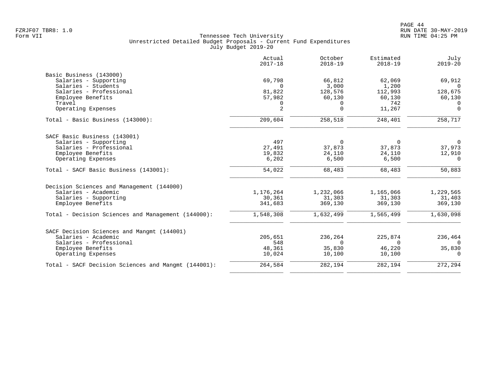|                                                     | Actual<br>$2017 - 18$ | October<br>$2018 - 19$ | Estimated<br>$2018 - 19$ | July<br>$2019 - 20$   |
|-----------------------------------------------------|-----------------------|------------------------|--------------------------|-----------------------|
| Basic Business (143000)                             |                       |                        |                          |                       |
| Salaries - Supporting                               | 69,798                | 66,812                 | 62,069                   | 69,912                |
| Salaries - Students                                 | $\Omega$              | 3,000                  | 1,200                    | $\Omega$              |
| Salaries - Professional                             | 81,822                | 128,576                | 112,993                  | 128,675               |
| Employee Benefits                                   | 57,982                | 60,130                 | 60,130                   | 60,130                |
| Travel                                              | 0                     | $\Omega$               | 742                      | $\Omega$              |
| Operating Expenses                                  | 2                     | $\Omega$               | 11,267                   | $\Omega$              |
| Total - Basic Business (143000):                    | 209,604               | 258,518                | 248,401                  | 258,717               |
| SACF Basic Business (143001)                        |                       |                        |                          |                       |
| Salaries - Supporting                               | 497                   | $\mathbf 0$            | 0                        | $\overline{0}$        |
| Salaries - Professional                             | 27,491                | 37,873                 | 37,873                   | 37,973                |
| Employee Benefits                                   | 19,832                | 24,110                 | 24,110                   | 12,910                |
| Operating Expenses                                  | 6,202                 | 6,500                  | 6,500                    | $\Omega$              |
| Total - SACF Basic Business (143001):               | 54,022                | 68,483                 | 68,483                   | 50,883                |
| Decision Sciences and Management (144000)           |                       |                        |                          |                       |
| Salaries - Academic                                 | 1,176,264             | 1,232,066              | 1,165,066                | 1,229,565             |
| Salaries - Supporting                               | 30,361                | 31,303                 | 31,303                   | 31,403                |
| Employee Benefits                                   | 341,683               | 369,130                | 369,130                  | 369,130               |
| Total - Decision Sciences and Management (144000):  | 1,548,308             | 1,632,499              | 1,565,499                | 1,630,098             |
| SACF Decision Sciences and Mangmt (144001)          |                       |                        |                          |                       |
| Salaries - Academic                                 | 205,651               | 236,264                | 225,874                  | 236,464               |
| Salaries - Professional                             | 548                   | $\Omega$               | $\Omega$                 | $\Omega$              |
| Employee Benefits                                   | 48,361                | 35,830                 | 46,220                   | 35,830                |
| Operating Expenses                                  | 10,024                | 10,100                 | 10,100                   | $\Omega$              |
| Total - SACF Decision Sciences and Mangmt (144001): | 264,584               | 282,194                | 282,194                  | $\overline{272, 294}$ |
|                                                     |                       |                        |                          |                       |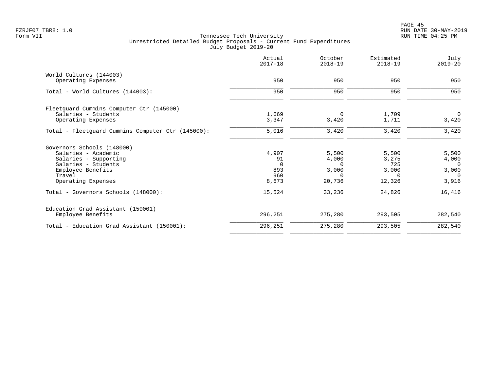|                                                   | Actual<br>$2017 - 18$ | October<br>$2018 - 19$ | Estimated<br>$2018 - 19$ | July<br>$2019 - 20$ |
|---------------------------------------------------|-----------------------|------------------------|--------------------------|---------------------|
| World Cultures (144003)                           | 950                   | 950                    | 950                      | 950                 |
| Operating Expenses                                |                       |                        |                          |                     |
| Total - World Cultures (144003):                  | 950                   | 950                    | 950                      | 950                 |
| Fleetguard Cummins Computer Ctr (145000)          |                       |                        |                          |                     |
| Salaries - Students                               | 1,669                 | 0                      | 1,709                    | $\mathbf 0$         |
| Operating Expenses                                | 3,347                 | 3,420                  | 1,711                    | 3,420               |
| Total - Fleetguard Cummins Computer Ctr (145000): | 5,016                 | 3,420                  | 3,420                    | 3,420               |
| Governors Schools (148000)                        |                       |                        |                          |                     |
| Salaries - Academic                               | 4,907                 | 5,500                  | 5,500                    | 5,500               |
| Salaries - Supporting                             | 91                    | 4,000                  | 3,275                    | 4,000               |
| Salaries - Students                               | $\Omega$              | $\Omega$               | 725                      | 0                   |
| Employee Benefits                                 | 893                   | 3,000                  | 3,000                    | 3,000               |
| Travel                                            | 960                   | $\Omega$               | $\Omega$                 | $\Omega$            |
| Operating Expenses                                | 8,673                 | 20,736                 | 12,326                   | 3,916               |
| Total - Governors Schools (148000):               | 15,524                | 33,236                 | 24,826                   | 16,416              |
| Education Grad Assistant (150001)                 |                       |                        |                          |                     |
| Employee Benefits                                 | 296,251               | 275,280                | 293,505                  | 282,540             |
| Total - Education Grad Assistant (150001):        | 296,251               | 275,280                | 293,505                  | 282,540             |
|                                                   |                       |                        |                          |                     |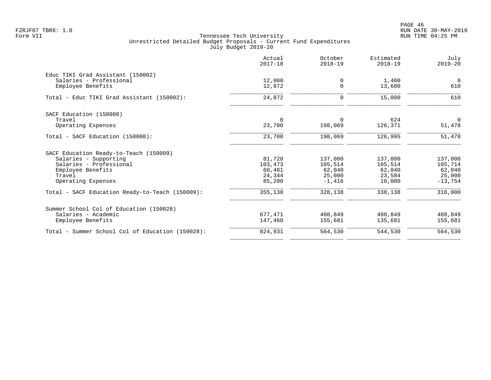PAGE 46 FZRJF07 TBR8: 1.0 RUN DATE 30-MAY-2019

|                                                  | Actual<br>$2017 - 18$ | October<br>$2018 - 19$ | Estimated<br>$2018 - 19$ | July<br>$2019 - 20$   |
|--------------------------------------------------|-----------------------|------------------------|--------------------------|-----------------------|
| Educ TIKI Grad Assistant (150002)                |                       |                        |                          |                       |
| Salaries - Professional<br>Employee Benefits     | 12,000<br>12,872      | 0<br>$\Omega$          | 1,400<br>13,600          | $\overline{0}$<br>610 |
| Total - Educ TIKI Grad Assistant (150002):       | 24,872                | 0                      | 15,000                   | 610                   |
| SACF Education (150008)                          |                       |                        |                          |                       |
| Travel                                           | $\Omega$              | $\Omega$               | 624                      | $\overline{0}$        |
| Operating Expenses                               | 23,700                | 198,069                | 126,371                  | 51,478                |
| Total - SACF Education (150008):                 | 23,700                | 198,069                | 126,995                  | 51,478                |
| SACF Education Ready-to-Teach (150009)           |                       |                        |                          |                       |
| Salaries - Supporting                            | 81,720                | 137,000                | 137,000                  | 137,000               |
| Salaries - Professional                          | 103,473               | 105,514                | 105,514                  | 105,714               |
| Employee Benefits<br>Travel                      | 60,401<br>24,344      | 62,040<br>25,000       | 62,040<br>23,584         | 62,040<br>25,000      |
| Operating Expenses                               | 85,200                | $-1.416$               | 10,000                   | $-13,754$             |
| Total - SACF Education Ready-to-Teach (150009):  | 355,138               | 328,138                | 338,138                  | 316,000               |
| Summer School Col of Education (150028)          |                       |                        |                          |                       |
| Salaries - Academic                              | 677,471               | 408,849                | 408,849                  | 408,849               |
| Employee Benefits                                | 147,460               | 155,681                | 135,681                  | 155,681               |
| Total - Summer School Col of Education (150028): | 824,931               | 564,530                | 544,530                  | 564,530               |
|                                                  |                       |                        |                          |                       |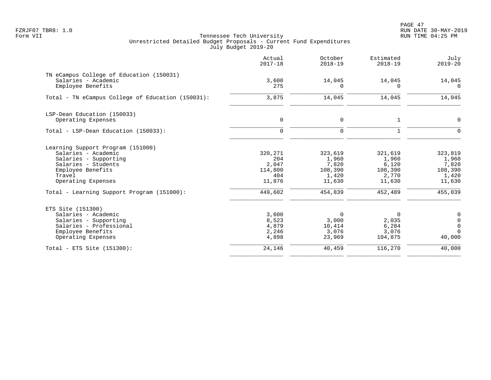PAGE 47 FZRJF07 TBR8: 1.0 RUN DATE 30-MAY-2019

|                                                                                                                                                                                                             | Actual<br>$2017 - 18$                                          | October<br>$2018 - 19$                                             | Estimated<br>$2018 - 19$                                           | July<br>$2019 - 20$                                                |
|-------------------------------------------------------------------------------------------------------------------------------------------------------------------------------------------------------------|----------------------------------------------------------------|--------------------------------------------------------------------|--------------------------------------------------------------------|--------------------------------------------------------------------|
| TN eCampus College of Education (150031)<br>Salaries - Academic<br>Employee Benefits                                                                                                                        | 3,600<br>275                                                   | 14,045<br>0                                                        | 14,045<br>$\Omega$                                                 | 14,045<br>$\Omega$                                                 |
| Total - TN eCampus College of Education (150031):                                                                                                                                                           | 3,875                                                          | 14,045                                                             | 14,045                                                             | 14,045                                                             |
| LSP-Dean Education (150033)<br>Operating Expenses                                                                                                                                                           | 0                                                              | 0                                                                  | 1                                                                  | 0                                                                  |
| Total - LSP-Dean Education (150033):                                                                                                                                                                        | $\Omega$                                                       | $\mathbf 0$                                                        | $\mathbf{1}$                                                       | $\Omega$                                                           |
| Learning Support Program (151000)<br>Salaries - Academic<br>Salaries - Supporting<br>Salaries - Students<br>Employee Benefits<br>Travel<br>Operating Expenses<br>Total - Learning Support Program (151000): | 320,271<br>204<br>2,047<br>114,800<br>404<br>11,876<br>449,602 | 323,619<br>1,960<br>7,820<br>108,390<br>1,420<br>11,630<br>454,839 | 321,619<br>1,960<br>6,120<br>108,390<br>2,770<br>11,630<br>452,489 | 323,819<br>1,960<br>7,820<br>108,390<br>1,420<br>11,630<br>455,039 |
| ETS Site (151300)<br>Salaries - Academic<br>Salaries - Supporting<br>Salaries - Professional<br>Employee Benefits<br>Operating Expenses                                                                     | 3,600<br>8,523<br>4,879<br>2,246<br>4,898                      | $\mathbf 0$<br>3,000<br>10,414<br>3,076<br>23,969                  | $\Omega$<br>2,035<br>6,284<br>3,076<br>104,875                     | 0<br>$\mathsf{O}\xspace$<br>$\mathbf 0$<br>$\Omega$<br>40,000      |
| Total - ETS Site (151300):                                                                                                                                                                                  | 24,146                                                         | 40,459                                                             | 116,270                                                            | 40,000                                                             |
|                                                                                                                                                                                                             |                                                                |                                                                    |                                                                    |                                                                    |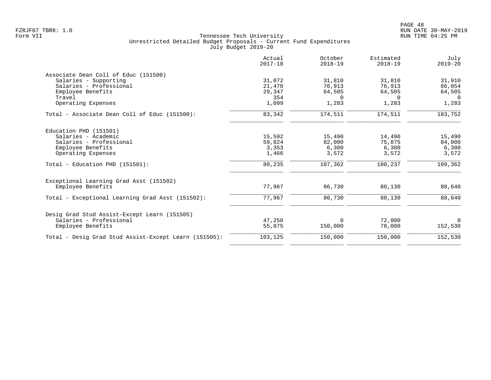| 31,072<br>21,470<br>29,347<br>354 | 31,810<br>76,913<br>64,505 | 31,810<br>76,913 | 31,910   |
|-----------------------------------|----------------------------|------------------|----------|
|                                   |                            |                  |          |
|                                   |                            |                  |          |
|                                   |                            |                  | 86,054   |
|                                   |                            | 64,505           | 64,505   |
|                                   | $\Omega$                   | $\Omega$         | $\Omega$ |
|                                   | 1,283                      | 1,283            | 1,283    |
| 83,342                            | 174,511                    | 174,511          | 183,752  |
|                                   |                            |                  |          |
| 15,592                            | 15,490                     | 14,490           | 15,490   |
| 59,824                            | 82,000                     | 75,875           | 84,000   |
| 3,353                             | 6,300                      | 6,300            | 6,300    |
| 1,466                             | 3,572                      | 3,572            | 3,572    |
| 80,235                            | 107,362                    | 100,237          | 109,362  |
|                                   |                            |                  |          |
| 77,967                            | 86,730                     | 80,130           | 88,640   |
| 77,967                            | 86,730                     | 80,130           | 88,640   |
|                                   |                            |                  |          |
| 47,250                            | $\Omega$                   | 72,000           | $\Omega$ |
| 55,875                            | 150,000                    | 78,000           | 152,530  |
| 103,125                           | 150,000                    | 150,000          | 152,530  |
|                                   | 1,099                      |                  |          |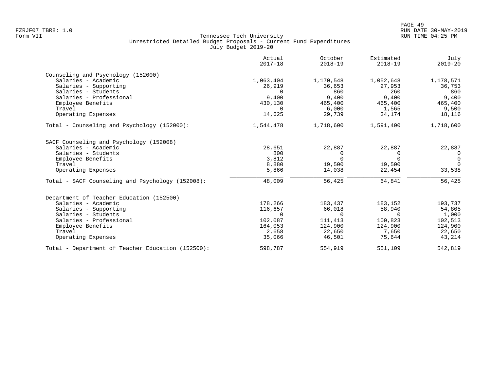|                                                   | Actual<br>$2017 - 18$ | October<br>$2018 - 19$ | Estimated<br>$2018 - 19$ | July<br>$2019 - 20$ |
|---------------------------------------------------|-----------------------|------------------------|--------------------------|---------------------|
| Counseling and Psychology (152000)                |                       |                        |                          |                     |
| Salaries - Academic                               | 1,063,404             | 1,170,548              | 1,052,648                | 1,178,571           |
| Salaries - Supporting                             | 26,919                | 36,653                 | 27,953                   | 36,753              |
| Salaries - Students                               | 0                     | 860                    | 260                      | 860                 |
| Salaries - Professional                           | 9,400                 | 9,400                  | 9,400                    | 9,400               |
| Employee Benefits                                 | 430,130               | 465,400                | 465,400                  | 465,400             |
| Travel                                            | $\Omega$              | 6,000                  | 1,565                    | 9,500               |
| Operating Expenses                                | 14,625                | 29,739                 | 34,174                   | 18,116              |
| Total - Counseling and Psychology (152000):       | 1,544,478             | 1,718,600              | 1,591,400                | 1,718,600           |
| SACF Counseling and Psychology (152008)           |                       |                        |                          |                     |
| Salaries - Academic                               | 28,651                | 22,887                 | 22,887                   | 22,887              |
| Salaries - Students                               | 800                   | 0                      | 0                        | $\overline{0}$      |
| Employee Benefits                                 | 3,812                 | $\Omega$               | $\Omega$                 | $\overline{0}$      |
| Travel                                            | 8,880                 | 19,500                 | 19,500                   | $\Omega$            |
| Operating Expenses                                | 5,866                 | 14,038                 | 22,454                   | 33,538              |
| Total - SACF Counseling and Psychology (152008):  | 48,009                | 56,425                 | 64,841                   | 56,425              |
| Department of Teacher Education (152500)          |                       |                        |                          |                     |
| Salaries - Academic                               | 178,266               | 183,437                | 183,152                  | 193,737             |
| Salaries - Supporting                             | 116,657               | 66,018                 | 58,940                   | 54,805              |
| Salaries - Students                               | $\Omega$              | $\Omega$               | $\Omega$                 | 1,000               |
| Salaries - Professional                           | 102,087               | 111,413                | 100,823                  | 102,513             |
| Employee Benefits                                 | 164,053               | 124,900                | 124,900                  | 124,900             |
| Travel                                            | 2,658                 | 22,650                 | 7,650                    | 22,650              |
| Operating Expenses                                | 35,066                | 46,501                 | 75,644                   | 43,214              |
| Total - Department of Teacher Education (152500): | 598,787               | 554,919                | 551,109                  | 542,819             |
|                                                   |                       |                        |                          |                     |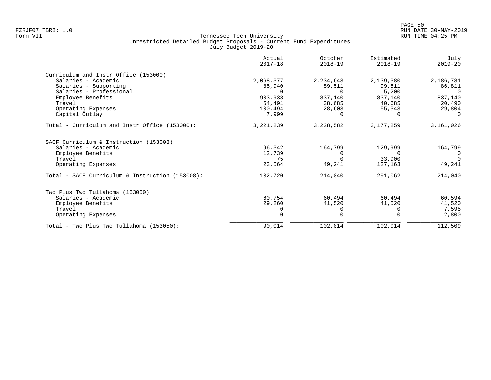|                                                 | Actual<br>$2017 - 18$ | October<br>$2018 - 19$ | Estimated<br>$2018 - 19$ | July<br>$2019 - 20$ |
|-------------------------------------------------|-----------------------|------------------------|--------------------------|---------------------|
| Curriculum and Instr Office (153000)            |                       |                        |                          |                     |
| Salaries - Academic                             | 2,068,377             | 2,234,643              | 2,139,380                | 2,186,781           |
| Salaries - Supporting                           | 85,940                | 89,511                 | 99,511                   | 86,811              |
| Salaries - Professional                         |                       | $\Omega$               | 5,200                    | $\Omega$            |
| Employee Benefits                               | 903,938               | 837,140                | 837,140                  | 837,140             |
| Travel                                          | 54,491                | 38,685                 | 40,685                   | 20,490              |
| Operating Expenses                              | 100,494               | 28,603                 | 55,343                   | 29,804              |
| Capital Outlay                                  | 7,999                 | $\Omega$               |                          |                     |
| Total - Curriculum and Instr Office (153000):   | 3, 221, 239           | 3,228,582              | 3, 177, 259              | 3,161,026           |
| SACF Curriculum & Instruction (153008)          |                       |                        |                          |                     |
| Salaries - Academic                             | 96,342                | 164,799                | 129,999                  | 164,799             |
| Employee Benefits                               | 12,739                | $\Omega$               |                          | $\Omega$            |
| Travel                                          | 75                    | $\Omega$               | 33,900                   | $\Omega$            |
| Operating Expenses                              | 23,564                | 49,241                 | 127,163                  | 49,241              |
| Total - SACF Curriculum & Instruction (153008): | 132,720               | 214,040                | 291,062                  | 214,040             |
| Two Plus Two Tullahoma (153050)                 |                       |                        |                          |                     |
| Salaries - Academic                             | 60,754                | 60,494                 | 60,494                   | 60,594              |
| Employee Benefits                               | 29,260                | 41,520                 | 41,520                   | 41,520              |
| Travel                                          |                       | $\Omega$               |                          | 7,595               |
| Operating Expenses                              |                       | $\Omega$               |                          | 2,800               |
| Total - Two Plus Two Tullahoma (153050):        | 90,014                | 102,014                | 102,014                  | 112,509             |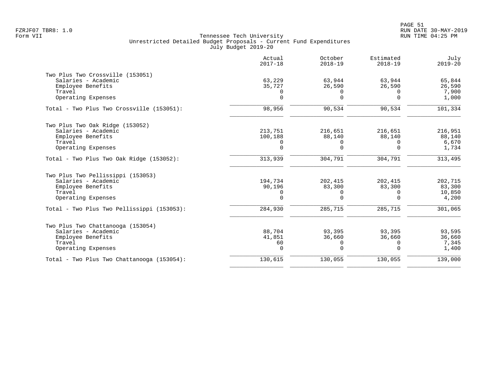|                                            | Actual<br>$2017 - 18$ | October<br>$2018 - 19$ | Estimated<br>$2018 - 19$ | July<br>$2019 - 20$ |
|--------------------------------------------|-----------------------|------------------------|--------------------------|---------------------|
| Two Plus Two Crossville (153051)           |                       |                        |                          |                     |
| Salaries - Academic                        | 63,229                | 63,944                 | 63,944                   | 65,844              |
| Employee Benefits                          | 35,727                | 26,590                 | 26,590                   | 26,590              |
| Travel<br>Operating Expenses               | $\Omega$<br>$\Omega$  | $\Omega$<br>$\Omega$   | $\Omega$<br>$\Omega$     | 7,900<br>1,000      |
|                                            |                       |                        |                          |                     |
| Total - Two Plus Two Crossville (153051):  | 98,956                | 90,534                 | 90,534                   | 101,334             |
| Two Plus Two Oak Ridge (153052)            |                       |                        |                          |                     |
| Salaries - Academic                        | 213,751               | 216,651                | 216,651                  | 216,951             |
| Employee Benefits                          | 100,188               | 88,140                 | 88,140                   | 88,140              |
| Travel                                     | 0                     | 0                      | $\Omega$                 | 6,670               |
| Operating Expenses                         | $\mathbf 0$           | $\Omega$               | $\Omega$                 | 1,734               |
| Total - Two Plus Two Oak Ridge (153052):   | 313,939               | 304,791                | 304,791                  | 313,495             |
| Two Plus Two Pellissippi (153053)          |                       |                        |                          |                     |
| Salaries - Academic                        | 194,734               | 202,415                | 202,415                  | 202,715             |
| Employee Benefits                          | 90,196                | 83,300                 | 83,300                   | 83,300              |
| Travel                                     | 0                     | $\Omega$               | $\Omega$                 | 10,850              |
| Operating Expenses                         | $\Omega$              | $\Omega$               | $\Omega$                 | 4,200               |
| Total - Two Plus Two Pellissippi (153053): | 284,930               | 285,715                | 285,715                  | 301,065             |
| Two Plus Two Chattanooga (153054)          |                       |                        |                          |                     |
| Salaries - Academic                        | 88,704                | 93,395                 | 93,395                   | 93,595              |
| Employee Benefits                          | 41,851                | 36,660                 | 36,660                   | 36,660              |
| Travel                                     | 60                    | $\mathbf 0$            | 0                        | 7,345               |
| Operating Expenses                         | $\mathbf 0$           | $\Omega$               | $\Omega$                 | 1,400               |
| Total - Two Plus Two Chattanooga (153054): | 130,615               | 130,055                | 130,055                  | 139,000             |
|                                            |                       |                        |                          |                     |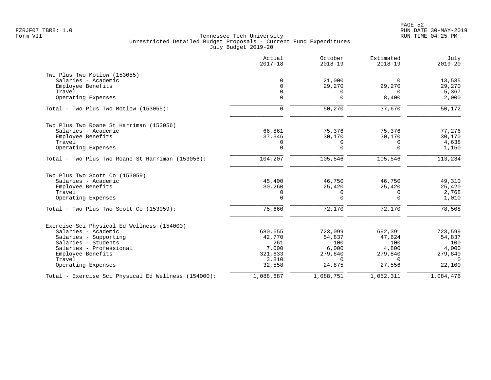|                                                     | Actual<br>$2017 - 18$ | October<br>$2018 - 19$ | Estimated<br>$2018 - 19$ | July<br>$2019 - 20$ |
|-----------------------------------------------------|-----------------------|------------------------|--------------------------|---------------------|
| Two Plus Two Motlow (153055)                        |                       |                        |                          |                     |
| Salaries - Academic                                 | $\Omega$              | 21,000                 | $\Omega$                 | 13,535              |
| Employee Benefits                                   | $\Omega$              | 29,270                 | 29,270                   | 29,270              |
| Travel                                              | $\mathbf 0$           | 0                      | $\Omega$                 | 5,367               |
| Operating Expenses                                  | $\Omega$              | $\Omega$               | 8,400                    | 2,000               |
| Total - Two Plus Two Motlow (153055):               | $\mathsf{O}$          | 50,270                 | 37,670                   | 50,172              |
| Two Plus Two Roane St Harriman (153056)             |                       |                        |                          |                     |
| Salaries - Academic                                 | 66,861                | 75,376                 | 75,376                   | 77,276              |
| Employee Benefits                                   | 37,346                | 30,170                 | 30,170                   | 30,170              |
| Travel                                              | $\mathbf 0$           | 0                      | $\Omega$                 | 4,638               |
| Operating Expenses                                  | $\mathbf 0$           | $\Omega$               | $\Omega$                 | 1,150               |
| Total - Two Plus Two Roane St Harriman (153056):    | 104,207               | 105,546                | 105,546                  | 113,234             |
| Two Plus Two Scott Co (153059)                      |                       |                        |                          |                     |
| Salaries - Academic                                 | 45,400                | 46,750                 | 46,750                   | 49,310              |
| Employee Benefits                                   | 30,260                | 25,420                 | 25,420                   | 25,420              |
| Travel                                              | 0                     | $\mathbf 0$            | $\mathbf 0$              | 2,768               |
| Operating Expenses                                  | $\mathbf 0$           | $\Omega$               | $\Omega$                 | 1,010               |
| Total - Two Plus Two Scott Co (153059):             | 75,660                | 72,170                 | 72,170                   | 78,508              |
| Exercise Sci Physical Ed Wellness (154000)          |                       |                        |                          |                     |
| Salaries - Academic                                 | 680,655               | 723,099                | 692,391                  | 723,599             |
| Salaries - Supporting                               | 42,770                | 54,837                 | 47,624                   | 54,837              |
| Salaries - Students                                 | 261                   | 100                    | 100                      | 100                 |
| Salaries - Professional                             | 7,000                 | 6,000                  | 4,800                    | 4,000               |
| Employee Benefits                                   | 321,633               | 279,840                | 279,840                  | 279,840             |
| Travel                                              | 3,810                 | $\Omega$               | $\Omega$                 | $\Omega$            |
| Operating Expenses                                  | 32,558                | 24,875                 | 27,556                   | 22,100              |
| Total - Exercise Sci Physical Ed Wellness (154000): | 1,088,687             | 1,088,751              | 1,052,311                | 1,084,476           |
|                                                     |                       |                        |                          |                     |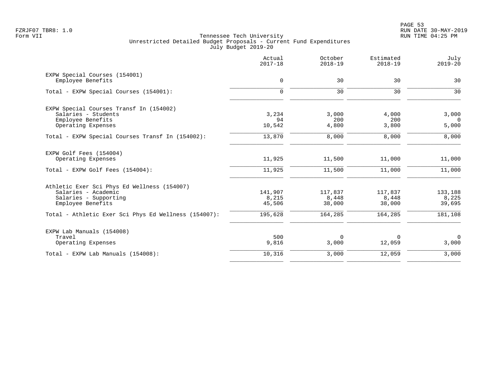|                                                      | Actual<br>$2017 - 18$ | October<br>$2018 - 19$ | Estimated<br>$2018 - 19$ | July<br>$2019 - 20$ |
|------------------------------------------------------|-----------------------|------------------------|--------------------------|---------------------|
| EXPW Special Courses (154001)                        |                       |                        |                          |                     |
| Employee Benefits                                    | $\mathbf 0$           | 30                     | 30                       | 30                  |
| Total - EXPW Special Courses (154001):               | $\Omega$              | 30                     | 30                       | 30                  |
| EXPW Special Courses Transf In (154002)              |                       |                        |                          |                     |
| Salaries - Students                                  | 3,234                 | 3,000                  | 4,000                    | 3,000               |
| Employee Benefits<br>Operating Expenses              | 94<br>10,542          | 200<br>4,800           | 200<br>3,800             | $\Omega$<br>5,000   |
| Total - EXPW Special Courses Transf In (154002):     | 13,870                | 8,000                  | 8,000                    | 8,000               |
| EXPW Golf Fees (154004)                              |                       |                        |                          |                     |
| Operating Expenses                                   | 11,925                | 11,500                 | 11,000                   | 11,000              |
| Total - EXPW Golf Fees (154004):                     | 11,925                | 11,500                 | 11,000                   | 11,000              |
| Athletic Exer Sci Phys Ed Wellness (154007)          |                       |                        |                          |                     |
| Salaries - Academic                                  | 141,907               | 117,837                | 117,837                  | 133,188             |
| Salaries - Supporting                                | 8,215<br>45,506       | 8,448                  | 8,448                    | 8,225               |
| Employee Benefits                                    |                       | 38,000                 | 38,000                   | 39,695              |
| Total - Athletic Exer Sci Phys Ed Wellness (154007): | 195,628               | 164,285                | 164,285                  | 181,108             |
| EXPW Lab Manuals (154008)                            |                       |                        |                          |                     |
| Travel                                               | 500                   | $\mathbf 0$            | 0                        | $\mathbf 0$         |
| Operating Expenses                                   | 9,816                 | 3,000                  | 12,059                   | 3,000               |
| Total - EXPW Lab Manuals (154008):                   | 10,316                | 3,000                  | 12,059                   | 3,000               |
|                                                      |                       |                        |                          |                     |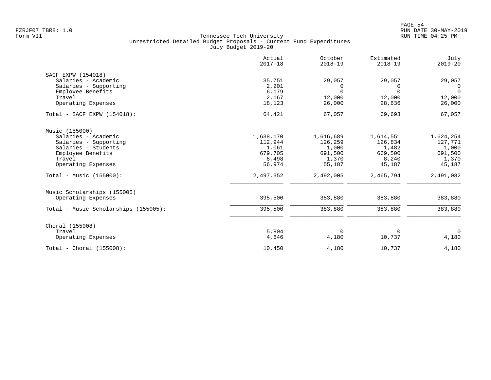| Actual<br>$2017 - 18$ | October<br>$2018 - 19$                                             | Estimated<br>$2018 - 19$                               | July<br>$2019 - 20$                                           |
|-----------------------|--------------------------------------------------------------------|--------------------------------------------------------|---------------------------------------------------------------|
|                       |                                                                    |                                                        |                                                               |
| 35,751                | 29,057                                                             | 29,057                                                 | 29,057                                                        |
| 2,201                 | 0                                                                  | $\Omega$                                               | $\overline{0}$                                                |
|                       | $\Omega$                                                           | $\Omega$                                               | $\Omega$                                                      |
|                       |                                                                    |                                                        | 12,000                                                        |
|                       |                                                                    |                                                        | 26,000                                                        |
| 64,421                | 67,057                                                             | 69,693                                                 | 67,057                                                        |
|                       |                                                                    |                                                        |                                                               |
|                       |                                                                    |                                                        | 1,624,254                                                     |
|                       |                                                                    |                                                        | 127,771                                                       |
|                       |                                                                    |                                                        | 1,000                                                         |
| 679,705               | 691,500                                                            | 669,500                                                | 691,500                                                       |
| 8,498                 | 1,370                                                              | 8,240                                                  | 1,370                                                         |
| 56,974                | 55,187                                                             | 45,187                                                 | 45,187                                                        |
| 2,497,352             | 2,492,005                                                          | 2,465,794                                              | 2,491,082                                                     |
|                       |                                                                    |                                                        |                                                               |
| 395,500               | 383,880                                                            | 383,880                                                | 383,880                                                       |
| 395,500               | 383,880                                                            | 383,880                                                | 383,880                                                       |
|                       |                                                                    |                                                        |                                                               |
|                       |                                                                    |                                                        | $\overline{0}$                                                |
| 4,646                 | 4,180                                                              | 10,737                                                 | 4,180                                                         |
| 10,450                | 4,180                                                              | 10,737                                                 | 4,180                                                         |
|                       | 6,179<br>2,167<br>18,123<br>1,638,170<br>112,944<br>1,061<br>5,804 | 12,000<br>26,000<br>1,616,689<br>126,259<br>1,000<br>0 | 12,000<br>28,636<br>1,614,551<br>126,834<br>1,482<br>$\Omega$ |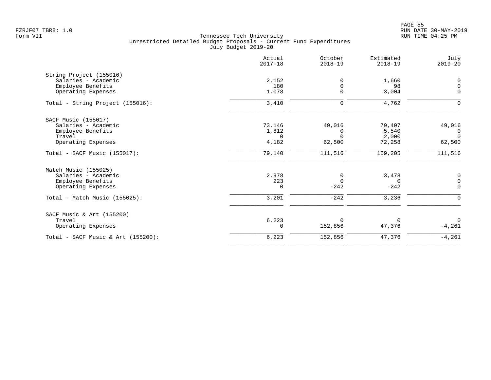|                                       | Actual<br>$2017 - 18$ | October<br>$2018 - 19$ | Estimated<br>$2018 - 19$ | July<br>$2019 - 20$ |
|---------------------------------------|-----------------------|------------------------|--------------------------|---------------------|
| String Project (155016)               |                       |                        |                          |                     |
| Salaries - Academic                   | 2,152                 | 0                      | 1,660                    | 0                   |
| Employee Benefits                     | 180                   | $\Omega$               | 98                       | 0                   |
| Operating Expenses                    | 1,078                 | $\Omega$               | 3,004                    | $\mathbf 0$         |
| Total - String Project (155016):      | 3,410                 | 0                      | 4,762                    | $\mathbf 0$         |
| SACF Music (155017)                   |                       |                        |                          |                     |
| Salaries - Academic                   | 73,146                | 49,016                 | 79,407                   | 49,016              |
| Employee Benefits                     | 1,812                 | $\Omega$               | 5,540                    | $\overline{0}$      |
| Travel                                | $\Omega$              | $\Omega$               | 2,000                    | $\Omega$            |
| Operating Expenses                    | 4,182                 | 62,500                 | 72,258                   | 62,500              |
| $Total - SACF Music (155017):$        | 79,140                | 111,516                | 159,205                  | 111,516             |
| Match Music (155025)                  |                       |                        |                          |                     |
| Salaries - Academic                   | 2,978                 | 0                      | 3,478                    | 0                   |
| Employee Benefits                     | 223                   | $\Omega$               | 0                        | 0                   |
| Operating Expenses                    | 0                     | $-242$                 | $-242$                   | $\mathbf 0$         |
| Total - Match Music (155025):         | 3,201                 | $-242$                 | 3,236                    | $\Omega$            |
| SACF Music & Art (155200)             |                       |                        |                          |                     |
| Travel                                | 6,223                 | $\Omega$               | $\Omega$                 | $\Omega$            |
| Operating Expenses                    | 0                     | 152,856                | 47,376                   | $-4,261$            |
| Total - SACF Music & Art $(155200)$ : | 6,223                 | 152,856                | 47,376                   | $-4,261$            |
|                                       |                       |                        |                          |                     |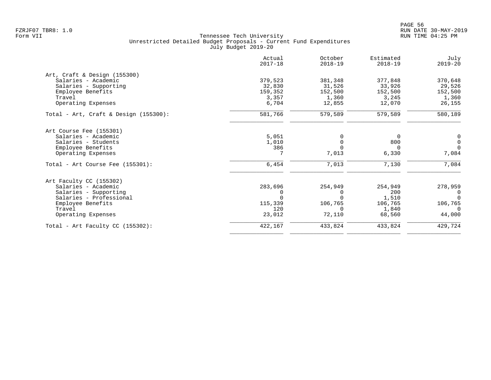|                                          | Actual<br>$2017 - 18$ | October<br>$2018 - 19$ | Estimated<br>$2018 - 19$ | July<br>$2019 - 20$ |
|------------------------------------------|-----------------------|------------------------|--------------------------|---------------------|
| Art, Craft & Design (155300)             |                       |                        |                          |                     |
| Salaries - Academic                      | 379,523               | 381,348                | 377,848                  | 370,648             |
| Salaries - Supporting                    | 32,830                | 31,526                 | 33,926                   | 29,526              |
| Employee Benefits                        | 159,352               | 152,500                | 152,500                  | 152,500             |
| Travel                                   | 3,357                 | 1,360                  | 3,245                    | 1,360               |
| Operating Expenses                       | 6,704                 | 12,855                 | 12,070                   | 26,155              |
| Total - Art, Craft & Design $(155300)$ : | 581,766               | 579,589                | 579,589                  | 580,189             |
| Art Course Fee (155301)                  |                       |                        |                          |                     |
| Salaries - Academic                      | 5,051                 | 0                      | 0                        | 0                   |
| Salaries - Students                      | 1,010                 | 0                      | 800                      | $\mathsf{O}\xspace$ |
| Employee Benefits                        | 386                   |                        | $\Omega$                 | $\Omega$            |
| Operating Expenses                       |                       | 7,013                  | 6,330                    | 7,084               |
| Total - Art Course Fee $(155301)$ :      | 6,454                 | 7,013                  | 7,130                    | 7,084               |
| Art Faculty CC (155302)                  |                       |                        |                          |                     |
| Salaries - Academic                      | 283,696               | 254,949                | 254,949                  | 278,959             |
| Salaries - Supporting                    |                       | $\Omega$               | 200                      | 0                   |
| Salaries - Professional                  |                       |                        | 1,510                    | $\Omega$            |
| Employee Benefits                        | 115,339               | 106,765                | 106,765                  | 106,765             |
| Travel                                   | 120                   | $\Omega$               | 1,840                    | $\Omega$            |
| Operating Expenses                       | 23,012                | 72,110                 | 68,560                   | 44,000              |
| Total - Art Faculty CC $(155302)$ :      | 422,167               | 433,824                | 433,824                  | 429,724             |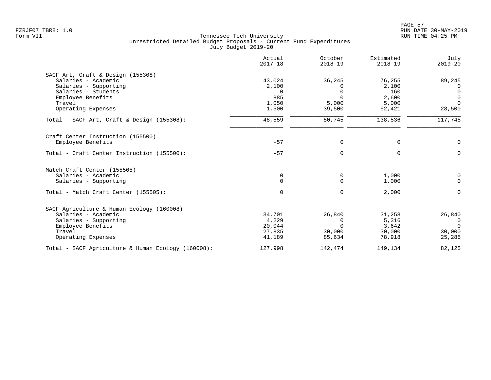|                                                    | Actual<br>$2017 - 18$ | October<br>$2018 - 19$ | Estimated<br>$2018 - 19$ | July<br>$2019 - 20$  |
|----------------------------------------------------|-----------------------|------------------------|--------------------------|----------------------|
| SACF Art, Craft & Design (155308)                  |                       |                        |                          |                      |
| Salaries - Academic                                | 43,024                | 36,245                 | 76,255                   | 89,245               |
| Salaries - Supporting                              | 2,100                 | $\Omega$               | 2,100                    | $\Omega$             |
| Salaries - Students                                | 0                     | <sup>n</sup>           | 160                      | $\Omega$             |
| Employee Benefits<br>Travel                        | 885<br>1,050          | $\Omega$<br>5,000      | 2,600<br>5,000           | $\Omega$<br>$\Omega$ |
| Operating Expenses                                 | 1,500                 | 39,500                 | 52,421                   | 28,500               |
|                                                    |                       |                        |                          |                      |
| Total - SACF Art, Craft & Design (155308):         | 48,559                | 80,745                 | 138,536                  | 117,745              |
| Craft Center Instruction (155500)                  |                       |                        |                          |                      |
| Employee Benefits                                  | $-57$                 | $\mathbf 0$            | 0                        | $\Omega$             |
| Total - Craft Center Instruction (155500):         | $-57$                 | $\Omega$               | $\Omega$                 | $\Omega$             |
| Match Craft Center (155505)                        |                       |                        |                          |                      |
| Salaries - Academic                                | $\mathbf 0$           | 0                      | 1,000                    | 0                    |
| Salaries - Supporting                              | $\mathbf 0$           | $\mathbf 0$            | 1,000                    | $\Omega$             |
| Total - Match Craft Center (155505):               | $\Omega$              | $\mathbf 0$            | 2,000                    | O                    |
| SACF Agriculture & Human Ecology (160008)          |                       |                        |                          |                      |
| Salaries - Academic                                | 34,701                | 26,840                 | 31,258                   | 26,840               |
| Salaries - Supporting                              | 4,229                 | $\Omega$               | 5,316                    | $\overline{0}$       |
| Employee Benefits                                  | 20,044                | $\Omega$               | 3,642                    | $\Omega$             |
| Travel                                             | 27,835                | 30,000                 | 30,000                   | 30,000               |
| Operating Expenses                                 | 41,189                | 85,634                 | 78,918                   | 25,285               |
| Total - SACF Agriculture & Human Ecology (160008): | 127,998               | 142,474                | 149,134                  | 82,125               |
|                                                    |                       |                        |                          |                      |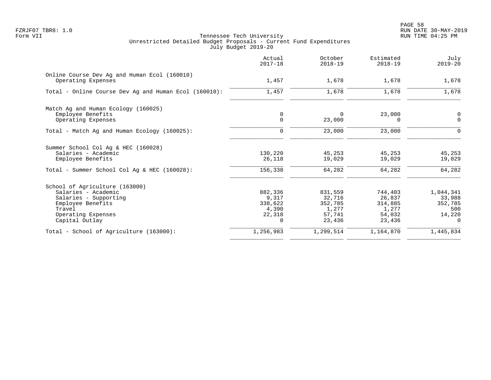|                                                                    | Actual<br>$2017 - 18$ | October<br>$2018 - 19$ | Estimated<br>$2018 - 19$ | July<br>$2019 - 20$ |
|--------------------------------------------------------------------|-----------------------|------------------------|--------------------------|---------------------|
| Online Course Dev Ag and Human Ecol (160010)<br>Operating Expenses | 1,457                 | 1,678                  | 1,678                    | 1,678               |
| Total - Online Course Dev Ag and Human Ecol (160010):              | 1,457                 | 1,678                  | 1,678                    | 1,678               |
| Match Ag and Human Ecology (160025)                                |                       |                        |                          |                     |
| Employee Benefits<br>Operating Expenses                            | 0<br>$\mathbf 0$      | 0<br>23,000            | 23,000<br>0              | 0<br>$\mathbf 0$    |
|                                                                    |                       |                        |                          |                     |
| Total - Match Ag and Human Ecology (160025):                       | $\mathbf 0$           | 23,000                 | 23,000                   | $\Omega$            |
| Summer School Col Ag & HEC (160028)                                |                       |                        |                          |                     |
| Salaries - Academic                                                | 130,220               | 45,253                 | 45,253                   | 45,253              |
| Employee Benefits                                                  | 26,118                | 19,029                 | 19,029                   | 19,029              |
| Total - Summer School Col Aq & HEC (160028):                       | 156,338               | 64,282                 | 64,282                   | 64,282              |
| School of Agriculture (163000)                                     |                       |                        |                          |                     |
| Salaries - Academic                                                | 882,336               | 831,559                | 744,403                  | 1,044,341           |
| Salaries - Supporting                                              | 9,317                 | 32,716                 | 26,837                   | 33,988              |
| Employee Benefits                                                  | 338,622               | 352,785                | 314,885                  | 352,785             |
| Travel                                                             | 4,390                 | 1,277                  | 1,277                    | 500                 |
| Operating Expenses                                                 | 22,318                | 57,741                 | 54,032                   | 14,220              |
| Capital Outlay                                                     | 0                     | 23,436                 | 23,436                   | $\Omega$            |
| Total - School of Agriculture (163000):                            | 1,256,983             | 1,299,514              | 1,164,870                | 1,445,834           |
|                                                                    |                       |                        |                          |                     |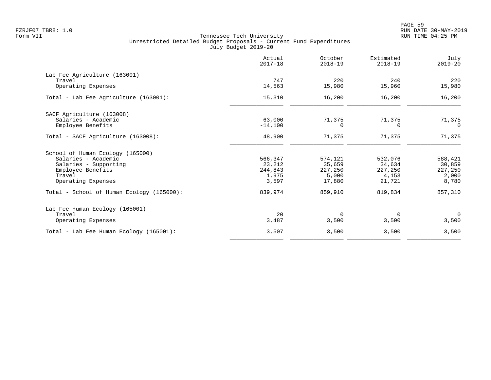|                                           | Actual<br>$2017 - 18$ | October<br>$2018 - 19$ | Estimated<br>$2018 - 19$ | July<br>$2019 - 20$ |
|-------------------------------------------|-----------------------|------------------------|--------------------------|---------------------|
| Lab Fee Agriculture (163001)              |                       |                        |                          |                     |
| Travel                                    | 747                   | 220                    | 240                      | 220                 |
| Operating Expenses                        | 14,563                | 15,980                 | 15,960                   | 15,980              |
| Total - Lab Fee Agriculture (163001):     | 15,310                | 16,200                 | 16,200                   | 16,200              |
| SACF Agriculture (163008)                 |                       |                        |                          |                     |
| Salaries - Academic                       | 63,000                | 71,375                 | 71,375                   | 71,375              |
| Employee Benefits                         | $-14,100$             | 0                      | $\Omega$                 | $\Omega$            |
| Total - SACF Agriculture (163008):        | 48,900                | 71,375                 | 71,375                   | 71,375              |
| School of Human Ecology (165000)          |                       |                        |                          |                     |
| Salaries - Academic                       | 566,347               | 574,121                | 532,076                  | 588,421             |
| Salaries - Supporting                     | 23,212                | 35,659                 | 34,634                   | 30,859              |
| Employee Benefits                         | 244,843               | 227,250                | 227,250                  | 227,250             |
| Travel<br>Operating Expenses              | 1,975<br>3,597        | 5,000<br>17,880        | 4,153<br>21,721          | 2,000<br>8,780      |
| Total - School of Human Ecology (165000): | 839,974               | 859,910                | 819,834                  | 857,310             |
| Lab Fee Human Ecology (165001)            |                       |                        |                          |                     |
| Travel                                    | 20                    | $\Omega$               | 0                        | $\mathbf 0$         |
| Operating Expenses                        | 3,487                 | 3,500                  | 3,500                    | 3,500               |
| Total - Lab Fee Human Ecology (165001):   | 3,507                 | 3,500                  | 3,500                    | 3,500               |
|                                           |                       |                        |                          |                     |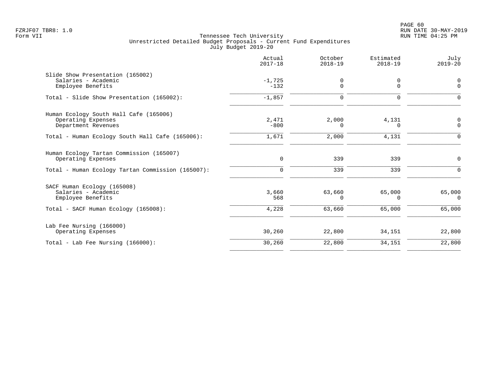|                                                                | Actual<br>$2017 - 18$ | October<br>$2018 - 19$ | Estimated<br>$2018 - 19$ | July<br>$2019 - 20$ |
|----------------------------------------------------------------|-----------------------|------------------------|--------------------------|---------------------|
| Slide Show Presentation (165002)                               |                       |                        |                          |                     |
| Salaries - Academic<br>Employee Benefits                       | $-1,725$<br>$-132$    | 0<br>0                 | 0<br>$\mathbf 0$         | 0<br>$\mathbf 0$    |
| Total - Slide Show Presentation (165002):                      | $-1,857$              | $\Omega$               | $\Omega$                 | $\Omega$            |
| Human Ecology South Hall Cafe (165006)                         |                       |                        |                          |                     |
| Operating Expenses<br>Department Revenues                      | 2,471<br>$-800$       | 2,000<br>0             | 4,131<br>$\Omega$        | 0<br>$\Omega$       |
| Total - Human Ecology South Hall Cafe (165006):                | 1,671                 | 2,000                  | 4,131                    | $\Omega$            |
| Human Ecology Tartan Commission (165007)<br>Operating Expenses | $\mathsf{O}$          | 339                    | 339                      | 0                   |
| Total - Human Ecology Tartan Commission (165007):              | $\mathbf 0$           | 339                    | 339                      | $\Omega$            |
| SACF Human Ecology (165008)                                    |                       |                        |                          |                     |
| Salaries - Academic<br>Employee Benefits                       | 3,660<br>568          | 63,660<br>0            | 65,000<br>$\Omega$       | 65,000<br>$\Omega$  |
| Total - SACF Human Ecology (165008):                           | 4,228                 | 63,660                 | 65,000                   | 65,000              |
| Lab Fee Nursing (166000)                                       |                       |                        |                          |                     |
| Operating Expenses                                             | 30,260                | 22,800                 | 34,151                   | 22,800              |
| Total - Lab Fee Nursing (166000):                              | 30,260                | 22,800                 | 34,151                   | 22,800              |
|                                                                |                       |                        |                          |                     |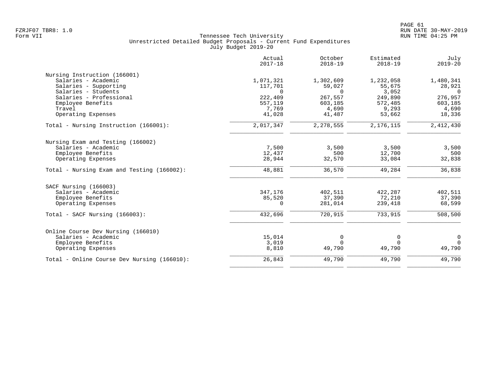|                                             | Actual<br>$2017 - 18$ | October<br>$2018 - 19$ | Estimated<br>$2018 - 19$ | July<br>$2019 - 20$ |
|---------------------------------------------|-----------------------|------------------------|--------------------------|---------------------|
| Nursing Instruction (166001)                |                       |                        |                          |                     |
| Salaries - Academic                         | 1,071,321             | 1,302,609              | 1,232,058                | 1,480,341           |
| Salaries - Supporting                       | 117,701               | 59,027                 | 55,675                   | 28,921              |
| Salaries - Students                         | $\Omega$              | $\Omega$               | 3,052                    | $\Omega$            |
| Salaries - Professional                     | 222,409               | 267,557                | 249,890                  | 276,957             |
| Employee Benefits                           | 557,119               | 603,185                | 572,485                  | 603,185             |
| Travel                                      | 7,769                 | 4,690                  | 9,293                    | 4,690               |
| Operating Expenses                          | 41,028                | 41,487                 | 53,662                   | 18,336              |
| Total - Nursing Instruction (166001):       | 2,017,347             | 2,278,555              | 2,176,115                | 2,412,430           |
| Nursing Exam and Testing (166002)           |                       |                        |                          |                     |
| Salaries - Academic                         | 7,500                 | 3,500                  | 3,500                    | 3,500               |
| Employee Benefits                           | 12,437                | 500                    | 12,700                   | 500                 |
| Operating Expenses                          | 28,944                | 32,570                 | 33,084                   | 32,838              |
|                                             |                       |                        |                          |                     |
| Total - Nursing Exam and Testing (166002):  | 48,881                | 36,570                 | 49,284                   | 36,838              |
| SACF Nursing (166003)                       |                       |                        |                          |                     |
| Salaries - Academic                         | 347,176               | 402,511                | 422,287                  | 402,511             |
| Employee Benefits                           | 85,520                | 37,390                 | 72,210                   | 37,390              |
| Operating Expenses                          | $\Omega$              | 281,014                | 239,418                  | 68,599              |
| Total - SACF Nursing (166003):              | 432,696               | 720,915                | 733,915                  | 508,500             |
| Online Course Dev Nursing (166010)          |                       |                        |                          |                     |
| Salaries - Academic                         | 15,014                | 0                      | 0                        | $\mathbf 0$         |
| Employee Benefits                           | 3,019                 | $\Omega$               | 0                        | $\Omega$            |
| Operating Expenses                          | 8,810                 | 49,790                 | 49,790                   | 49,790              |
| Total - Online Course Dev Nursing (166010): | 26,843                | 49,790                 | 49,790                   | 49,790              |
|                                             |                       |                        |                          |                     |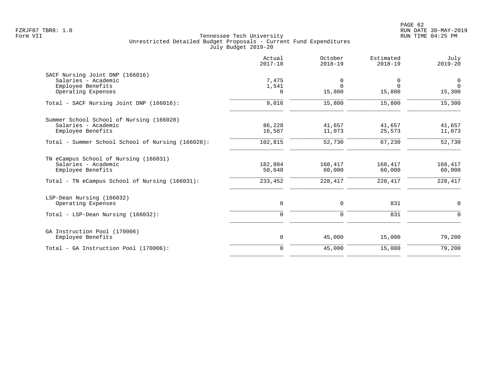|                                                   | Actual<br>$2017 - 18$ | October<br>$2018 - 19$ | Estimated<br>$2018 - 19$ | July<br>$2019 - 20$ |
|---------------------------------------------------|-----------------------|------------------------|--------------------------|---------------------|
| SACF Nursing Joint DNP (166016)                   |                       |                        |                          |                     |
| Salaries - Academic                               | 7,475                 | 0                      | 0                        | $\mathbf 0$         |
| Employee Benefits<br>Operating Expenses           | 1,541<br>0            | $\Omega$<br>15,800     | $\Omega$<br>15,800       | $\Omega$<br>15,300  |
| Total - SACF Nursing Joint DNP (166016):          | 9,016                 | 15,800                 | 15,800                   | 15,300              |
| Summer School School of Nursing (166028)          |                       |                        |                          |                     |
| Salaries - Academic                               | 86,228                | 41,657                 | 41,657                   | 41,657              |
| Employee Benefits                                 | 16,587                | 11,073                 | 25,573                   | 11,073              |
| Total - Summer School School of Nursing (166028): | 102,815               | 52,730                 | 67,230                   | 52,730              |
| TN eCampus School of Nursing (166031)             |                       |                        |                          |                     |
| Salaries - Academic                               | 182,804               | 168,417                | 168,417                  | 168,417             |
| Employee Benefits                                 | 50,648                | 60,000                 | 60,000                   | 60,000              |
| Total - TN eCampus School of Nursing (166031):    | 233,452               | 228,417                | 228,417                  | 228, 417            |
| LSP-Dean Nursing (166032)                         |                       |                        |                          |                     |
| Operating Expenses                                | 0                     | 0                      | 831                      | $\mathbf 0$         |
| Total - LSP-Dean Nursing (166032):                | $\mathbf 0$           | 0                      | 831                      | $\Omega$            |
| GA Instruction Pool (170006)                      |                       |                        |                          |                     |
| Employee Benefits                                 | 0                     | 45,000                 | 15,000                   | 79,200              |
| Total - GA Instruction Pool (170006):             | $\mathbf 0$           | 45,000                 | 15,000                   | 79,200              |
|                                                   |                       |                        |                          |                     |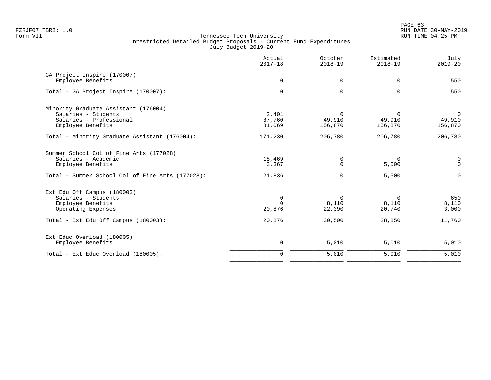PAGE 63 FZRJF07 TBR8: 1.0 RUN DATE 30-MAY-2019

|                                                                                                                                                   | Actual<br>$2017 - 18$             | October<br>$2018 - 19$           | Estimated<br>$2018 - 19$      | July<br>$2019 - 20$           |
|---------------------------------------------------------------------------------------------------------------------------------------------------|-----------------------------------|----------------------------------|-------------------------------|-------------------------------|
| GA Project Inspire (170007)<br>Employee Benefits                                                                                                  | $\mathbf 0$                       | 0                                | 0                             | 550                           |
| Total - GA Project Inspire (170007):                                                                                                              | $\Omega$                          | $\Omega$                         | $\Omega$                      | 550                           |
| Minority Graduate Assistant (176004)<br>Salaries - Students<br>Salaries - Professional<br>Employee Benefits                                       | 2,401<br>87,760<br>81,069         | $\Omega$<br>49,910<br>156,870    | $\Omega$<br>49,910<br>156,870 | $\Omega$<br>49,910<br>156,870 |
| Total - Minority Graduate Assistant (176004):                                                                                                     | 171,230                           | 206,780                          | 206,780                       | 206,780                       |
| Summer School Col of Fine Arts (177028)<br>Salaries - Academic<br>Employee Benefits                                                               | 18,469<br>3,367                   | 0<br>$\mathbf 0$                 | $\Omega$<br>5,500             | 0<br>$\mathbf 0$              |
| Total - Summer School Col of Fine Arts (177028):<br>Ext Edu Off Campus (180003)<br>Salaries - Students<br>Employee Benefits<br>Operating Expenses | 21,836<br>0<br>$\Omega$<br>20,876 | 0<br>$\Omega$<br>8,110<br>22,390 | 5,500<br>0<br>8,110<br>20,740 | 0<br>650<br>8,110<br>3,000    |
| Total - Ext Edu Off Campus (180003):                                                                                                              | 20,876                            | 30,500                           | 28,850                        | 11,760                        |
| Ext Educ Overload (180005)<br>Employee Benefits                                                                                                   | 0                                 | 5,010                            | 5,010                         | 5,010                         |
| Total - Ext Educ Overload (180005):                                                                                                               | $\overline{0}$                    | 5,010                            | 5,010                         | 5,010                         |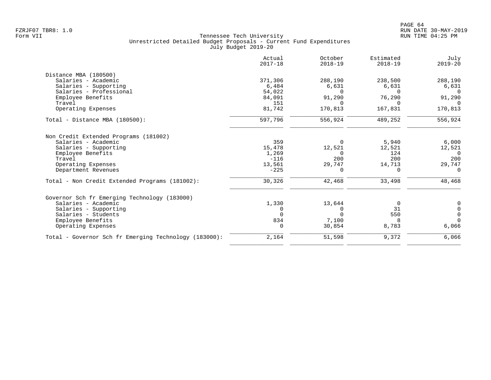| Actual<br>$2017 - 18$ | October<br>$2018 - 19$ | Estimated<br>$2018 - 19$ | July<br>$2019 - 20$    |
|-----------------------|------------------------|--------------------------|------------------------|
|                       |                        |                          |                        |
| 371,306               | 288,190                | 238,500                  | 288,190                |
| 6,484                 | 6,631                  | 6,631                    | 6,631                  |
| 54,022                | $\Omega$               | $\Omega$                 | $\Omega$               |
| 84,091                | 91,290                 | 76,290                   | 91,290                 |
| 151                   | $\Omega$               | $\Omega$                 | $\Omega$               |
| 81,742                | 170,813                | 167,831                  | 170,813                |
| 597,796               | 556,924                | 489,252                  | 556,924                |
|                       |                        |                          |                        |
|                       |                        |                          | 6,000                  |
|                       |                        |                          | 12,521                 |
|                       | $\Omega$               |                          | $\Omega$               |
| $-116$                | 200                    | 200                      | 200                    |
| 13,561                | 29,747                 | 14,713                   | 29,747                 |
| $-225$                | $\Omega$               | $\Omega$                 | $\Omega$               |
| 30,326                | 42,468                 | 33,498                   | 48,468                 |
|                       |                        |                          |                        |
| 1,330                 | 13,644                 | 0                        | 0                      |
| 0                     | O                      | 31                       | $\mathbf 0$            |
| $\Omega$              | $\Omega$               | 550                      | $\mathbf 0$            |
| 834                   | 7,100                  | 8                        | $\Omega$               |
| $\Omega$              | 30,854                 | 8,783                    | 6,066                  |
| 2,164                 | 51,598                 | 9,372                    | 6,066                  |
|                       | 359<br>15,478<br>1,269 | $\Omega$<br>12,521       | 5,940<br>12,521<br>124 |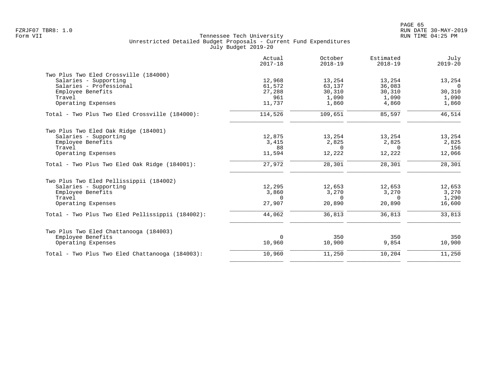|                                                  | Actual<br>$2017 - 18$ | October<br>$2018 - 19$ | Estimated<br>$2018 - 19$ | July<br>$2019 - 20$ |
|--------------------------------------------------|-----------------------|------------------------|--------------------------|---------------------|
| Two Plus Two Eled Crossville (184000)            |                       |                        |                          |                     |
| Salaries - Supporting                            | 12,968                | 13,254                 | 13,254                   | 13,254              |
| Salaries - Professional                          | 61,572                | 63,137                 | 36,083                   | $\overline{0}$      |
| Employee Benefits                                | 27,288                | 30,310                 | 30,310                   | 30,310              |
| Travel                                           | 961                   | 1,090                  | 1,090                    | 1,090               |
| Operating Expenses                               | 11,737                | 1,860                  | 4,860                    | 1,860               |
| Total - Two Plus Two Eled Crossville (184000):   | 114,526               | 109,651                | 85,597                   | 46,514              |
| Two Plus Two Eled Oak Ridge (184001)             |                       |                        |                          |                     |
| Salaries - Supporting                            | 12,875                | 13,254                 | 13,254                   | 13,254              |
| Employee Benefits                                | 3,415                 | 2,825                  | 2,825                    | 2,825               |
| Travel                                           | 88                    | $\Omega$               | $\Omega$                 | 156                 |
| Operating Expenses                               | 11,594                | 12,222                 | 12,222                   | 12,066              |
| Total - Two Plus Two Eled Oak Ridge (184001):    | 27,972                | 28,301                 | 28,301                   | 28,301              |
| Two Plus Two Eled Pellissippii (184002)          |                       |                        |                          |                     |
| Salaries - Supporting                            | 12,295                | 12,653                 | 12,653                   | 12,653              |
| Employee Benefits                                | 3,860                 | 3,270                  | 3,270                    | 3,270               |
| Travel                                           | $\Omega$              | $\Omega$               | $\Omega$                 | 1,290               |
| Operating Expenses                               | 27,907                | 20,890                 | 20,890                   | 16,600              |
| Total - Two Plus Two Eled Pellissippii (184002): | 44,062                | 36,813                 | 36,813                   | 33,813              |
| Two Plus Two Eled Chattanooga (184003)           |                       |                        |                          |                     |
| Employee Benefits                                | $\mathbf 0$           | 350                    | 350                      | 350                 |
| Operating Expenses                               | 10,960                | 10,900                 | 9,854                    | 10,900              |
| Total - Two Plus Two Eled Chattanooga (184003):  | 10,960                | 11,250                 | 10,204                   | 11,250              |
|                                                  |                       |                        |                          |                     |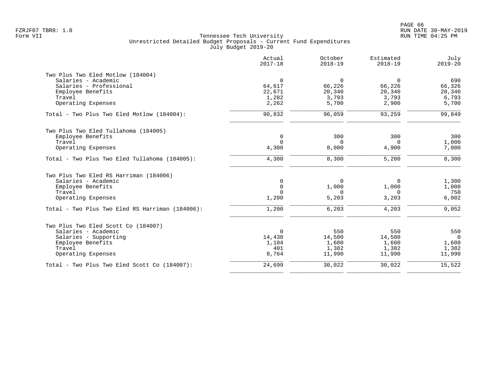|                                                 | Actual<br>$2017 - 18$ | October<br>$2018 - 19$ | Estimated<br>$2018 - 19$ | July<br>$2019 - 20$ |
|-------------------------------------------------|-----------------------|------------------------|--------------------------|---------------------|
| Two Plus Two Eled Motlow (184004)               |                       |                        |                          |                     |
| Salaries - Academic                             | $\mathbf 0$           | $\Omega$               | $\Omega$                 | 690                 |
| Salaries - Professional                         | 64,617                | 66,226                 | 66,226                   | 66,326              |
| Employee Benefits                               | 22,671                | 20,340                 | 20,340                   | 20,340              |
| Travel                                          | 1,282                 | 3,793                  | 3,793                    | 6,793               |
| Operating Expenses                              | 2,262                 | 5,700                  | 2,900                    | 5,700               |
| Total - Two Plus Two Eled Motlow (184004):      | 90,832                | 96,059                 | 93,259                   | 99,849              |
| Two Plus Two Eled Tullahoma (184005)            |                       |                        |                          |                     |
| Employee Benefits                               | 0                     | 300                    | 300                      | 300                 |
| Travel                                          | $\Omega$              | $\Omega$               | $\Omega$                 | 1,000               |
| Operating Expenses                              | 4,300                 | 8,000                  | 4,900                    | 7,000               |
| Total - Two Plus Two Eled Tullahoma (184005):   | 4,300                 | 8,300                  | 5,200                    | 8,300               |
| Two Plus Two Eled RS Harriman (184006)          |                       |                        |                          |                     |
| Salaries - Academic                             | 0                     | $\Omega$               | $\Omega$                 | 1,300               |
| Employee Benefits                               | $\mathbf 0$           | 1,000                  | 1,000                    | 1,000               |
| Travel                                          | $\Omega$              | $\Omega$               | $\Omega$                 | 750                 |
| Operating Expenses                              | 1,200                 | 5,203                  | 3,203                    | 6,002               |
| Total - Two Plus Two Eled RS Harriman (184006): | 1,200                 | 6,203                  | 4,203                    | 9,052               |
| Two Plus Two Eled Scott Co (184007)             |                       |                        |                          |                     |
| Salaries - Academic                             | $\overline{0}$        | 550                    | 550                      | 550                 |
| Salaries - Supporting                           | 14,430                | 14,500                 | 14,500                   | $\overline{0}$      |
| Employee Benefits                               | 1,104                 | 1,600                  | 1,600                    | 1,600               |
| Travel                                          | 401                   | 1,382                  | 1,382                    | 1,382               |
| Operating Expenses                              | 8,764                 | 11,990                 | 11,990                   | 11,990              |
| Total - Two Plus Two Eled Scott Co (184007):    | 24,699                | 30,022                 | 30,022                   | 15,522              |
|                                                 |                       |                        |                          |                     |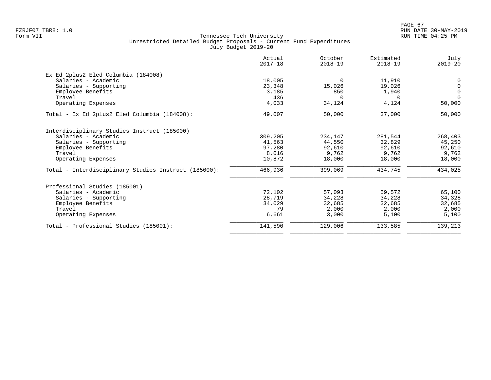|                                                      | Actual<br>$2017 - 18$ | October<br>$2018 - 19$ | Estimated<br>$2018 - 19$ | July<br>$2019 - 20$ |
|------------------------------------------------------|-----------------------|------------------------|--------------------------|---------------------|
| Ex Ed 2plus2 Eled Columbia (184008)                  |                       |                        |                          |                     |
| Salaries - Academic                                  | 18,005                | $\Omega$               | 11,910                   | 0                   |
| Salaries - Supporting                                | 23,348                | 15,026                 | 19,026                   | $\mathbf 0$         |
| Employee Benefits                                    | 3,185                 | 850                    | 1,940                    | $\mathbf 0$         |
| Travel                                               | 436                   | $\Omega$               | $\Omega$                 | $\Omega$            |
| Operating Expenses                                   | 4,033                 | 34,124                 | 4,124                    | 50,000              |
| Total - Ex Ed 2plus2 Eled Columbia (184008):         | 49,007                | 50,000                 | 37,000                   | 50,000              |
| Interdisciplinary Studies Instruct (185000)          |                       |                        |                          |                     |
| Salaries - Academic                                  | 309,205               | 234,147                | 281,544                  | 268,403             |
| Salaries - Supporting                                | 41,563                | 44,550                 | 32,829                   | 45,250              |
| Employee Benefits                                    | 97,280                | 92,610                 | 92,610                   | 92,610              |
| Travel                                               | 8,016                 | 9,762                  | 9,762                    | 9,762               |
| Operating Expenses                                   | 10,872                | 18,000                 | 18,000                   | 18,000              |
| Total - Interdisciplinary Studies Instruct (185000): | 466,936               | 399,069                | 434,745                  | 434,025             |
| Professional Studies (185001)                        |                       |                        |                          |                     |
| Salaries - Academic                                  | 72,102                | 57,093                 | 59,572                   | 65,100              |
| Salaries - Supporting                                | 28,719                | 34,228                 | 34,228                   | 34,328              |
| Employee Benefits                                    | 34,029                | 32,685                 | 32,685                   | 32,685              |
| Travel                                               | 79                    | 2,000                  | 2,000                    | 2,000               |
| Operating Expenses                                   | 6,661                 | 3,000                  | 5,100                    | 5,100               |
| Total - Professional Studies (185001):               | 141,590               | 129,006                | 133,585                  | 139,213             |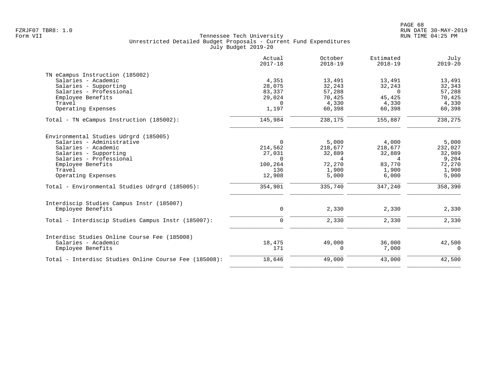|                                                       | Actual<br>$2017 - 18$ | October<br>$2018 - 19$ | Estimated<br>$2018 - 19$ | July<br>$2019 - 20$ |
|-------------------------------------------------------|-----------------------|------------------------|--------------------------|---------------------|
| TN eCampus Instruction (185002)                       |                       |                        |                          |                     |
| Salaries - Academic                                   | 4,351                 | 13,491                 | 13,491                   | 13,491              |
| Salaries - Supporting                                 | 28,075                | 32,243                 | 32,243                   | 32,343              |
| Salaries - Professional                               | 83,337                | 57,288                 | $\Omega$                 | 57,288              |
| Employee Benefits                                     | 29,024                | 70,425                 | 45,425                   | 70,425              |
| Travel                                                | $\Omega$              | 4,330                  | 4,330                    | 4,330               |
| Operating Expenses                                    | 1,197                 | 60,398                 | 60,398                   | 60,398              |
| Total - TN eCampus Instruction (185002):              | 145,984               | 238,175                | 155,887                  | 238,275             |
| Environmental Studies Udrgrd (185005)                 |                       |                        |                          |                     |
| Salaries - Administrative                             | $\Omega$              | 5,000                  | 4,000                    | 5,000               |
| Salaries - Academic                                   | 214,562               | 218,677                | 218,677                  | 232,027             |
| Salaries - Supporting                                 | 27,031                | 32,889                 | 32,889                   | 32,989              |
| Salaries - Professional                               | $\Omega$              | $\overline{4}$         | 4                        | 9,204               |
| Employee Benefits                                     | 100,264               | 72,270                 | 83,770                   | 72,270              |
| Travel                                                | 136                   | 1,900                  | 1,900                    | 1,900               |
| Operating Expenses                                    | 12,908                | 5,000                  | 6,000                    | 5,000               |
| Total - Environmental Studies Udrgrd (185005):        | 354,901               | 335,740                | 347,240                  | 358,390             |
| Interdiscip Studies Campus Instr (185007)             |                       |                        |                          |                     |
| Emplovee Benefits                                     | $\mathbf 0$           | 2,330                  | 2,330                    | 2,330               |
| Total - Interdiscip Studies Campus Instr (185007):    | $\mathbf 0$           | 2,330                  | 2,330                    | 2,330               |
| Interdisc Studies Online Course Fee (185008)          |                       |                        |                          |                     |
| Salaries - Academic                                   | 18,475                | 49,000                 | 36,000                   | 42,500              |
| Employee Benefits                                     | 171                   | $\Omega$               | 7,000                    | $\Omega$            |
| Total - Interdisc Studies Online Course Fee (185008): | 18,646                | 49,000                 | 43,000                   | 42,500              |
|                                                       |                       |                        |                          |                     |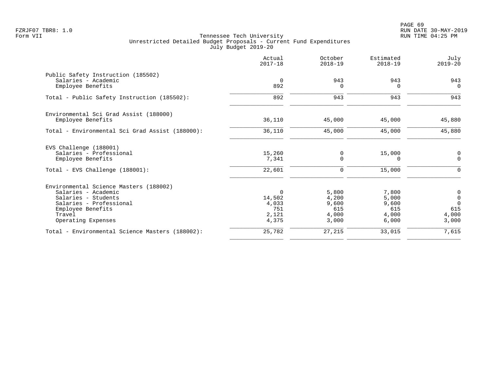|                                                 | Actual<br>$2017 - 18$ | October<br>$2018 - 19$ | Estimated<br>$2018 - 19$ | July<br>$2019 - 20$        |
|-------------------------------------------------|-----------------------|------------------------|--------------------------|----------------------------|
| Public Safety Instruction (185502)              |                       | 943                    | 943                      | 943                        |
| Salaries - Academic<br>Employee Benefits        | $\overline{0}$<br>892 | n                      | $\Omega$                 | $\Omega$                   |
| Total - Public Safety Instruction (185502):     | 892                   | 943                    | 943                      | 943                        |
| Environmental Sci Grad Assist (188000)          |                       |                        |                          |                            |
| Employee Benefits                               | 36,110                | 45,000                 | 45,000                   | 45,880                     |
| Total - Environmental Sci Grad Assist (188000): | 36,110                | 45,000                 | 45,000                   | 45,880                     |
| EVS Challenge (188001)                          |                       |                        |                          |                            |
| Salaries - Professional                         | 15,260                | 0                      | 15,000                   | 0                          |
| Employee Benefits                               | 7,341                 | $\Omega$               | $\Omega$                 | $\Omega$                   |
| Total - EVS Challenge (188001):                 | 22,601                | 0                      | 15,000                   | $\Omega$                   |
| Environmental Science Masters (188002)          |                       |                        |                          |                            |
| Salaries - Academic                             | $\Omega$              | 5,800                  | 7,800                    | $\mathbf 0$                |
| Salaries - Students<br>Salaries - Professional  | 14,502                | 4,200                  | 5,000                    | $\overline{0}$<br>$\Omega$ |
| Employee Benefits                               | 4,033<br>751          | 9,600<br>615           | 9,600<br>615             | 615                        |
| Travel                                          | 2,121                 | 4,000                  | 4,000                    | 4,000                      |
| Operating Expenses                              | 4,375                 | 3,000                  | 6,000                    | 3,000                      |
| Total - Environmental Science Masters (188002): | 25,782                | 27,215                 | 33,015                   | 7,615                      |
|                                                 |                       |                        |                          |                            |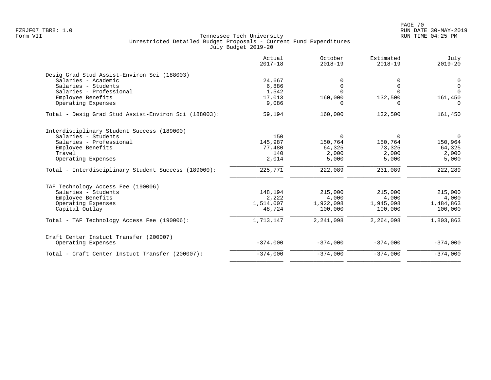|                                                              | Actual<br>$2017 - 18$ | October<br>$2018 - 19$ | Estimated<br>$2018 - 19$ | July<br>$2019 - 20$ |
|--------------------------------------------------------------|-----------------------|------------------------|--------------------------|---------------------|
| Desig Grad Stud Assist-Environ Sci (188003)                  |                       |                        |                          |                     |
| Salaries - Academic                                          | 24,667                |                        |                          | 0                   |
| Salaries - Students                                          | 6,886                 | 0                      | $\Omega$                 | $\overline{0}$      |
| Salaries - Professional                                      | 1,542                 | $\Omega$               | $\cap$                   | $\Omega$            |
| Employee Benefits                                            | 17,013                | 160,000                | 132,500                  | 161,450             |
| Operating Expenses                                           | 9,086                 | O                      | 0                        | 0                   |
| Total - Desig Grad Stud Assist-Environ Sci (188003):         | 59,194                | 160,000                | 132,500                  | 161,450             |
| Interdisciplinary Student Success (189000)                   |                       |                        |                          |                     |
| Salaries - Students                                          | 150                   | $\Omega$               | $\Omega$                 | $\overline{0}$      |
| Salaries - Professional                                      | 145,987               | 150,764                | 150,764                  | 150,964             |
| Employee Benefits                                            | 77,480                | 64,325                 | 73,325                   | 64,325              |
| Travel                                                       | 140                   | 2,000                  | 2,000                    | 2,000               |
| Operating Expenses                                           | 2,014                 | 5,000                  | 5,000                    | 5,000               |
| Total - Interdisciplinary Student Success (189000):          | 225,771               | 222,089                | 231,089                  | 222,289             |
| TAF Technology Access Fee (190006)                           |                       |                        |                          |                     |
| Salaries - Students                                          | 148,194               | 215,000                | 215,000                  | 215,000             |
| Employee Benefits                                            | 2,222                 | 4,000                  | 4,000                    | 4,000               |
| Operating Expenses                                           | 1,514,007             | 1,922,098              | 1,945,098                | 1,484,863           |
| Capital Outlay                                               | 48,724                | 100,000                | 100,000                  | 100,000             |
| Total - TAF Technology Access Fee (190006):                  | 1,713,147             | 2,241,098              | 2,264,098                | 1,803,863           |
| Craft Center Instuct Transfer (200007)<br>Operating Expenses | $-374,000$            | $-374,000$             | $-374,000$               | $-374,000$          |
|                                                              |                       |                        |                          |                     |
| Total - Craft Center Instuct Transfer (200007):              | $-374,000$            | $-374,000$             | $-374,000$               | $-374,000$          |
|                                                              |                       |                        |                          |                     |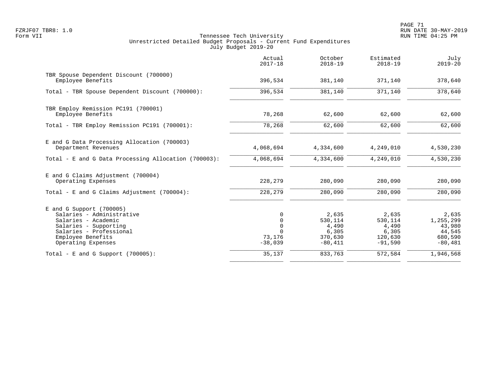|                                                                                                                                                                               | Actual<br>$2017 - 18$                                                | October<br>$2018 - 19$                                      | Estimated<br>$2018 - 19$                                   | July<br>$2019 - 20$                                            |
|-------------------------------------------------------------------------------------------------------------------------------------------------------------------------------|----------------------------------------------------------------------|-------------------------------------------------------------|------------------------------------------------------------|----------------------------------------------------------------|
| TBR Spouse Dependent Discount (700000)<br>Employee Benefits                                                                                                                   | 396,534                                                              | 381,140                                                     | 371,140                                                    | 378,640                                                        |
| Total - TBR Spouse Dependent Discount (700000):                                                                                                                               | 396,534                                                              | 381,140                                                     | 371,140                                                    | 378,640                                                        |
| TBR Employ Remission PC191 (700001)<br>Employee Benefits                                                                                                                      | 78,268                                                               | 62,600                                                      | 62,600                                                     | 62,600                                                         |
| Total - TBR Employ Remission PC191 (700001):                                                                                                                                  | 78,268                                                               | 62,600                                                      | 62,600                                                     | 62,600                                                         |
| E and G Data Processing Allocation (700003)<br>Department Revenues                                                                                                            | 4,068,694                                                            | 4,334,600                                                   | 4,249,010                                                  | 4,530,230                                                      |
| Total - E and G Data Processing Allocation (700003):                                                                                                                          | 4,068,694                                                            | 4,334,600                                                   | 4,249,010                                                  | 4,530,230                                                      |
| E and G Claims Adjustment (700004)<br>Operating Expenses                                                                                                                      | 228,279                                                              | 280,090                                                     | 280,090                                                    | 280,090                                                        |
| Total - E and G Claims Adjustment (700004):                                                                                                                                   | 228,279                                                              | 280,090                                                     | 280,090                                                    | 280,090                                                        |
| $E$ and G Support (700005)<br>Salaries - Administrative<br>Salaries - Academic<br>Salaries - Supporting<br>Salaries - Professional<br>Employee Benefits<br>Operating Expenses | $\Omega$<br>$\Omega$<br>$\mathbf 0$<br>$\cap$<br>73,176<br>$-38,039$ | 2,635<br>530,114<br>4,490<br>6,305<br>370,630<br>$-80, 411$ | 2,635<br>530,114<br>4,490<br>6,305<br>120,630<br>$-91,590$ | 2,635<br>1,255,299<br>43,980<br>44,545<br>680,590<br>$-80,481$ |
| Total - E and G Support $(700005)$ :                                                                                                                                          | 35,137                                                               | 833,763                                                     | 572,584                                                    | 1,946,568                                                      |
|                                                                                                                                                                               |                                                                      |                                                             |                                                            |                                                                |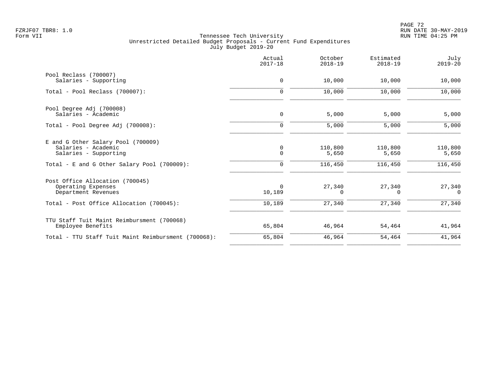|                                                     | Actual<br>$2017 - 18$ | October<br>$2018 - 19$ | Estimated<br>$2018 - 19$ | July<br>$2019 - 20$ |
|-----------------------------------------------------|-----------------------|------------------------|--------------------------|---------------------|
| Pool Reclass (700007)                               |                       |                        |                          |                     |
| Salaries - Supporting                               | $\mathbf 0$           | 10,000                 | 10,000                   | 10,000              |
| Total - Pool Reclass (700007):                      | $\mathbf 0$           | 10,000                 | 10,000                   | 10,000              |
| Pool Degree Adj (700008)                            |                       |                        |                          |                     |
| Salaries - Academic                                 | $\mathbf 0$           | 5,000                  | 5,000                    | 5,000               |
| Total - Pool Degree Adj (700008):                   | $\mathbf 0$           | 5,000                  | 5,000                    | 5,000               |
| E and G Other Salary Pool (700009)                  |                       |                        |                          |                     |
| Salaries - Academic                                 | 0                     | 110,800                | 110,800                  | 110,800             |
| Salaries - Supporting                               | $\mathbf 0$           | 5,650                  | 5,650                    | 5,650               |
| Total - E and G Other Salary Pool (700009):         | 0                     | 116,450                | 116,450                  | 116,450             |
| Post Office Allocation (700045)                     |                       |                        |                          |                     |
| Operating Expenses                                  | $\Omega$              | 27,340                 | 27,340                   | 27,340              |
| Department Revenues                                 | 10,189                | $\Omega$               | $\Omega$                 | $\Omega$            |
| Total - Post Office Allocation (700045):            | 10,189                | 27,340                 | 27,340                   | 27,340              |
| TTU Staff Tuit Maint Reimbursment (700068)          |                       |                        |                          |                     |
| Employee Benefits                                   | 65,804                | 46,964                 | 54,464                   | 41,964              |
| Total - TTU Staff Tuit Maint Reimbursment (700068): | 65,804                | 46,964                 | 54,464                   | 41,964              |
|                                                     |                       |                        |                          |                     |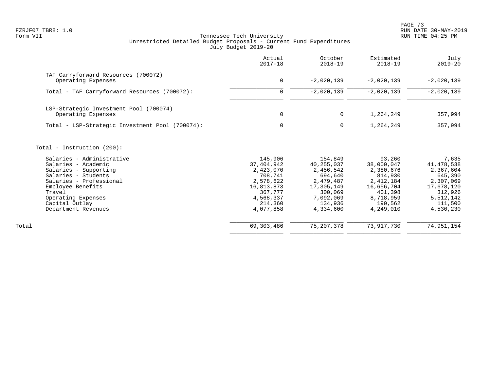PAGE 73 FZRJF07 TBR8: 1.0 RUN DATE 30-MAY-2019

|                                                                                                                                                                                                                           | Actual<br>$2017 - 18$                                                                                                    | October<br>$2018 - 19$                                                                                                     | Estimated<br>$2018 - 19$                                                                                                | July<br>$2019 - 20$                                                                                                        |
|---------------------------------------------------------------------------------------------------------------------------------------------------------------------------------------------------------------------------|--------------------------------------------------------------------------------------------------------------------------|----------------------------------------------------------------------------------------------------------------------------|-------------------------------------------------------------------------------------------------------------------------|----------------------------------------------------------------------------------------------------------------------------|
| TAF Carryforward Resources (700072)<br>Operating Expenses                                                                                                                                                                 | 0                                                                                                                        | $-2,020,139$                                                                                                               | $-2,020,139$                                                                                                            | $-2,020,139$                                                                                                               |
| Total - TAF Carryforward Resources (700072):                                                                                                                                                                              | $\mathbf 0$                                                                                                              | $-2,020,139$                                                                                                               | $-2,020,139$                                                                                                            | $-2,020,139$                                                                                                               |
| LSP-Strategic Investment Pool (700074)<br>Operating Expenses                                                                                                                                                              | $\mathbf 0$                                                                                                              | $\mathsf{O}$                                                                                                               | 1,264,249                                                                                                               | 357,994                                                                                                                    |
| Total - LSP-Strategic Investment Pool (700074):                                                                                                                                                                           | $\mathbf 0$                                                                                                              | $\mathbf 0$                                                                                                                | 1,264,249                                                                                                               | 357,994                                                                                                                    |
| Total - Instruction (200):                                                                                                                                                                                                |                                                                                                                          |                                                                                                                            |                                                                                                                         |                                                                                                                            |
| Salaries - Administrative<br>Salaries - Academic<br>Salaries - Supporting<br>Salaries - Students<br>Salaries - Professional<br>Employee Benefits<br>Travel<br>Operating Expenses<br>Capital Outlay<br>Department Revenues | 145,906<br>37,404,942<br>2,423,070<br>708,741<br>2,578,622<br>16,813,873<br>367,777<br>4,568,337<br>214,360<br>4,077,858 | 154,849<br>40, 255, 037<br>2,456,542<br>694,640<br>2,479,487<br>17,305,149<br>300,069<br>7,092,069<br>134,936<br>4,334,600 | 93,260<br>38,000,047<br>2,380,676<br>814,930<br>2,412,184<br>16,656,704<br>401,398<br>8,718,959<br>190,562<br>4,249,010 | 7,635<br>41, 478, 538<br>2,367,604<br>645,390<br>2,307,069<br>17,678,120<br>312,926<br>5, 512, 142<br>111,500<br>4,530,230 |
| Total                                                                                                                                                                                                                     | 69, 303, 486                                                                                                             | 75, 207, 378                                                                                                               | 73,917,730                                                                                                              | 74,951,154                                                                                                                 |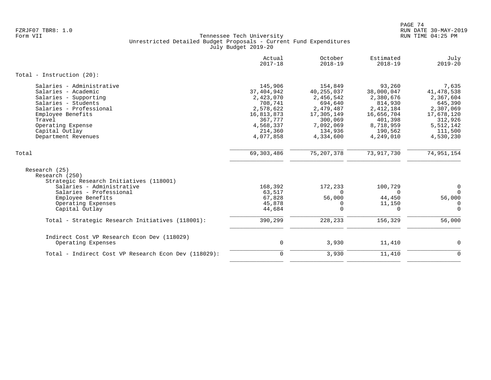|                                                      | Actual<br>$2017 - 18$   | October<br>$2018 - 19$  | Estimated<br>$2018 - 19$ | July<br>$2019 - 20$     |
|------------------------------------------------------|-------------------------|-------------------------|--------------------------|-------------------------|
| Total - Instruction $(20)$ :                         |                         |                         |                          |                         |
| Salaries - Administrative                            | 145,906                 | 154,849                 | 93,260                   | 7,635                   |
| Salaries - Academic                                  | 37, 404, 942            | 40, 255, 037            | 38,000,047               | 41,478,538              |
| Salaries - Supporting                                | 2,423,070               | 2,456,542               | 2,380,676                | 2,367,604               |
| Salaries - Students<br>Salaries - Professional       | 708,741                 | 694,640                 | 814,930                  | 645,390                 |
| Employee Benefits                                    | 2,578,622<br>16,813,873 | 2,479,487<br>17,305,149 | 2,412,184<br>16,656,704  | 2,307,069<br>17,678,120 |
| Travel                                               | 367,777                 | 300,069                 | 401,398                  | 312,926                 |
| Operating Expense                                    | 4,568,337               | 7,092,069               | 8,718,959                | 5,512,142               |
| Capital Outlay                                       | 214,360                 | 134,936                 | 190,562                  | 111,500                 |
| Department Revenues                                  | 4,077,858               | 4,334,600               | 4,249,010                | 4,530,230               |
|                                                      |                         |                         |                          |                         |
| Total                                                | 69, 303, 486            | 75, 207, 378            | 73, 917, 730             | 74, 951, 154            |
| Research (25)                                        |                         |                         |                          |                         |
| Research (250)                                       |                         |                         |                          |                         |
| Strategic Research Initiatives (118001)              |                         |                         |                          |                         |
| Salaries - Administrative                            | 168,392                 | 172,233                 | 100,729                  | $\mathbf 0$             |
| Salaries - Professional                              | 63,517                  | $\Omega$                | $\Omega$                 | $\Omega$                |
| Employee Benefits                                    | 67,828                  | 56,000                  | 44,450                   | 56,000                  |
| Operating Expenses                                   | 45,878                  | 0                       | 11,150                   | $\mathbf 0$             |
| Capital Outlay                                       | 44,684                  | $\mathbf 0$             | 0                        | $\mathbf 0$             |
| Total - Strategic Research Initiatives (118001):     | 390,299                 | 228,233                 | 156,329                  | 56,000                  |
|                                                      |                         |                         |                          |                         |
| Indirect Cost VP Research Econ Dev (118029)          |                         |                         |                          |                         |
| Operating Expenses                                   | 0                       | 3,930                   | 11,410                   | 0                       |
| Total - Indirect Cost VP Research Econ Dev (118029): | $\mathbf 0$             | 3,930                   | 11,410                   | $\mathbf 0$             |
|                                                      |                         |                         |                          |                         |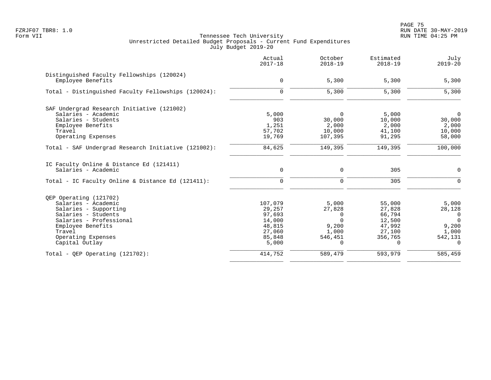PAGE 75 FZRJF07 TBR8: 1.0 RUN DATE 30-MAY-2019

|                                                                 | Actual<br>$2017 - 18$ | October<br>$2018 - 19$ | Estimated<br>$2018 - 19$ | July<br>$2019 - 20$ |
|-----------------------------------------------------------------|-----------------------|------------------------|--------------------------|---------------------|
| Distinguished Faculty Fellowships (120024)<br>Employee Benefits | $\mathbf 0$           | 5,300                  | 5,300                    | 5,300               |
| Total - Distinguished Faculty Fellowships (120024):             | $\mathbf 0$           | 5,300                  | 5,300                    | 5,300               |
| SAF Undergrad Research Initiative (121002)                      |                       |                        |                          |                     |
| Salaries - Academic                                             | 5,000                 | $\Omega$               | 5,000                    | $\Omega$            |
| Salaries - Students                                             | 903                   | 30,000                 | 10,000                   | 30,000              |
| Employee Benefits                                               | 1,251                 | 2,000                  | 2,000                    | 2,000               |
| Travel                                                          | 57,702                | 10,000                 | 41,100                   | 10,000              |
| Operating Expenses                                              | 19,769                | 107,395                | 91,295                   | 58,000              |
| Total - SAF Undergrad Research Initiative (121002):             | 84,625                | 149,395                | 149,395                  | 100,000             |
| IC Faculty Online & Distance Ed (121411)                        |                       |                        |                          |                     |
| Salaries - Academic                                             | $\mathbf 0$           | 0                      | 305                      | 0                   |
| Total - IC Faculty Online & Distance Ed (121411):               | $\mathbf 0$           | $\mathbf 0$            | 305                      | $\mathbf 0$         |
| OEP Operating (121702)                                          |                       |                        |                          |                     |
| Salaries - Academic                                             | 107,079               | 5,000                  | 55,000                   | 5,000               |
| Salaries - Supporting                                           | 29,257                | 27,828                 | 27,828                   | 28,128              |
| Salaries - Students                                             | 97,693                | 0                      | 66,794                   | $\overline{0}$      |
| Salaries - Professional                                         | 14,000                | $\Omega$               | 12,500                   | $\Omega$            |
| Employee Benefits                                               | 48,815                | 9,200                  | 47,992                   | 9,200               |
| Travel                                                          | 27,060                | 1,000                  | 27,100                   | 1,000               |
| Operating Expenses                                              | 85,848                | 546,451                | 356,765                  | 542,131             |
| Capital Outlay                                                  | 5,000                 | 0                      | 0                        | 0                   |
| Total - QEP Operating $(121702)$ :                              | 414,752               | 589,479                | 593,979                  | 585,459             |
|                                                                 |                       |                        |                          |                     |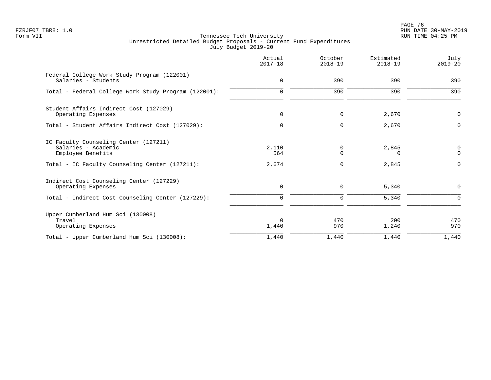en and the set of the set of the set of the set of the set of the set of the set of the set of the set of the set of the set of the set of the set of the set of the set of the set of the set of the set of the set of the se FZRJF07 TBR8: 1.0 RUN DATE 30-MAY-2019

|                                                                                   | Actual<br>$2017 - 18$ | October<br>$2018 - 19$ | Estimated<br>$2018 - 19$ | July<br>$2019 - 20$     |
|-----------------------------------------------------------------------------------|-----------------------|------------------------|--------------------------|-------------------------|
| Federal College Work Study Program (122001)<br>Salaries - Students                | $\mathbf 0$           | 390                    | 390                      | 390                     |
| Total - Federal College Work Study Program (122001):                              | $\mathbf 0$           | 390                    | 390                      | 390                     |
| Student Affairs Indirect Cost (127029)<br>Operating Expenses                      | 0                     | 0                      | 2,670                    | 0                       |
| Total - Student Affairs Indirect Cost (127029):                                   | $\mathbf 0$           | $\mathbf 0$            | 2,670                    | $\mathbf 0$             |
| IC Faculty Counseling Center (127211)<br>Salaries - Academic<br>Employee Benefits | 2,110<br>564          | 0<br>$\mathbf 0$       | 2,845<br>n               | $\Omega$<br>$\mathbf 0$ |
| Total - IC Faculty Counseling Center (127211):                                    | 2,674                 | $\mathbf 0$            | 2,845                    | $\Omega$                |
| Indirect Cost Counseling Center (127229)<br>Operating Expenses                    | $\mathbf 0$           | 0                      | 5,340                    | $\mathbf 0$             |
| Total - Indirect Cost Counseling Center (127229):                                 | $\mathbf 0$           | $\mathbf 0$            | 5,340                    | $\Omega$                |
| Upper Cumberland Hum Sci (130008)<br>Travel<br>Operating Expenses                 | $\Omega$<br>1,440     | 470<br>970             | 200<br>1,240             | 470<br>970              |
| Total - Upper Cumberland Hum Sci (130008):                                        | 1,440                 | 1,440                  | 1,440                    | 1,440                   |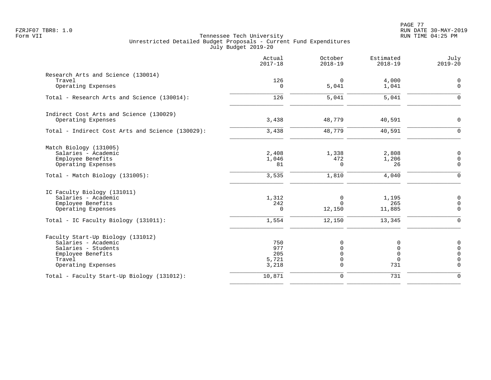|                                                  | Actual<br>$2017 - 18$ | October<br>$2018 - 19$ | Estimated<br>$2018 - 19$ | July<br>$2019 - 20$ |
|--------------------------------------------------|-----------------------|------------------------|--------------------------|---------------------|
| Research Arts and Science (130014)               |                       |                        |                          |                     |
| Travel                                           | 126                   | $\overline{0}$         | 4,000                    | $\overline{0}$      |
| Operating Expenses                               | 0                     | 5,041                  | 1,041                    | $\mathbf 0$         |
| Total - Research Arts and Science (130014):      | 126                   | 5,041                  | 5,041                    | $\mathbf 0$         |
| Indirect Cost Arts and Science (130029)          |                       |                        |                          |                     |
| Operating Expenses                               | 3,438                 | 48,779                 | 40,591                   | $\mathbf 0$         |
| Total - Indirect Cost Arts and Science (130029): | 3,438                 | 48,779                 | 40,591                   | $\Omega$            |
| Match Biology (131005)                           |                       |                        |                          |                     |
| Salaries - Academic                              | 2,408                 | 1,338                  | 2,808                    | 0                   |
| Employee Benefits                                | 1,046                 | 472                    | 1,206                    | $\mathbf 0$         |
| Operating Expenses                               | 81                    | $\mathbf 0$            | 26                       | $\mathbf 0$         |
| Total - Match Biology (131005):                  | 3,535                 | 1,810                  | 4,040                    | $\mathbf 0$         |
| IC Faculty Biology (131011)                      |                       |                        |                          |                     |
| Salaries - Academic                              | 1,312                 | $\mathbf 0$            | 1,195                    | $\overline{0}$      |
| Employee Benefits                                | 242                   | $\Omega$               | 265                      | $\mathsf{O}$        |
| Operating Expenses                               | $\mathbf 0$           | 12,150                 | 11,885                   | $\mathbf 0$         |
| Total - IC Faculty Biology (131011):             | 1,554                 | 12,150                 | 13,345                   | $\mathbf 0$         |
| Faculty Start-Up Biology (131012)                |                       |                        |                          |                     |
| Salaries - Academic                              | 750                   | 0                      | 0                        | $\overline{0}$      |
| Salaries - Students                              | 977                   | $\Omega$               | $\mathbf 0$              | $\mathbf 0$         |
| Employee Benefits                                | 205                   | $\Omega$               | $\mathbf 0$              | $\Omega$            |
| Travel                                           | 5,721                 | 0                      | $\Omega$                 | $\overline{0}$      |
| Operating Expenses                               | 3,218                 | $\Omega$               | 731                      | $\Omega$            |
| Total - Faculty Start-Up Biology (131012):       | 10,871                | $\mathbf 0$            | 731                      | $\Omega$            |
|                                                  |                       |                        |                          |                     |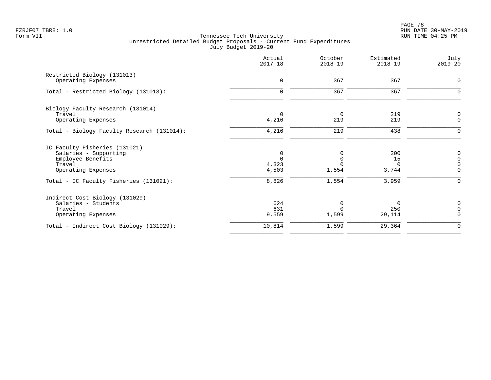|                                            | Actual<br>$2017 - 18$ | October<br>$2018 - 19$ | Estimated<br>$2018 - 19$ | July<br>$2019 - 20$ |
|--------------------------------------------|-----------------------|------------------------|--------------------------|---------------------|
| Restricted Biology (131013)                |                       |                        |                          |                     |
| Operating Expenses                         | $\mathbf 0$           | 367                    | 367                      | $\mathbf 0$         |
| Total - Restricted Biology (131013):       | $\mathbf 0$           | 367                    | 367                      | $\mathbf 0$         |
| Biology Faculty Research (131014)          |                       |                        |                          |                     |
| Travel                                     | $\Omega$              | $\mathbf 0$            | 219                      | 0                   |
| Operating Expenses                         | 4,216                 | 219                    | 219                      | $\mathbf 0$         |
| Total - Biology Faculty Research (131014): | 4,216                 | 219                    | 438                      | $\Omega$            |
| IC Faculty Fisheries (131021)              |                       |                        |                          |                     |
| Salaries - Supporting                      | 0                     | O                      | 200                      | $\mathbf 0$         |
| Employee Benefits                          | $\Omega$              |                        | 15                       | $\mathbf 0$         |
| Travel                                     | 4,323                 |                        | $\Omega$                 | $\mathbf 0$         |
| Operating Expenses                         | 4,503                 | 1,554                  | 3,744                    | $\Omega$            |
| Total - IC Faculty Fisheries (131021):     | 8,826                 | 1,554                  | 3,959                    | $\Omega$            |
| Indirect Cost Biology (131029)             |                       |                        |                          |                     |
| Salaries - Students                        | 624                   | $\Omega$               | 0                        | 0                   |
| Travel                                     | 631                   |                        | 250                      | $\Omega$            |
| Operating Expenses                         | 9,559                 | 1,599                  | 29,114                   | $\Omega$            |
| Total - Indirect Cost Biology (131029):    | 10,814                | 1,599                  | 29,364                   | $\Omega$            |
|                                            |                       |                        |                          |                     |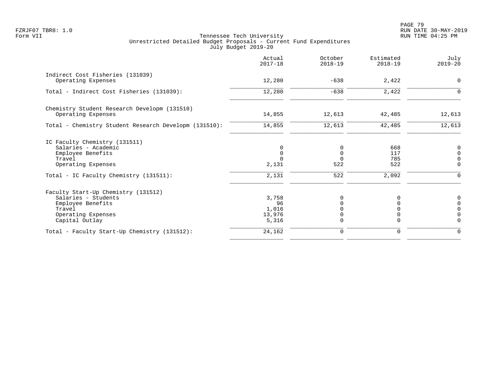PAGE 79 FZRJF07 TBR8: 1.0 RUN DATE 30-MAY-2019

|                                                                                                                                   | Actual<br>$2017 - 18$                   | October<br>$2018 - 19$                     | Estimated<br>$2018 - 19$ | July<br>$2019 - 20$                                                           |
|-----------------------------------------------------------------------------------------------------------------------------------|-----------------------------------------|--------------------------------------------|--------------------------|-------------------------------------------------------------------------------|
| Indirect Cost Fisheries (131039)<br>Operating Expenses                                                                            | 12,280                                  | $-638$                                     | 2,422                    | $\mathbf 0$                                                                   |
| Total - Indirect Cost Fisheries (131039):                                                                                         | 12,280                                  | $-638$                                     | 2,422                    | $\Omega$                                                                      |
| Chemistry Student Research Developm (131510)<br>Operating Expenses                                                                | 14,855                                  | 12,613                                     | 42,485                   | 12,613                                                                        |
| Total - Chemistry Student Research Developm (131510):                                                                             | 14,855                                  | 12,613                                     | 42,485                   | 12,613                                                                        |
| IC Faculty Chemistry (131511)<br>Salaries - Academic<br>Employee Benefits<br>Travel<br>Operating Expenses                         | 0<br>$\mathbf 0$<br>2,131               | $\mathbf 0$<br>$\Omega$<br>$\Omega$<br>522 | 668<br>117<br>785<br>522 | 0<br>$\overline{0}$<br>$\mathsf{O}\xspace$<br>$\Omega$                        |
| Total - IC Faculty Chemistry (131511):                                                                                            | 2,131                                   | 522                                        | 2,092                    | $\Omega$                                                                      |
| Faculty Start-Up Chemistry (131512)<br>Salaries - Students<br>Employee Benefits<br>Travel<br>Operating Expenses<br>Capital Outlay | 3,758<br>96<br>1,016<br>13,976<br>5,316 | 0<br>$\Omega$<br>$\Omega$<br>$\Omega$      | 0<br>U<br>$\Omega$       | 0<br>$\mathsf{O}\xspace$<br>$\mathsf{O}\xspace$<br>$\overline{0}$<br>$\Omega$ |
| Total - Faculty Start-Up Chemistry (131512):                                                                                      | 24,162                                  | $\mathbf 0$                                | 0                        | $\mathbf 0$                                                                   |
|                                                                                                                                   |                                         |                                            |                          |                                                                               |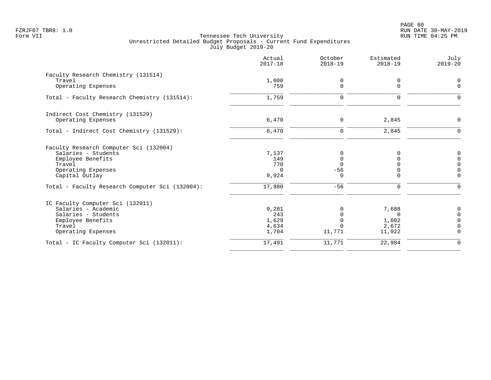|                                                 | Actual<br>$2017 - 18$ | October<br>$2018 - 19$ | Estimated<br>$2018 - 19$ | July<br>$2019 - 20$ |
|-------------------------------------------------|-----------------------|------------------------|--------------------------|---------------------|
| Faculty Research Chemistry (131514)             |                       |                        |                          |                     |
| Travel                                          | 1,000                 | 0                      | 0                        | $\Omega$            |
| Operating Expenses                              | 759                   | $\Omega$               | $\Omega$                 | $\Omega$            |
| Total - Faculty Research Chemistry (131514):    | 1,759                 | $\mathbf 0$            | $\Omega$                 | $\Omega$            |
| Indirect Cost Chemistry (131529)                |                       |                        |                          |                     |
| Operating Expenses                              | 6,470                 | 0                      | 2,845                    | $\Omega$            |
| Total - Indirect Cost Chemistry (131529):       | 6,470                 | $\mathbf 0$            | 2,845                    | ∩                   |
| Faculty Research Computer Sci (132004)          |                       |                        |                          |                     |
| Salaries - Students                             | 7,137                 | 0                      | O                        | $\Omega$            |
| Employee Benefits                               | 149                   | 0                      |                          | $\Omega$            |
| Travel                                          | 770                   | $\Omega$               |                          | $\Omega$            |
| Operating Expenses                              | $\Omega$              | $-56$                  | $\Omega$                 | $\Omega$            |
| Capital Outlay                                  | 9,924                 | $\Omega$               | $\Omega$                 | $\Omega$            |
| Total - Faculty Research Computer Sci (132004): | 17,980                | $-56$                  | $\mathbf 0$              | $\Omega$            |
| IC Faculty Computer Sci (132011)                |                       |                        |                          |                     |
| Salaries - Academic                             | 9,281                 |                        | 7,688                    | 0                   |
| Salaries - Students                             | 243                   |                        | $\Omega$                 | $\Omega$            |
| Employee Benefits                               | 1,629                 |                        | 1,602                    | $\cap$              |
| Travel                                          | 4,634                 | $\Omega$               | 2,672                    | $\cap$              |
| Operating Expenses                              | 1,704                 | 11,771                 | 11,022                   | $\Omega$            |
| Total - IC Faculty Computer Sci (132011):       | 17,491                | 11,771                 | 22,984                   | $\Omega$            |
|                                                 |                       |                        |                          |                     |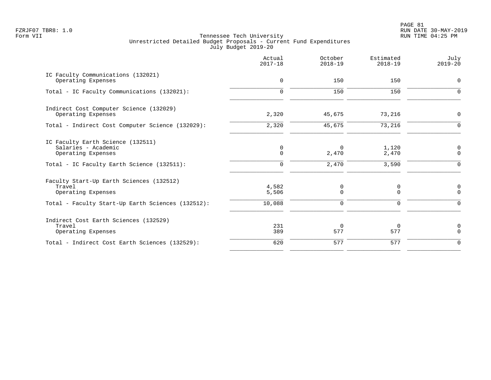PAGE 81 FZRJF07 TBR8: 1.0 RUN DATE 30-MAY-2019

|                                                                                                                               | Actual<br>$2017 - 18$    | October<br>$2018 - 19$       | Estimated<br>$2018 - 19$ | July<br>$2019 - 20$          |
|-------------------------------------------------------------------------------------------------------------------------------|--------------------------|------------------------------|--------------------------|------------------------------|
| IC Faculty Communications (132021)<br>Operating Expenses                                                                      | $\mathbf 0$              | 150                          | 150                      | $\mathbf 0$                  |
| Total - IC Faculty Communications (132021):                                                                                   | $\Omega$                 | 150                          | 150                      | $\Omega$                     |
| Indirect Cost Computer Science (132029)<br>Operating Expenses                                                                 | 2,320                    | 45,675                       | 73,216                   | $\mathbf 0$                  |
| Total - Indirect Cost Computer Science (132029):                                                                              | 2,320                    | 45,675                       | 73,216                   | $\Omega$                     |
| IC Faculty Earth Science (132511)<br>Salaries - Academic<br>Operating Expenses<br>Total - IC Faculty Earth Science (132511):  | 0<br>$\Omega$<br>0       | $\Omega$<br>2,470<br>2,470   | 1,120<br>2,470<br>3,590  | 0<br>$\mathbf 0$<br>$\Omega$ |
| Faculty Start-Up Earth Sciences (132512)<br>Travel<br>Operating Expenses<br>Total - Faculty Start-Up Earth Sciences (132512): | 4,582<br>5,506<br>10,088 | 0<br>$\Omega$<br>$\mathbf 0$ | 0<br>$\Omega$<br>0       | 0<br>$\Omega$<br>$\Omega$    |
| Indirect Cost Earth Sciences (132529)<br>Travel<br>Operating Expenses                                                         | 231<br>389               | $\Omega$<br>577              | $\Omega$<br>577          | 0<br>$\Omega$                |
| Total - Indirect Cost Earth Sciences (132529):                                                                                | 620                      | 577                          | 577                      | $\Omega$                     |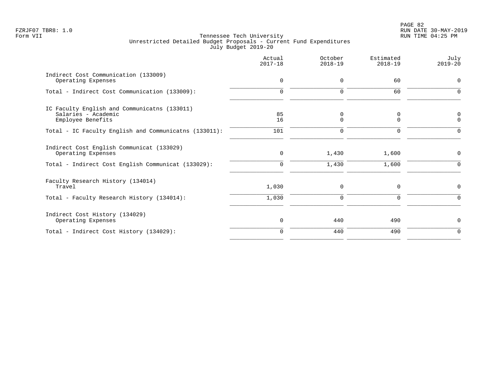|                                                                                          | Actual<br>$2017 - 18$ | October<br>$2018 - 19$ | Estimated<br>$2018 - 19$ | July<br>$2019 - 20$  |
|------------------------------------------------------------------------------------------|-----------------------|------------------------|--------------------------|----------------------|
| Indirect Cost Communication (133009)<br>Operating Expenses                               | 0                     | 0                      | 60                       | $\Omega$             |
| Total - Indirect Cost Communication (133009):                                            | $\Omega$              | $\Omega$               | 60                       |                      |
| IC Faculty English and Communicatns (133011)<br>Salaries - Academic<br>Employee Benefits | 85<br>16              | 0<br>$\Omega$          | 0<br>$\Omega$            | $\Omega$<br>$\Omega$ |
| Total - IC Faculty English and Communicatns (133011):                                    | 101                   | 0                      | $\Omega$                 | ∩                    |
| Indirect Cost English Communicat (133029)<br>Operating Expenses                          | 0                     | 1,430                  | 1,600                    | 0                    |
| Total - Indirect Cost English Communicat (133029):                                       | $\Omega$              | 1,430                  | 1,600                    | $\Omega$             |
| Faculty Research History (134014)<br>Travel                                              | 1,030                 | 0                      | 0                        | 0                    |
| Total - Faculty Research History (134014):                                               | 1,030                 | $\mathbf 0$            | $\mathbf 0$              | $\Omega$             |
| Indirect Cost History (134029)<br>Operating Expenses                                     | $\mathbf 0$           | 440                    | 490                      | $\Omega$             |
| Total - Indirect Cost History (134029):                                                  | $\Omega$              | 440                    | 490                      | $\Omega$             |
|                                                                                          |                       |                        |                          |                      |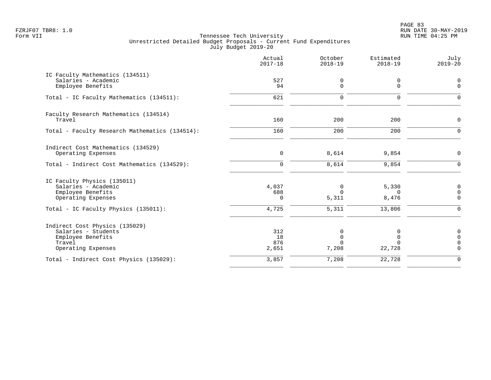PAGE 83 FZRJF07 TBR8: 1.0 RUN DATE 30-MAY-2019

|                                                                                                            | Actual<br>$2017 - 18$     | October<br>$2018 - 19$                       | Estimated<br>$2018 - 19$   | July<br>$2019 - 20$                                       |
|------------------------------------------------------------------------------------------------------------|---------------------------|----------------------------------------------|----------------------------|-----------------------------------------------------------|
| IC Faculty Mathematics (134511)<br>Salaries - Academic<br>Employee Benefits                                | 527<br>94                 | 0<br>$\Omega$                                | 0<br>$\Omega$              | 0<br>$\mathbf 0$                                          |
| Total - IC Faculty Mathematics (134511):                                                                   | 621                       | $\Omega$                                     | 0                          | $\Omega$                                                  |
| Faculty Research Mathematics (134514)<br>Travel                                                            | 160                       | 200                                          | 200                        | $\mathbf 0$                                               |
| Total - Faculty Research Mathematics (134514):                                                             | 160                       | 200                                          | 200                        | $\mathbf 0$                                               |
| Indirect Cost Mathematics (134529)<br>Operating Expenses<br>Total - Indirect Cost Mathematics (134529):    | $\mathbf 0$<br>$\Omega$   | 8,614<br>8,614                               | 9,854<br>9,854             | $\mathbf 0$<br>$\Omega$                                   |
| IC Faculty Physics (135011)<br>Salaries - Academic<br>Employee Benefits<br>Operating Expenses              | 4,037<br>688<br>$\Omega$  | 0<br>$\Omega$<br>5,311                       | 5,330<br>$\Omega$<br>8,476 | 0<br>$\mathsf{O}\xspace$<br>$\mathbf 0$                   |
| Total - IC Faculty Physics (135011):                                                                       | 4,725                     | 5,311                                        | 13,806                     | $\Omega$                                                  |
| Indirect Cost Physics (135029)<br>Salaries - Students<br>Employee Benefits<br>Travel<br>Operating Expenses | 312<br>18<br>876<br>2,651 | $\Omega$<br>$\mathbf 0$<br>$\Omega$<br>7,208 | 22,728                     | 0<br>$\mathsf{O}\xspace$<br>$\mathbf 0$<br>$\overline{0}$ |
| Total - Indirect Cost Physics (135029):                                                                    | 3,857                     | 7,208                                        | 22,728                     | $\Omega$                                                  |
|                                                                                                            |                           |                                              |                            |                                                           |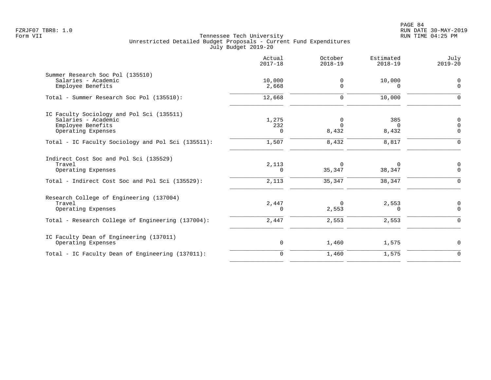|                                                                                                                           | Actual<br>$2017 - 18$ | October<br>$2018 - 19$       | Estimated<br>$2018 - 19$     | July<br>$2019 - 20$                |
|---------------------------------------------------------------------------------------------------------------------------|-----------------------|------------------------------|------------------------------|------------------------------------|
| Summer Research Soc Pol (135510)<br>Salaries - Academic<br>Employee Benefits                                              | 10,000<br>2,668       | 0<br>$\Omega$                | 10,000<br>$\Omega$           | 0<br>$\mathbf 0$                   |
| Total - Summer Research Soc Pol (135510):                                                                                 | 12,668                | 0                            | 10,000                       | $\mathbf 0$                        |
| IC Faculty Sociology and Pol Sci (135511)<br>Salaries - Academic<br>Employee Benefits<br>Operating Expenses               | 1,275<br>232<br>0     | 0<br>$\Omega$<br>8,432       | 385<br>$\Omega$<br>8,432     | 0<br>$\overline{0}$<br>$\mathbf 0$ |
| Total - IC Faculty Sociology and Pol Sci (135511):                                                                        | 1,507                 | 8,432                        | 8,817                        | $\mathbf 0$                        |
| Indirect Cost Soc and Pol Sci (135529)<br>Travel<br>Operating Expenses<br>Total - Indirect Cost Soc and Pol Sci (135529): | 2,113<br>0<br>2,113   | $\Omega$<br>35,347<br>35,347 | $\Omega$<br>38,347<br>38,347 | 0<br>$\mathbf 0$<br>$\mathbf 0$    |
| Research College of Engineering (137004)<br>Travel<br>Operating Expenses                                                  | 2,447<br>0            | $\Omega$<br>2,553            | 2,553<br>0                   | 0<br>$\mathbf 0$                   |
| Total - Research College of Engineering (137004):                                                                         | 2,447                 | 2,553                        | 2,553                        | $\mathbf 0$                        |
| IC Faculty Dean of Engineering (137011)<br>Operating Expenses                                                             | $\mathbf 0$           | 1,460                        | 1,575                        | $\mathbf 0$                        |
| Total - IC Faculty Dean of Engineering (137011):                                                                          | $\mathbf 0$           | 1,460                        | 1,575                        | $\mathbf 0$                        |
|                                                                                                                           |                       |                              |                              |                                    |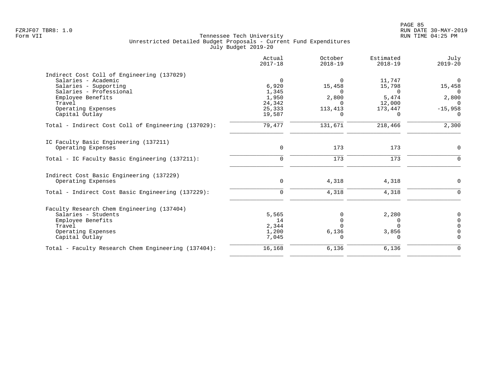|                                                     | Actual<br>$2017 - 18$ | October<br>$2018 - 19$ | Estimated<br>$2018 - 19$ | July<br>$2019 - 20$ |
|-----------------------------------------------------|-----------------------|------------------------|--------------------------|---------------------|
| Indirect Cost Coll of Engineering (137029)          |                       |                        |                          |                     |
| Salaries - Academic                                 | $\Omega$              | $\Omega$               | 11,747                   | $\Omega$            |
| Salaries - Supporting                               | 6,920                 | 15,458                 | 15,798                   | 15,458              |
| Salaries - Professional                             | 1,345                 | $\Omega$               | $\Omega$                 | $\Omega$            |
| Employee Benefits                                   | 1,950                 | 2,800                  | 5,474                    | 2,800               |
| Travel                                              | 24,342                | $\Omega$               | 12,000                   | $\Omega$            |
| Operating Expenses                                  | 25,333                | 113,413                | 173,447                  | $-15,958$           |
| Capital Outlay                                      | 19,587                | $\Omega$               | $\Omega$                 | $\Omega$            |
| Total - Indirect Cost Coll of Engineering (137029): | 79,477                | 131,671                | 218,466                  | 2,300               |
| IC Faculty Basic Engineering (137211)               |                       |                        |                          |                     |
| Operating Expenses                                  | $\Omega$              | 173                    | 173                      | $\Omega$            |
| Total - IC Faculty Basic Engineering (137211):      | $\Omega$              | 173                    | 173                      | $\Omega$            |
| Indirect Cost Basic Engineering (137229)            |                       |                        |                          |                     |
| Operating Expenses                                  | $\mathbf 0$           | 4,318                  | 4,318                    | $\Omega$            |
| Total - Indirect Cost Basic Engineering (137229):   | $\Omega$              | 4,318                  | 4,318                    | O                   |
| Faculty Research Chem Engineering (137404)          |                       |                        |                          |                     |
| Salaries - Students                                 | 5,565                 |                        | 2,280                    | $\Omega$            |
| Employee Benefits                                   | 14                    |                        | 0                        | $\Omega$            |
| Travel                                              | 2,344                 |                        | $\Omega$                 |                     |
| Operating Expenses                                  | 1,200                 | 6,136                  | 3,856                    |                     |
| Capital Outlay                                      | 7,045                 | O                      | $\Omega$                 | $\Omega$            |
| Total - Faculty Research Chem Engineering (137404): | 16,168                | 6,136                  | 6,136                    | $\Omega$            |
|                                                     |                       |                        |                          |                     |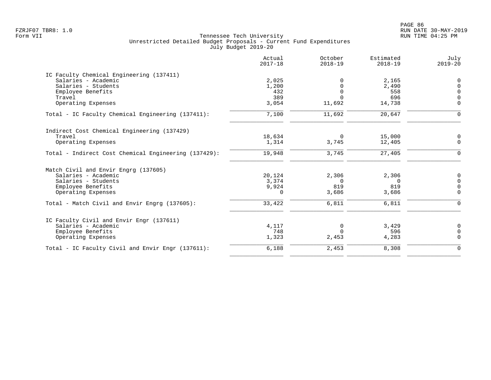|                                                      | Actual<br>$2017 - 18$ | October<br>$2018 - 19$ | Estimated<br>$2018 - 19$ | July<br>$2019 - 20$ |
|------------------------------------------------------|-----------------------|------------------------|--------------------------|---------------------|
| IC Faculty Chemical Engineering (137411)             |                       |                        |                          |                     |
| Salaries - Academic                                  | 2,025                 |                        | 2,165                    | $\Omega$            |
| Salaries - Students                                  | 1,200                 | $\mathbf 0$            | 2,490                    | $\Omega$            |
| Employee Benefits                                    | 432                   | $\mathbf 0$            | 558                      | $\Omega$            |
| Travel                                               | 389                   | $\Omega$               | 696                      | $\Omega$            |
| Operating Expenses                                   | 3,054                 | 11,692                 | 14,738                   | $\Omega$            |
| Total - IC Faculty Chemical Engineering (137411):    | 7,100                 | 11,692                 | 20,647                   | $\Omega$            |
| Indirect Cost Chemical Engineering (137429)          |                       |                        |                          |                     |
| Travel                                               | 18,634                | $\overline{0}$         | 15,000                   | 0                   |
| Operating Expenses                                   | 1,314                 | 3,745                  | 12,405                   | $\overline{0}$      |
| Total - Indirect Cost Chemical Engineering (137429): | 19,948                | 3,745                  | 27,405                   | $\Omega$            |
| Match Civil and Envir Engrg (137605)                 |                       |                        |                          |                     |
| Salaries - Academic                                  | 20,124                | 2,306                  | 2,306                    | 0                   |
| Salaries - Students                                  | 3,374                 | $\Omega$               | $\Omega$                 | $\mathbf 0$         |
| Employee Benefits                                    | 9,924                 | 819                    | 819                      | $\mathbf 0$         |
| Operating Expenses                                   | $\Omega$              | 3,686                  | 3,686                    | $\Omega$            |
| Total - Match Civil and Envir Engrg (137605):        | 33,422                | 6,811                  | 6,811                    | $\Omega$            |
| IC Faculty Civil and Envir Engr (137611)             |                       |                        |                          |                     |
| Salaries - Academic                                  | 4,117                 | 0                      | 3,429                    | 0                   |
| Employee Benefits                                    | 748                   | $\Omega$               | 596                      | $\mathbf 0$         |
| Operating Expenses                                   | 1,323                 | 2,453                  | 4,283                    | $\Omega$            |
| Total - IC Faculty Civil and Envir Engr (137611):    | 6,188                 | 2,453                  | 8,308                    | $\mathbf 0$         |
|                                                      |                       |                        |                          |                     |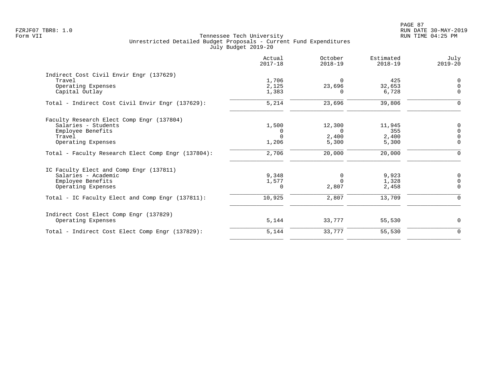|                                                    | Actual<br>$2017 - 18$ | October<br>$2018 - 19$ | Estimated<br>$2018 - 19$ | July<br>$2019 - 20$ |
|----------------------------------------------------|-----------------------|------------------------|--------------------------|---------------------|
| Indirect Cost Civil Envir Engr (137629)            |                       |                        |                          |                     |
| Travel                                             | 1,706                 | $\Omega$               | 425                      | $\Omega$            |
| Operating Expenses                                 | 2,125                 | 23,696                 | 32,653                   | $\Omega$            |
| Capital Outlay                                     | 1,383                 | n                      | 6,728                    | $\Omega$            |
| Total - Indirect Cost Civil Envir Engr (137629):   | 5,214                 | 23,696                 | 39,806                   | 0                   |
| Faculty Research Elect Comp Engr (137804)          |                       |                        |                          |                     |
| Salaries - Students                                | 1,500                 | 12,300                 | 11,945                   | 0                   |
| Employee Benefits                                  | 0                     | $\Omega$               | 355                      | $\Omega$            |
| Travel                                             | $\Omega$              | 2,400                  | 2,400                    | $\Omega$            |
| Operating Expenses                                 | 1,206                 | 5,300                  | 5,300                    | $\mathbf 0$         |
| Total - Faculty Research Elect Comp Engr (137804): | 2,706                 | 20,000                 | 20,000                   | 0                   |
| IC Faculty Elect and Comp Engr (137811)            |                       |                        |                          |                     |
| Salaries - Academic                                | 9,348                 | $\Omega$               | 9,923                    | $\mathbf 0$         |
| Employee Benefits                                  | 1,577                 | $\Omega$               | 1,328                    | $\Omega$            |
| Operating Expenses                                 | 0                     | 2,807                  | 2,458                    | $\overline{0}$      |
| Total - IC Faculty Elect and Comp Engr (137811):   | 10,925                | 2,807                  | 13,709                   | $\Omega$            |
| Indirect Cost Elect Comp Engr (137829)             |                       |                        |                          |                     |
| Operating Expenses                                 | 5,144                 | 33,777                 | 55,530                   | $\mathbf 0$         |
| Total - Indirect Cost Elect Comp Engr (137829):    | 5,144                 | 33,777                 | 55,530                   | 0                   |
|                                                    |                       |                        |                          |                     |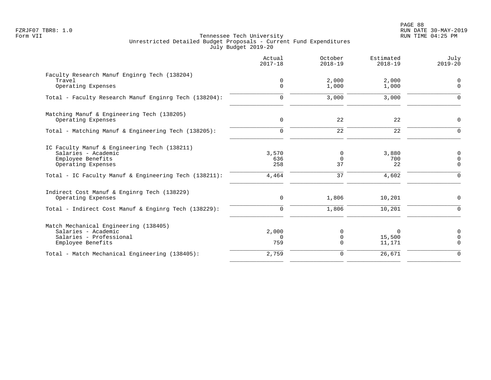PAGE 88 FZRJF07 TBR8: 1.0 RUN DATE 30-MAY-2019

|                                                                                                                                                                         | Actual<br>$2017 - 18$        | October<br>$2018 - 19$    | Estimated<br>$2018 - 19$    | July<br>$2019 - 20$                                      |
|-------------------------------------------------------------------------------------------------------------------------------------------------------------------------|------------------------------|---------------------------|-----------------------------|----------------------------------------------------------|
| Faculty Research Manuf Enginrg Tech (138204)<br>Travel<br>Operating Expenses                                                                                            | 0<br>$\Omega$                | 2,000<br>1,000            | 2,000<br>1,000              | 0<br>$\Omega$                                            |
| Total - Faculty Research Manuf Enginrg Tech (138204):                                                                                                                   | $\mathbf 0$                  | 3,000                     | 3,000                       | $\Omega$                                                 |
| Matching Manuf & Engineering Tech (138205)<br>Operating Expenses                                                                                                        | $\mathbf 0$                  | 22                        | 22                          | $\mathbf 0$                                              |
| Total - Matching Manuf & Engineering Tech (138205):                                                                                                                     | $\mathbf 0$                  | 22                        | $\overline{22}$             | $\mathbf 0$                                              |
| IC Faculty Manuf & Engineering Tech (138211)<br>Salaries - Academic<br>Employee Benefits<br>Operating Expenses<br>Total - IC Faculty Manuf & Engineering Tech (138211): | 3,570<br>636<br>258<br>4,464 | 0<br>$\Omega$<br>37<br>37 | 3,880<br>700<br>22<br>4,602 | $\mathbf 0$<br>$\mathbf 0$<br>$\mathbf 0$<br>$\mathbf 0$ |
| Indirect Cost Manuf & Enginrg Tech (138229)<br>Operating Expenses                                                                                                       | $\mathbf 0$                  | 1,806                     | 10,201                      | $\mathbf 0$                                              |
| Total - Indirect Cost Manuf & Enginrg Tech (138229):                                                                                                                    | $\mathbf 0$                  | 1,806                     | 10,201                      | $\mathbf 0$                                              |
| Match Mechanical Engineering (138405)<br>Salaries - Academic<br>Salaries - Professional<br>Employee Benefits                                                            | 2,000<br>$\Omega$<br>759     | 0<br>0<br>$\Omega$        | 0<br>15,500<br>11,171       | $\mathbf 0$<br>$\Omega$<br>$\Omega$                      |
| Total - Match Mechanical Engineering (138405):                                                                                                                          | 2,759                        | $\mathbf 0$               | 26,671                      | $\mathbf 0$                                              |
|                                                                                                                                                                         |                              |                           |                             |                                                          |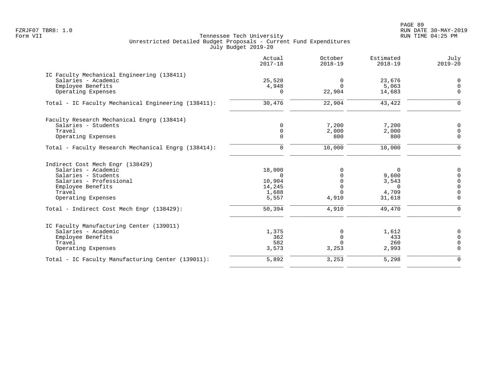PAGE 89 FZRJF07 TBR8: 1.0 RUN DATE 30-MAY-2019

|                                                     | Actual<br>$2017 - 18$ | October<br>$2018 - 19$ | Estimated<br>$2018 - 19$ | July<br>$2019 - 20$ |
|-----------------------------------------------------|-----------------------|------------------------|--------------------------|---------------------|
| IC Faculty Mechanical Engineering (138411)          |                       |                        |                          |                     |
| Salaries - Academic                                 | 25,528                | 0                      | 23,676                   | $\mathbf 0$         |
| Employee Benefits                                   | 4,948                 | $\Omega$               | 5,063                    | $\mathbf 0$         |
| Operating Expenses                                  |                       | 22,904                 | 14,683                   | $\Omega$            |
| Total - IC Faculty Mechanical Engineering (138411): | 30,476                | 22,904                 | 43,422                   | $\Omega$            |
| Faculty Research Mechanical Engrg (138414)          |                       |                        |                          |                     |
| Salaries - Students                                 | $\Omega$              | 7,200                  | 7,200                    | $\Omega$            |
| Travel                                              | $\Omega$              | 2,000                  | 2,000                    | $\Omega$            |
| Operating Expenses                                  | $\Omega$              | 800                    | 800                      | $\Omega$            |
| Total - Faculty Research Mechanical Engrg (138414): | $\mathbf 0$           | 10,000                 | 10,000                   | $\Omega$            |
| Indirect Cost Mech Engr (138429)                    |                       |                        |                          |                     |
| Salaries - Academic                                 | 18,000                | $\Omega$               | 0                        | $\Omega$            |
| Salaries - Students                                 | $\Omega$              |                        | 9,600                    | $\overline{0}$      |
| Salaries - Professional                             | 10,904                |                        | 3,543                    | $\overline{0}$      |
| Employee Benefits                                   | 14,245                |                        | $\Omega$                 | $\Omega$            |
| Travel                                              | 1,688                 | $\Omega$               | 4,709                    | $\mathbf 0$         |
| Operating Expenses                                  | 5,557                 | 4,910                  | 31,618                   | $\Omega$            |
| Total - Indirect Cost Mech Engr (138429):           | 50,394                | 4,910                  | 49,470                   | $\Omega$            |
| IC Faculty Manufacturing Center (139011)            |                       |                        |                          |                     |
| Salaries - Academic                                 | 1,375                 | $\Omega$               | 1,612                    | 0                   |
| Employee Benefits                                   | 362                   | $\Omega$               | 433                      | $\Omega$            |
| Travel                                              | 582                   | $\Omega$               | 260                      | $\Omega$            |
| Operating Expenses                                  | 3,573                 | 3,253                  | 2,993                    | $\Omega$            |
| Total - IC Faculty Manufacturing Center (139011):   | 5,892                 | 3,253                  | 5,298                    | $\Omega$            |
|                                                     |                       |                        |                          |                     |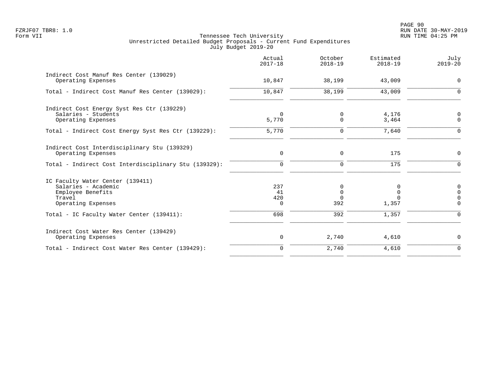PAGE 90 FZRJF07 TBR8: 1.0 RUN DATE 30-MAY-2019

|                                                                                                              | Actual<br>$2017 - 18$        | October<br>$2018 - 19$           | Estimated<br>$2018 - 19$ | July<br>$2019 - 20$                   |
|--------------------------------------------------------------------------------------------------------------|------------------------------|----------------------------------|--------------------------|---------------------------------------|
| Indirect Cost Manuf Res Center (139029)<br>Operating Expenses                                                | 10,847                       | 38,199                           | 43,009                   | $\mathbf 0$                           |
| Total - Indirect Cost Manuf Res Center (139029):                                                             | 10,847                       | 38,199                           | 43,009                   | 0                                     |
| Indirect Cost Energy Syst Res Ctr (139229)<br>Salaries - Students<br>Operating Expenses                      | $\Omega$<br>5,770            | $\Omega$<br>$\Omega$             | 4,176<br>3,464           | $\Omega$<br>$\Omega$                  |
| Total - Indirect Cost Energy Syst Res Ctr (139229):                                                          | 5,770                        | $\Omega$                         | 7,640                    | $\Omega$                              |
| Indirect Cost Interdisciplinary Stu (139329)<br>Operating Expenses                                           | 0                            | $\mathbf 0$                      | 175                      | $\Omega$                              |
| Total - Indirect Cost Interdisciplinary Stu (139329):                                                        | $\mathbf 0$                  | $\mathbf 0$                      | 175                      | $\Omega$                              |
| IC Faculty Water Center (139411)<br>Salaries - Academic<br>Employee Benefits<br>Travel<br>Operating Expenses | 237<br>41<br>420<br>$\Omega$ | 0<br>$\Omega$<br>$\Omega$<br>392 | 0<br>$\Omega$<br>1,357   | 0<br>$\Omega$<br>$\Omega$<br>$\Omega$ |
| Total - IC Faculty Water Center (139411):                                                                    | 698                          | 392                              | 1,357                    | $\Omega$                              |
| Indirect Cost Water Res Center (139429)<br>Operating Expenses                                                | 0                            | 2,740                            | 4,610                    | $\mathbf 0$                           |
| Total - Indirect Cost Water Res Center (139429):                                                             | $\mathbf 0$                  | 2,740                            | 4,610                    | $\Omega$                              |
|                                                                                                              |                              |                                  |                          |                                       |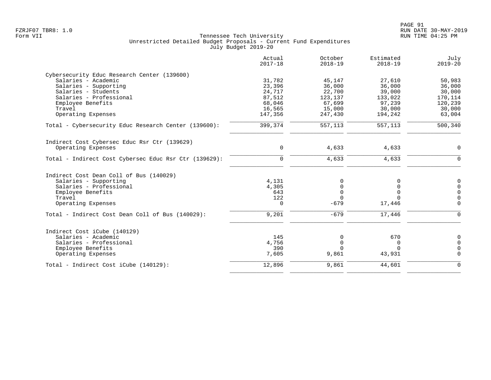|                                                       | Actual<br>$2017 - 18$ | October<br>$2018 - 19$ | Estimated<br>$2018 - 19$ | July<br>$2019 - 20$ |
|-------------------------------------------------------|-----------------------|------------------------|--------------------------|---------------------|
| Cybersecurity Educ Research Center (139600)           |                       |                        |                          |                     |
| Salaries - Academic                                   | 31,782                | 45,147                 | 27,610                   | 50,983              |
| Salaries - Supporting                                 | 23,396                | 36,000                 | 36,000                   | 36,000              |
| Salaries - Students                                   | 24,717                | 22,700                 | 39,000                   | 30,000              |
| Salaries - Professional                               | 87,512                | 123,137                | 133,022                  | 170,114             |
| Employee Benefits                                     | 68,046                | 67,699                 | 97,239                   | 120,239             |
| Travel                                                | 16,565                | 15,000                 | 30,000                   | 30,000              |
| Operating Expenses                                    | 147,356               | 247,430                | 194,242                  | 63,004              |
| Total - Cybersecurity Educ Research Center (139600):  | 399,374               | 557,113                | 557,113                  | 500,340             |
| Indirect Cost Cybersec Educ Rsr Ctr (139629)          |                       |                        |                          |                     |
| Operating Expenses                                    | $\mathbf 0$           | 4,633                  | 4,633                    | $\mathbf 0$         |
| Total - Indirect Cost Cybersec Educ Rsr Ctr (139629): | $\mathbf 0$           | 4,633                  | 4,633                    | $\mathbf 0$         |
| Indirect Cost Dean Coll of Bus (140029)               |                       |                        |                          |                     |
| Salaries - Supporting                                 | 4,131                 | 0                      | <sup>0</sup>             | 0                   |
| Salaries - Professional                               | 4,305                 | $\mathbf 0$            | $\Omega$                 | $\mathbf 0$         |
| Employee Benefits                                     | 643                   | $\Omega$               | $\Omega$                 | $\Omega$            |
| Travel                                                | 122                   | $\Omega$               | $\Omega$                 | $\mathbf 0$         |
| Operating Expenses                                    | 0                     | $-679$                 | 17,446                   | $\Omega$            |
| Total - Indirect Cost Dean Coll of Bus (140029):      | 9,201                 | $-679$                 | 17,446                   | $\Omega$            |
| Indirect Cost iCube (140129)                          |                       |                        |                          |                     |
| Salaries - Academic                                   | 145                   | 0                      | 670                      | 0                   |
| Salaries - Professional                               | 4,756                 | $\mathbf 0$            | $\Omega$                 | $\Omega$            |
| Employee Benefits                                     | 390                   | $\Omega$               | $\Omega$                 | $\Omega$            |
| Operating Expenses                                    | 7,605                 | 9,861                  | 43,931                   | $\Omega$            |
| Total - Indirect Cost iCube (140129):                 | 12,896                | 9,861                  | 44,601                   | $\Omega$            |
|                                                       |                       |                        |                          |                     |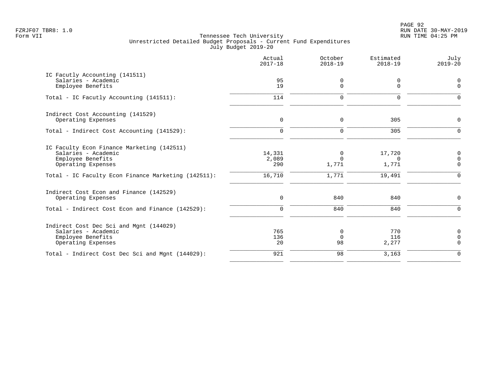PAGE 92 FZRJF07 TBR8: 1.0 RUN DATE 30-MAY-2019

|                                                                                                                                                                     | Actual<br>$2017 - 18$            | October<br>$2018 - 19$          | Estimated<br>$2018 - 19$              | July<br>$2019 - 20$                            |
|---------------------------------------------------------------------------------------------------------------------------------------------------------------------|----------------------------------|---------------------------------|---------------------------------------|------------------------------------------------|
| IC Facutly Accounting (141511)<br>Salaries - Academic<br>Employee Benefits                                                                                          | 95<br>19                         | 0<br>$\mathbf 0$                | 0<br>$\Omega$                         | $\overline{0}$<br>$\mathbf 0$                  |
| Total - IC Facutly Accounting (141511):                                                                                                                             | 114                              | $\Omega$                        | $\Omega$                              | $\Omega$                                       |
| Indirect Cost Accounting (141529)<br>Operating Expenses                                                                                                             | $\mathbf 0$                      | 0                               | 305                                   | $\mathbf 0$                                    |
| Total - Indirect Cost Accounting (141529):                                                                                                                          | $\mathbf 0$                      | $\mathbf 0$                     | 305                                   | $\mathbf 0$                                    |
| IC Faculty Econ Finance Marketing (142511)<br>Salaries - Academic<br>Employee Benefits<br>Operating Expenses<br>Total - IC Faculty Econ Finance Marketing (142511): | 14,331<br>2,089<br>290<br>16,710 | 0<br>$\Omega$<br>1,771<br>1,771 | 17,720<br>$\Omega$<br>1,771<br>19,491 | 0<br>$\mathbf 0$<br>$\mathbf 0$<br>$\mathbf 0$ |
| Indirect Cost Econ and Finance (142529)<br>Operating Expenses                                                                                                       | $\mathsf{O}$                     | 840                             | 840                                   | 0                                              |
| Total - Indirect Cost Econ and Finance (142529):                                                                                                                    | 0                                | 840                             | 840                                   | $\mathbf 0$                                    |
| Indirect Cost Dec Sci and Mgnt (144029)<br>Salaries - Academic<br>Employee Benefits<br>Operating Expenses                                                           | 765<br>136<br>20                 | 0<br>$\mathbf 0$<br>98          | 770<br>116<br>2,277                   | $\mathbf 0$<br>$\mathbf 0$<br>$\mathbf 0$      |
| Total - Indirect Cost Dec Sci and Mgnt (144029):                                                                                                                    | 921                              | 98                              | 3,163                                 | $\Omega$                                       |
|                                                                                                                                                                     |                                  |                                 |                                       |                                                |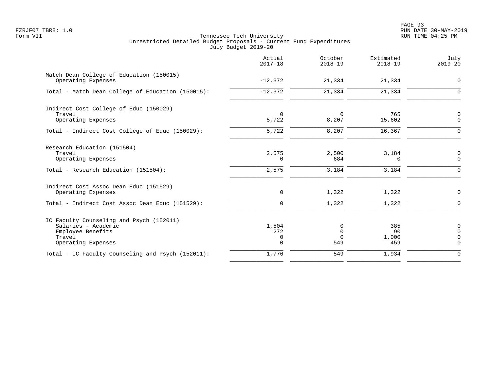PAGE 93 FZRJF07 TBR8: 1.0 RUN DATE 30-MAY-2019

|                                                                                                                      | Actual<br>$2017 - 18$            | October<br>$2018 - 19$              | Estimated<br>$2018 - 19$  | July<br>$2019 - 20$                                         |
|----------------------------------------------------------------------------------------------------------------------|----------------------------------|-------------------------------------|---------------------------|-------------------------------------------------------------|
| Match Dean College of Education (150015)<br>Operating Expenses                                                       | $-12,372$                        | 21,334                              | 21,334                    | 0                                                           |
| Total - Match Dean College of Education (150015):                                                                    | $-12,372$                        | 21,334                              | 21,334                    | $\Omega$                                                    |
| Indirect Cost College of Educ (150029)<br>Travel<br>Operating Expenses                                               | $\mathbf 0$<br>5,722             | $\Omega$<br>8,207                   | 765<br>15,602             | 0<br>$\mathbf 0$                                            |
| Total - Indirect Cost College of Educ (150029):                                                                      | 5,722                            | 8,207                               | 16,367                    | $\mathbf 0$                                                 |
| Research Education (151504)<br>Travel<br>Operating Expenses                                                          | 2,575<br>$\Omega$                | 2,500<br>684                        | 3,184<br>$\Omega$         | 0<br>$\mathbf 0$                                            |
| Total - Research Education (151504):                                                                                 | 2,575                            | 3,184                               | 3,184                     | $\mathbf 0$                                                 |
| Indirect Cost Assoc Dean Educ (151529)<br>Operating Expenses                                                         | 0                                | 1,322                               | 1,322                     | 0                                                           |
| Total - Indirect Cost Assoc Dean Educ (151529):                                                                      | 0                                | 1,322                               | 1,322                     | 0                                                           |
| IC Faculty Counseling and Psych (152011)<br>Salaries - Academic<br>Employee Benefits<br>Travel<br>Operating Expenses | 1,504<br>272<br>0<br>$\mathbf 0$ | 0<br>$\mathbf 0$<br>$\Omega$<br>549 | 385<br>90<br>1,000<br>459 | $\mathbf 0$<br>$\overline{0}$<br>$\mathbf 0$<br>$\mathbf 0$ |
| Total - IC Faculty Counseling and Psych (152011):                                                                    | 1,776                            | 549                                 | 1,934                     | $\mathbf 0$                                                 |
|                                                                                                                      |                                  |                                     |                           |                                                             |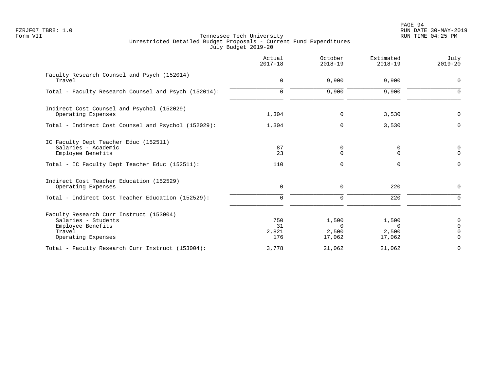PAGE 94 FZRJF07 TBR8: 1.0 RUN DATE 30-MAY-2019

|                                                                                                                     | Actual<br>$2017 - 18$     | October<br>$2018 - 19$               | Estimated<br>$2018 - 19$             | July<br>$2019 - 20$       |
|---------------------------------------------------------------------------------------------------------------------|---------------------------|--------------------------------------|--------------------------------------|---------------------------|
| Faculty Research Counsel and Psych (152014)<br>Travel                                                               | 0                         | 9,900                                | 9,900                                | $\mathbf 0$               |
| Total - Faculty Research Counsel and Psych (152014):                                                                | $\mathbf 0$               | 9,900                                | 9,900                                | $\Omega$                  |
| Indirect Cost Counsel and Psychol (152029)<br>Operating Expenses                                                    | 1,304                     | 0                                    | 3,530                                | $\mathbf 0$               |
| Total - Indirect Cost Counsel and Psychol (152029):                                                                 | 1,304                     | $\mathbf 0$                          | 3,530                                | $\Omega$                  |
| IC Faculty Dept Teacher Educ (152511)<br>Salaries - Academic<br>Employee Benefits                                   | 87<br>23                  | 0<br>$\Omega$                        | 0<br>0                               | 0<br>$\Omega$             |
| Total - IC Faculty Dept Teacher Educ (152511):                                                                      | 110                       | 0                                    | 0                                    | $\Omega$                  |
| Indirect Cost Teacher Education (152529)<br>Operating Expenses                                                      | 0                         | 0                                    | 220                                  | $\mathbf 0$               |
| Total - Indirect Cost Teacher Education (152529):                                                                   | $\Omega$                  | $\mathbf 0$                          | 220                                  | $\Omega$                  |
| Faculty Research Curr Instruct (153004)<br>Salaries - Students<br>Employee Benefits<br>Travel<br>Operating Expenses | 750<br>31<br>2,821<br>176 | 1,500<br>$\Omega$<br>2,500<br>17,062 | 1,500<br>$\Omega$<br>2,500<br>17,062 | 0<br>$\Omega$<br>$\Omega$ |
| Total - Faculty Research Curr Instruct (153004):                                                                    | 3,778                     | 21,062                               | 21,062                               | $\Omega$                  |
|                                                                                                                     |                           |                                      |                                      |                           |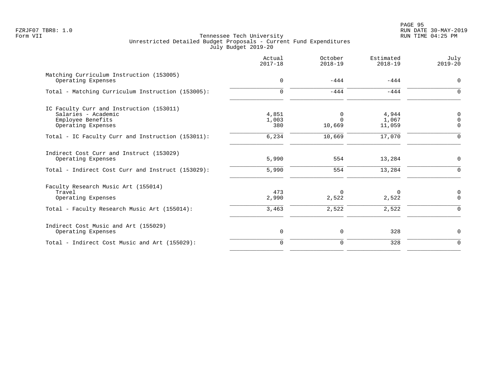|                                                                                                            | Actual<br>$2017 - 18$ | October<br>$2018 - 19$         | Estimated<br>$2018 - 19$ | July<br>$2019 - 20$                    |
|------------------------------------------------------------------------------------------------------------|-----------------------|--------------------------------|--------------------------|----------------------------------------|
| Matching Curriculum Instruction (153005)<br>Operating Expenses                                             | $\mathbf 0$           | $-444$                         | $-444$                   | $\mathbf 0$                            |
| Total - Matching Curriculum Instruction (153005):                                                          | $\Omega$              | $-444$                         | $-444$                   | $\Omega$                               |
| IC Faculty Curr and Instruction (153011)<br>Salaries - Academic<br>Employee Benefits<br>Operating Expenses | 4,851<br>1,003<br>380 | $\Omega$<br>$\Omega$<br>10,669 | 4,944<br>1,067<br>11,059 | $\overline{0}$<br>$\Omega$<br>$\Omega$ |
| Total - IC Faculty Curr and Instruction (153011):                                                          | 6,234                 | 10,669                         | 17,070                   | $\Omega$                               |
| Indirect Cost Curr and Instruct (153029)<br>Operating Expenses                                             | 5,990                 | 554                            | 13,284                   | $\mathbf 0$                            |
| Total - Indirect Cost Curr and Instruct (153029):                                                          | 5,990                 | 554                            | 13,284                   | $\Omega$                               |
| Faculty Research Music Art (155014)<br>Travel<br>Operating Expenses                                        | 473<br>2,990          | $\Omega$<br>2,522              | 0<br>2,522               | 0<br>$\Omega$                          |
| Total - Faculty Research Music Art (155014):                                                               | 3,463                 | 2,522                          | 2,522                    | $\Omega$                               |
| Indirect Cost Music and Art (155029)<br>Operating Expenses                                                 | 0                     | 0                              | 328                      | $\mathbf 0$                            |
| Total - Indirect Cost Music and Art (155029):                                                              | $\Omega$              | 0                              | 328                      | $\Omega$                               |
|                                                                                                            |                       |                                |                          |                                        |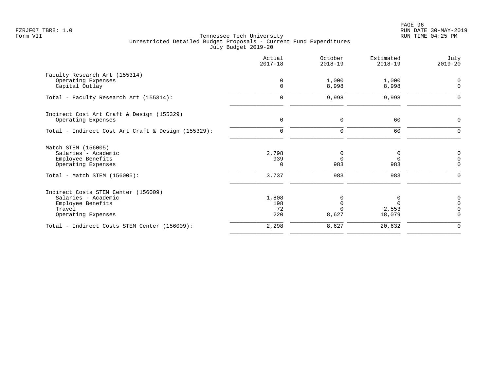|                                                    | Actual<br>$2017 - 18$      | October<br>$2018 - 19$ | Estimated<br>$2018 - 19$ | July<br>$2019 - 20$     |
|----------------------------------------------------|----------------------------|------------------------|--------------------------|-------------------------|
| Faculty Research Art (155314)                      |                            |                        |                          |                         |
| Operating Expenses<br>Capital Outlay               | $\mathbf 0$<br>$\mathbf 0$ | 1,000<br>8,998         | 1,000<br>8,998           | $\Omega$<br>$\mathbf 0$ |
| Total - Faculty Research Art (155314):             | $\mathbf 0$                | 9,998                  | 9,998                    | $\mathbf 0$             |
| Indirect Cost Art Craft & Design (155329)          |                            |                        |                          |                         |
| Operating Expenses                                 | $\mathbf 0$                | $\mathbf 0$            | 60                       | 0                       |
| Total - Indirect Cost Art Craft & Design (155329): | $\mathbf 0$                | $\mathbf 0$            | 60                       | $\mathbf 0$             |
| Match STEM (156005)                                |                            |                        |                          |                         |
| Salaries - Academic                                | 2,798                      | 0                      | 0                        | $\mathbf 0$             |
| Employee Benefits<br>Operating Expenses            | 939<br>0                   | $\Omega$<br>983        | $\Omega$<br>983          | $\Omega$<br>$\mathbf 0$ |
| Total - Match STEM (156005):                       | 3,737                      | 983                    | 983                      | $\Omega$                |
| Indirect Costs STEM Center (156009)                |                            |                        |                          |                         |
| Salaries - Academic                                | 1,808                      | 0                      | 0                        | 0                       |
| Employee Benefits<br>Travel                        | 198<br>72                  | $\Omega$               | $\Omega$<br>2,553        | $\Omega$<br>$\Omega$    |
| Operating Expenses                                 | 220                        | 8,627                  | 18,079                   | $\Omega$                |
| Total - Indirect Costs STEM Center (156009):       | 2,298                      | 8,627                  | 20,632                   | $\mathbf 0$             |
|                                                    |                            |                        |                          |                         |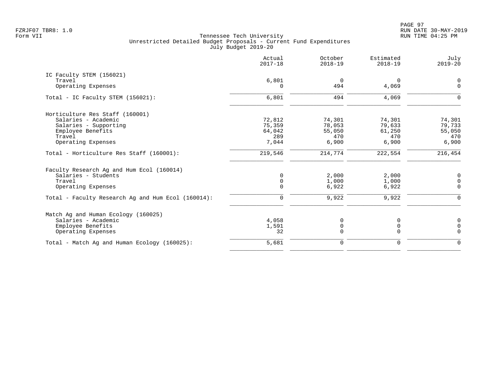| Actual<br>$2017 - 18$ | October<br>$2018 - 19$                           | Estimated<br>$2018 - 19$                            | July<br>$2019 - 20$                                 |
|-----------------------|--------------------------------------------------|-----------------------------------------------------|-----------------------------------------------------|
|                       |                                                  |                                                     |                                                     |
| 6,801                 | $\overline{0}$                                   | 0                                                   | 0                                                   |
| $\Omega$              | 494                                              | 4,069                                               | $\overline{0}$                                      |
| 6,801                 | 494                                              | 4,069                                               | $\Omega$                                            |
|                       |                                                  |                                                     |                                                     |
|                       |                                                  |                                                     | 74,301                                              |
|                       |                                                  |                                                     | 79,733                                              |
|                       |                                                  |                                                     | 55,050                                              |
|                       |                                                  |                                                     | 470                                                 |
| 7,044                 | 6,900                                            | 6,900                                               | 6,900                                               |
| 219,546               | 214,774                                          | 222,554                                             | 216,454                                             |
|                       |                                                  |                                                     |                                                     |
| $\Omega$              |                                                  |                                                     | 0                                                   |
|                       |                                                  |                                                     | 0                                                   |
| $\Omega$              | 6,922                                            | 6,922                                               | $\Omega$                                            |
| $\mathbf 0$           | 9,922                                            | 9,922                                               | $\Omega$                                            |
|                       |                                                  |                                                     |                                                     |
| 4,058                 | 0                                                | 0                                                   | 0                                                   |
| 1,591                 | 0                                                | $\mathbf 0$                                         | $\mathbf 0$                                         |
| 32                    | $\Omega$                                         | $\Omega$                                            | $\mathbf 0$                                         |
| 5,681                 | $\mathbf 0$                                      | $\mathbf 0$                                         | $\mathbf 0$                                         |
|                       | 72,812<br>75,359<br>64,042<br>289<br>$\mathbf 0$ | 74,301<br>78,053<br>55,050<br>470<br>2,000<br>1,000 | 74,301<br>79,633<br>61,250<br>470<br>2,000<br>1,000 |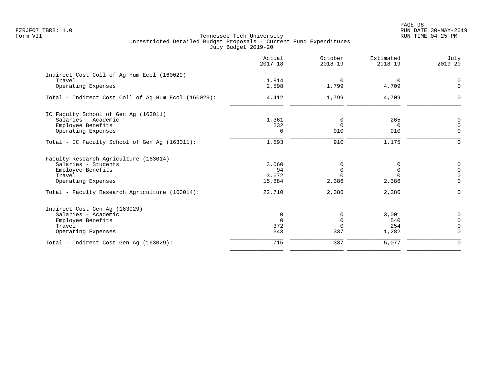|                                                     | Actual<br>$2017 - 18$ | October<br>$2018 - 19$ | Estimated<br>$2018 - 19$ | July<br>$2019 - 20$ |
|-----------------------------------------------------|-----------------------|------------------------|--------------------------|---------------------|
| Indirect Cost Coll of Ag Hum Ecol (160029)          |                       |                        |                          |                     |
| Travel                                              | 1,814                 | $\overline{0}$         | 0                        | 0                   |
| Operating Expenses                                  | 2,598                 | 1,799                  | 4,709                    | $\mathbf{0}$        |
| Total - Indirect Cost Coll of Aq Hum Ecol (160029): | 4,412                 | 1,799                  | 4,709                    | $\Omega$            |
| IC Faculty School of Gen Aq (163011)                |                       |                        |                          |                     |
| Salaries - Academic                                 | 1,361                 | 0                      | 265                      | 0                   |
| Employee Benefits                                   | 232                   | $\mathbf 0$            | $\Omega$                 | $\Omega$            |
| Operating Expenses                                  | $\Omega$              | 910                    | 910                      | $\mathbf 0$         |
| Total - IC Faculty School of Gen Aq (163011):       | 1,593                 | 910                    | 1,175                    | $\mathbf 0$         |
| Faculty Research Agriculture (163014)               |                       |                        |                          |                     |
| Salaries - Students                                 | 3,060                 | 0                      | 0                        | $\mathbf 0$         |
| Employee Benefits                                   | 94                    | $\mathbf 0$            | $\mathbf 0$              | $\Omega$            |
| Travel                                              | 3,672                 | $\Omega$               | $\cap$                   | $\Omega$            |
| Operating Expenses                                  | 15,884                | 2,386                  | 2,386                    | $\Omega$            |
| Total - Faculty Research Agriculture (163014):      | 22,710                | 2,386                  | 2,386                    | $\Omega$            |
| Indirect Cost Gen Aq (163029)                       |                       |                        |                          |                     |
| Salaries - Academic                                 | $\mathbf 0$           | 0                      | 3,001                    | $\mathbf 0$         |
| Employee Benefits                                   | $\mathbf 0$           | $\mathbf 0$            | 540                      | $\Omega$            |
| Travel                                              | 372                   | $\mathbf 0$            | 254                      | $\Omega$            |
| Operating Expenses                                  | 343                   | 337                    | 1,282                    | $\mathbf 0$         |
| Total - Indirect Cost Gen Aq (163029):              | 715                   | 337                    | 5,077                    | $\mathbf 0$         |
|                                                     |                       |                        |                          |                     |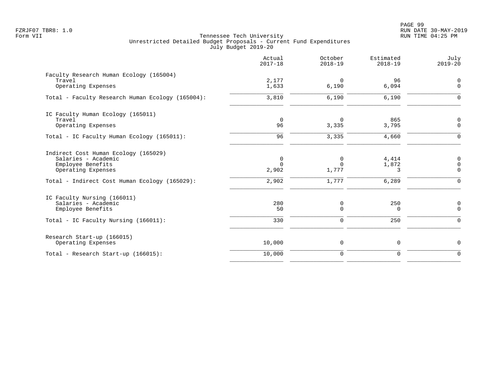PAGE 99 FZRJF07 TBR8: 1.0 RUN DATE 30-MAY-2019

|                                                                                                                                                         | Actual<br>$2017 - 18$                     | October<br>$2018 - 19$          | Estimated<br>$2018 - 19$     | July<br>$2019 - 20$                            |
|---------------------------------------------------------------------------------------------------------------------------------------------------------|-------------------------------------------|---------------------------------|------------------------------|------------------------------------------------|
| Faculty Research Human Ecology (165004)<br>Travel<br>Operating Expenses                                                                                 | 2,177<br>1,633                            | 0<br>6,190                      | 96<br>6,094                  | $\overline{0}$<br>$\mathbf 0$                  |
| Total - Faculty Research Human Ecology (165004):                                                                                                        | 3,810                                     | 6,190                           | 6,190                        | $\Omega$                                       |
| IC Faculty Human Ecology (165011)<br>Travel<br>Operating Expenses                                                                                       | $\overline{0}$<br>96                      | $\Omega$<br>3,335               | 865<br>3,795                 | 0<br>$\mathbf 0$                               |
| Total - IC Faculty Human Ecology (165011):                                                                                                              | 96                                        | 3,335                           | 4,660                        | $\mathbf 0$                                    |
| Indirect Cost Human Ecology (165029)<br>Salaries - Academic<br>Employee Benefits<br>Operating Expenses<br>Total - Indirect Cost Human Ecology (165029): | $\mathbf 0$<br>$\Omega$<br>2,902<br>2,902 | 0<br>$\Omega$<br>1,777<br>1,777 | 4,414<br>1,872<br>3<br>6,289 | 0<br>$\mathbf 0$<br>$\mathbf 0$<br>$\mathbf 0$ |
| IC Faculty Nursing (166011)<br>Salaries - Academic<br>Employee Benefits<br>Total - IC Faculty Nursing (166011):                                         | 280<br>50<br>330                          | 0<br>$\mathbf 0$<br>$\mathbf 0$ | 250<br>0<br>250              | 0<br>$\mathbf 0$<br>$\mathbf 0$                |
| Research Start-up (166015)<br>Operating Expenses                                                                                                        | 10,000                                    | 0                               | 0                            | $\mathbf 0$                                    |
| Total - Research Start-up (166015):                                                                                                                     | 10,000                                    | $\mathbf 0$                     | $\mathbf 0$                  | $\Omega$                                       |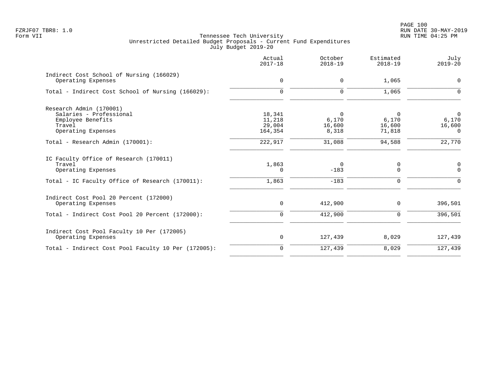|                                                                                                                           | Actual<br>$2017 - 18$                 | October<br>$2018 - 19$        | Estimated<br>$2018 - 19$        | July<br>$2019 - 20$                           |
|---------------------------------------------------------------------------------------------------------------------------|---------------------------------------|-------------------------------|---------------------------------|-----------------------------------------------|
| Indirect Cost School of Nursing (166029)<br>Operating Expenses                                                            | $\mathsf{O}$                          | 0                             | 1,065                           | $\mathbf 0$                                   |
| Total - Indirect Cost School of Nursing (166029):                                                                         | $\mathbf 0$                           | 0                             | 1,065                           | $\Omega$                                      |
| Research Admin (170001)<br>Salaries - Professional<br>Employee Benefits<br>Travel<br>Operating Expenses                   | 18,341<br>11,218<br>29,004<br>164,354 | 0<br>6,170<br>16,600<br>8,318 | 0<br>6,170<br>16,600<br>71,818  | $\overline{0}$<br>6,170<br>16,600<br>$\Omega$ |
| Total - Research Admin (170001):                                                                                          | 222,917                               | 31,088                        | 94,588                          | 22,770                                        |
| IC Faculty Office of Research (170011)<br>Travel<br>Operating Expenses<br>Total - IC Faculty Office of Research (170011): | 1,863<br>$\Omega$<br>1,863            | $\Omega$<br>$-183$<br>$-183$  | 0<br>$\mathbf 0$<br>$\mathbf 0$ | $\mathbf 0$<br>$\Omega$<br>$\Omega$           |
| Indirect Cost Pool 20 Percent (172000)<br>Operating Expenses                                                              | 0                                     | 412,900                       | $\Omega$                        | 396,501                                       |
| Total - Indirect Cost Pool 20 Percent (172000):                                                                           | 0                                     | 412,900                       | 0                               | 396,501                                       |
| Indirect Cost Pool Faculty 10 Per (172005)<br>Operating Expenses                                                          | 0                                     | 127,439                       | 8,029                           | 127,439                                       |
| Total - Indirect Cost Pool Faculty 10 Per (172005):                                                                       | $\mathbf 0$                           | 127,439                       | 8,029                           | 127,439                                       |
|                                                                                                                           |                                       |                               |                                 |                                               |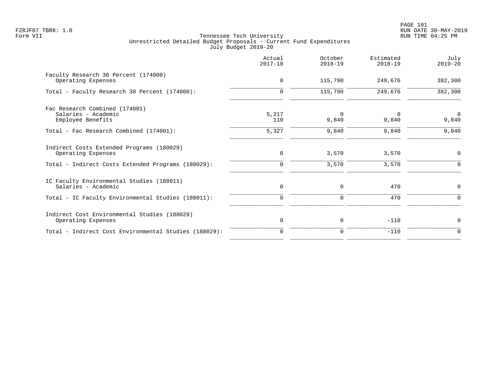|                                                                    | Actual<br>$2017 - 18$ | October<br>$2018 - 19$ | Estimated<br>$2018 - 19$ | July<br>$2019 - 20$  |
|--------------------------------------------------------------------|-----------------------|------------------------|--------------------------|----------------------|
| Faculty Research 30 Percent (174000)<br>Operating Expenses         | 0                     | 115,790                | 249,676                  | 382,300              |
| Total - Faculty Research 30 Percent (174000):                      | $\Omega$              | 115,790                | 249,676                  | 382,300              |
| Fac Research Combined (174001)                                     |                       |                        |                          |                      |
| Salaries - Academic<br>Employee Benefits                           | 5,217<br>110          | 0<br>9,840             | 0<br>9,840               | $\mathbf 0$<br>9,840 |
| Total - Fac Research Combined (174001):                            | 5,327                 | 9,840                  | 9,840                    | 9,840                |
| Indirect Costs Extended Programs (180029)<br>Operating Expenses    | 0                     | 3,570                  | 3,570                    | 0                    |
| Total - Indirect Costs Extended Programs (180029):                 | 0                     | 3,570                  | 3,570                    | $\Omega$             |
| IC Faculty Environmental Studies (188011)<br>Salaries - Academic   | 0                     | 0                      | 470                      | 0                    |
| Total - IC Faculty Environmental Studies (188011):                 | $\mathbf 0$           | $\mathbf 0$            | 470                      | $\Omega$             |
| Indirect Cost Environmental Studies (188029)<br>Operating Expenses | $\mathbf 0$           | 0                      | $-110$                   | 0                    |
| Total - Indirect Cost Environmental Studies (188029):              | 0                     | 0                      | $-110$                   | $\Omega$             |
|                                                                    |                       |                        |                          |                      |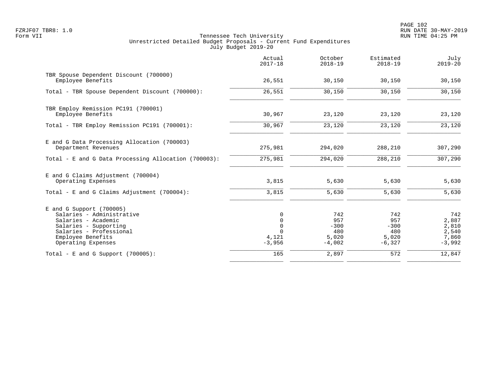|                                                                                                                                                                               | Actual<br>$2017 - 18$                                  | October<br>$2018 - 19$                           | Estimated<br>$2018 - 19$                         | July<br>$2019 - 20$                                 |
|-------------------------------------------------------------------------------------------------------------------------------------------------------------------------------|--------------------------------------------------------|--------------------------------------------------|--------------------------------------------------|-----------------------------------------------------|
| TBR Spouse Dependent Discount (700000)<br>Employee Benefits                                                                                                                   | 26,551                                                 | 30,150                                           | 30,150                                           | 30,150                                              |
| Total - TBR Spouse Dependent Discount (700000):                                                                                                                               | 26,551                                                 | 30,150                                           | 30,150                                           | 30,150                                              |
| TBR Employ Remission PC191 (700001)<br>Employee Benefits                                                                                                                      | 30,967                                                 | 23,120                                           | 23,120                                           | 23,120                                              |
| Total - TBR Employ Remission PC191 (700001):                                                                                                                                  | 30,967                                                 | 23,120                                           | 23,120                                           | 23,120                                              |
| E and G Data Processing Allocation (700003)<br>Department Revenues                                                                                                            | 275,981                                                | 294,020                                          | 288,210                                          | 307,290                                             |
| Total - E and G Data Processing Allocation (700003):                                                                                                                          | 275,981                                                | 294,020                                          | 288,210                                          | 307,290                                             |
| E and G Claims Adjustment (700004)<br>Operating Expenses                                                                                                                      | 3,815                                                  | 5,630                                            | 5,630                                            | 5,630                                               |
| Total - E and G Claims Adjustment $(700004)$ :                                                                                                                                | 3,815                                                  | 5,630                                            | 5,630                                            | 5,630                                               |
| $E$ and G Support (700005)<br>Salaries - Administrative<br>Salaries - Academic<br>Salaries - Supporting<br>Salaries - Professional<br>Employee Benefits<br>Operating Expenses | 0<br>0<br>$\mathbf 0$<br>$\Omega$<br>4,121<br>$-3,956$ | 742<br>957<br>$-300$<br>480<br>5,020<br>$-4,002$ | 742<br>957<br>$-300$<br>480<br>5,020<br>$-6,327$ | 742<br>2,887<br>2,810<br>2,540<br>7,860<br>$-3,992$ |
| Total - E and G Support $(700005)$ :                                                                                                                                          | 165                                                    | 2,897                                            | 572                                              | 12,847                                              |
|                                                                                                                                                                               |                                                        |                                                  |                                                  |                                                     |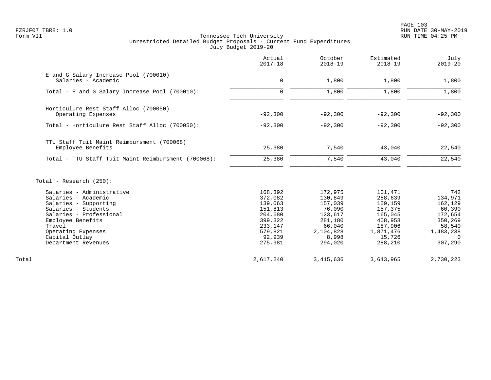PAGE 103 FZRJF07 TBR8: 1.0 RUN DATE 30-MAY-2019

|                                                              | Actual<br>$2017 - 18$ | October<br>$2018 - 19$ | Estimated<br>$2018 - 19$ | July<br>$2019 - 20$ |
|--------------------------------------------------------------|-----------------------|------------------------|--------------------------|---------------------|
| E and G Salary Increase Pool (700010)<br>Salaries - Academic | 0                     | 1,800                  | 1,800                    | 1,800               |
|                                                              |                       |                        |                          |                     |
| Total - E and G Salary Increase Pool (700010):               | $\Omega$              | 1,800                  | 1,800                    | 1,800               |
| Horticulure Rest Staff Alloc (700050)                        |                       |                        |                          |                     |
| Operating Expenses                                           | $-92,300$             | $-92,300$              | $-92,300$                | $-92,300$           |
| Total - Horticulure Rest Staff Alloc (700050):               | $-92,300$             | $-92,300$              | $-92,300$                | $-92,300$           |
| TTU Staff Tuit Maint Reimbursment (700068)                   |                       |                        |                          |                     |
| Employee Benefits                                            | 25,380                | 7,540                  | 43,040                   | 22,540              |
| Total - TTU Staff Tuit Maint Reimbursment (700068):          | 25,380                | 7,540                  | 43,040                   | 22,540              |
| Total - Research $(250)$ :                                   |                       |                        |                          |                     |
| Salaries - Administrative                                    | 168,392               | 172,975                | 101,471                  | 742                 |
| Salaries - Academic                                          | 372,082               | 130,849                | 288,639                  | 134,971             |
| Salaries - Supporting                                        | 139,063               | 157,039                | 159,159                  | 162,129             |
| Salaries - Students                                          | 151,813               | 76,090                 | 157,375                  | 60,390              |
| Salaries - Professional                                      | 204,680               | 123,617                | 165,045                  | 172,654             |
| Employee Benefits                                            | 399,322               | 281,180                | 408,958                  | 350,269             |
| Travel<br>Operating Expenses                                 | 233,147<br>579,821    | 66,040<br>2,104,828    | 187,906<br>1,871,476     | 58,540<br>1,483,238 |
| Capital Outlay                                               | 92,939                | 8,998                  | 15,726                   | $\Omega$            |
| Department Revenues                                          | 275,981               | 294,020                | 288,210                  | 307,290             |
| Total                                                        | 2,617,240             | 3, 415, 636            | 3,643,965                | 2,730,223           |
|                                                              |                       |                        |                          |                     |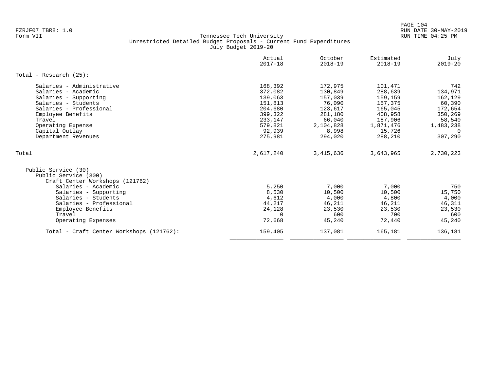|                                                                                                                                                                                                                                       | Actual<br>$2017 - 18$                                                                                     | October<br>$2018 - 19$                                                                                   | Estimated<br>$2018 - 19$                                                                                    | July<br>$2019 - 20$                                                                                     |
|---------------------------------------------------------------------------------------------------------------------------------------------------------------------------------------------------------------------------------------|-----------------------------------------------------------------------------------------------------------|----------------------------------------------------------------------------------------------------------|-------------------------------------------------------------------------------------------------------------|---------------------------------------------------------------------------------------------------------|
| Total - Research $(25)$ :                                                                                                                                                                                                             |                                                                                                           |                                                                                                          |                                                                                                             |                                                                                                         |
| Salaries - Administrative<br>Salaries - Academic<br>Salaries - Supporting<br>Salaries - Students<br>Salaries - Professional<br>Employee Benefits<br>Travel<br>Operating Expense<br>Capital Outlay<br>Department Revenues              | 168,392<br>372,082<br>139,063<br>151,813<br>204,680<br>399,322<br>233,147<br>579,821<br>92,939<br>275,981 | 172,975<br>130,849<br>157,039<br>76,090<br>123,617<br>281,180<br>66,040<br>2,104,828<br>8,998<br>294,020 | 101,471<br>288,639<br>159,159<br>157,375<br>165,045<br>408,958<br>187,906<br>1,871,476<br>15,726<br>288,210 | 742<br>134,971<br>162,129<br>60,390<br>172,654<br>350,269<br>58,540<br>1,483,238<br>$\Omega$<br>307,290 |
| Total                                                                                                                                                                                                                                 | 2,617,240                                                                                                 | 3, 415, 636                                                                                              | 3,643,965                                                                                                   | 2,730,223                                                                                               |
| Public Service (30)<br>Public Service (300)<br>Craft Center Workshops (121762)<br>Salaries - Academic<br>Salaries - Supporting<br>Salaries - Students<br>Salaries - Professional<br>Employee Benefits<br>Travel<br>Operating Expenses | 5,250<br>8,530<br>4,612<br>44,217<br>24,128<br>$\Omega$<br>72,668                                         | 7,000<br>10,500<br>4,000<br>46,211<br>23,530<br>600<br>45,240                                            | 7,000<br>10,500<br>4,800<br>46,211<br>23,530<br>700<br>72,440                                               | 750<br>15,750<br>4,000<br>46,311<br>23,530<br>600<br>45,240                                             |
| Total - Craft Center Workshops (121762):                                                                                                                                                                                              | 159,405                                                                                                   | 137,081                                                                                                  | 165,181                                                                                                     | 136,181                                                                                                 |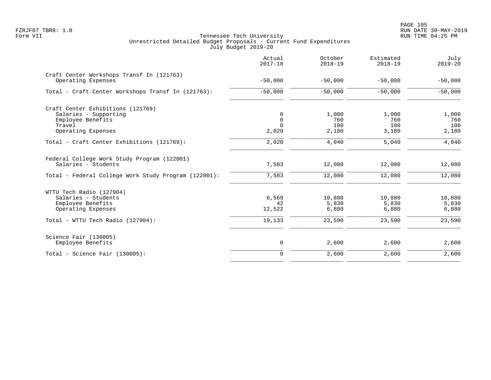|                                                                                                                            | Actual<br>$2017 - 18$                 | October<br>$2018 - 19$       | Estimated<br>$2018 - 19$     | July<br>$2019 - 20$          |
|----------------------------------------------------------------------------------------------------------------------------|---------------------------------------|------------------------------|------------------------------|------------------------------|
| Craft Center Workshops Transf In (121763)<br>Operating Expenses                                                            | $-50,000$                             | $-50,000$                    | $-50,000$                    | $-50,000$                    |
| Total - Craft Center Workshops Transf In (121763):                                                                         | $-50,000$                             | $-50,000$                    | $-50,000$                    | $-50,000$                    |
| Craft Center Exhibitions (121769)<br>Salaries - Supporting<br>Employee Benefits<br>Travel<br>Operating Expenses            | 0<br>$\mathbf 0$<br>$\Omega$<br>2,020 | 1,000<br>760<br>100<br>2,180 | 1,000<br>760<br>100<br>3,180 | 1,000<br>760<br>100<br>2,180 |
| Total - Craft Center Exhibitions (121769):                                                                                 | 2,020                                 | 4,040                        | 5,040                        | 4,040                        |
| Federal College Work Study Program (122001)<br>Salaries - Students<br>Total - Federal College Work Study Program (122001): | 7,583<br>7,583                        | 12,080<br>12,080             | 12,080<br>12,080             | 12,080<br>12,080             |
| WTTU Tech Radio (127904)<br>Salaries - Students<br>Employee Benefits<br>Operating Expenses                                 | 6,569<br>42<br>12,522                 | 10,880<br>5,830<br>6,880     | 10,880<br>5,830<br>6,880     | 10,880<br>5,830<br>6,880     |
| Total - WTTU Tech Radio (127904):                                                                                          | 19,133                                | 23,590                       | 23,590                       | 23,590                       |
| Science Fair (130005)<br>Employee Benefits                                                                                 | 0                                     | 2,600                        | 2,600                        | 2,600                        |
| Total - Science Fair $(130005)$ :                                                                                          | $\overline{0}$                        | 2,600                        | 2,600                        | 2,600                        |
|                                                                                                                            |                                       |                              |                              |                              |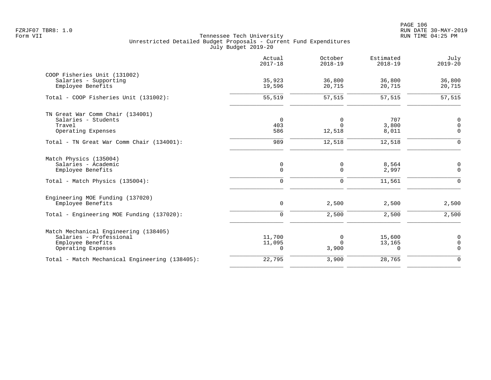|                                                                                                             | Actual<br>$2017 - 18$           | October<br>$2018 - 19$          | Estimated<br>$2018 - 19$     | July<br>$2019 - 20$                        |
|-------------------------------------------------------------------------------------------------------------|---------------------------------|---------------------------------|------------------------------|--------------------------------------------|
| COOP Fisheries Unit (131002)<br>Salaries - Supporting<br>Employee Benefits                                  | 35,923<br>19,596                | 36,800<br>20,715                | 36,800<br>20,715             | 36,800<br>20,715                           |
| Total - COOP Fisheries Unit (131002):                                                                       | 55,519                          | 57,515                          | 57,515                       | 57,515                                     |
| TN Great War Comm Chair (134001)<br>Salaries - Students<br>Travel<br>Operating Expenses                     | $\mathbf 0$<br>403<br>586       | 0<br>$\Omega$<br>12,518         | 707<br>3,800<br>8,011        | $\mathbf 0$<br>$\mathbf 0$<br>$\mathbf 0$  |
| Total - TN Great War Comm Chair (134001):                                                                   | 989                             | 12,518                          | 12,518                       | $\Omega$                                   |
| Match Physics (135004)<br>Salaries - Academic<br>Employee Benefits<br>Total - Match Physics (135004):       | 0<br>$\mathbf 0$<br>$\mathbf 0$ | 0<br>$\mathbf 0$<br>$\mathbf 0$ | 8,564<br>2,997<br>11,561     | $\overline{0}$<br>$\mathbf{0}$<br>$\Omega$ |
| Engineering MOE Funding (137020)<br>Employee Benefits                                                       | $\mathbf 0$                     | 2,500                           | 2,500                        | 2,500                                      |
| Total - Engineering MOE Funding (137020):                                                                   | $\mathbf 0$                     | 2,500                           | 2,500                        | 2,500                                      |
| Match Mechanical Engineering (138405)<br>Salaries - Professional<br>Employee Benefits<br>Operating Expenses | 11,700<br>11,095<br>$\mathbf 0$ | 0<br>$\Omega$<br>3,900          | 15,600<br>13,165<br>$\Omega$ | 0<br>$\mathbf 0$<br>$\mathbf 0$            |
| Total - Match Mechanical Engineering (138405):                                                              | 22,795                          | 3,900                           | 28,765                       | $\mathbf 0$                                |
|                                                                                                             |                                 |                                 |                              |                                            |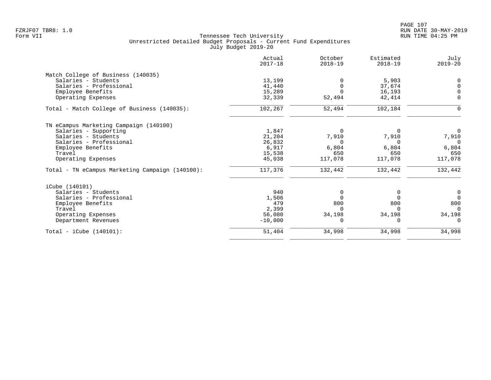|                                                 | Actual<br>$2017 - 18$ | October<br>$2018 - 19$ | Estimated<br>$2018 - 19$ | July<br>$2019 - 20$ |
|-------------------------------------------------|-----------------------|------------------------|--------------------------|---------------------|
| Match College of Business (140035)              |                       |                        |                          |                     |
| Salaries - Students                             | 13,199                |                        | 5,903                    | $\Omega$            |
| Salaries - Professional                         | 41,440                | $\Omega$               | 37,674                   | $\Omega$            |
| Employee Benefits                               | 15,289                | $\Omega$               | 16,193                   | $\Omega$            |
| Operating Expenses                              | 32,339                | 52,494                 | 42,414                   | $\mathbf 0$         |
| Total - Match College of Business (140035):     | 102,267               | 52,494                 | 102,184                  | $\Omega$            |
| TN eCampus Marketing Campaign (140100)          |                       |                        |                          |                     |
| Salaries - Supporting                           | 1,847                 | $\Omega$               | $\Omega$                 | $\mathbf 0$         |
| Salaries - Students                             | 21,204                | 7,910                  | 7,910                    | 7,910               |
| Salaries - Professional                         | 26,832                | $\Omega$               | $\Omega$                 | $\Omega$            |
| Employee Benefits                               | 6,917                 | 6,804                  | 6,804                    | 6,804               |
| Travel                                          | 15,538                | 650                    | 650                      | 650                 |
| Operating Expenses                              | 45,038                | 117,078                | 117,078                  | 117,078             |
| Total - TN eCampus Marketing Campaign (140100): | 117,376               | 132,442                | 132,442                  | 132,442             |
| iCube (140101)                                  |                       |                        |                          |                     |
| Salaries - Students                             | 940                   | 0                      | 0                        | 0                   |
| Salaries - Professional                         | 1,506                 | $\Omega$               | $\Omega$                 | $\Omega$            |
| Employee Benefits                               | 479                   | 800                    | 800                      | 800                 |
| Travel                                          | 2,399                 | $\Omega$               | $\Omega$                 | $\Omega$            |
| Operating Expenses                              | 56,080                | 34,198                 | 34,198                   | 34,198              |
| Department Revenues                             | $-10,000$             | <sup>0</sup>           | $\Omega$                 | $\Omega$            |
| $Total - iCube (140101):$                       | 51,404                | 34,998                 | 34,998                   | 34,998              |
|                                                 |                       |                        |                          |                     |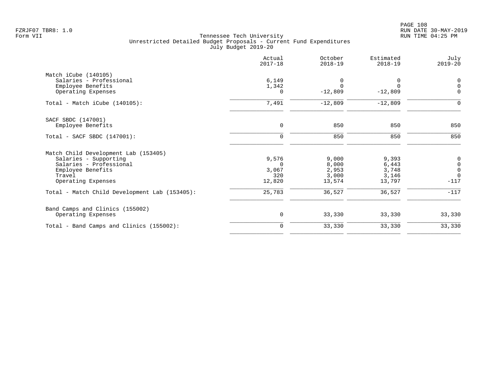|                                               | Actual<br>$2017 - 18$ | October<br>$2018 - 19$ | Estimated<br>$2018 - 19$ | July<br>$2019 - 20$                        |
|-----------------------------------------------|-----------------------|------------------------|--------------------------|--------------------------------------------|
| Match iCube (140105)                          |                       |                        |                          |                                            |
| Salaries - Professional                       | 6,149                 | 0                      | 0                        | $\boldsymbol{0}$                           |
| Employee Benefits                             | 1,342                 | $\Omega$               | $\Omega$                 | $\mathsf 0$                                |
| Operating Expenses                            | 0                     | $-12,809$              | $-12,809$                | $\mathbf 0$                                |
| Total - Match iCube $(140105)$ :              | 7,491                 | $-12,809$              | $-12,809$                | 0                                          |
| SACF SBDC (147001)                            |                       |                        |                          |                                            |
| Employee Benefits                             | $\mathbf 0$           | 850                    | 850                      | 850                                        |
| Total - SACF SBDC (147001):                   | $\mathbf 0$           | 850                    | 850                      | 850                                        |
| Match Child Development Lab (153405)          |                       |                        |                          |                                            |
| Salaries - Supporting                         | 9,576                 | 9,000                  | 9,393                    | $\pmb{0}$                                  |
| Salaries - Professional                       | $\Omega$              | 8,000                  | 6,443                    |                                            |
| Employee Benefits                             | 3,067                 | 2,953                  | 3,748                    | $\begin{smallmatrix}0\\0\end{smallmatrix}$ |
| Travel                                        | 320                   | 3,000                  | 3,146                    | $\Omega$                                   |
| Operating Expenses                            | 12,820                | 13,574                 | 13,797                   | $-117$                                     |
| Total - Match Child Development Lab (153405): | 25,783                | 36,527                 | 36,527                   | $-117$                                     |
| Band Camps and Clinics (155002)               |                       |                        |                          |                                            |
| Operating Expenses                            | 0                     | 33,330                 | 33,330                   | 33,330                                     |
| Total - Band Camps and Clinics (155002):      | $\mathbf 0$           | 33,330                 | 33,330                   | 33,330                                     |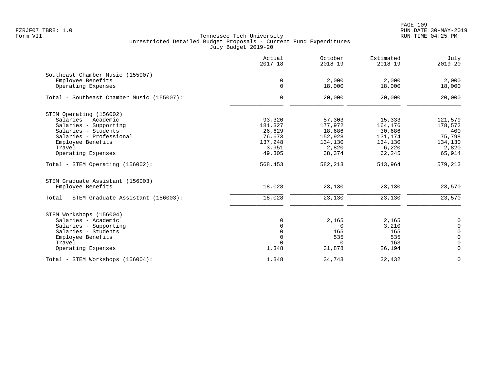|                                           | Actual<br>$2017 - 18$ | October<br>$2018 - 19$ | Estimated<br>$2018 - 19$ | July<br>$2019 - 20$ |
|-------------------------------------------|-----------------------|------------------------|--------------------------|---------------------|
| Southeast Chamber Music (155007)          |                       |                        |                          |                     |
| Employee Benefits                         | 0                     | 2,000                  | 2,000                    | 2,000               |
| Operating Expenses                        | $\mathbf 0$           | 18,000                 | 18,000                   | 18,000              |
| Total - Southeast Chamber Music (155007): | $\mathbf 0$           | 20,000                 | 20,000                   | 20,000              |
| STEM Operating (156002)                   |                       |                        |                          |                     |
| Salaries - Academic                       | 93,320                | 57,303                 | 15,333                   | 121,579             |
| Salaries - Supporting                     | 181,327               | 177,972                | 164,176                  | 178,572             |
| Salaries - Students                       | 26,629                | 18,686                 | 30,686                   | 400                 |
| Salaries - Professional                   | 76,673                | 152,928                | 131,174                  | 75,798              |
| Employee Benefits                         | 137,248               | 134,130                | 134,130                  | 134,130             |
| Travel                                    | 3,951                 | 2,820                  | 6,220                    | 2,820               |
| Operating Expenses                        | 49,305                | 38,374                 | 62,245                   | 65,914              |
| Total - STEM Operating (156002):          | 568,453               | 582,213                | 543,964                  | 579,213             |
| STEM Graduate Assistant (156003)          |                       |                        |                          |                     |
| Employee Benefits                         | 18,028                | 23,130                 | 23,130                   | 23,570              |
| Total - STEM Graduate Assistant (156003): | 18,028                | 23,130                 | 23,130                   | 23,570              |
| STEM Workshops (156004)                   |                       |                        |                          |                     |
| Salaries - Academic                       | $\Omega$              | 2,165                  | 2,165                    | 0                   |
| Salaries - Supporting                     | $\Omega$              | $\Omega$               | 3,210                    | $\Omega$            |
| Salaries - Students                       | $\Omega$              | 165                    | 165                      | $\mathbf 0$         |
| Employee Benefits                         | $\Omega$              | 535                    | 535                      | $\Omega$            |
| Travel                                    | $\Omega$              | $\Omega$               | 163                      | $\Omega$            |
| Operating Expenses                        | 1,348                 | 31,878                 | 26,194                   | 0                   |
| Total - STEM Workshops (156004):          | 1,348                 | 34,743                 | 32,432                   | $\mathbf 0$         |
|                                           |                       |                        |                          |                     |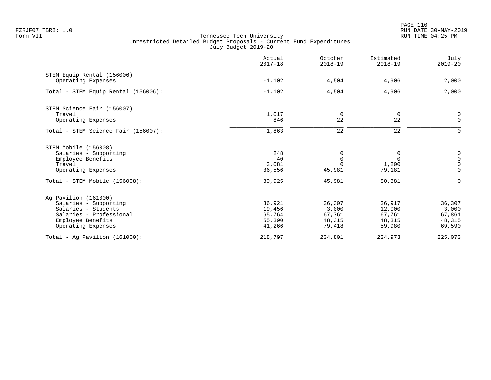|                                     | Actual<br>$2017 - 18$ | October<br>$2018 - 19$ | Estimated<br>$2018 - 19$ | July<br>$2019 - 20$ |
|-------------------------------------|-----------------------|------------------------|--------------------------|---------------------|
| STEM Equip Rental (156006)          | $-1,102$              | 4,504                  | 4,906                    | 2,000               |
| Operating Expenses                  |                       |                        |                          |                     |
| Total - STEM Equip Rental (156006): | $-1,102$              | 4,504                  | 4,906                    | 2,000               |
| STEM Science Fair (156007)          |                       |                        |                          |                     |
| Travel                              | 1,017                 | $\mathbf 0$            | 0                        | $\mathbf 0$         |
| Operating Expenses                  | 846                   | 22                     | 22                       | $\mathsf{O}$        |
| Total - STEM Science Fair (156007): | 1,863                 | 22                     | 22                       | $\mathbf 0$         |
| STEM Mobile (156008)                |                       |                        |                          |                     |
| Salaries - Supporting               | 248                   | 0                      | 0                        | $\boldsymbol{0}$    |
| Employee Benefits                   | 40                    | $\Omega$               | $\Omega$                 | $\mathbf 0$         |
| Travel                              | 3,081                 | $\Omega$               | 1,200                    | $\mathbf 0$         |
| Operating Expenses                  | 36,556                | 45,981                 | 79,181                   | $\overline{0}$      |
| Total - STEM Mobile (156008):       | 39,925                | 45,981                 | 80,381                   | $\mathbf 0$         |
| Ag Pavilion (161000)                |                       |                        |                          |                     |
| Salaries - Supporting               | 36,921                | 36,307                 | 36,917                   | 36,307              |
| Salaries - Students                 | 19,456                | 3,000                  | 12,000                   | 3,000               |
| Salaries - Professional             | 65,764                | 67,761                 | 67,761                   | 67,861              |
| Employee Benefits                   | 55,390                | 48,315                 | 48,315                   | 48,315              |
| Operating Expenses                  | 41,266                | 79,418                 | 59,980                   | 69,590              |
| Total - Aq Pavilion $(161000)$ :    | 218,797               | 234,801                | 224,973                  | 225,073             |
|                                     |                       |                        |                          |                     |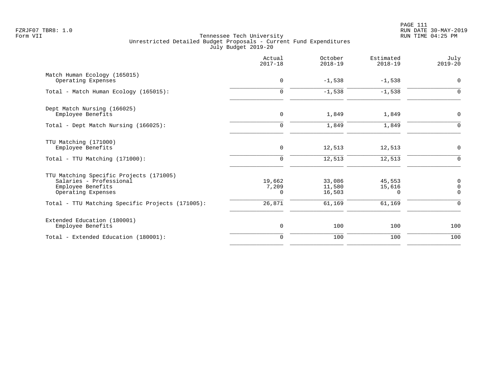|                                                                                                                                                                   | Actual<br>$2017 - 18$                 | October<br>$2018 - 19$               | Estimated<br>$2018 - 19$               | July<br>$2019 - 20$                      |
|-------------------------------------------------------------------------------------------------------------------------------------------------------------------|---------------------------------------|--------------------------------------|----------------------------------------|------------------------------------------|
| Match Human Ecology (165015)<br>Operating Expenses                                                                                                                | $\mathbf 0$                           | $-1,538$                             | $-1,538$                               | $\mathbf 0$                              |
| Total - Match Human Ecology (165015):                                                                                                                             | $\mathbf 0$                           | $-1,538$                             | $-1,538$                               | $\Omega$                                 |
| Dept Match Nursing (166025)<br>Employee Benefits                                                                                                                  | $\mathbf 0$                           | 1,849                                | 1,849                                  | 0                                        |
| Total - Dept Match Nursing (166025):                                                                                                                              | $\mathbf 0$                           | 1,849                                | 1,849                                  | $\overline{0}$                           |
| TTU Matching (171000)<br>Employee Benefits<br>$Total - TTU Matching (171000):$                                                                                    | 0<br>$\mathbf 0$                      | 12,513<br>12,513                     | 12,513<br>12,513                       | $\mathbf 0$<br>$\Omega$                  |
| TTU Matching Specific Projects (171005)<br>Salaries - Professional<br>Employee Benefits<br>Operating Expenses<br>Total - TTU Matching Specific Projects (171005): | 19,662<br>7,209<br>$\Omega$<br>26,871 | 33,086<br>11,580<br>16,503<br>61,169 | 45,553<br>15,616<br>$\Omega$<br>61,169 | 0<br>$\mathbf 0$<br>$\Omega$<br>$\Omega$ |
| Extended Education (180001)<br>Employee Benefits                                                                                                                  | 0                                     | 100                                  | 100                                    | 100                                      |
| Total - Extended Education (180001):                                                                                                                              | $\mathbf 0$                           | 100                                  | 100                                    | 100                                      |
|                                                                                                                                                                   |                                       |                                      |                                        |                                          |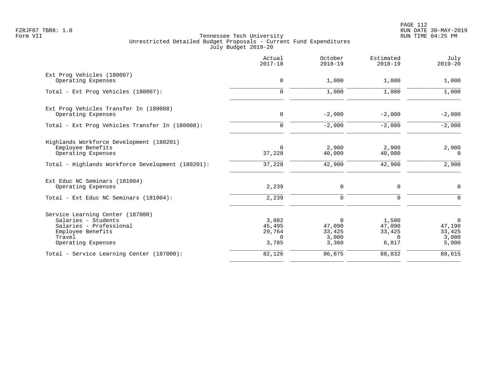PAGE 112 FZRJF07 TBR8: 1.0 RUN DATE 30-MAY-2019

|                                                   | Actual<br>$2017 - 18$ | October<br>$2018 - 19$ | Estimated<br>$2018 - 19$ | July<br>$2019 - 20$ |
|---------------------------------------------------|-----------------------|------------------------|--------------------------|---------------------|
| Ext Prog Vehicles (180007)                        | 0                     | 1,000                  | 1,000                    |                     |
| Operating Expenses                                |                       |                        |                          | 1,000               |
| Total - Ext Prog Vehicles (180007):               | $\mathbf 0$           | 1,000                  | 1,000                    | 1,000               |
| Ext Prog Vehicles Transfer In (180008)            |                       |                        |                          |                     |
| Operating Expenses                                | 0                     | $-2,000$               | $-2,000$                 | $-2,000$            |
| Total - Ext Prog Vehicles Transfer In (180008):   | $\mathbf 0$           | $-2,000$               | $-2,000$                 | $-2,000$            |
| Highlands Workforce Development (180201)          |                       |                        |                          |                     |
| Employee Benefits                                 | 0                     | 2,900                  | 2,900                    | 2,900               |
| Operating Expenses                                | 37,228                | 40,000                 | 40,000                   | 0                   |
| Total - Highlands Workforce Development (180201): | 37,228                | 42,900                 | 42,900                   | 2,900               |
| Ext Educ NC Seminars (181004)                     |                       |                        |                          |                     |
| Operating Expenses                                | 2,239                 | 0                      | $\mathbf 0$              | $\mathsf{O}$        |
| Total - Ext Educ NC Seminars (181004):            | 2,239                 | $\mathbf 0$            | $\mathbf 0$              | $\mathbf 0$         |
| Service Learning Center (187000)                  |                       |                        |                          |                     |
| Salaries - Students                               | 3,082                 | $\Omega$               | 1,500                    | $\overline{0}$      |
| Salaries - Professional                           | 45,495                | 47,090                 | 47,090                   | 47,190              |
| Employee Benefits<br>Travel                       | 29,764<br>$\Omega$    | 33,425<br>3,000        | 33,425<br>$\Omega$       | 33,425<br>3,000     |
| Operating Expenses                                | 3,785                 | 3,360                  | 6,817                    | 5,000               |
| Total - Service Learning Center (187000):         | 82,126                | 86,875                 | 88,832                   | 88,615              |
|                                                   |                       |                        |                          |                     |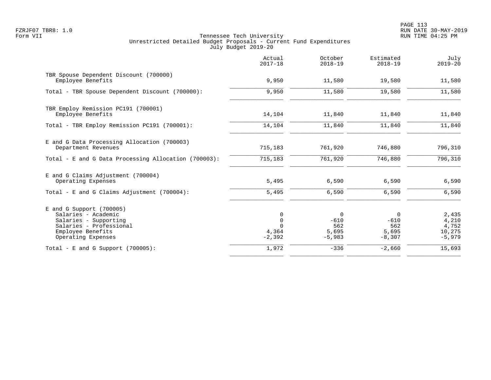PAGE 113 FZRJF07 TBR8: 1.0 RUN DATE 30-MAY-2019

|                                                                                                                                                  | Actual<br>$2017 - 18$                 | October<br>$2018 - 19$                               | Estimated<br>$2018 - 19$                | July<br>$2019 - 20$                           |
|--------------------------------------------------------------------------------------------------------------------------------------------------|---------------------------------------|------------------------------------------------------|-----------------------------------------|-----------------------------------------------|
| TBR Spouse Dependent Discount (700000)<br>Employee Benefits                                                                                      | 9,950                                 | 11,580                                               | 19,580                                  | 11,580                                        |
| Total - TBR Spouse Dependent Discount (700000):                                                                                                  | 9,950                                 | 11,580                                               | 19,580                                  | 11,580                                        |
| TBR Employ Remission PC191 (700001)<br>Employee Benefits                                                                                         | 14,104                                | 11,840                                               | 11,840                                  | 11,840                                        |
| Total - TBR Employ Remission PC191 (700001):                                                                                                     | 14,104                                | 11,840                                               | 11,840                                  | 11,840                                        |
| E and G Data Processing Allocation (700003)<br>Department Revenues                                                                               | 715,183                               | 761,920                                              | 746,880                                 | 796,310                                       |
| Total - E and G Data Processing Allocation (700003):                                                                                             | 715,183                               | 761,920                                              | 746,880                                 | 796, 310                                      |
| E and G Claims Adjustment (700004)<br>Operating Expenses<br>Total - E and G Claims Adjustment $(700004)$ :                                       | 5,495<br>5,495                        | 6,590<br>6,590                                       | 6,590<br>6,590                          | 6,590<br>6,590                                |
|                                                                                                                                                  |                                       |                                                      |                                         |                                               |
| $E$ and G Support (700005)<br>Salaries - Academic<br>Salaries - Supporting<br>Salaries - Professional<br>Employee Benefits<br>Operating Expenses | 0<br>$\mathbf 0$<br>4,364<br>$-2,392$ | $\overline{0}$<br>$-610$<br>562<br>5,695<br>$-5,983$ | 0<br>$-610$<br>562<br>5,695<br>$-8,307$ | 2,435<br>4,210<br>4,752<br>10,275<br>$-5,979$ |
| Total - E and G Support $(700005)$ :                                                                                                             | 1,972                                 | $-336$                                               | $-2,660$                                | 15,693                                        |
|                                                                                                                                                  |                                       |                                                      |                                         |                                               |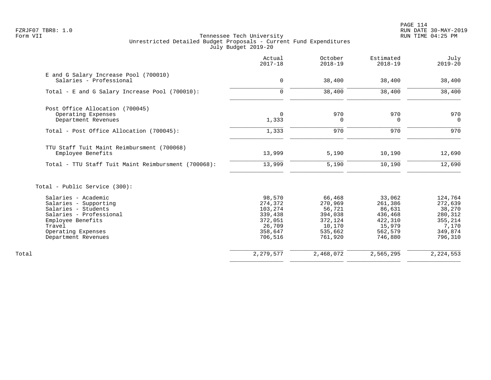|                                                                  | Actual<br>$2017 - 18$ | October<br>$2018 - 19$ | Estimated<br>$2018 - 19$ | July<br>$2019 - 20$ |
|------------------------------------------------------------------|-----------------------|------------------------|--------------------------|---------------------|
| E and G Salary Increase Pool (700010)<br>Salaries - Professional | $\mathbf 0$           | 38,400                 | 38,400                   | 38,400              |
|                                                                  |                       |                        |                          |                     |
| Total - E and G Salary Increase Pool (700010):                   | $\mathbf 0$           | 38,400                 | 38,400                   | 38,400              |
| Post Office Allocation (700045)                                  |                       |                        |                          |                     |
| Operating Expenses                                               | $\mathbf 0$           | 970                    | 970                      | 970                 |
| Department Revenues                                              | 1,333                 | 0                      | 0                        | $\overline{0}$      |
| Total - Post Office Allocation (700045):                         | 1,333                 | 970                    | 970                      | 970                 |
| TTU Staff Tuit Maint Reimbursment (700068)                       |                       |                        |                          |                     |
| Employee Benefits                                                | 13,999                | 5,190                  | 10,190                   | 12,690              |
| Total - TTU Staff Tuit Maint Reimbursment (700068):              | 13,999                | 5,190                  | 10,190                   | 12,690              |
| Total - Public Service (300):                                    |                       |                        |                          |                     |
| Salaries - Academic                                              | 98,570                | 66,468                 | 33,062                   | 124,764             |
| Salaries - Supporting                                            | 274,372               | 270,969                | 261,386                  | 272,639             |
| Salaries - Students                                              | 103,274               | 56,721                 | 86,631                   | 38,270              |
| Salaries - Professional                                          | 339,438               | 394,038                | 436,468                  | 280,312             |
| Employee Benefits                                                | 372,051               | 372,124                | 422,310                  | 355,214             |
| Travel                                                           | 26,709                | 10,170                 | 15,979                   | 7,170               |
| Operating Expenses                                               | 358,647               | 535,662                | 562,579                  | 349,874             |
| Department Revenues                                              | 706,516               | 761,920                | 746,880                  | 796,310             |
| Total                                                            | 2,279,577             | 2,468,072              | 2,565,295                | 2, 224, 553         |
|                                                                  |                       |                        |                          |                     |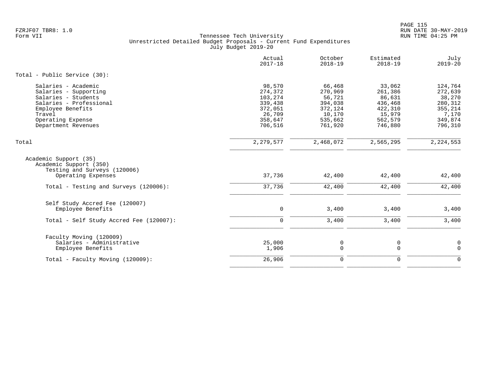PAGE 115 FZRJF07 TBR8: 1.0 RUN DATE 30-MAY-2019

|                                                                                                                                                                           | Actual<br>$2017 - 18$                                                              | October<br>$2018 - 19$                                                            | Estimated<br>$2018 - 19$                                                          | July<br>$2019 - 20$                                                               |
|---------------------------------------------------------------------------------------------------------------------------------------------------------------------------|------------------------------------------------------------------------------------|-----------------------------------------------------------------------------------|-----------------------------------------------------------------------------------|-----------------------------------------------------------------------------------|
| Total - Public Service (30):                                                                                                                                              |                                                                                    |                                                                                   |                                                                                   |                                                                                   |
| Salaries - Academic<br>Salaries - Supporting<br>Salaries - Students<br>Salaries - Professional<br>Employee Benefits<br>Travel<br>Operating Expense<br>Department Revenues | 98,570<br>274,372<br>103,274<br>339,438<br>372,051<br>26,709<br>358,647<br>706,516 | 66,468<br>270,969<br>56,721<br>394,038<br>372,124<br>10,170<br>535,662<br>761,920 | 33,062<br>261,386<br>86,631<br>436,468<br>422,310<br>15,979<br>562,579<br>746,880 | 124,764<br>272,639<br>38,270<br>280,312<br>355,214<br>7,170<br>349,874<br>796,310 |
| Total                                                                                                                                                                     | 2, 279, 577                                                                        | 2,468,072                                                                         | 2,565,295                                                                         | 2, 224, 553                                                                       |
| Academic Support (35)<br>Academic Support (350)<br>Testing and Surveys (120006)<br>Operating Expenses                                                                     | 37,736                                                                             | 42,400                                                                            | 42,400                                                                            | 42,400                                                                            |
| Total - Testing and Surveys (120006):                                                                                                                                     | 37,736                                                                             | 42,400                                                                            | 42,400                                                                            | 42,400                                                                            |
| Self Study Accred Fee (120007)<br>Employee Benefits<br>Total - Self Study Accred Fee (120007):                                                                            | $\mathbf 0$<br>$\Omega$                                                            | 3,400<br>3,400                                                                    | 3,400<br>3,400                                                                    | 3,400<br>3,400                                                                    |
|                                                                                                                                                                           |                                                                                    |                                                                                   |                                                                                   |                                                                                   |
| Faculty Moving (120009)<br>Salaries - Administrative<br>Employee Benefits                                                                                                 | 25,000<br>1,906                                                                    | 0<br>$\mathbf 0$                                                                  | 0<br>$\Omega$                                                                     | $\mathbf 0$<br>$\overline{0}$                                                     |
| Total - Faculty Moving (120009):                                                                                                                                          | 26,906                                                                             | $\mathbf 0$                                                                       | $\mathbf{0}$                                                                      | $\Omega$                                                                          |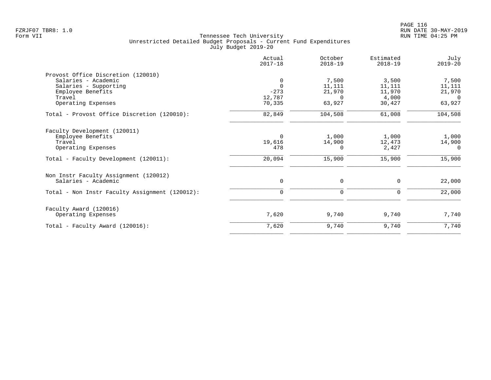| Actual<br>$2017 - 18$ | October<br>$2018 - 19$ | Estimated<br>$2018 - 19$  | July<br>$2019 - 20$ |
|-----------------------|------------------------|---------------------------|---------------------|
|                       |                        |                           |                     |
| 0                     | 7,500                  | 3,500                     | 7,500               |
| $\Omega$              | 11,111                 | 11,111                    | 11,111              |
| $-273$                | 21,970                 | 11,970                    | 21,970              |
|                       | $\Omega$               | 4,000                     | $\Omega$            |
|                       |                        |                           | 63,927              |
| 82,849                | 104,508                | 61,008                    | 104,508             |
|                       |                        |                           |                     |
|                       |                        |                           | 1,000               |
| 19,616                |                        | 12,473                    | 14,900              |
| 478                   | $\Omega$               | 2,427                     | $\Omega$            |
| 20,094                | 15,900                 | 15,900                    | 15,900              |
|                       |                        |                           |                     |
| 0                     | 0                      | 0                         | 22,000              |
| $\mathbf 0$           | 0                      | 0                         | 22,000              |
|                       |                        |                           |                     |
| 7,620                 | 9,740                  | 9,740                     | 7,740               |
| 7,620                 | 9,740                  | 9,740                     | 7,740               |
|                       | 12,787<br>70,335<br>0  | 63,927<br>1,000<br>14,900 | 30,427<br>1,000     |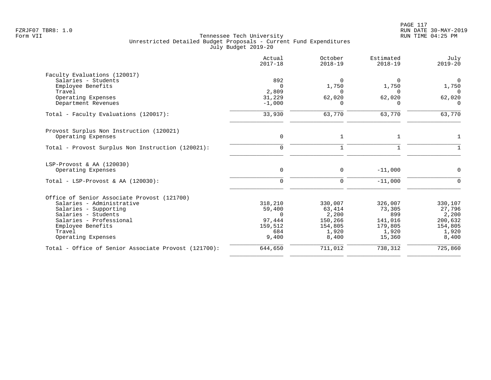|                                                      | Actual<br>$2017 - 18$ | October<br>$2018 - 19$ | Estimated<br>$2018 - 19$ | July<br>$2019 - 20$ |
|------------------------------------------------------|-----------------------|------------------------|--------------------------|---------------------|
| Faculty Evaluations (120017)                         |                       |                        |                          |                     |
| Salaries - Students                                  | 892                   | $\Omega$               | 0                        | $\mathbf{0}$        |
| Employee Benefits                                    | $\Omega$              | 1,750                  | 1,750                    | 1,750               |
| Travel                                               | 2,809                 | $\Omega$               | $\Omega$                 | $\Omega$            |
| Operating Expenses                                   | 31,229                | 62,020<br>$\Omega$     | 62,020<br>$\Omega$       | 62,020<br>$\Omega$  |
| Department Revenues                                  | $-1,000$              |                        |                          |                     |
| Total - Faculty Evaluations (120017):                | 33,930                | 63,770                 | 63,770                   | 63,770              |
| Provost Surplus Non Instruction (120021)             |                       |                        |                          |                     |
| Operating Expenses                                   | $\mathbf 0$           | $\mathbf{1}$           | $\mathbf{1}$             | 1                   |
| Total - Provost Surplus Non Instruction (120021):    | $\mathbf 0$           | $\mathbf{1}$           | $\mathbf{1}$             |                     |
| LSP-Provost & AA (120030)                            |                       |                        |                          |                     |
| Operating Expenses                                   | $\mathbf 0$           | $\mathbf 0$            | $-11,000$                | $\Omega$            |
| Total - LSP-Provost & AA $(120030)$ :                | $\mathbf 0$           | $\mathbf 0$            | $-11,000$                | ∩                   |
| Office of Senior Associate Provost (121700)          |                       |                        |                          |                     |
| Salaries - Administrative                            | 318,210               | 330,007                | 326,007                  | 330,107             |
| Salaries - Supporting                                | 59,400                | 63,414                 | 73,305                   | 27,796              |
| Salaries - Students                                  | $\Omega$              | 2,200                  | 899                      | 2,200               |
| Salaries - Professional                              | 97,444                | 150,266                | 141,016                  | 200,632             |
| Employee Benefits                                    | 159,512               | 154,805                | 179,805                  | 154,805             |
| Travel                                               | 684                   | 1,920                  | 1,920                    | 1,920               |
| Operating Expenses                                   | 9,400                 | 8,400                  | 15,360                   | 8,400               |
| Total - Office of Senior Associate Provost (121700): | 644,650               | 711,012                | 738,312                  | 725,860             |
|                                                      |                       |                        |                          |                     |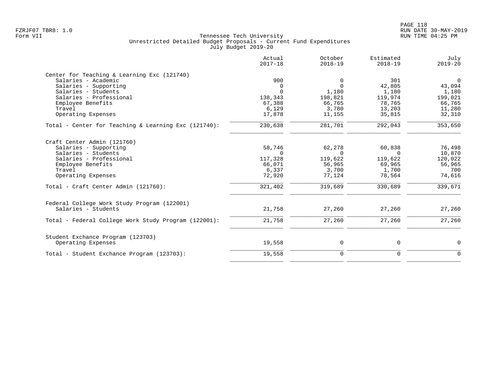| Actual<br>$2017 - 18$ | October<br>$2018 - 19$                           | Estimated<br>$2018 - 19$                         | July<br>$2019 - 20$                              |
|-----------------------|--------------------------------------------------|--------------------------------------------------|--------------------------------------------------|
|                       |                                                  |                                                  |                                                  |
| 900                   | 0                                                | 301                                              | $\overline{0}$                                   |
| 0                     | $\Omega$                                         | 42,805                                           | 43,094                                           |
| $\Omega$              | 1,180                                            | 1,180                                            | 1,180                                            |
| 138,343               | 198,821                                          | 119,974                                          | 199,021                                          |
| 67,388                | 66,765                                           | 78,765                                           | 66,765                                           |
| 6,129                 | 3,780                                            | 13,203                                           | 11,280                                           |
| 17,878                | 11,155                                           | 35,815                                           | 32,310                                           |
| 230,638               | 281,701                                          | 292,043                                          | 353,650                                          |
|                       |                                                  |                                                  |                                                  |
|                       |                                                  |                                                  | 76,498                                           |
|                       |                                                  |                                                  | 10,870                                           |
|                       |                                                  |                                                  | 120,022                                          |
|                       |                                                  |                                                  | 56,965                                           |
|                       |                                                  |                                                  | 700                                              |
| 72,920                | 77,124                                           | 78,564                                           | 74,616                                           |
| 321,402               | 319,689                                          | 330,689                                          | 339,671                                          |
|                       |                                                  |                                                  |                                                  |
| 21,758                | 27,260                                           | 27,260                                           | 27,260                                           |
| 21,758                | 27,260                                           | 27,260                                           | 27,260                                           |
|                       |                                                  |                                                  |                                                  |
| 19,558                | 0                                                | 0                                                | $\mathbf 0$                                      |
| 19,558                | $\mathbf 0$                                      | $\mathbf 0$                                      | $\Omega$                                         |
|                       | 58,746<br>$\Omega$<br>117,328<br>66,071<br>6,337 | 62,278<br>$\Omega$<br>119,622<br>56,965<br>3,700 | 60,838<br>$\Omega$<br>119,622<br>69,965<br>1,700 |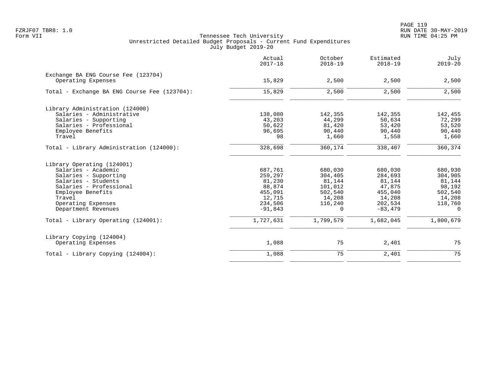|                                                           | Actual<br>$2017 - 18$ | October<br>$2018 - 19$ | Estimated<br>$2018 - 19$ | July<br>$2019 - 20$ |
|-----------------------------------------------------------|-----------------------|------------------------|--------------------------|---------------------|
| Exchange BA ENG Course Fee (123704)<br>Operating Expenses | 15,829                | 2,500                  | 2,500                    | 2,500               |
| Total - Exchange BA ENG Course Fee (123704):              | 15,829                | 2,500                  | 2,500                    | 2,500               |
| Library Administration (124000)                           |                       |                        |                          |                     |
| Salaries - Administrative                                 | 138,080               | 142,355                | 142,355                  | 142,455             |
| Salaries - Supporting                                     | 43,203                | 44,299                 | 50,634                   | 72,299              |
| Salaries - Professional                                   | 50,622                | 81,420                 | 53,420                   | 53,520              |
| Employee Benefits                                         | 96,695                | 90,440                 | 90,440                   | 90,440              |
| Travel                                                    | 98                    | 1,660                  | 1,558                    | 1,660               |
| Total - Library Administration (124000):                  | 328,698               | 360,174                | 338,407                  | 360,374             |
| Library Operating (124001)                                |                       |                        |                          |                     |
| Salaries - Academic                                       | 687,761               | 680,030                | 680,030                  | 680,930             |
| Salaries - Supporting                                     | 259,297               | 304,405                | 284,693                  | 304,905             |
| Salaries - Students                                       | 81,230                | 81,144                 | 81,144                   | 81,144              |
| Salaries - Professional                                   | 88,874                | 101,012                | 47,875                   | 98,192              |
| Employee Benefits                                         | 455,091               | 502,540                | 455,040                  | 502,540             |
| Travel                                                    | 12,715                | 14,208                 | 14,208                   | 14,208              |
| Operating Expenses                                        | 234,506               | 116,240                | 202,534                  | 118,760             |
| Department Revenues                                       | $-91,843$             | 0                      | $-83, 479$               | $\overline{0}$      |
| Total - Library Operating (124001):                       | 1,727,631             | 1,799,579              | 1,682,045                | 1,800,679           |
| Library Copying (124004)                                  |                       |                        |                          |                     |
| Operating Expenses                                        | 1,088                 | 75                     | 2,401                    | 75                  |
| Total - Library Copying (124004):                         | 1,088                 | 75                     | 2,401                    | 75                  |
|                                                           |                       |                        |                          |                     |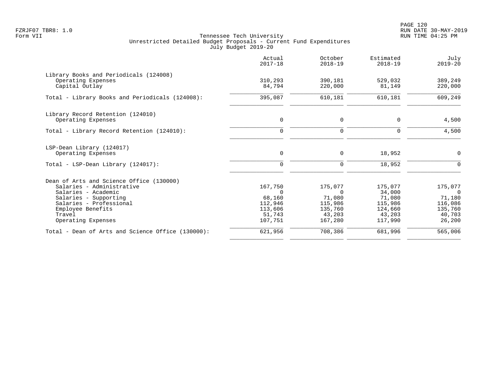PAGE 120 FZRJF07 TBR8: 1.0 RUN DATE 30-MAY-2019

|                                                                                                                       | Actual<br>$2017 - 18$                   | October<br>$2018 - 19$                  | Estimated<br>$2018 - 19$                | July<br>$2019 - 20$                    |
|-----------------------------------------------------------------------------------------------------------------------|-----------------------------------------|-----------------------------------------|-----------------------------------------|----------------------------------------|
| Library Books and Periodicals (124008)<br>Operating Expenses<br>Capital Outlay                                        | 310,293<br>84,794                       | 390,181<br>220,000                      | 529,032<br>81,149                       | 389,249<br>220,000                     |
| Total - Library Books and Periodicals (124008):                                                                       | 395,087                                 | 610,181                                 | 610,181                                 | 609,249                                |
| Library Record Retention (124010)<br>Operating Expenses                                                               | 0                                       | 0                                       | $\Omega$                                | 4,500                                  |
| Total - Library Record Retention (124010):                                                                            | $\Omega$                                | $\Omega$                                | $\Omega$                                | 4,500                                  |
| LSP-Dean Library (124017)<br>Operating Expenses                                                                       | $\mathbf 0$                             | $\mathbf 0$                             | 18,952                                  | 0                                      |
| Total - LSP-Dean Library (124017):                                                                                    | $\Omega$                                | $\mathbf 0$                             | 18,952                                  | $\Omega$                               |
| Dean of Arts and Science Office (130000)<br>Salaries - Administrative<br>Salaries - Academic<br>Salaries - Supporting | 167,750<br>$\Omega$<br>68,160           | 175,077<br>$\Omega$<br>71,080           | 175,077<br>34,000<br>71,080             | 175,077<br>$\Omega$<br>71,180          |
| Salaries - Professional<br>Employee Benefits<br>Travel<br>Operating Expenses                                          | 112,946<br>113,606<br>51,743<br>107,751 | 115,986<br>135,760<br>43,203<br>167,280 | 115,986<br>124,660<br>43,203<br>117,990 | 116,086<br>135,760<br>40,703<br>26,200 |
| Total - Dean of Arts and Science Office (130000):                                                                     | 621,956                                 | 708,386                                 | 681,996                                 | 565,006                                |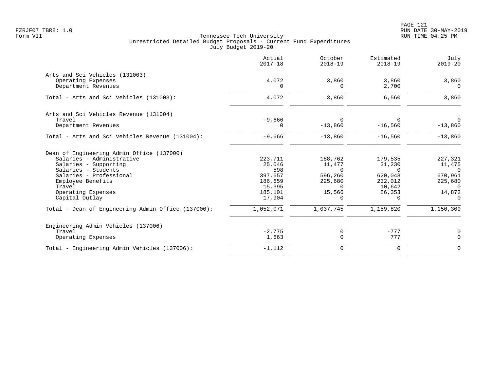|                                                    | Actual<br>$2017 - 18$ | October<br>$2018 - 19$ | Estimated<br>$2018 - 19$ | July<br>$2019 - 20$ |
|----------------------------------------------------|-----------------------|------------------------|--------------------------|---------------------|
| Arts and Sci Vehicles (131003)                     |                       |                        |                          |                     |
| Operating Expenses<br>Department Revenues          | 4,072<br>0            | 3,860<br>$\Omega$      | 3,860<br>2,700           | 3,860<br>$\Omega$   |
| Total - Arts and Sci Vehicles (131003):            | 4,072                 | 3,860                  | 6,560                    | 3,860               |
| Arts and Sci Vehicles Revenue (131004)             |                       |                        |                          |                     |
| Travel                                             | $-9,666$              | $\Omega$               | 0                        | $\Omega$            |
| Department Revenues                                | O                     | $-13,860$              | $-16,560$                | $-13,860$           |
| Total - Arts and Sci Vehicles Revenue (131004):    | $-9,666$              | $-13,860$              | $-16,560$                | $-13,860$           |
| Dean of Engineering Admin Office (137000)          |                       |                        |                          |                     |
| Salaries - Administrative                          | 223,711               | 188,762                | 179,535                  | 227,321             |
| Salaries - Supporting                              | 25,046                | 11,477                 | 31,230                   | 11,475              |
| Salaries - Students                                | 598                   | $\Omega$               | $\Omega$                 | $\Omega$            |
| Salaries - Professional                            | 397,657               | 596,260                | 620,048                  | 670,961             |
| Employee Benefits                                  | 186,659               | 225,680                | 232,012                  | 225,680             |
| Travel                                             | 15,395                | $\cap$                 | 10,642                   | $\Omega$            |
| Operating Expenses                                 | 185,101               | 15,566                 | 86,353                   | 14,872              |
| Capital Outlay                                     | 17,904                | $\Omega$               | $\Omega$                 | $\Omega$            |
| Total - Dean of Engineering Admin Office (137000): | 1,052,071             | 1,037,745              | 1,159,820                | 1,150,309           |
| Engineering Admin Vehicles (137006)                |                       |                        |                          |                     |
| Travel                                             | $-2,775$              | 0                      | $-777$                   | $\mathbf 0$         |
| Operating Expenses                                 | 1,663                 | $\Omega$               | 777                      | $\mathbf 0$         |
| Total - Engineering Admin Vehicles (137006):       | $-1,112$              | $\mathbf 0$            | $\mathbf 0$              | $\mathbf 0$         |
|                                                    |                       |                        |                          |                     |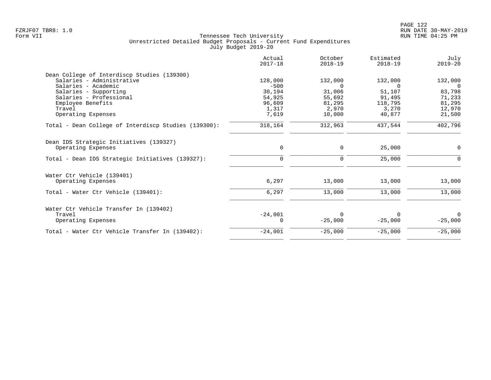| 128,000<br>$-500$<br>30,194<br>54,925<br>96,609 | 132,000<br>$\Omega$<br>31,006<br>55,692 | 132,000<br>$\cap$<br>51,107 | 132,000<br>$\Omega$ |
|-------------------------------------------------|-----------------------------------------|-----------------------------|---------------------|
|                                                 |                                         |                             |                     |
|                                                 |                                         |                             |                     |
|                                                 |                                         |                             |                     |
|                                                 |                                         |                             | 83,798              |
|                                                 |                                         | 91,495                      | 71,233              |
|                                                 | 81,295                                  | 118,795                     | 81,295              |
| 1,317                                           | 2,970                                   | 3,270                       | 12,970              |
|                                                 |                                         |                             | 21,500              |
| 318,164                                         | 312,963                                 | 437,544                     | 402,796             |
|                                                 |                                         |                             |                     |
| $\mathbf 0$                                     | 0                                       | 25,000                      | 0                   |
| $\Omega$                                        | $\mathbf 0$                             | 25,000                      | $\Omega$            |
|                                                 |                                         |                             |                     |
| 6,297                                           | 13,000                                  | 13,000                      | 13,000              |
| 6,297                                           | 13,000                                  | 13,000                      | 13,000              |
|                                                 |                                         |                             |                     |
|                                                 | $\Omega$                                | 0                           | $\Omega$            |
| 0                                               | $-25,000$                               | $-25,000$                   | $-25,000$           |
| $-24,001$                                       | $-25,000$                               | $-25,000$                   | $-25,000$           |
|                                                 | 7,619<br>$-24,001$                      | 10,000                      | 40,877              |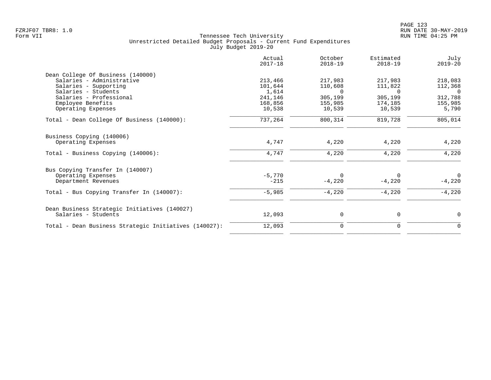|                                                       | Actual<br>$2017 - 18$ | October<br>$2018 - 19$ | Estimated<br>$2018 - 19$ | July<br>$2019 - 20$ |
|-------------------------------------------------------|-----------------------|------------------------|--------------------------|---------------------|
| Dean College Of Business (140000)                     |                       |                        |                          |                     |
| Salaries - Administrative                             | 213,466               | 217,983                | 217,983                  | 218,083             |
| Salaries - Supporting                                 | 101,644               | 110,608                | 111,822                  | 112,368             |
| Salaries - Students                                   | 1,614                 | $\Omega$               | $\Omega$                 | $\overline{0}$      |
| Salaries - Professional                               | 241,146               | 305,199                | 305,199                  | 312,788             |
| Employee Benefits                                     | 168,856               | 155,985                | 174,185                  | 155,985             |
| Operating Expenses                                    | 10,538                | 10,539                 | 10,539                   | 5,790               |
| Total - Dean College Of Business (140000):            | 737,264               | 800,314                | 819,728                  | 805,014             |
| Business Copying (140006)                             |                       |                        |                          |                     |
| Operating Expenses                                    | 4,747                 | 4,220                  | 4,220                    | 4,220               |
| Total - Business Copying (140006):                    | 4,747                 | 4,220                  | 4,220                    | 4,220               |
| Bus Copying Transfer In (140007)                      |                       |                        |                          |                     |
| Operating Expenses                                    | $-5,770$              | $\Omega$               | 0                        | 0                   |
| Department Revenues                                   | $-215$                | $-4,220$               | $-4,220$                 | $-4,220$            |
| Total - Bus Copying Transfer In (140007):             | $-5,985$              | $-4,220$               | $-4,220$                 | $-4,220$            |
|                                                       |                       |                        |                          |                     |
| Dean Business Strategic Initiatives (140027)          |                       |                        |                          |                     |
| Salaries - Students                                   | 12,093                | 0                      | 0                        | $\Omega$            |
| Total - Dean Business Strategic Initiatives (140027): | 12,093                | $\mathbf 0$            | 0                        | $\Omega$            |
|                                                       |                       |                        |                          |                     |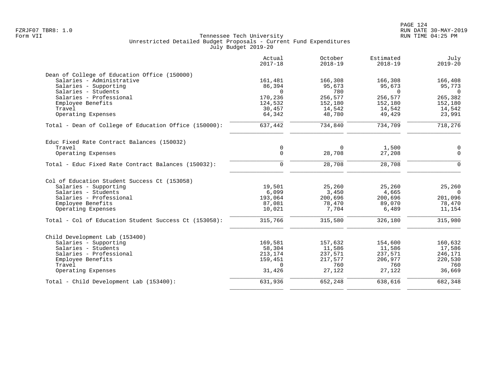|                                                       | Actual<br>$2017 - 18$ | October<br>$2018 - 19$ | Estimated<br>$2018 - 19$ | July<br>$2019 - 20$ |
|-------------------------------------------------------|-----------------------|------------------------|--------------------------|---------------------|
| Dean of College of Education Office (150000)          |                       |                        |                          |                     |
| Salaries - Administrative                             | 161,481               | 166,308                | 166,308                  | 166,408             |
| Salaries - Supporting                                 | 86,394                | 95,673                 | 95,673                   | 95,773              |
| Salaries - Students                                   | $\Omega$              | 780                    | $\mathbf 0$              | $\overline{0}$      |
| Salaries - Professional                               | 170,236               | 256,577                | 256,577                  | 265,382             |
| Employee Benefits                                     | 124,532               | 152,180                | 152,180                  | 152,180             |
| Travel                                                | 30,457                | 14,542                 | 14,542                   | 14,542              |
| Operating Expenses                                    | 64,342                | 48,780                 | 49,429                   | 23,991              |
| Total - Dean of College of Education Office (150000): | 637,442               | 734,840                | 734,709                  | 718,276             |
| Educ Fixed Rate Contract Balances (150032)            |                       |                        |                          |                     |
| Travel                                                | $\mathbf 0$           | $\mathbf 0$            | 1,500                    | 0                   |
| Operating Expenses                                    | $\Omega$              | 28,708                 | 27,208                   | $\mathbf 0$         |
| Total - Educ Fixed Rate Contract Balances (150032):   | $\Omega$              | 28,708                 | 28,708                   | $\Omega$            |
| Col of Education Student Success Ct (153058)          |                       |                        |                          |                     |
| Salaries - Supporting                                 | 19,501                | 25,260                 | 25,260                   | 25,260              |
| Salaries - Students                                   | 6,099                 | 3,450                  | 4,665                    | $\overline{0}$      |
| Salaries - Professional                               | 193,064               | 200,696                | 200,696                  | 201,096             |
| Employee Benefits                                     | 87,081                | 78,470                 | 89,070                   | 78,470              |
| Operating Expenses                                    | 10,021                | 7,704                  | 6,489                    | 11,154              |
| Total - Col of Education Student Success Ct (153058): | 315,766               | 315,580                | 326,180                  | 315,980             |
| Child Development Lab (153400)                        |                       |                        |                          |                     |
| Salaries - Supporting                                 | 169,581               | 157,632                | 154,600                  | 160,632             |
| Salaries - Students                                   | 58,304                | 11,586                 | 11,586                   | 17,586              |
| Salaries - Professional                               | 213,174               | 237,571                | 237,571                  | 246,171             |
| Employee Benefits                                     | 159,451               | 217,577                | 206,977                  | 220,530             |
| Travel                                                | $\Omega$              | 760                    | 760                      | 760                 |
| Operating Expenses                                    | 31,426                | 27,122                 | 27,122                   | 36,669              |
| Total - Child Development Lab (153400):               | 631,936               | 652,248                | 638,616                  | 682,348             |
|                                                       |                       |                        |                          |                     |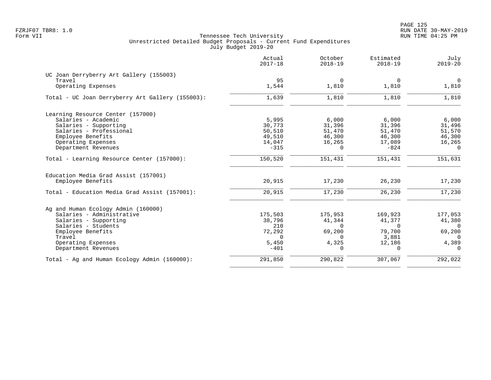|                                                  | Actual<br>$2017 - 18$ | October<br>$2018 - 19$ | Estimated<br>$2018 - 19$ | July<br>$2019 - 20$ |
|--------------------------------------------------|-----------------------|------------------------|--------------------------|---------------------|
| UC Joan Derryberry Art Gallery (155003)          |                       |                        |                          |                     |
| Travel                                           | 95                    | $\Omega$               | $\Omega$                 | $\Omega$            |
| Operating Expenses                               | 1,544                 | 1,810                  | 1,810                    | 1,810               |
| Total - UC Joan Derryberry Art Gallery (155003): | 1,639                 | 1,810                  | 1,810                    | 1,810               |
| Learning Resource Center (157000)                |                       |                        |                          |                     |
| Salaries - Academic                              | 5,995                 | 6,000                  | 6,000                    | 6,000               |
| Salaries - Supporting                            | 30,773                | 31,396                 | 31,396                   | 31,496              |
| Salaries - Professional                          | 50,510                | 51,470                 | 51,470                   | 51,570              |
| Employee Benefits                                | 49,510                | 46,300                 | 46,300                   | 46,300              |
| Operating Expenses                               | 14,047                | 16,265                 | 17,089                   | 16,265              |
| Department Revenues                              | $-315$                | $\Omega$               | $-824$                   | $\cap$              |
| Total - Learning Resource Center (157000):       | 150,520               | 151,431                | 151,431                  | 151,631             |
| Education Media Grad Assist (157001)             |                       |                        |                          |                     |
| Employee Benefits                                | 20,915                | 17,230                 | 26,230                   | 17,230              |
| Total - Education Media Grad Assist (157001):    | 20,915                | 17,230                 | 26,230                   | 17,230              |
| Ag and Human Ecology Admin (160000)              |                       |                        |                          |                     |
| Salaries - Administrative                        | 175,503               | 175,953                | 169,923                  | 177,053             |
| Salaries - Supporting                            | 38,796                | 41,344                 | 41,377                   | 41,380              |
| Salaries - Students                              | 210                   | $\Omega$               | $\Omega$                 | $\Omega$            |
| Employee Benefits                                | 72,292                | 69,200                 | 79,700                   | 69,200              |
| Travel                                           | $\Omega$              | $\Omega$               | 3,881                    | $\Omega$            |
| Operating Expenses                               | 5,450                 | 4,325                  | 12,186                   | 4,389               |
| Department Revenues                              | $-401$                | $\Omega$               | $\Omega$                 | $\Omega$            |
| Total - Ag and Human Ecology Admin (160000):     | 291,850               | 290,822                | 307,067                  | 292,022             |
|                                                  |                       |                        |                          |                     |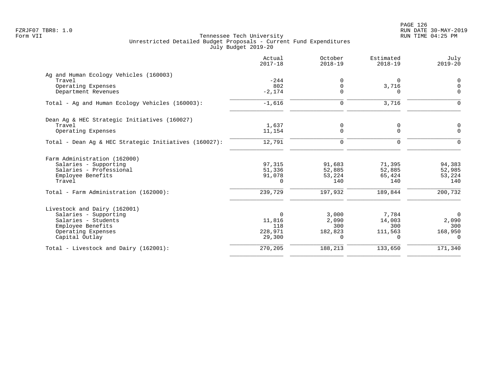|                                                       | Actual<br>$2017 - 18$ | October<br>$2018 - 19$ | Estimated<br>$2018 - 19$ | July<br>$2019 - 20$ |
|-------------------------------------------------------|-----------------------|------------------------|--------------------------|---------------------|
| Ag and Human Ecology Vehicles (160003)                |                       |                        |                          |                     |
| Travel                                                | $-244$                | 0                      | $\Omega$                 | 0                   |
| Operating Expenses                                    | 802                   | 0                      | 3,716                    | $\mathsf 0$         |
| Department Revenues                                   | $-2, 174$             | $\mathbf 0$            | $\Omega$                 | $\mathbf 0$         |
| Total - Ag and Human Ecology Vehicles (160003):       | $-1,616$              | $\mathbf 0$            | 3,716                    | $\mathbf 0$         |
| Dean Ag & HEC Strategic Initiatives (160027)          |                       |                        |                          |                     |
| Travel                                                | 1,637                 | 0                      | 0                        | 0                   |
| Operating Expenses                                    | 11,154                | $\Omega$               | $\Omega$                 | $\Omega$            |
| Total - Dean Aq & HEC Strategic Initiatives (160027): | 12,791                | $\mathbf 0$            | $\Omega$                 | $\Omega$            |
| Farm Administration (162000)                          |                       |                        |                          |                     |
| Salaries - Supporting                                 | 97,315                | 91,683                 | 71,395                   | 94,383              |
| Salaries - Professional                               | 51,336                | 52,885                 | 52,885                   | 52,985              |
| Employee Benefits                                     | 91,078                | 53,224                 | 65,424                   | 53,224              |
| Travel                                                | $\Omega$              | 140                    | 140                      | 140                 |
| Total - Farm Administration (162000):                 | 239,729               | 197,932                | 189,844                  | 200,732             |
| Livestock and Dairy (162001)                          |                       |                        |                          |                     |
| Salaries - Supporting                                 | $\Omega$              | 3,000                  | 7,784                    | $\overline{0}$      |
| Salaries - Students                                   | 11,816                | 2,090                  | 14,003                   | 2,090               |
| Employee Benefits                                     | 118                   | 300                    | 300                      | 300                 |
| Operating Expenses                                    | 228,971               | 182,823                | 111,563                  | 168,950             |
| Capital Outlay                                        | 29,300                | $\Omega$               | $\Omega$                 | $\Omega$            |
| Total - Livestock and Dairy (162001):                 | 270,205               | 188,213                | 133,650                  | 171,340             |
|                                                       |                       |                        |                          |                     |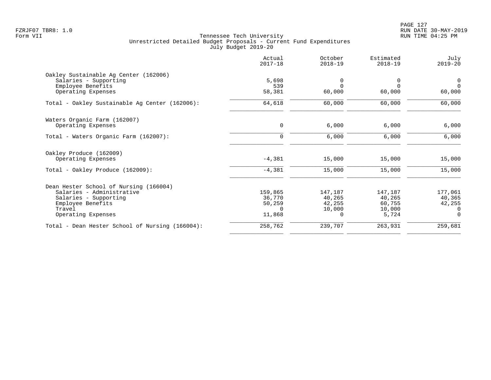PAGE 127 FZRJF07 TBR8: 1.0 RUN DATE 30-MAY-2019

|                                                 | Actual<br>$2017 - 18$ | October<br>$2018 - 19$ | Estimated<br>$2018 - 19$ | July<br>$2019 - 20$ |
|-------------------------------------------------|-----------------------|------------------------|--------------------------|---------------------|
| Oakley Sustainable Ag Center (162006)           |                       |                        |                          |                     |
| Salaries - Supporting                           | 5,698                 | 0                      | 0                        | $\overline{0}$      |
| Employee Benefits                               | 539                   | $\Omega$               | $\Omega$                 | $\Omega$            |
| Operating Expenses                              | 58,381                | 60,000                 | 60,000                   | 60,000              |
| Total - Oakley Sustainable Ag Center (162006):  | 64,618                | 60,000                 | 60,000                   | 60,000              |
| Waters Organic Farm (162007)                    |                       |                        |                          |                     |
| Operating Expenses                              | 0                     | 6,000                  | 6,000                    | 6,000               |
| Total - Waters Organic Farm (162007):           | $\mathbf 0$           | 6,000                  | 6,000                    | 6,000               |
| Oakley Produce (162009)                         |                       |                        |                          |                     |
| Operating Expenses                              | $-4,381$              | 15,000                 | 15,000                   | 15,000              |
| Total - Oakley Produce (162009):                | $-4,381$              | 15,000                 | 15,000                   | 15,000              |
| Dean Hester School of Nursing (166004)          |                       |                        |                          |                     |
| Salaries - Administrative                       | 159,865               | 147,187                | 147,187                  | 177,061             |
| Salaries - Supporting                           | 36,770                | 40,265                 | 40,265                   | 40,365              |
| Employee Benefits                               | 50,259                | 42,255                 | 60,755                   | 42,255              |
| Travel                                          | $\Omega$              | 10,000                 | 10,000                   | 0                   |
| Operating Expenses                              | 11,868                | $\Omega$               | 5,724                    | $\Omega$            |
| Total - Dean Hester School of Nursing (166004): | 258,762               | 239,707                | 263,931                  | 259,681             |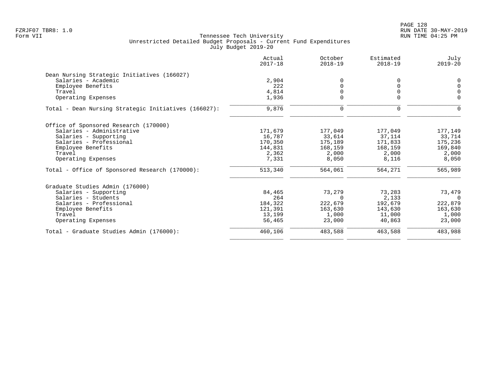|                                                      | Actual<br>$2017 - 18$ | October<br>$2018 - 19$ | Estimated<br>$2018 - 19$ | July<br>$2019 - 20$ |
|------------------------------------------------------|-----------------------|------------------------|--------------------------|---------------------|
| Dean Nursing Strategic Initiatives (166027)          |                       |                        |                          |                     |
| Salaries - Academic                                  | 2,904                 | $\Omega$               |                          | 0                   |
| Employee Benefits                                    | 222                   | $\Omega$               |                          | $\mathbf 0$         |
| Travel                                               | 4,814                 | 0                      |                          | $\mathbf 0$         |
| Operating Expenses                                   | 1,936                 |                        |                          | $\Omega$            |
| Total - Dean Nursing Strategic Initiatives (166027): | 9,876                 | $\mathbf 0$            | $\Omega$                 | $\Omega$            |
| Office of Sponsored Research (170000)                |                       |                        |                          |                     |
| Salaries - Administrative                            | 171,679               | 177,049                | 177,049                  | 177,149             |
| Salaries - Supporting                                | 16,787                | 33,614                 | 37,114                   | 33,714              |
| Salaries - Professional                              | 170,350               | 175,189                | 171,833                  | 175,236             |
| Employee Benefits                                    | 144,831               | 168,159                | 168,159                  | 169,840             |
| Travel                                               | 2,362                 | 2,000                  | 2,000                    | 2,000               |
| Operating Expenses                                   | 7,331                 | 8,050                  | 8,116                    | 8,050               |
| Total - Office of Sponsored Research (170000):       | 513,340               | 564,061                | 564,271                  | 565,989             |
| Graduate Studies Admin (176000)                      |                       |                        |                          |                     |
| Salaries - Supporting                                | 84,465                | 73,279                 | 73,283                   | 73,479              |
| Salaries - Students                                  | 264                   | $\Omega$               | 2,133                    | $\Omega$            |
| Salaries - Professional                              | 184,322               | 222,679                | 192,679                  | 222,879             |
| Employee Benefits                                    | 121,391               | 163,630                | 143,630                  | 163,630             |
| Travel                                               | 13,199                | 1,000                  | 11,000                   | 1,000               |
| Operating Expenses                                   | 56,465                | 23,000                 | 40,863                   | 23,000              |
| Total - Graduate Studies Admin (176000):             | 460,106               | 483,588                | 463,588                  | 483,988             |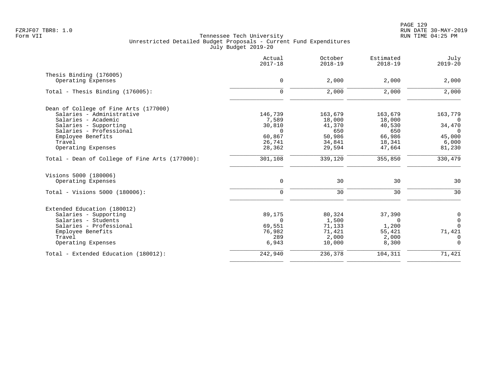|                                                | Actual<br>$2017 - 18$ | October<br>$2018 - 19$ | Estimated<br>$2018 - 19$ | July<br>$2019 - 20$ |
|------------------------------------------------|-----------------------|------------------------|--------------------------|---------------------|
| Thesis Binding (176005)                        |                       |                        |                          |                     |
| Operating Expenses                             | 0                     | 2,000                  | 2,000                    | 2,000               |
| Total - Thesis Binding $(176005)$ :            | $\mathbf 0$           | 2,000                  | 2,000                    | 2,000               |
| Dean of College of Fine Arts (177000)          |                       |                        |                          |                     |
| Salaries - Administrative                      | 146,739               | 163,679                | 163,679                  | 163,779             |
| Salaries - Academic                            | 7,589                 | 18,000                 | 18,000                   | $\overline{0}$      |
| Salaries - Supporting                          | 30,810                | 41,370                 | 40,530                   | 34,470              |
| Salaries - Professional                        | $\Omega$              | 650                    | 650                      | $\Omega$            |
| Employee Benefits                              | 60,867                | 50,986                 | 66,986                   | 45,000              |
| Travel                                         | 26,741                | 34,841                 | 18,341                   | 6,000               |
| Operating Expenses                             | 28,362                | 29,594                 | 47,664                   | 81,230              |
| Total - Dean of College of Fine Arts (177000): | 301,108               | 339,120                | 355,850                  | 330,479             |
| Visions 5000 (180006)                          |                       |                        |                          |                     |
| Operating Expenses                             | $\mathbf 0$           | 30                     | 30                       | 30                  |
| Total - Visions 5000 (180006):                 | $\mathbf 0$           | $\overline{30}$        | $\overline{30}$          | $\overline{30}$     |
| Extended Education (180012)                    |                       |                        |                          |                     |
| Salaries - Supporting                          | 89,175                | 80,324                 | 37,390                   | $\mathsf{O}$        |
| Salaries - Students                            | $\Omega$              | 1,500                  | 0                        | $\overline{0}$      |
| Salaries - Professional                        | 69,551                | 71,133                 | 1,200                    | $\overline{0}$      |
| Employee Benefits                              | 76,982                | 71,421                 | 55,421                   | 71,421              |
| Travel                                         | 289                   | 2,000                  | 2,000                    | $\overline{0}$      |
| Operating Expenses                             | 6,943                 | 10,000                 | 8,300                    | $\Omega$            |
| Total - Extended Education (180012):           | 242,940               | 236,378                | 104,311                  | 71,421              |
|                                                |                       |                        |                          |                     |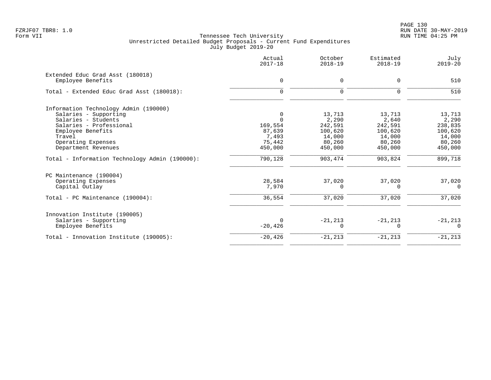|                                                | Actual<br>$2017 - 18$ | October<br>$2018 - 19$ | Estimated<br>$2018 - 19$ | July<br>$2019 - 20$ |
|------------------------------------------------|-----------------------|------------------------|--------------------------|---------------------|
| Extended Educ Grad Asst (180018)               |                       | $\Omega$               | $\Omega$                 | 510                 |
| Employee Benefits                              | 0                     |                        |                          |                     |
| Total - Extended Educ Grad Asst (180018):      | $\Omega$              | $\mathbf 0$            | $\mathbf 0$              | 510                 |
| Information Technology Admin (190000)          |                       |                        |                          |                     |
| Salaries - Supporting                          | 0                     | 13,713                 | 13,713                   | 13,713              |
| Salaries - Students                            | $\Omega$              | 2,290                  | 2,640                    | 2,290               |
| Salaries - Professional                        | 169,554               | 242,591                | 242,591                  | 238,835             |
| Employee Benefits                              | 87,639                | 100,620                | 100,620                  | 100,620             |
| Travel                                         | 7,493                 | 14,000                 | 14,000                   | 14,000              |
| Operating Expenses                             | 75,442                | 80,260                 | 80,260                   | 80,260              |
| Department Revenues                            | 450,000               | 450,000                | 450,000                  | 450,000             |
| Total - Information Technology Admin (190000): | 790,128               | 903,474                | 903,824                  | 899,718             |
| PC Maintenance (190004)                        |                       |                        |                          |                     |
| Operating Expenses                             | 28,584                | 37,020                 | 37,020                   | 37,020              |
| Capital Outlay                                 | 7,970                 | $\Omega$               | $\Omega$                 | 0                   |
| Total - PC Maintenance (190004):               | 36,554                | 37,020                 | 37,020                   | 37,020              |
| Innovation Institute (190005)                  |                       |                        |                          |                     |
| Salaries - Supporting                          | $\Omega$              | $-21, 213$             | $-21, 213$               | $-21,213$           |
| Employee Benefits                              | $-20,426$             | $\Omega$               | $\Omega$                 | $\Omega$            |
| Total - Innovation Institute (190005):         | $-20,426$             | $-21, 213$             | $-21, 213$               | $-21, 213$          |
|                                                |                       |                        |                          |                     |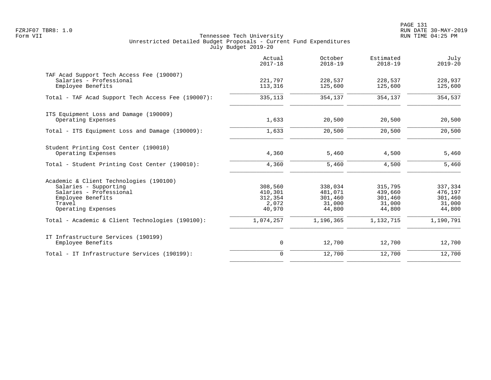|                                                                                                                                                  | Actual<br>$2017 - 18$                            | October<br>$2018 - 19$                            | Estimated<br>$2018 - 19$                          | July<br>$2019 - 20$                               |
|--------------------------------------------------------------------------------------------------------------------------------------------------|--------------------------------------------------|---------------------------------------------------|---------------------------------------------------|---------------------------------------------------|
| TAF Acad Support Tech Access Fee (190007)<br>Salaries - Professional<br>Employee Benefits                                                        | 221,797<br>113,316                               | 228,537<br>125,600                                | 228,537<br>125,600                                | 228,937<br>125,600                                |
| Total - TAF Acad Support Tech Access Fee (190007):                                                                                               | 335,113                                          | 354,137                                           | 354,137                                           | 354,537                                           |
| ITS Equipment Loss and Damage (190009)<br>Operating Expenses                                                                                     | 1,633                                            | 20,500                                            | 20,500                                            | 20,500                                            |
| Total - ITS Equipment Loss and Damage (190009):                                                                                                  | 1,633                                            | 20,500                                            | 20,500                                            | 20,500                                            |
| Student Printing Cost Center (190010)<br>Operating Expenses                                                                                      | 4,360                                            | 5,460                                             | 4,500                                             | 5,460                                             |
| Total - Student Printing Cost Center (190010):                                                                                                   | 4,360                                            | 5,460                                             | 4,500                                             | 5,460                                             |
| Academic & Client Technologies (190100)<br>Salaries - Supporting<br>Salaries - Professional<br>Employee Benefits<br>Travel<br>Operating Expenses | 308,560<br>410,301<br>312,354<br>2,072<br>40,970 | 338,034<br>481,071<br>301,460<br>31,000<br>44,800 | 315,795<br>439,660<br>301,460<br>31,000<br>44,800 | 337,334<br>476,197<br>301,460<br>31,000<br>44,800 |
| Total - Academic & Client Technologies (190100):                                                                                                 | 1,074,257                                        | 1,196,365                                         | 1,132,715                                         | 1,190,791                                         |
| IT Infrastructure Services (190199)<br>Employee Benefits                                                                                         | $\mathsf{O}$                                     | 12,700                                            | 12,700                                            | 12,700                                            |
| Total - IT Infrastructure Services (190199):                                                                                                     | $\mathbf 0$                                      | 12,700                                            | 12,700                                            | 12,700                                            |
|                                                                                                                                                  |                                                  |                                                   |                                                   |                                                   |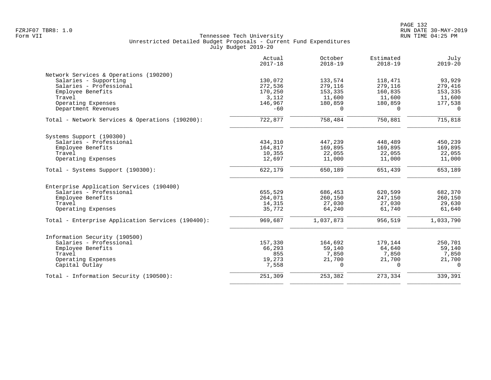|                                                   | Actual<br>$2017 - 18$ | October<br>$2018 - 19$ | Estimated<br>$2018 - 19$ | July<br>$2019 - 20$ |
|---------------------------------------------------|-----------------------|------------------------|--------------------------|---------------------|
| Network Services & Operations (190200)            |                       |                        |                          |                     |
| Salaries - Supporting                             | 130,072               | 133,574                | 118,471                  | 93,929              |
| Salaries - Professional                           | 272,536               | 279,116                | 279,116                  | 279,416             |
| Employee Benefits                                 | 170,250               | 153,335                | 160,835                  | 153,335             |
| Travel                                            | 3,112                 | 11,600                 | 11,600                   | 11,600              |
| Operating Expenses                                | 146,967               | 180,859                | 180,859                  | 177,538             |
| Department Revenues                               | $-60$                 | $\Omega$               | $\Omega$                 | $\Omega$            |
| Total - Network Services & Operations (190200):   | 722,877               | 758,484                | 750,881                  | 715,818             |
| Systems Support (190300)                          |                       |                        |                          |                     |
| Salaries - Professional                           | 434,310               | 447,239                | 448,489                  | 450,239             |
| Employee Benefits                                 | 164,817               | 169,895                | 169,895                  | 169,895             |
| Travel                                            | 10,355                | 22,055                 | 22,055                   | 22,055              |
| Operating Expenses                                | 12,697                | 11,000                 | 11,000                   | 11,000              |
| Total - Systems Support (190300):                 | 622,179               | 650,189                | 651,439                  | 653,189             |
| Enterprise Application Services (190400)          |                       |                        |                          |                     |
| Salaries - Professional                           | 655,529               | 686,453                | 620,599                  | 682,370             |
| Employee Benefits                                 | 264,071               | 260,150                | 247,150                  | 260,150             |
| Travel                                            | 14,315                | 27,030                 | 27,030                   | 29,630              |
| Operating Expenses                                | 35,772                | 64,240                 | 61,740                   | 61,640              |
| Total - Enterprise Application Services (190400): | 969,687               | 1,037,873              | 956,519                  | 1,033,790           |
| Information Security (190500)                     |                       |                        |                          |                     |
| Salaries - Professional                           | 157,330               | 164,692                | 179,144                  | 250,701             |
| Employee Benefits                                 | 66,293                | 59,140                 | 64,640                   | 59,140              |
| Travel                                            | 855                   | 7,850                  | 7,850                    | 7,850               |
| Operating Expenses                                | 19,273                | 21,700                 | 21,700                   | 21,700              |
| Capital Outlay                                    | 7,558                 | $\Omega$               | $\Omega$                 | $\Omega$            |
| Total - Information Security (190500):            | 251,309               | 253,382                | 273,334                  | 339,391             |
|                                                   |                       |                        |                          |                     |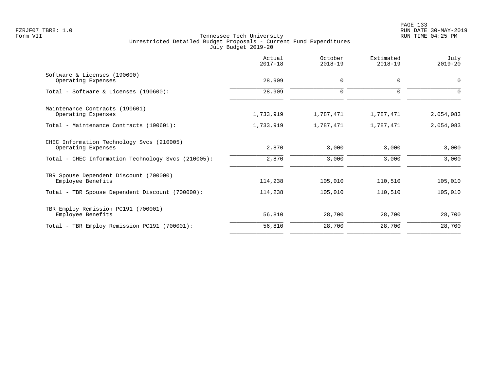| Actual<br>$2017 - 18$ | October<br>$2018 - 19$ | Estimated<br>$2018 - 19$ | July<br>$2019 - 20$ |
|-----------------------|------------------------|--------------------------|---------------------|
| 28,909                | $\mathbf 0$            | $\mathbf 0$              | $\mathbf 0$         |
| 28,909                | $\mathbf 0$            | $\mathbf 0$              | 0                   |
| 1,733,919             | 1,787,471              | 1,787,471                | 2,054,083           |
| 1,733,919             | 1,787,471              | 1,787,471                | 2,054,083           |
| 2,870                 | 3,000                  | 3,000                    | 3,000               |
| 2,870                 | 3,000                  | 3,000                    | 3,000               |
| 114,238               | 105,010                | 110,510                  | 105,010             |
| 114,238               | 105,010                | 110,510                  | 105,010             |
| 56,810                | 28,700                 | 28,700                   | 28,700              |
| 56,810                | 28,700                 | 28,700                   | 28,700              |
|                       |                        |                          |                     |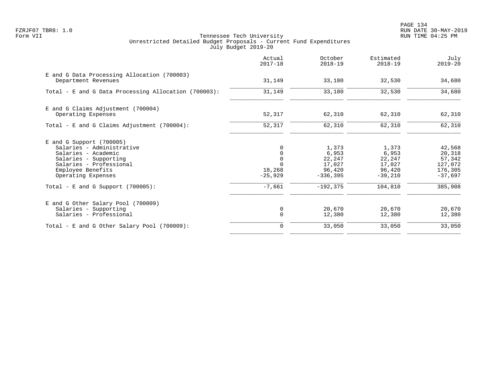PAGE 134 FZRJF07 TBR8: 1.0 RUN DATE 30-MAY-2019

|                                                                                                                                                                                                                       | Actual<br>$2017 - 18$                                                          | October<br>$2018 - 19$                                                    | Estimated<br>$2018 - 19$                                             | July<br>$2019 - 20$                                                      |
|-----------------------------------------------------------------------------------------------------------------------------------------------------------------------------------------------------------------------|--------------------------------------------------------------------------------|---------------------------------------------------------------------------|----------------------------------------------------------------------|--------------------------------------------------------------------------|
| E and G Data Processing Allocation (700003)<br>Department Revenues                                                                                                                                                    | 31,149                                                                         | 33,180                                                                    | 32,530                                                               | 34,680                                                                   |
| Total - E and G Data Processing Allocation (700003):                                                                                                                                                                  | 31,149                                                                         | 33,180                                                                    | 32,530                                                               | 34,680                                                                   |
| E and G Claims Adjustment (700004)<br>Operating Expenses                                                                                                                                                              | 52,317                                                                         | 62,310                                                                    | 62,310                                                               | 62,310                                                                   |
| Total - E and G Claims Adjustment (700004):                                                                                                                                                                           | 52,317                                                                         | 62,310                                                                    | 62,310                                                               | 62,310                                                                   |
| $E$ and G Support (700005)<br>Salaries - Administrative<br>Salaries - Academic<br>Salaries - Supporting<br>Salaries - Professional<br>Employee Benefits<br>Operating Expenses<br>Total - E and G Support $(700005)$ : | 0<br>$\mathbf 0$<br>$\mathbf 0$<br>$\Omega$<br>18,268<br>$-25,929$<br>$-7,661$ | 1,373<br>6,953<br>22,247<br>17,027<br>96,420<br>$-336,395$<br>$-192, 375$ | 1,373<br>6,953<br>22,247<br>17,027<br>96,420<br>$-39,210$<br>104,810 | 42,568<br>20,318<br>57,342<br>127,072<br>176,305<br>$-37.697$<br>385,908 |
| E and G Other Salary Pool (700009)<br>Salaries - Supporting<br>Salaries - Professional                                                                                                                                | 0<br>$\mathbf 0$                                                               | 20,670<br>12,380                                                          | 20,670<br>12,380                                                     | 20,670<br>12,380                                                         |
| Total - E and G Other Salary Pool (700009):                                                                                                                                                                           | 0                                                                              | 33,050                                                                    | 33,050                                                               | 33,050                                                                   |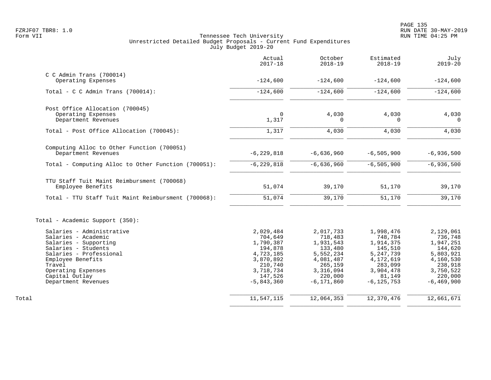|                                                     | Actual<br>$2017 - 18$ | October<br>$2018 - 19$ | Estimated<br>$2018 - 19$ | July<br>$2019 - 20$  |
|-----------------------------------------------------|-----------------------|------------------------|--------------------------|----------------------|
| $C$ C Admin Trans (700014)<br>Operating Expenses    | $-124,600$            | $-124,600$             | $-124,600$               | $-124,600$           |
|                                                     |                       |                        |                          |                      |
| Total - C C Admin Trans $(700014)$ :                | $-124,600$            | $-124,600$             | $-124,600$               | $-124,600$           |
| Post Office Allocation (700045)                     |                       |                        |                          |                      |
| Operating Expenses                                  | $\Omega$              | 4,030<br>O             | 4,030                    | 4,030                |
| Department Revenues                                 | 1,317                 |                        | $\Omega$                 | $\Omega$             |
| Total - Post Office Allocation (700045):            | 1,317                 | 4,030                  | 4,030                    | 4,030                |
| Computing Alloc to Other Function (700051)          |                       |                        |                          |                      |
| Department Revenues                                 | $-6, 229, 818$        | $-6,636,960$           | $-6, 505, 900$           | $-6,936,500$         |
| Total - Computing Alloc to Other Function (700051): | $-6, 229, 818$        | $-6,636,960$           | $-6, 505, 900$           | $-6,936,500$         |
| TTU Staff Tuit Maint Reimbursment (700068)          |                       |                        |                          |                      |
| Employee Benefits                                   | 51,074                | 39,170                 | 51,170                   | 39,170               |
| Total - TTU Staff Tuit Maint Reimbursment (700068): | 51,074                | 39,170                 | 51,170                   | 39,170               |
| Total - Academic Support (350):                     |                       |                        |                          |                      |
| Salaries - Administrative                           | 2,029,484             | 2,017,733              | 1,998,476                | 2,129,061            |
| Salaries - Academic                                 | 704,649               | 718,483                | 748,784                  | 736,748              |
| Salaries - Supporting                               | 1,790,387             | 1,931,543              | 1,914,375                | 1,947,251            |
| Salaries - Students                                 | 194,878               | 133,480                | 145,510                  | 144,620              |
| Salaries - Professional                             | 4,723,185             | 5,552,234              | 5,247,739                | 5,803,921            |
| Employee Benefits<br>Travel                         | 3,870,892<br>210,740  | 4,081,487<br>265,159   | 4,172,619<br>283,099     | 4,160,530<br>238,918 |
| Operating Expenses                                  | 3,718,734             | 3,316,094              | 3,904,478                | 3,750,522            |
| Capital Outlay                                      | 147,526               | 220,000                | 81,149                   | 220,000              |
| Department Revenues                                 | $-5,843,360$          | $-6, 171, 860$         | $-6, 125, 753$           | $-6, 469, 900$       |
| Total                                               | 11,547,115            | 12,064,353             | 12,370,476               | 12,661,671           |
|                                                     |                       |                        |                          |                      |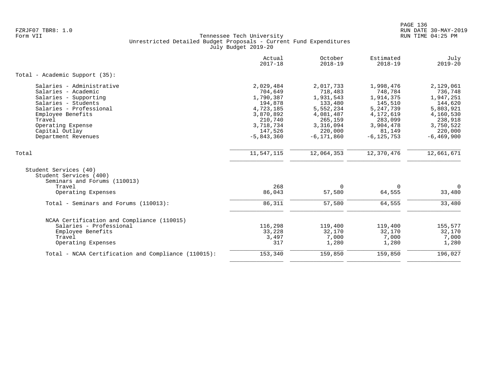|                                                                                 | Actual<br>$2017 - 18$ | October<br>$2018 - 19$ | Estimated<br>$2018 - 19$ | July<br>$2019 - 20$ |
|---------------------------------------------------------------------------------|-----------------------|------------------------|--------------------------|---------------------|
| Total - Academic Support (35):                                                  |                       |                        |                          |                     |
| Salaries - Administrative                                                       | 2,029,484             | 2,017,733              | 1,998,476                | 2,129,061           |
| Salaries - Academic                                                             | 704,649               | 718,483                | 748,784                  | 736,748             |
| Salaries - Supporting                                                           | 1,790,387             | 1,931,543              | 1,914,375                | 1,947,251           |
| Salaries - Students                                                             | 194,878               | 133,480                | 145,510                  | 144,620             |
| Salaries - Professional                                                         | 4,723,185             | 5,552,234              | 5, 247, 739              | 5,803,921           |
| Employee Benefits                                                               | 3,870,892             | 4,081,487              | 4,172,619                | 4,160,530           |
| Travel                                                                          | 210,740               | 265,159                | 283,099                  | 238,918             |
| Operating Expense                                                               | 3,718,734             | 3,316,094              | 3,904,478                | 3,750,522           |
| Capital Outlay                                                                  | 147,526               | 220,000                | 81,149                   | 220,000             |
| Department Revenues                                                             | $-5,843,360$          | $-6, 171, 860$         | $-6, 125, 753$           | $-6, 469, 900$      |
| Total                                                                           | 11,547,115            | 12,064,353             | 12,370,476               | 12,661,671          |
| Student Services (40)<br>Student Services (400)<br>Seminars and Forums (110013) |                       |                        |                          |                     |
| Travel                                                                          | 268                   | $\Omega$               | 0                        | $\overline{0}$      |
| Operating Expenses                                                              | 86,043                | 57,580                 | 64,555                   | 33,480              |
| Total - Seminars and Forums (110013):                                           | 86,311                | 57,580                 | 64,555                   | 33,480              |
| NCAA Certification and Compliance (110015)                                      |                       |                        |                          |                     |
| Salaries - Professional                                                         | 116,298               | 119,400                | 119,400                  | 155,577             |
| Employee Benefits                                                               | 33,228                | 32,170                 | 32,170                   | 32,170              |
| Travel                                                                          | 3,497                 | 7,000                  | 7,000                    | 7,000               |
| Operating Expenses                                                              | 317                   | 1,280                  | 1,280                    | 1,280               |
| Total - NCAA Certification and Compliance (110015):                             | 153,340               | 159,850                | 159,850                  | 196,027             |
|                                                                                 |                       |                        |                          |                     |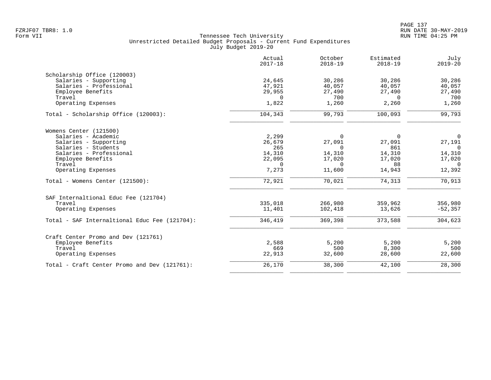|                                               | Actual<br>$2017 - 18$ | October<br>$2018 - 19$ | Estimated<br>$2018 - 19$ | July<br>$2019 - 20$   |
|-----------------------------------------------|-----------------------|------------------------|--------------------------|-----------------------|
| Scholarship Office (120003)                   |                       |                        |                          |                       |
| Salaries - Supporting                         | 24,645                | 30,286                 | 30,286                   | 30,286                |
| Salaries - Professional                       | 47,921                | 40,057                 | 40,057                   | 40,057                |
| Employee Benefits                             | 29,955                | 27,490                 | 27,490                   | 27,490                |
| Travel                                        | $\Omega$              | 700                    | $\Omega$                 | 700                   |
| Operating Expenses                            | 1,822                 | 1,260                  | 2,260                    | 1,260                 |
| Total - Scholarship Office (120003):          | 104,343               | 99,793                 | 100,093                  | 99,793                |
| Womens Center (121500)                        |                       |                        |                          |                       |
| Salaries - Academic                           | 2,299                 | $\Omega$               | $\Omega$                 | $\overline{0}$        |
| Salaries - Supporting                         | 26,679                | 27,091                 | 27,091                   | 27,191                |
| Salaries - Students                           | 265                   | $\mathbf 0$            | 861                      | $\overline{0}$        |
| Salaries - Professional                       | 14,310                | 14,310                 | 14,310                   | 14,310                |
| Employee Benefits                             | 22,095                | 17,020                 | 17,020                   | 17,020                |
| Travel                                        | $\Omega$              | $\Omega$               | 88                       | $\overline{0}$        |
| Operating Expenses                            | 7,273                 | 11,600                 | 14,943                   | 12,392                |
| Total - Womens Center (121500):               | 72,921                | 70,021                 | 74,313                   | 70,913                |
| SAF Internaltional Educ Fee (121704)          |                       |                        |                          |                       |
| Travel                                        | 335,018               | 266,980                | 359,962                  | 356,980               |
| Operating Expenses                            | 11,401                | 102,418                | 13,626                   | $-52, 357$            |
| Total - SAF Internaltional Educ Fee (121704): | 346,419               | 369,398                | 373,588                  | 304,623               |
| Craft Center Promo and Dev (121761)           |                       |                        |                          |                       |
| Employee Benefits                             | 2,588                 | 5,200                  | 5,200                    | 5,200                 |
| Travel                                        | 669                   | 500                    | 8,300                    | 500                   |
| Operating Expenses                            | 22,913                | 32,600                 | 28,600                   | 22,600                |
| Total - Craft Center Promo and Dev (121761):  | 26,170                | 38,300                 | 42,100                   | $\overline{28}$ , 300 |
|                                               |                       |                        |                          |                       |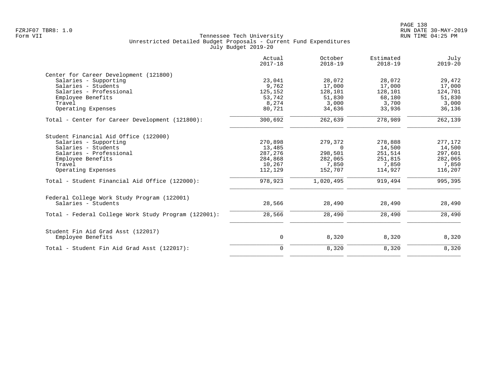|                                                      | Actual<br>$2017 - 18$ | October<br>$2018 - 19$ | Estimated<br>$2018 - 19$ | July<br>$2019 - 20$ |
|------------------------------------------------------|-----------------------|------------------------|--------------------------|---------------------|
| Center for Career Development (121800)               |                       |                        |                          |                     |
| Salaries - Supporting                                | 23,041                | 28,072                 | 28,072                   | 29,472              |
| Salaries - Students                                  | 9,762                 | 17,000                 | 17,000                   | 17,000              |
| Salaries - Professional                              | 125,152               | 128,101                | 128,101                  | 124,701             |
| Employee Benefits                                    | 53,742                | 51,830                 | 68,180                   | 51,830              |
| Travel                                               | 8,274                 | 3,000                  | 3,700                    | 3,000               |
| Operating Expenses                                   | 80,721                | 34,636                 | 33,936                   | 36,136              |
| Total - Center for Career Development (121800):      | 300,692               | 262,639                | 278,989                  | 262,139             |
| Student Financial Aid Office (122000)                |                       |                        |                          |                     |
| Salaries - Supporting                                | 270,898               | 279,372                | 278,888                  | 277,172             |
| Salaries - Students                                  | 13,485                | $\Omega$               | 14,500                   | 14,500              |
| Salaries - Professional                              | 287,276               | 298,501                | 251,514                  | 297,601             |
| Employee Benefits                                    | 284,868               | 282,065                | 251,815                  | 282,065             |
| Travel                                               | 10,267                | 7,850                  | 7,850                    | 7,850               |
| Operating Expenses                                   | 112,129               | 152,707                | 114,927                  | 116,207             |
| Total - Student Financial Aid Office (122000):       | 978,923               | 1,020,495              | 919,494                  | 995,395             |
| Federal College Work Study Program (122001)          |                       |                        |                          |                     |
| Salaries - Students                                  | 28,566                | 28,490                 | 28,490                   | 28,490              |
| Total - Federal College Work Study Program (122001): | 28,566                | 28,490                 | 28,490                   | 28,490              |
| Student Fin Aid Grad Asst (122017)                   |                       |                        |                          |                     |
| Employee Benefits                                    | 0                     | 8,320                  | 8,320                    | 8,320               |
| Total - Student Fin Aid Grad Asst (122017):          | $\mathbf 0$           | 8,320                  | 8,320                    | 8,320               |
|                                                      |                       |                        |                          |                     |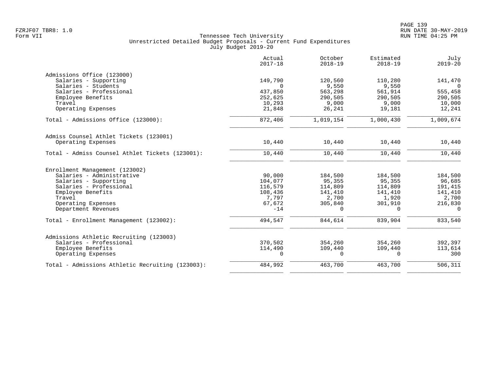|                                                  | Actual<br>$2017 - 18$ | October<br>$2018 - 19$ | Estimated<br>$2018 - 19$ | July<br>$2019 - 20$ |
|--------------------------------------------------|-----------------------|------------------------|--------------------------|---------------------|
| Admissions Office (123000)                       |                       |                        |                          |                     |
| Salaries - Supporting                            | 149,790               | 120,560                | 110,280                  | 141,470             |
| Salaries - Students                              | $\Omega$              | 9,550                  | 9,550                    | $\Omega$            |
| Salaries - Professional                          | 437,850               | 563,298                | 561,914                  | 555,458             |
| Employee Benefits                                | 252,625               | 290,505                | 290,505                  | 290,505             |
| Travel                                           | 10,293                | 9,000                  | 9,000                    | 10,000              |
| Operating Expenses                               | 21,848                | 26,241                 | 19,181                   | 12,241              |
| Total - Admissions Office (123000):              | 872,406               | 1,019,154              | 1,000,430                | 1,009,674           |
| Admiss Counsel Athlet Tickets (123001)           |                       |                        |                          |                     |
| Operating Expenses                               | 10,440                | 10,440                 | 10,440                   | 10,440              |
| Total - Admiss Counsel Athlet Tickets (123001):  | 10,440                | 10,440                 | 10,440                   | 10,440              |
| Enrollment Management (123002)                   |                       |                        |                          |                     |
| Salaries - Administrative                        | 90,000                | 184,500                | 184,500                  | 184,500             |
| Salaries - Supporting                            | 104,077               | 95,355                 | 95,355                   | 96,685              |
| Salaries - Professional                          | 116,579               | 114,809                | 114,809                  | 191,415             |
| Employee Benefits                                | 108,436               | 141,410                | 141,410                  | 141,410             |
| Travel                                           | 7,797                 | 2,700                  | 1,920                    | 2,700               |
| Operating Expenses                               | 67,672                | 305,840                | 301,910                  | 216,830             |
| Department Revenues                              | $-14$                 | $\Omega$               | $\Omega$                 | $\Omega$            |
| Total - Enrollment Management (123002):          | 494,547               | 844,614                | 839,904                  | 833,540             |
| Admissions Athletic Recruiting (123003)          |                       |                        |                          |                     |
| Salaries - Professional                          | 370,502               | 354,260                | 354,260                  | 392,397             |
| Employee Benefits                                | 114,490               | 109,440                | 109,440                  | 113,614             |
| Operating Expenses                               | $\Omega$              | $\Omega$               | $\Omega$                 | 300                 |
| Total - Admissions Athletic Recruiting (123003): | 484,992               | 463,700                | 463,700                  | 506, 311            |
|                                                  |                       |                        |                          |                     |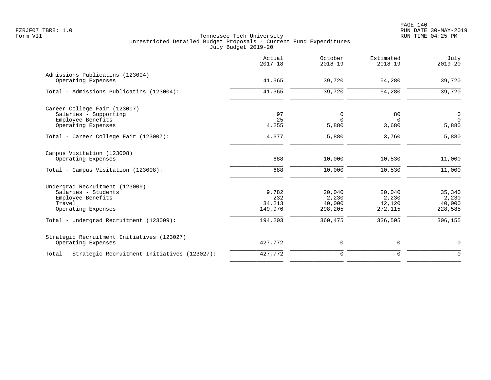|                                                                                                            | Actual<br>$2017 - 18$             | October<br>$2018 - 19$               | Estimated<br>$2018 - 19$             | July<br>$2019 - 20$                  |
|------------------------------------------------------------------------------------------------------------|-----------------------------------|--------------------------------------|--------------------------------------|--------------------------------------|
| Admissions Publicatins (123004)<br>Operating Expenses                                                      | 41,365                            | 39,720                               | 54,280                               | 39,720                               |
| Total - Admissions Publicatins (123004):                                                                   | 41,365                            | 39,720                               | 54,280                               | 39,720                               |
| Career College Fair (123007)<br>Salaries - Supporting<br>Employee Benefits<br>Operating Expenses           | 97<br>25<br>4,255                 | 0<br>$\Omega$<br>5,880               | 80<br>$\Omega$<br>3,680              | $\overline{0}$<br>$\Omega$<br>5,880  |
| Total - Career College Fair (123007):                                                                      | 4,377                             | 5,880                                | 3,760                                | 5,880                                |
| Campus Visitation (123008)<br>Operating Expenses                                                           | 688                               | 10,000                               | 10,530                               | 11,000                               |
| Total - Campus Visitation (123008):                                                                        | 688                               | 10,000                               | 10,530                               | 11,000                               |
| Undergrad Recruitment (123009)<br>Salaries - Students<br>Employee Benefits<br>Travel<br>Operating Expenses | 9,782<br>232<br>34,213<br>149,976 | 20,040<br>2,230<br>40,000<br>298,205 | 20,040<br>2,230<br>42,120<br>272,115 | 35,340<br>2,230<br>40,000<br>228,585 |
| Total - Undergrad Recruitment (123009):                                                                    | 194,203                           | 360,475                              | 336,505                              | 306,155                              |
| Strategic Recruitment Initiatives (123027)<br>Operating Expenses                                           | 427,772                           | $\mathsf{O}$                         | 0                                    | 0                                    |
| Total - Strategic Recruitment Initiatives (123027):                                                        | 427,772                           | $\mathbf 0$                          | $\mathbf 0$                          | $\mathbf 0$                          |
|                                                                                                            |                                   |                                      |                                      |                                      |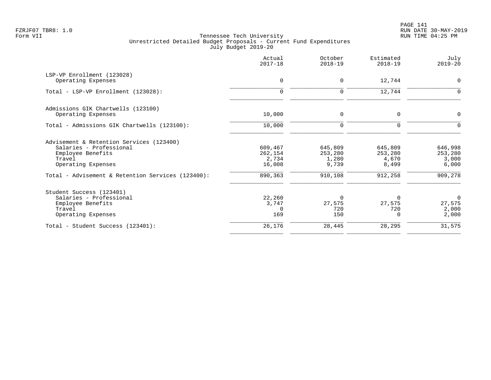PAGE 141 FZRJF07 TBR8: 1.0 RUN DATE 30-MAY-2019

|                                                                                                                          | Actual<br>$2017 - 18$                 | October<br>$2018 - 19$               | Estimated<br>$2018 - 19$             | July<br>$2019 - 20$                        |
|--------------------------------------------------------------------------------------------------------------------------|---------------------------------------|--------------------------------------|--------------------------------------|--------------------------------------------|
| LSP-VP Enrollment (123028)<br>Operating Expenses                                                                         | 0                                     | $\mathbf 0$                          | 12,744                               | $\mathbf 0$                                |
| Total - LSP-VP Enrollment (123028):                                                                                      | $\mathbf 0$                           | $\mathbf 0$                          | 12,744                               | $\mathbf 0$                                |
| Admissions GIK Chartwells (123100)<br>Operating Expenses                                                                 | 10,000                                | $\mathbf 0$                          | $\Omega$                             | $\mathbf 0$                                |
| Total - Admissions GIK Chartwells (123100):                                                                              | 10,000                                | $\mathbf 0$                          | 0                                    | $\Omega$                                   |
| Advisement & Retention Services (123400)<br>Salaries - Professional<br>Employee Benefits<br>Travel<br>Operating Expenses | 609,467<br>262,154<br>2,734<br>16,008 | 645,809<br>253,280<br>1,280<br>9,739 | 645,809<br>253,280<br>4,670<br>8,499 | 646,998<br>253,280<br>3,000<br>6,000       |
| Total - Advisement & Retention Services (123400):                                                                        | 890,363                               | 910,108                              | 912,258                              | 909,278                                    |
| Student Success (123401)<br>Salaries - Professional<br>Employee Benefits<br>Travel<br>Operating Expenses                 | 22,260<br>3,747<br>$\Omega$<br>169    | $\Omega$<br>27,575<br>720<br>150     | $\Omega$<br>27,575<br>720<br>0       | $\overline{0}$<br>27,575<br>2,000<br>2,000 |
| Total - Student Success (123401):                                                                                        | 26,176                                | 28,445                               | 28,295                               | 31,575                                     |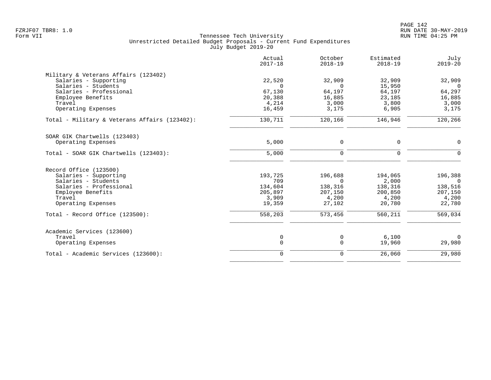|                                               | Actual<br>$2017 - 18$ | October<br>$2018 - 19$ | Estimated<br>$2018 - 19$ | July<br>$2019 - 20$ |
|-----------------------------------------------|-----------------------|------------------------|--------------------------|---------------------|
| Military & Veterans Affairs (123402)          |                       |                        |                          |                     |
| Salaries - Supporting                         | 22,520                | 32,909                 | 32,909                   | 32,909              |
| Salaries - Students                           | $\Omega$              | $\Omega$               | 15,950                   | $\overline{0}$      |
| Salaries - Professional                       | 67,130                | 64,197                 | 64,197                   | 64,297              |
| Employee Benefits                             | 20,388                | 16,885                 | 23,185                   | 16,885              |
| Travel                                        | 4,214                 | 3,000                  | 3,800                    | 3,000               |
| Operating Expenses                            | 16,459                | 3,175                  | 6,905                    | 3,175               |
| Total - Military & Veterans Affairs (123402): | 130,711               | 120,166                | 146,946                  | 120,266             |
| SOAR GIK Chartwells (123403)                  |                       |                        |                          |                     |
| Operating Expenses                            | 5,000                 | 0                      | 0                        | $\mathbf 0$         |
| Total - SOAR GIK Chartwells (123403):         | 5,000                 | $\mathbf 0$            | 0                        | $\mathbf 0$         |
| Record Office (123500)                        |                       |                        |                          |                     |
| Salaries - Supporting                         | 193,725               | 196,688                | 194,065                  | 196,388             |
| Salaries - Students                           | 709                   | $\Omega$               | 2,000                    | $\overline{0}$      |
| Salaries - Professional                       | 134,604               | 138,316                | 138,316                  | 138,516             |
| Employee Benefits                             | 205,897               | 207,150                | 200,850                  | 207,150             |
| Travel                                        | 3,909                 | 4,200                  | 4,200                    | 4,200               |
| Operating Expenses                            | 19,359                | 27,102                 | 20,780                   | 22,780              |
| Total - Record Office (123500):               | 558,203               | 573,456                | 560,211                  | 569,034             |
| Academic Services (123600)                    |                       |                        |                          |                     |
| Travel                                        | 0                     | 0                      | 6,100                    | $\Omega$            |
| Operating Expenses                            | $\mathbf 0$           | $\mathbf 0$            | 19,960                   | 29,980              |
| Total - Academic Services (123600):           | $\mathbf 0$           | $\mathbf 0$            | 26,060                   | 29,980              |
|                                               |                       |                        |                          |                     |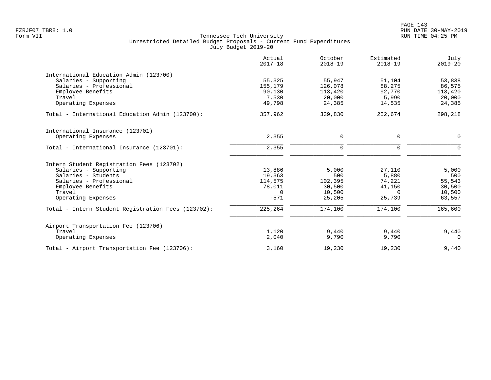|                                                    | Actual<br>$2017 - 18$ | October<br>$2018 - 19$ | Estimated<br>$2018 - 19$ | July<br>$2019 - 20$ |
|----------------------------------------------------|-----------------------|------------------------|--------------------------|---------------------|
| International Education Admin (123700)             |                       |                        |                          |                     |
| Salaries - Supporting                              | 55,325                | 55,947                 | 51,104                   | 53,838              |
| Salaries - Professional                            | 155,179               | 126,078                | 88,275                   | 86,575              |
| Employee Benefits                                  | 90,130                | 113,420                | 92,770                   | 113,420             |
| Travel                                             | 7,530                 | 20,000                 | 5,990                    | 20,000              |
| Operating Expenses                                 | 49,798                | 24,385                 | 14,535                   | 24,385              |
| Total - International Education Admin (123700):    | 357,962               | 339,830                | 252,674                  | 298,218             |
| International Insurance (123701)                   |                       |                        |                          |                     |
| Operating Expenses                                 | 2,355                 | $\mathbf 0$            | $\Omega$                 | 0                   |
|                                                    |                       |                        |                          |                     |
| Total - International Insurance (123701):          | 2,355                 | $\Omega$               | $\Omega$                 | $\Omega$            |
| Intern Student Registration Fees (123702)          |                       |                        |                          |                     |
| Salaries - Supporting                              | 13,886                | 5,000                  | 27,110                   | 5,000               |
| Salaries - Students                                | 19,363                | 500                    | 5,880                    | 500                 |
| Salaries - Professional                            | 114,575               | 102,395                | 74,221                   | 55,543              |
| Employee Benefits                                  | 78,011                | 30,500                 | 41,150                   | 30,500              |
| Travel                                             | $\Omega$              | 10,500                 | $\Omega$                 | 10,500              |
| Operating Expenses                                 | $-571$                | 25,205                 | 25,739                   | 63,557              |
| Total - Intern Student Registration Fees (123702): | 225,264               | 174,100                | 174,100                  | 165,600             |
|                                                    |                       |                        |                          |                     |
| Airport Transportation Fee (123706)                |                       |                        |                          |                     |
| Travel<br>Operating Expenses                       | 1,120<br>2,040        | 9,440<br>9,790         | 9,440<br>9,790           | 9,440<br>$\Omega$   |
|                                                    |                       |                        |                          |                     |
| Total - Airport Transportation Fee (123706):       | 3,160                 | 19,230                 | 19,230                   | 9,440               |
|                                                    |                       |                        |                          |                     |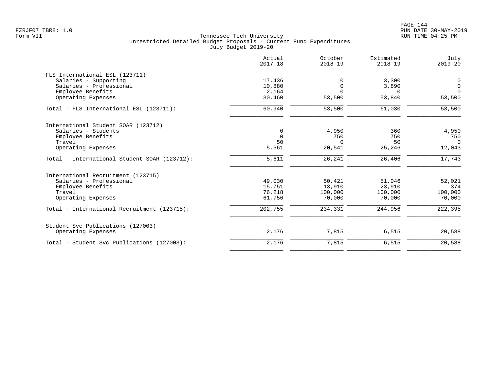|                                              | Actual<br>$2017 - 18$ | October<br>$2018 - 19$ | Estimated<br>$2018 - 19$ | July<br>$2019 - 20$ |
|----------------------------------------------|-----------------------|------------------------|--------------------------|---------------------|
| FLS International ESL (123711)               |                       |                        |                          |                     |
| Salaries - Supporting                        | 17,436                | U                      | 3,300                    | 0                   |
| Salaries - Professional                      | 10,880                | $\Omega$               | 3,890                    | $\mathbf 0$         |
| Employee Benefits                            | 2,164                 |                        | $\Omega$                 | $\Omega$            |
| Operating Expenses                           | 30,460                | 53,500                 | 53,840                   | 53,500              |
| Total - FLS International ESL (123711):      | 60,940                | 53,500                 | 61,030                   | 53,500              |
| International Student SOAR (123712)          |                       |                        |                          |                     |
| Salaries - Students                          | 0                     | 4,950                  | 360                      | 4,950               |
| Employee Benefits                            | $\Omega$              | 750                    | 750                      | 750                 |
| Travel                                       | 50                    | $\Omega$               | 50                       | $\Omega$            |
| Operating Expenses                           | 5,561                 | 20,541                 | 25,246                   | 12,043              |
| Total - International Student SOAR (123712): | 5,611                 | 26,241                 | 26,406                   | 17,743              |
| International Recruitment (123715)           |                       |                        |                          |                     |
| Salaries - Professional                      | 49,030                | 50,421                 | 51,046                   | 52,021              |
| Employee Benefits                            | 15,751                | 13,910                 | 23,910                   | 374                 |
| Travel                                       | 76,218                | 100,000                | 100,000                  | 100,000             |
| Operating Expenses                           | 61,756                | 70,000                 | 70,000                   | 70,000              |
| Total - International Recruitment (123715):  | 202,755               | 234,331                | 244,956                  | 222,395             |
| Student Svc Publications (127003)            |                       |                        |                          |                     |
| Operating Expenses                           | 2,176                 | 7,815                  | 6,515                    | 20,588              |
| Total - Student Svc Publications (127003):   | 2,176                 | 7,815                  | 6,515                    | 20,588              |
|                                              |                       |                        |                          |                     |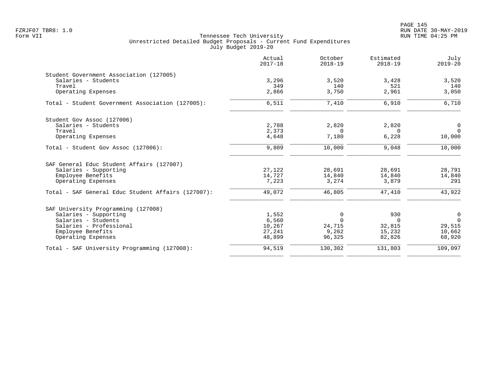PAGE 145 FZRJF07 TBR8: 1.0 RUN DATE 30-MAY-2019

|                                                    | Actual<br>$2017 - 18$ | October<br>$2018 - 19$ | Estimated<br>$2018 - 19$ | July<br>$2019 - 20$ |
|----------------------------------------------------|-----------------------|------------------------|--------------------------|---------------------|
| Student Government Association (127005)            |                       |                        |                          |                     |
| Salaries - Students                                | 3,296                 | 3,520                  | 3,428                    | 3,520               |
| Travel                                             | 349                   | 140                    | 521                      | 140                 |
| Operating Expenses                                 | 2,866                 | 3,750                  | 2,961                    | 3,050               |
| Total - Student Government Association (127005):   | 6,511                 | 7,410                  | 6,910                    | 6,710               |
| Student Gov Assoc (127006)                         |                       |                        |                          |                     |
| Salaries - Students                                | 2,788                 | 2,820                  | 2,820                    | 0                   |
| Travel                                             | 2,373                 | $\Omega$               | $\Omega$                 | $\Omega$            |
| Operating Expenses                                 | 4,648                 | 7,180                  | 6,228                    | 10,000              |
| Total - Student Gov Assoc (127006):                | 9,809                 | 10,000                 | 9,048                    | 10,000              |
| SAF General Educ Student Affairs (127007)          |                       |                        |                          |                     |
| Salaries - Supporting                              | 27,122                | 28,691                 | 28,691                   | 28,791              |
| Employee Benefits                                  | 14,727                | 14,840                 | 14,840                   | 14,840              |
| Operating Expenses                                 | 7,223                 | 3,274                  | 3,879                    | 291                 |
| Total - SAF General Educ Student Affairs (127007): | 49,072                | 46,805                 | 47,410                   | 43,922              |
| SAF University Programming (127008)                |                       |                        |                          |                     |
| Salaries - Supporting                              | 1,552                 | 0                      | 930                      | 0                   |
| Salaries - Students                                | 6,560                 | $\Omega$               | $\Omega$                 | $\overline{0}$      |
| Salaries - Professional                            | 10,267                | 24,715                 | 32,815                   | 29,515              |
| Employee Benefits                                  | 27,241                | 9,262                  | 15,232                   | 10,662              |
| Operating Expenses                                 | 48,899                | 96,325                 | 82,826                   | 68,920              |
| Total - SAF University Programming (127008):       | 94,519                | 130,302                | 131,803                  | 109,097             |
|                                                    |                       |                        |                          |                     |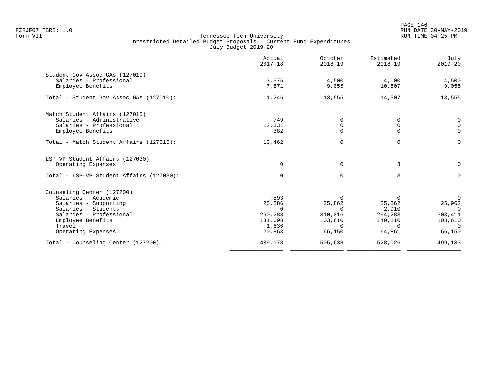| Actual<br>$2017 - 18$ | October<br>$2018 - 19$                                                       | Estimated<br>$2018 - 19$                                                        | July<br>$2019 - 20$                                                                     |
|-----------------------|------------------------------------------------------------------------------|---------------------------------------------------------------------------------|-----------------------------------------------------------------------------------------|
|                       |                                                                              |                                                                                 |                                                                                         |
| 3,375                 | 4,500                                                                        | 4,000                                                                           | 4,500                                                                                   |
|                       |                                                                              |                                                                                 | 9,055                                                                                   |
| 11,246                | 13,555                                                                       | 14,507                                                                          | 13,555                                                                                  |
|                       |                                                                              |                                                                                 |                                                                                         |
| 749                   | 0                                                                            | <sup>0</sup>                                                                    | 0                                                                                       |
|                       |                                                                              |                                                                                 | $\Omega$                                                                                |
|                       |                                                                              |                                                                                 | $\mathbf 0$                                                                             |
| 13,462                | $\mathbf 0$                                                                  | $\mathbf 0$                                                                     | $\mathbf 0$                                                                             |
|                       |                                                                              |                                                                                 |                                                                                         |
| $\mathbf 0$           | $\mathbf 0$                                                                  | 3                                                                               | $\mathbf 0$                                                                             |
| $\mathbf 0$           | $\mathbf 0$                                                                  | 3                                                                               | $\Omega$                                                                                |
|                       |                                                                              |                                                                                 |                                                                                         |
| $-593$                | $\Omega$                                                                     | 0                                                                               | $\Omega$                                                                                |
| 25,286                | 25,862                                                                       | 25,862                                                                          | 25,962                                                                                  |
|                       |                                                                              |                                                                                 | $\Omega$                                                                                |
|                       |                                                                              |                                                                                 | 303,411                                                                                 |
|                       |                                                                              |                                                                                 | 103,610<br>$\Omega$                                                                     |
| 20,863                | 66,150                                                                       | 64,861                                                                          | 66,150                                                                                  |
|                       |                                                                              |                                                                                 | 499,133                                                                                 |
|                       | 7,871<br>12,331<br>382<br>$\Omega$<br>260,288<br>131,698<br>1,636<br>439,178 | 9,055<br>0<br>$\Omega$<br>$\Omega$<br>310,016<br>103,610<br>$\Omega$<br>505,638 | 10,507<br>$\mathbf 0$<br>$\Omega$<br>2,910<br>294,283<br>140,110<br>$\Omega$<br>528,026 |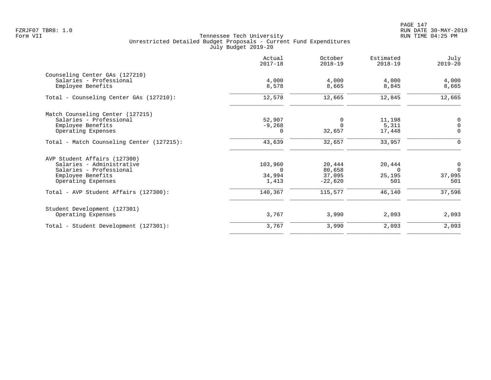| Actual<br>$2017 - 18$ | October<br>$2018 - 19$                    | Estimated<br>$2018 - 19$                           | July<br>$2019 - 20$                       |
|-----------------------|-------------------------------------------|----------------------------------------------------|-------------------------------------------|
|                       |                                           |                                                    |                                           |
| 4,000                 | 4,000                                     | 4,000                                              | 4,000                                     |
|                       |                                           |                                                    | 8,665                                     |
| 12,578                | 12,665                                    | 12,845                                             | 12,665                                    |
|                       |                                           |                                                    |                                           |
| 52,907                | 0                                         | 11,198                                             | 0                                         |
|                       |                                           |                                                    | $\mathbf 0$                               |
|                       |                                           |                                                    | $\mathbf 0$                               |
| 43,639                | 32,657                                    | 33,957                                             | $\Omega$                                  |
|                       |                                           |                                                    |                                           |
| 103,960               | 20,444                                    | 20,444                                             | $\mathbf 0$                               |
| $\Omega$              | 80,658                                    | $\Omega$                                           | $\Omega$                                  |
|                       |                                           |                                                    | 37,095                                    |
|                       |                                           |                                                    | 501                                       |
| 140,367               | 115,577                                   | 46,140                                             | 37,596                                    |
|                       |                                           |                                                    |                                           |
| 3,767                 | 3,990                                     | 2,093                                              | 2,093                                     |
| 3,767                 | 3,990                                     | 2,093                                              | 2,093                                     |
|                       | 8,578<br>$-9,268$<br>0<br>34,994<br>1,413 | 8,665<br>$\Omega$<br>32,657<br>37,095<br>$-22,620$ | 8,845<br>5,311<br>17,448<br>25,195<br>501 |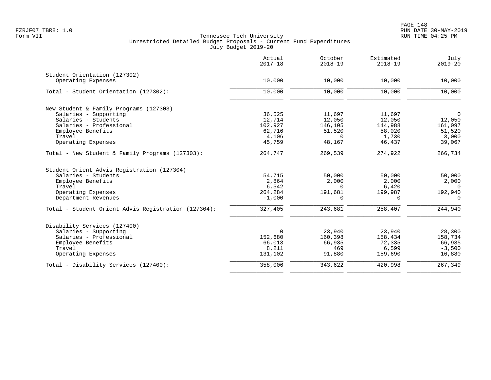|                                                     | Actual<br>$2017 - 18$ | October<br>$2018 - 19$ | Estimated<br>$2018 - 19$ | July<br>$2019 - 20$ |
|-----------------------------------------------------|-----------------------|------------------------|--------------------------|---------------------|
| Student Orientation (127302)                        |                       |                        |                          |                     |
| Operating Expenses                                  | 10,000                | 10,000                 | 10,000                   | 10,000              |
| Total - Student Orientation (127302):               | 10,000                | 10,000                 | 10,000                   | 10,000              |
| New Student & Family Programs (127303)              |                       |                        |                          |                     |
| Salaries - Supporting                               | 36,525                | 11,697                 | 11,697                   | $\overline{0}$      |
| Salaries - Students                                 | 12,714                | 12,050                 | 12,050                   | 12,050              |
| Salaries - Professional                             | 102,927               | 146,105                | 144,988                  | 161,097             |
| Employee Benefits                                   | 62,716                | 51,520                 | 58,020                   | 51,520              |
| Travel                                              | 4,106                 | $\Omega$               | 1,730                    | 3,000               |
| Operating Expenses                                  | 45,759                | 48,167                 | 46,437                   | 39,067              |
| Total - New Student & Family Programs $(127303)$ :  | 264,747               | 269,539                | 274,922                  | 266,734             |
| Student Orient Advis Registration (127304)          |                       |                        |                          |                     |
| Salaries - Students                                 | 54,715                | 50,000                 | 50,000                   | 50,000              |
| Employee Benefits                                   | 2,864                 | 2,000                  | 2,000                    | 2,000               |
| Travel                                              | 6,542                 | $\Omega$               | 6,420                    | $\Omega$            |
| Operating Expenses                                  | 264,284               | 191,681                | 199,987                  | 192,940             |
| Department Revenues                                 | $-1,000$              | $\Omega$               | $\Omega$                 | $\Omega$            |
| Total - Student Orient Advis Registration (127304): | 327,405               | 243,681                | 258,407                  | 244,940             |
| Disability Services (127400)                        |                       |                        |                          |                     |
| Salaries - Supporting                               | 0                     | 23,940                 | 23,940                   | 28,300              |
| Salaries - Professional                             | 152,680               | 160,398                | 158,434                  | 158,734             |
| Employee Benefits                                   | 66,013                | 66,935                 | 72,335                   | 66,935              |
| Travel                                              | 8,211                 | 469                    | 6,599                    | $-3,500$            |
| Operating Expenses                                  | 131,102               | 91,880                 | 159,690                  | 16,880              |
| Total - Disability Services (127400):               | 358,006               | 343,622                | 420,998                  | 267,349             |
|                                                     |                       |                        |                          |                     |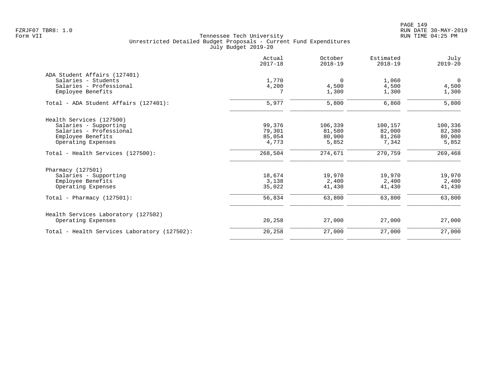|                                              | Actual<br>$2017 - 18$ | October<br>$2018 - 19$ | Estimated<br>$2018 - 19$ | July<br>$2019 - 20$ |
|----------------------------------------------|-----------------------|------------------------|--------------------------|---------------------|
| ADA Student Affairs (127401)                 |                       |                        |                          |                     |
| Salaries - Students                          | 1,770                 | $\Omega$               | 1,060                    | $\Omega$            |
| Salaries - Professional                      | 4,200                 | 4,500                  | 4,500                    | 4,500               |
| Employee Benefits                            |                       | 1,300                  | 1,300                    | 1,300               |
| Total - ADA Student Affairs (127401):        | 5,977                 | 5,800                  | 6,860                    | 5,800               |
| Health Services (127500)                     |                       |                        |                          |                     |
| Salaries - Supporting                        | 99,376                | 106,339                | 100,157                  | 100,336             |
| Salaries - Professional                      | 79,301                | 81,580                 | 82,000                   | 82,380              |
| Employee Benefits                            | 85,054                | 80,900                 | 81,260                   | 80,900              |
| Operating Expenses                           | 4,773                 | 5,852                  | 7,342                    | 5,852               |
| Total - Health Services (127500):            | 268,504               | 274,671                | 270,759                  | 269,468             |
| Pharmacy (127501)                            |                       |                        |                          |                     |
| Salaries - Supporting                        | 18,674                | 19,970                 | 19,970                   | 19,970              |
| Employee Benefits                            | 3,138                 | 2,400                  | 2,400                    | 2,400               |
| Operating Expenses                           | 35,022                | 41,430                 | 41,430                   | 41,430              |
| Total - Pharmacy $(127501)$ :                | 56,834                | 63,800                 | 63,800                   | 63,800              |
| Health Services Laboratory (127502)          |                       |                        |                          |                     |
| Operating Expenses                           | 20,258                | 27,000                 | 27,000                   | 27,000              |
| Total - Health Services Laboratory (127502): | 20,258                | 27,000                 | 27,000                   | 27,000              |
|                                              |                       |                        |                          |                     |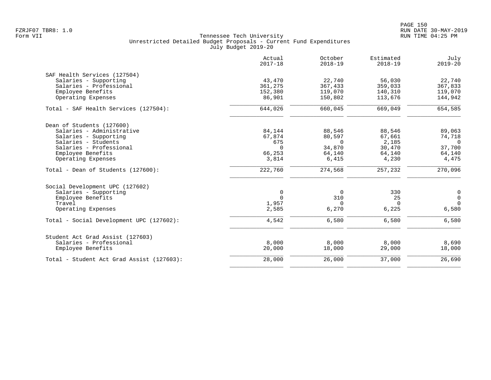|                                           | Actual<br>$2017 - 18$ | October<br>$2018 - 19$ | Estimated<br>$2018 - 19$ | July<br>$2019 - 20$ |
|-------------------------------------------|-----------------------|------------------------|--------------------------|---------------------|
| SAF Health Services (127504)              |                       |                        |                          |                     |
| Salaries - Supporting                     | 43,470                | 22,740                 | 56,030                   | 22,740              |
| Salaries - Professional                   | 361,275               | 367,433                | 359,033                  | 367,833             |
| Employee Benefits                         | 152,380               | 119,070                | 140,310                  | 119,070             |
| Operating Expenses                        | 86,901                | 150,802                | 113,676                  | 144,942             |
| Total - SAF Health Services (127504):     | 644,026               | 660,045                | 669,049                  | 654,585             |
| Dean of Students (127600)                 |                       |                        |                          |                     |
| Salaries - Administrative                 | 84,144                | 88,546                 | 88,546                   | 89,063              |
| Salaries - Supporting                     | 67,874                | 80,597                 | 67,661                   | 74,718              |
| Salaries - Students                       | 675                   | $\Omega$               | 2,185                    | $\Omega$            |
| Salaries - Professional                   | $\Omega$              | 34,870                 | 30,470                   | 37,700              |
| Employee Benefits                         | 66,253                | 64,140                 | 64,140                   | 64,140              |
| Operating Expenses                        | 3,814                 | 6,415                  | 4,230                    | 4,475               |
| Total - Dean of Students (127600):        | 222,760               | 274,568                | 257,232                  | 270,096             |
| Social Development UPC (127602)           |                       |                        |                          |                     |
| Salaries - Supporting                     | $\mathbf 0$           | 0                      | 330                      | 0                   |
| Employee Benefits                         | $\Omega$              | 310                    | 25                       | $\mathsf{O}\xspace$ |
| Travel                                    | 1,957                 | $\Omega$               | $\Omega$                 | $\Omega$            |
| Operating Expenses                        | 2,585                 | 6,270                  | 6,225                    | 6,580               |
| Total - Social Development UPC (127602):  | 4,542                 | 6,580                  | 6,580                    | 6,580               |
| Student Act Grad Assist (127603)          |                       |                        |                          |                     |
| Salaries - Professional                   | 8,000                 | 8,000                  | 8,000                    | 8,690               |
| Employee Benefits                         | 20,000                | 18,000                 | 29,000                   | 18,000              |
| Total - Student Act Grad Assist (127603): | 28,000                | 26,000                 | 37,000                   | 26,690              |
|                                           |                       |                        |                          |                     |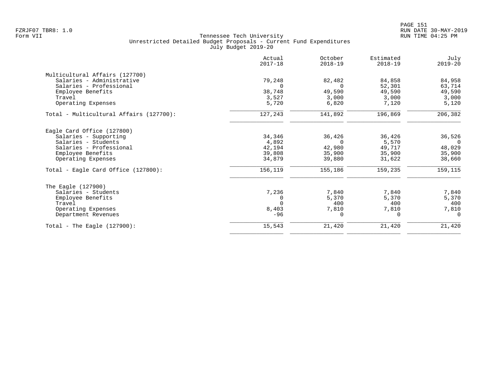|                                         | Actual<br>$2017 - 18$ | October<br>$2018 - 19$ | Estimated<br>$2018 - 19$ | July<br>$2019 - 20$ |
|-----------------------------------------|-----------------------|------------------------|--------------------------|---------------------|
| Multicultural Affairs (127700)          |                       |                        |                          |                     |
| Salaries - Administrative               | 79,248                | 82,482                 | 84,858                   | 84,958              |
| Salaries - Professional                 |                       | $\Omega$               | 52,301                   | 63,714              |
| Employee Benefits                       | 38,748                | 49,590                 | 49,590                   | 49,590              |
| Travel                                  | 3,527                 | 3.000                  | 3,000                    | 3,000               |
| Operating Expenses                      | 5,720                 | 6,820                  | 7,120                    | 5,120               |
| Total - Multicultural Affairs (127700): | 127,243               | 141,892                | 196,869                  | 206,382             |
| Eagle Card Office (127800)              |                       |                        |                          |                     |
| Salaries - Supporting                   | 34,346                | 36,426                 | 36,426                   | 36,526              |
| Salaries - Students                     | 4,892                 | $\Omega$               | 5,570                    | $\Omega$            |
| Salaries - Professional                 | 42,194                | 42,980                 | 49,717                   | 48,029              |
| Employee Benefits                       | 39,808                | 35,900                 | 35,900                   | 35,900              |
| Operating Expenses                      | 34,879                | 39,880                 | 31,622                   | 38,660              |
| Total - Eagle Card Office (127800):     | 156,119               | 155,186                | 159,235                  | 159,115             |
| The Eagle (127900)                      |                       |                        |                          |                     |
| Salaries - Students                     | 7,236                 | 7,840                  | 7,840                    | 7,840               |
| Employee Benefits                       |                       | 5,370                  | 5,370                    | 5,370               |
| Travel                                  |                       | 400                    | 400                      | 400                 |
| Operating Expenses                      | 8,403                 | 7,810                  | 7,810                    | 7,810               |
| Department Revenues                     | $-96$                 | 0                      | $\Omega$                 | $\Omega$            |
| Total - The Eagle $(127900)$ :          | 15,543                | 21,420                 | 21,420                   | 21,420              |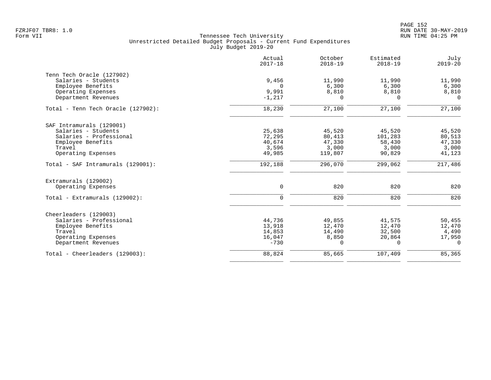|                                           | Actual<br>$2017 - 18$ | October<br>$2018 - 19$ | Estimated<br>$2018 - 19$ | July<br>$2019 - 20$ |
|-------------------------------------------|-----------------------|------------------------|--------------------------|---------------------|
| Tenn Tech Oracle (127902)                 |                       |                        |                          |                     |
| Salaries - Students                       | 9,456                 | 11,990                 | 11,990                   | 11,990              |
| Employee Benefits                         | $\Omega$              | 6,300                  | 6,300                    | 6,300               |
| Operating Expenses<br>Department Revenues | 9,991<br>$-1,217$     | 8,810<br>$\Omega$      | 8,810<br>$\Omega$        | 8,810<br>$\Omega$   |
|                                           |                       |                        |                          |                     |
| Total - Tenn Tech Oracle (127902):        | 18,230                | 27,100                 | 27,100                   | 27,100              |
| SAF Intramurals (129001)                  |                       |                        |                          |                     |
| Salaries - Students                       | 25,638                | 45,520                 | 45,520                   | 45,520              |
| Salaries - Professional                   | 72,295                | 80,413                 | 101,283                  | 80,513              |
| Employee Benefits                         | 40,674                | 47,330                 | 58,430                   | 47,330              |
| Travel                                    | 3,596                 | 3,000                  | 3,000                    | 3,000               |
| Operating Expenses                        | 49,985                | 119,807                | 90,829                   | 41,123              |
| Total - SAF Intramurals (129001):         | 192,188               | 296,070                | 299,062                  | 217,486             |
| Extramurals (129002)                      |                       |                        |                          |                     |
| Operating Expenses                        | $\mathbf 0$           | 820                    | 820                      | 820                 |
| Total - Extramurals (129002):             | $\mathbf 0$           | 820                    | 820                      | 820                 |
| Cheerleaders (129003)                     |                       |                        |                          |                     |
| Salaries - Professional                   | 44,736                | 49,855                 | 41,575                   | 50,455              |
| Employee Benefits                         | 13,918                | 12,470                 | 12,470                   | 12,470              |
| Travel                                    | 14,853                | 14,490                 | 32,500                   | 4,490               |
| Operating Expenses                        | 16,047                | 8,850                  | 20,864                   | 17,950              |
| Department Revenues                       | $-730$                | 0                      | $\mathbf 0$              | $\mathbf 0$         |
| Total - Cheerleaders (129003):            | 88,824                | 85,665                 | 107,409                  | 85,365              |
|                                           |                       |                        |                          |                     |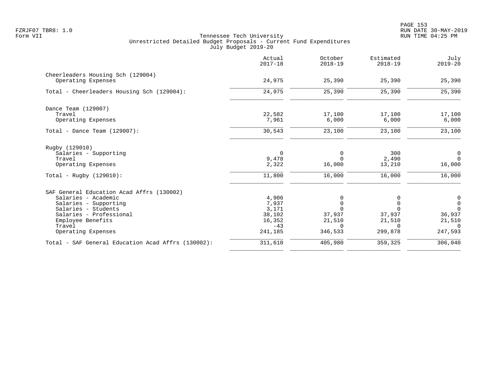|                                                    | Actual<br>$2017 - 18$ | October<br>$2018 - 19$ | Estimated<br>$2018 - 19$ | July<br>$2019 - 20$ |
|----------------------------------------------------|-----------------------|------------------------|--------------------------|---------------------|
| Cheerleaders Housing Sch (129004)                  |                       |                        |                          |                     |
| Operating Expenses                                 | 24,975                | 25,390                 | 25,390                   | 25,390              |
| Total - Cheerleaders Housing Sch (129004):         | 24,975                | 25,390                 | 25,390                   | 25,390              |
| Dance Team (129007)                                |                       |                        |                          |                     |
| Travel                                             | 22,582                | 17,100                 | 17,100                   | 17,100              |
| Operating Expenses                                 | 7,961                 | 6,000                  | 6,000                    | 6,000               |
| Total - Dance Team $(129007)$ :                    | 30,543                | 23,100                 | 23,100                   | 23,100              |
| Rugby (129010)                                     |                       |                        |                          |                     |
| Salaries - Supporting                              | $\mathbf 0$           | 0                      | 300                      | $\mathbf 0$         |
| Travel                                             | 9,478                 | $\Omega$               | 2,490                    | $\overline{0}$      |
| Operating Expenses                                 | 2,322                 | 16,000                 | 13,210                   | 16,000              |
| Total - Rugby $(129010)$ :                         | 11,800                | 16,000                 | 16,000                   | 16,000              |
| SAF General Education Acad Affrs (130002)          |                       |                        |                          |                     |
| Salaries - Academic                                | 4,906                 | 0                      | 0                        | 0                   |
| Salaries - Supporting                              | 7,937                 | 0                      | 0                        | $\mathbf 0$         |
| Salaries - Students                                | 3,171                 | $\Omega$               | $\Omega$                 | $\Omega$            |
| Salaries - Professional                            | 38,102                | 37,937                 | 37,937                   | 36,937              |
| Employee Benefits                                  | 16,352                | 21,510                 | 21,510                   | 21,510              |
| Travel                                             | $-43$                 | $\Omega$               | $\Omega$                 | $\Omega$            |
| Operating Expenses                                 | 241,185               | 346,533                | 299,878                  | 247,593             |
| Total - SAF General Education Acad Affrs (130002): | 311,610               | 405,980                | 359,325                  | 306,040             |
|                                                    |                       |                        |                          |                     |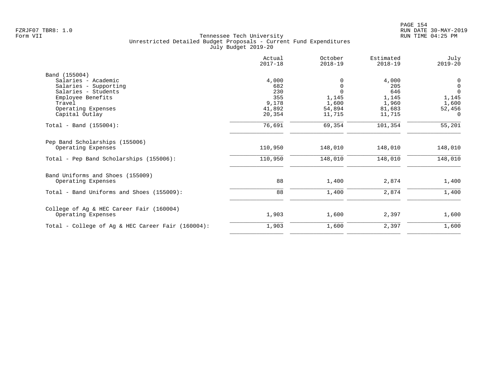|                                                   | Actual<br>$2017 - 18$ | October<br>$2018 - 19$ | Estimated<br>$2018 - 19$ | July<br>$2019 - 20$ |
|---------------------------------------------------|-----------------------|------------------------|--------------------------|---------------------|
| Band (155004)                                     |                       |                        |                          |                     |
| Salaries - Academic                               | 4,000                 |                        | 4,000                    | $\mathbf 0$         |
| Salaries - Supporting                             | 682                   | $\Omega$               | 205                      | $\mathsf{O}\xspace$ |
| Salaries - Students                               | 230                   |                        | 646                      | $\Omega$            |
| Employee Benefits                                 | 355                   | 1,145                  | 1,145                    | 1,145               |
| Travel                                            | 9,178                 | 1,600                  | 1,960                    | 1,600               |
| Operating Expenses                                | 41,892                | 54,894                 | 81,683                   | 52,456              |
| Capital Outlay                                    | 20,354                | 11,715                 | 11,715                   | $\Omega$            |
| Total - Band (155004):                            | 76,691                | 69,354                 | 101,354                  | 55,201              |
| Pep Band Scholarships (155006)                    |                       |                        |                          |                     |
| Operating Expenses                                | 110,950               | 148,010                | 148,010                  | 148,010             |
| Total - Pep Band Scholarships (155006):           | 110,950               | 148,010                | 148,010                  | 148,010             |
| Band Uniforms and Shoes (155009)                  |                       |                        |                          |                     |
| Operating Expenses                                | 88                    | 1,400                  | 2,874                    | 1,400               |
| Total - Band Uniforms and Shoes (155009):         | 88                    | 1,400                  | 2,874                    | 1,400               |
| College of Ag & HEC Career Fair (160004)          |                       |                        |                          |                     |
| Operating Expenses                                | 1,903                 | 1,600                  | 2,397                    | 1,600               |
| Total - College of Ag & HEC Career Fair (160004): | 1,903                 | 1,600                  | 2,397                    | 1,600               |
|                                                   |                       |                        |                          |                     |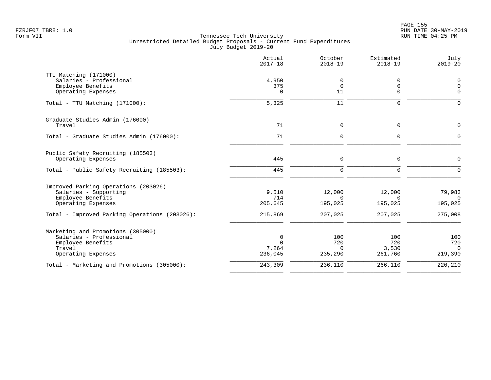|                                               | Actual<br>$2017 - 18$ | October<br>$2018 - 19$ | Estimated<br>$2018 - 19$ | July<br>$2019 - 20$ |
|-----------------------------------------------|-----------------------|------------------------|--------------------------|---------------------|
| TTU Matching (171000)                         |                       |                        |                          |                     |
| Salaries - Professional                       | 4,950                 | 0                      | 0                        | $\mathbf 0$         |
| Employee Benefits                             | 375                   | $\mathbf 0$            | $\mathbf 0$              | $\overline{0}$      |
| Operating Expenses                            | $\Omega$              | 11                     | $\mathbf 0$              | $\Omega$            |
| Total - TTU Matching (171000):                | 5,325                 | 11                     | $\Omega$                 | $\Omega$            |
| Graduate Studies Admin (176000)               |                       |                        |                          |                     |
| Travel                                        | 71                    | $\mathbf 0$            | 0                        | $\Omega$            |
| Total - Graduate Studies Admin (176000):      | 71                    | $\mathbf 0$            | $\mathbf 0$              | $\Omega$            |
| Public Safety Recruiting (185503)             |                       |                        |                          |                     |
| Operating Expenses                            | 445                   | 0                      | 0                        | $\mathbf 0$         |
| Total - Public Safety Recruiting (185503):    | 445                   | $\mathbf 0$            | $\mathbf 0$              | $\Omega$            |
| Improved Parking Operations (203026)          |                       |                        |                          |                     |
| Salaries - Supporting                         | 9,510                 | 12,000                 | 12,000                   | 79,983              |
| Employee Benefits                             | 714                   | $\Omega$               | $\Omega$                 | $\cap$              |
| Operating Expenses                            | 205,645               | 195,025                | 195,025                  | 195,025             |
| Total - Improved Parking Operations (203026): | 215,869               | 207,025                | 207,025                  | 275,008             |
| Marketing and Promotions (305000)             |                       |                        |                          |                     |
| Salaries - Professional                       | 0                     | 100                    | 100                      | 100                 |
| Employee Benefits                             | $\Omega$              | 720                    | 720                      | 720                 |
| Travel                                        | 7,264                 | $\Omega$               | 3,530                    | $\Omega$            |
| Operating Expenses                            | 236,045               | 235,290                | 261,760                  | 219,390             |
| Total - Marketing and Promotions (305000):    | 243,309               | 236,110                | 266,110                  | 220,210             |
|                                               |                       |                        |                          |                     |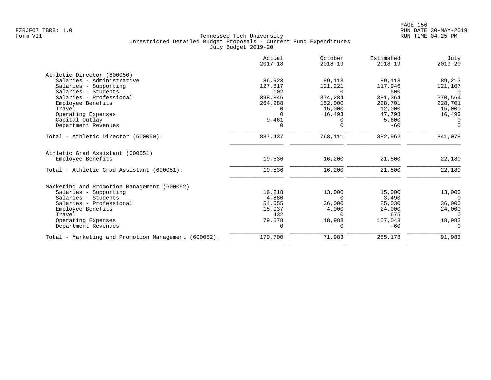|                                                      | Actual<br>$2017 - 18$ | October<br>$2018 - 19$ | Estimated<br>$2018 - 19$ | July<br>$2019 - 20$ |
|------------------------------------------------------|-----------------------|------------------------|--------------------------|---------------------|
| Athletic Director (600050)                           |                       |                        |                          |                     |
| Salaries - Administrative                            | 86,923                | 89,113                 | 89,113                   | 89,213              |
| Salaries - Supporting                                | 127,817               | 121,221                | 117,946                  | 121,107             |
| Salaries - Students                                  | 102                   | $\Omega$               | 500                      | $\Omega$            |
| Salaries - Professional                              | 398,846               | 374,284                | 381,364                  | 370,564             |
| Employee Benefits                                    | 264,288               | 152,000                | 228,701                  | 228,701             |
| Travel                                               |                       | 15,000                 | 12,000                   | 15,000              |
| Operating Expenses                                   | $\Omega$              | 16,493                 | 47,798                   | 16,493              |
| Capital Outlay                                       | 9,461                 | $\Omega$               | 5,600                    | $\Omega$            |
| Department Revenues                                  | 0                     | $\mathbf 0$            | $-60$                    | $\mathbf 0$         |
| Total - Athletic Director (600050):                  | 887,437               | 768,111                | 882,962                  | 841,078             |
| Athletic Grad Assistant (600051)                     |                       |                        |                          |                     |
| Employee Benefits                                    | 19,536                | 16,200                 | 21,500                   | 22,180              |
| Total - Athletic Grad Assistant (600051):            | 19,536                | 16,200                 | 21,500                   | 22,180              |
| Marketing and Promotion Management (600052)          |                       |                        |                          |                     |
| Salaries - Supporting                                | 16,218                | 13,000                 | 15,000                   | 13,000              |
| Salaries - Students                                  | 4,880                 | $\Omega$               | 3,490                    | $\Omega$            |
| Salaries - Professional                              | 54,555                | 36,000                 | 85,030                   | 36,000              |
| Employee Benefits                                    | 15,037                | 4,000                  | 24,000                   | 24,000              |
| Travel                                               | 432                   | $\Omega$               | 675                      | $\Omega$            |
| Operating Expenses                                   | 79,578                | 18,983                 | 157,043                  | 18,983              |
| Department Revenues                                  | $\Omega$              | $\Omega$               | $-60$                    | $\Omega$            |
| Total - Marketing and Promotion Management (600052): | 170,700               | 71,983                 | 285,178                  | 91,983              |
|                                                      |                       |                        |                          |                     |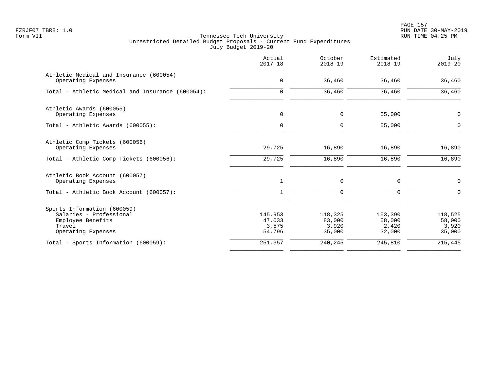PAGE 157 FZRJF07 TBR8: 1.0 RUN DATE 30-MAY-2019

| Actual<br>$2017 - 18$                | October<br>$2018 - 19$               | Estimated<br>$2018 - 19$             | July<br>$2019 - 20$                  |
|--------------------------------------|--------------------------------------|--------------------------------------|--------------------------------------|
| 0                                    | 36,460                               | 36,460                               | 36,460                               |
| $\mathbf 0$                          | 36,460                               | 36,460                               | 36,460                               |
| $\mathsf{O}$                         | 0                                    | 55,000                               | $\mathbf 0$                          |
| $\Omega$                             | $\mathbf 0$                          | 55,000                               | $\Omega$                             |
| 29,725<br>29,725                     | 16,890<br>16,890                     | 16,890<br>16,890                     | 16,890<br>16,890                     |
| 1                                    | 0                                    | 0                                    | $\mathbf 0$                          |
| $\mathbf{1}$                         | $\mathbf 0$                          | $\mathbf 0$                          | $\Omega$                             |
| 145,953<br>47,033<br>3,575<br>54,796 | 118,325<br>83,000<br>3,920<br>35,000 | 153,390<br>58,000<br>2,420<br>32,000 | 118,525<br>58,000<br>3,920<br>35,000 |
| 251,357                              | 240,245                              | 245,810                              | 215,445                              |
|                                      |                                      |                                      |                                      |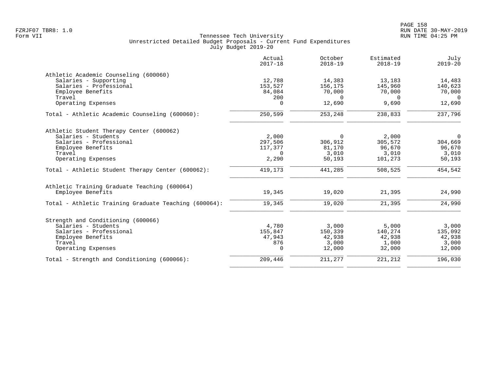|                                                       | Actual<br>$2017 - 18$ | October<br>$2018 - 19$ | Estimated<br>$2018 - 19$ | July<br>$2019 - 20$ |
|-------------------------------------------------------|-----------------------|------------------------|--------------------------|---------------------|
| Athletic Academic Counseling (600060)                 |                       |                        |                          |                     |
| Salaries - Supporting                                 | 12,788                | 14,383                 | 13,183                   | 14,483              |
| Salaries - Professional                               | 153,527               | 156,175                | 145,960                  | 140,623             |
| Employee Benefits                                     | 84,084                | 70,000                 | 70,000                   | 70,000              |
| Travel                                                | 200                   | $\Omega$               | $\Omega$                 | $\Omega$            |
| Operating Expenses                                    | $\Omega$              | 12,690                 | 9,690                    | 12,690              |
| Total - Athletic Academic Counseling (600060):        | 250,599               | 253,248                | 238,833                  | 237,796             |
| Athletic Student Therapy Center (600062)              |                       |                        |                          |                     |
| Salaries - Students                                   | 2,000                 | $\Omega$               | 2,000                    | $\Omega$            |
| Salaries - Professional                               | 297,506               | 306,912                | 305,572                  | 304,669             |
| Employee Benefits                                     | 117,377               | 81,170                 | 96,670                   | 96,670              |
| Travel                                                | $\Omega$              | 3,010                  | 3,010                    | 3,010               |
| Operating Expenses                                    | 2,290                 | 50,193                 | 101,273                  | 50,193              |
| Total - Athletic Student Therapy Center (600062):     | 419,173               | 441,285                | 508,525                  | 454,542             |
| Athletic Training Graduate Teaching (600064)          |                       |                        |                          |                     |
| Employee Benefits                                     | 19,345                | 19,020                 | 21,395                   | 24,990              |
| Total - Athletic Training Graduate Teaching (600064): | 19,345                | 19,020                 | 21,395                   | 24,990              |
| Strength and Conditioning (600066)                    |                       |                        |                          |                     |
| Salaries - Students                                   | 4,780                 | 3,000                  | 5,000                    | 3,000               |
| Salaries - Professional                               | 155,847               | 150,339                | 140,274                  | 135,092             |
| Employee Benefits                                     | 47,943                | 42,938                 | 42,938                   | 42,938              |
| Travel                                                | 876                   | 3,000                  | 1,000                    | 3,000               |
| Operating Expenses                                    | $\mathbf 0$           | 12,000                 | 32,000                   | 12,000              |
| Total - Strength and Conditioning (600066):           | 209,446               | 211,277                | 221,212                  | 196,030             |
|                                                       |                       |                        |                          |                     |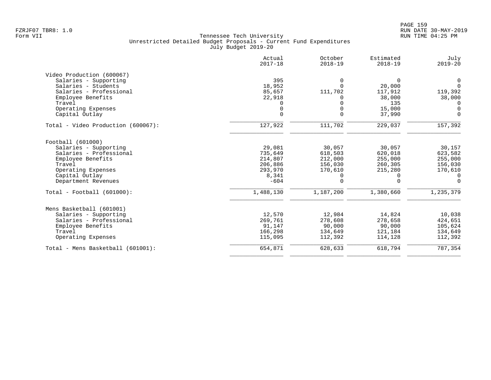|                                    | Actual<br>$2017 - 18$ | October<br>$2018 - 19$ | Estimated<br>$2018 - 19$ | July<br>$2019 - 20$ |
|------------------------------------|-----------------------|------------------------|--------------------------|---------------------|
| Video Production (600067)          |                       |                        |                          |                     |
| Salaries - Supporting              | 395                   | 0                      | 0                        | 0                   |
| Salaries - Students                | 18,952                | $\Omega$               | 20,000                   | $\Omega$            |
| Salaries - Professional            | 85,657                | 111,702                | 117,912                  | 119,392             |
| Employee Benefits                  | 22,918                | 0                      | 38,000                   | 38,000              |
| Travel                             |                       |                        | 135                      | $\Omega$            |
| Operating Expenses                 |                       | $\Omega$               | 15,000                   | $\Omega$            |
| Capital Outlay                     | $\Omega$              | $\Omega$               | 37,990                   | $\Omega$            |
| Total - Video Production (600067): | 127,922               | 111,702                | 229,037                  | 157,392             |
| Football (601000)                  |                       |                        |                          |                     |
| Salaries - Supporting              | 29,081                | 30,057                 | 30,057                   | 30,157              |
| Salaries - Professional            | 735,649               | 618,503                | 620,018                  | 623,582             |
| Employee Benefits                  | 214,807               | 212,000                | 255,000                  | 255,000             |
| Travel                             | 206,886               | 156,030                | 260,305                  | 156,030             |
| Operating Expenses                 | 293,970               | 170,610                | 215,280                  | 170,610             |
| Capital Outlay                     | 8,341                 | 0                      | 0                        | $\Omega$            |
| Department Revenues                | $-604$                | $\Omega$               | $\Omega$                 | $\Omega$            |
| $Total - Football (601000):$       | 1,488,130             | 1,187,200              | 1,380,660                | 1,235,379           |
| Mens Basketball (601001)           |                       |                        |                          |                     |
| Salaries - Supporting              | 12,570                | 12,984                 | 14,824                   | 10,038              |
| Salaries - Professional            | 269,761               | 278,608                | 278,658                  | 424,651             |
| Employee Benefits                  | 91,147                | 90,000                 | 90,000                   | 105,624             |
| Travel                             | 166,298               | 134,649                | 121,184                  | 134,649             |
| Operating Expenses                 | 115,095               | 112,392                | 114,128                  | 112,392             |
| Total - Mens Basketball (601001):  | 654,871               | 628,633                | 618,794                  | 787,354             |
|                                    |                       |                        |                          |                     |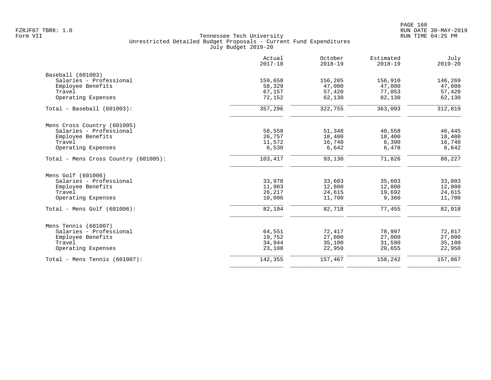|                                      | Actual<br>$2017 - 18$ | October<br>$2018 - 19$ | Estimated<br>$2018 - 19$ | July<br>$2019 - 20$ |
|--------------------------------------|-----------------------|------------------------|--------------------------|---------------------|
| Baseball (601003)                    |                       |                        |                          |                     |
| Salaries - Professional              | 159,658               | 156,205                | 156,910                  | 146,269             |
| Employee Benefits                    | 58,329                | 47,000                 | 47,000                   | 47,000              |
| Travel                               | 67,157                | 57,420                 | 77,053                   | 57,420              |
| Operating Expenses                   | 72,152                | 62,130                 | 82,130                   | 62,130              |
| Total - Baseball (601003):           | 357,296               | 322,755                | 363,093                  | 312,819             |
| Mens Cross Country (601005)          |                       |                        |                          |                     |
| Salaries - Professional              | 58,558                | 51,348                 | 40,558                   | 46,445              |
| Employee Benefits                    | 26,757                | 18,400                 | 18,400                   | 18,400              |
| Travel                               | 11,572                | 16,740                 | 6,390                    | 16,740              |
| Operating Expenses                   | 6,530                 | 6,642                  | 6,478                    | 6,642               |
| Total - Mens Cross Country (601005): | 103,417               | 93,130                 | 71,826                   | 88,227              |
| Mens Golf (601006)                   |                       |                        |                          |                     |
| Salaries - Professional              | 33,978                | 33,603                 | 35,603                   | 33,803              |
| Employee Benefits                    | 11,903                | 12,800                 | 12,800                   | 12,800              |
| Travel                               | 26,217                | 24,615                 | 19,692                   | 24,615              |
| Operating Expenses                   | 10,096                | 11,700                 | 9,360                    | 11,700              |
| Total - Mens Golf (601006):          | 82,194                | 82,718                 | 77,455                   | 82,918              |
| Mens Tennis (601007)                 |                       |                        |                          |                     |
| Salaries - Professional              | 64,551                | 72,417                 | 78,997                   | 72,817              |
| Employee Benefits                    | 19,752                | 27,000                 | 27,000                   | 27,000              |
| Travel                               | 34,944                | 35,100                 | 31,590                   | 35,100              |
| Operating Expenses                   | 23,108                | 22,950                 | 20,655                   | 22,950              |
| Total - Mens Tennis $(601007)$ :     | 142,355               | 157,467                | 158,242                  | 157,867             |
|                                      |                       |                        |                          |                     |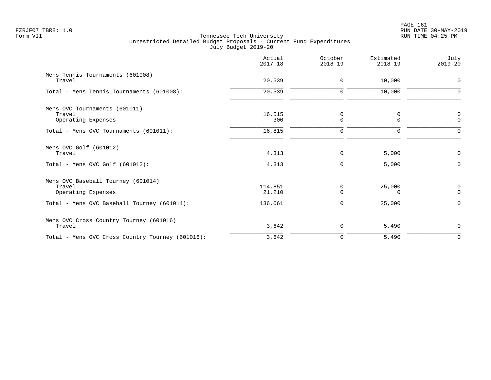| Actual<br>$2017 - 18$ | October<br>$2018 - 19$ | Estimated<br>$2018 - 19$ | July<br>$2019 - 20$     |
|-----------------------|------------------------|--------------------------|-------------------------|
| 20,539                | $\mathbf 0$            | 10,000                   | $\Omega$                |
| 20,539                | $\mathbf 0$            | 10,000                   | $\Omega$                |
| 16,515<br>300         | 0<br>0                 | 0<br>$\mathbf 0$         | 0<br>$\mathbf 0$        |
| 16,815                | $\mathbf 0$            | 0                        | $\Omega$                |
| 4,313                 | 0                      | 5,000                    | $\mathbf 0$             |
| 4,313                 | $\mathbf 0$            | 5,000                    | ∩                       |
| 114,851<br>21,210     | 0<br>$\Omega$          | 25,000<br>$\Omega$       | $\mathbf 0$<br>$\Omega$ |
| 136,061               | $\Omega$               | 25,000                   | $\Omega$                |
| 3,642                 | 0                      | 5,490                    | $\mathbf 0$             |
| 3,642                 | 0                      | 5,490                    | $\mathbf 0$             |
|                       |                        |                          |                         |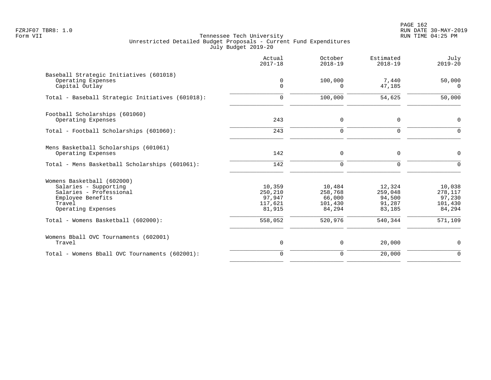PAGE 162 FZRJF07 TBR8: 1.0 RUN DATE 30-MAY-2019

|                                                                                                                                     | Actual<br>$2017 - 18$                            | October<br>$2018 - 19$                           | Estimated<br>$2018 - 19$                        | July<br>$2019 - 20$                              |
|-------------------------------------------------------------------------------------------------------------------------------------|--------------------------------------------------|--------------------------------------------------|-------------------------------------------------|--------------------------------------------------|
| Baseball Strategic Initiatives (601018)<br>Operating Expenses<br>Capital Outlay                                                     | 0<br>$\Omega$                                    | 100,000<br>$\Omega$                              | 7,440<br>47,185                                 | 50,000<br>$\Omega$                               |
| Total - Baseball Strategic Initiatives (601018):                                                                                    | $\Omega$                                         | 100,000                                          | 54,625                                          | 50,000                                           |
| Football Scholarships (601060)<br>Operating Expenses                                                                                | 243                                              | $\mathbf 0$                                      | 0                                               | $\mathbf 0$                                      |
| Total - Football Scholarships (601060):                                                                                             | 243                                              | $\Omega$                                         | $\Omega$                                        | $\Omega$                                         |
| Mens Basketball Scholarships (601061)<br>Operating Expenses                                                                         | 142                                              | $\mathbf 0$                                      | 0                                               | $\mathbf 0$                                      |
| Total - Mens Basketball Scholarships (601061):                                                                                      | 142                                              | $\mathbf 0$                                      | $\Omega$                                        | $\Omega$                                         |
| Womens Basketball (602000)<br>Salaries - Supporting<br>Salaries - Professional<br>Employee Benefits<br>Travel<br>Operating Expenses | 10,359<br>250,210<br>97,947<br>117,621<br>81,915 | 10,484<br>258,768<br>66,000<br>101,430<br>84,294 | 12,324<br>259,048<br>94,500<br>91,287<br>83,185 | 10,038<br>278,117<br>97,230<br>101,430<br>84,294 |
| Total - Womens Basketball (602000):                                                                                                 | 558,052                                          | 520,976                                          | 540,344                                         | 571,109                                          |
| Womens Bball OVC Tournaments (602001)<br>Travel                                                                                     | $\mathsf 0$                                      | $\mathbf 0$                                      | 20,000                                          | $\mathbf 0$                                      |
| Total - Womens Bball OVC Tournaments (602001):                                                                                      | $\mathbf 0$                                      | $\Omega$                                         | 20,000                                          | $\Omega$                                         |
|                                                                                                                                     |                                                  |                                                  |                                                 |                                                  |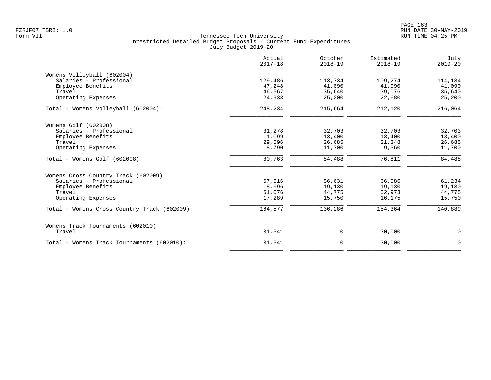|                                              | Actual<br>$2017 - 18$ | October<br>$2018 - 19$ | Estimated<br>$2018 - 19$ | July<br>$2019 - 20$ |
|----------------------------------------------|-----------------------|------------------------|--------------------------|---------------------|
| Womens Volleyball (602004)                   |                       |                        |                          |                     |
| Salaries - Professional                      | 129,486               | 113,734                | 109,274                  | 114,134             |
| Employee Benefits                            | 47,248                | 41,090                 | 41,090                   | 41,090              |
| Travel                                       | 46,567                | 35,640                 | 39,076                   | 35,640              |
| Operating Expenses                           | 24,933                | 25,200                 | 22,680                   | 25,200              |
| Total - Womens Volleyball (602004):          | 248,234               | 215,664                | 212,120                  | 216,064             |
| Womens Golf (602008)                         |                       |                        |                          |                     |
| Salaries - Professional                      | 31,278                | 32,703                 | 32,703                   | 32,703              |
| Employee Benefits                            | 11,099                | 13,400                 | 13,400                   | 13,400              |
| Travel                                       | 29,596                | 26,685                 | 21,348                   | 26,685              |
| Operating Expenses                           | 8,790                 | 11,700                 | 9,360                    | 11,700              |
| Total - Womens Golf (602008):                | 80,763                | 84,488                 | 76,811                   | 84,488              |
| Womens Cross Country Track (602009)          |                       |                        |                          |                     |
| Salaries - Professional                      | 67,516                | 56,631                 | 66,086                   | 61,234              |
| Employee Benefits                            | 18,696                | 19,130                 | 19,130                   | 19,130              |
| Travel                                       | 61,076                | 44,775                 | 52,973                   | 44,775              |
| Operating Expenses                           | 17,289                | 15,750                 | 16,175                   | 15,750              |
| Total - Womens Cross Country Track (602009): | 164,577               | 136,286                | 154,364                  | 140,889             |
| Womens Track Tournaments (602010)            |                       |                        |                          |                     |
| Travel                                       | 31,341                | 0                      | 30,000                   | 0                   |
| Total - Womens Track Tournaments (602010):   | 31,341                | $\mathbf 0$            | 30,000                   | $\Omega$            |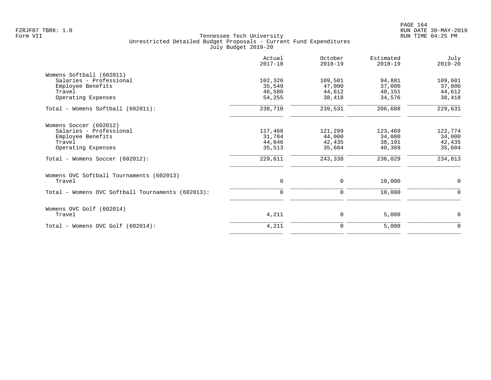PAGE 164 FZRJF07 TBR8: 1.0 RUN DATE 30-MAY-2019

| Actual<br>$2017 - 18$ | October<br>$2018 - 19$                           | Estimated<br>$2018 - 19$                         | July<br>$2019 - 20$                             |
|-----------------------|--------------------------------------------------|--------------------------------------------------|-------------------------------------------------|
|                       |                                                  |                                                  |                                                 |
|                       |                                                  |                                                  | 109,601                                         |
| 35,549                | 47,000                                           | 37,000                                           | 37,000                                          |
|                       |                                                  |                                                  | 44,612                                          |
| 54,255                | 38,418                                           | 34,576                                           | 38,418                                          |
| 238,710               | 239,531                                          | 206,608                                          | 229,631                                         |
|                       |                                                  |                                                  |                                                 |
|                       |                                                  |                                                  | 122,774                                         |
|                       |                                                  |                                                  | 34,000                                          |
|                       |                                                  |                                                  | 42,435                                          |
| 35,513                | 35,604                                           | 40,369                                           | 35,604                                          |
| 229,611               | 243,338                                          | 236,029                                          | 234,813                                         |
|                       |                                                  |                                                  |                                                 |
| 0                     | 0                                                | 10,000                                           | $\mathbf 0$                                     |
| $\mathbf 0$           | 0                                                | 10,000                                           | $\mathbf 0$                                     |
|                       |                                                  |                                                  |                                                 |
| 4,211                 | 0                                                | 5,000                                            | $\mathbf 0$                                     |
| 4,211                 | 0                                                | 5,000                                            | $\mathbf 0$                                     |
|                       | 102,326<br>46,580<br>117,468<br>31,784<br>44,846 | 109,501<br>44,612<br>121,299<br>44,000<br>42,435 | 94,881<br>40,151<br>123,469<br>34,000<br>38,191 |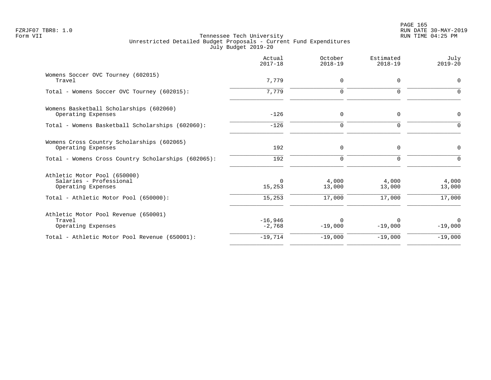|                                                                                                                        | Actual<br>$2017 - 18$        | October<br>$2018 - 19$    | Estimated<br>$2018 - 19$  | July<br>$2019 - 20$       |
|------------------------------------------------------------------------------------------------------------------------|------------------------------|---------------------------|---------------------------|---------------------------|
| Womens Soccer OVC Tourney (602015)<br>Travel                                                                           | 7,779                        | $\mathbf 0$               | $\Omega$                  | 0                         |
| Total - Womens Soccer OVC Tourney (602015):                                                                            | 7,779                        | $\mathbf 0$               | $\Omega$                  | $\Omega$                  |
| Womens Basketball Scholarships (602060)<br>Operating Expenses                                                          | $-126$                       | 0                         | $\mathbf 0$               | 0                         |
| Total - Womens Basketball Scholarships (602060):                                                                       | $-126$                       | $\mathbf 0$               | $\mathbf 0$               | 0                         |
| Womens Cross Country Scholarships (602065)<br>Operating Expenses                                                       | 192                          | $\mathbf 0$               | $\Omega$                  | 0                         |
| Total - Womens Cross Country Scholarships (602065):                                                                    | 192                          | $\mathbf 0$               | $\Omega$                  | $\Omega$                  |
| Athletic Motor Pool (650000)<br>Salaries - Professional<br>Operating Expenses<br>Total - Athletic Motor Pool (650000): | $\Omega$<br>15,253<br>15,253 | 4,000<br>13,000<br>17,000 | 4,000<br>13,000<br>17,000 | 4,000<br>13,000<br>17,000 |
| Athletic Motor Pool Revenue (650001)<br>Travel<br>Operating Expenses                                                   | $-16,946$<br>$-2,768$        | $\Omega$<br>$-19,000$     | $-19,000$                 | $\Omega$<br>$-19,000$     |
| Total - Athletic Motor Pool Revenue (650001):                                                                          | $-19,714$                    | $-19,000$                 | $-19,000$                 | $-19,000$                 |
|                                                                                                                        |                              |                           |                           |                           |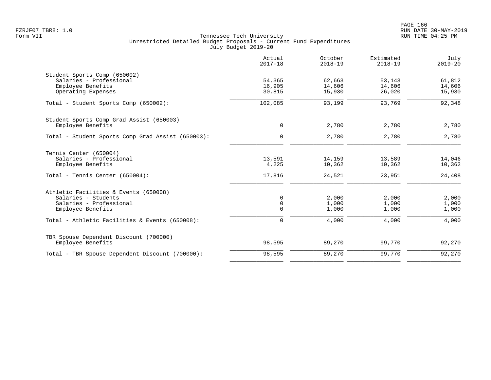|                                                                                                              | Actual<br>$2017 - 18$            | October<br>$2018 - 19$  | Estimated<br>$2018 - 19$ | July<br>$2019 - 20$     |
|--------------------------------------------------------------------------------------------------------------|----------------------------------|-------------------------|--------------------------|-------------------------|
| Student Sports Comp (650002)<br>Salaries - Professional                                                      | 54,365                           | 62,663                  | 53,143                   | 61,812                  |
| Employee Benefits<br>Operating Expenses                                                                      | 16,905<br>30,815                 | 14,606<br>15,930        | 14,606<br>26,020         | 14,606<br>15,930        |
| Total - Student Sports Comp (650002):                                                                        | 102,085                          | 93,199                  | 93,769                   | 92,348                  |
| Student Sports Comp Grad Assist (650003)<br>Employee Benefits                                                | $\mathbf 0$                      | 2,780                   | 2,780                    | 2,780                   |
| Total - Student Sports Comp Grad Assist (650003):                                                            | $\mathbf 0$                      | 2,780                   | 2,780                    | 2,780                   |
| Tennis Center (650004)<br>Salaries - Professional<br>Employee Benefits                                       | 13,591<br>4,225                  | 14,159<br>10,362        | 13,589<br>10,362         | 14,046<br>10,362        |
| Total - Tennis Center (650004):                                                                              | 17,816                           | 24,521                  | 23,951                   | 24,408                  |
| Athletic Facilities & Events (650008)<br>Salaries - Students<br>Salaries - Professional<br>Employee Benefits | 0<br>$\mathsf{O}$<br>$\mathbf 0$ | 2,000<br>1,000<br>1,000 | 2,000<br>1,000<br>1,000  | 2,000<br>1,000<br>1,000 |
| Total - Athletic Facilities & Events (650008):                                                               | $\mathbf 0$                      | 4,000                   | 4,000                    | 4,000                   |
| TBR Spouse Dependent Discount (700000)<br>Employee Benefits                                                  | 98,595                           | 89,270                  | 99,770                   | 92,270                  |
| Total - TBR Spouse Dependent Discount (700000):                                                              | 98,595                           | 89,270                  | 99,770                   | 92,270                  |
|                                                                                                              |                                  |                         |                          |                         |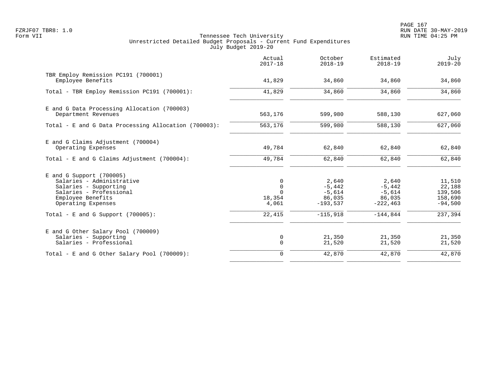PAGE 167 FZRJF07 TBR8: 1.0 RUN DATE 30-MAY-2019

|                                                                                                                                                        | Actual<br>$2017 - 18$                         | October<br>$2018 - 19$                                | Estimated<br>$2018 - 19$                               | July<br>$2019 - 20$                                 |
|--------------------------------------------------------------------------------------------------------------------------------------------------------|-----------------------------------------------|-------------------------------------------------------|--------------------------------------------------------|-----------------------------------------------------|
| TBR Employ Remission PC191 (700001)<br>Employee Benefits                                                                                               | 41,829                                        | 34,860                                                | 34,860                                                 | 34,860                                              |
| Total - TBR Employ Remission PC191 (700001):                                                                                                           | 41,829                                        | 34,860                                                | 34,860                                                 | 34,860                                              |
| E and G Data Processing Allocation (700003)<br>Department Revenues                                                                                     | 563,176                                       | 599,980                                               | 588,130                                                | 627,060                                             |
| Total - E and G Data Processing Allocation (700003):                                                                                                   | 563,176                                       | 599,980                                               | 588,130                                                | 627,060                                             |
| E and G Claims Adjustment (700004)<br>Operating Expenses                                                                                               | 49,784                                        | 62,840                                                | 62,840                                                 | 62,840                                              |
| Total - E and G Claims Adjustment $(700004)$ :                                                                                                         | 49,784                                        | 62,840                                                | 62,840                                                 | 62,840                                              |
| $E$ and G Support (700005)<br>Salaries - Administrative<br>Salaries - Supporting<br>Salaries - Professional<br>Employee Benefits<br>Operating Expenses | 0<br>$\mathbf 0$<br>$\cap$<br>18,354<br>4,061 | 2,640<br>$-5,442$<br>$-5,614$<br>86,035<br>$-193,537$ | 2,640<br>$-5,442$<br>$-5,614$<br>86,035<br>$-222, 463$ | 11,510<br>22,188<br>139,506<br>158,690<br>$-94,500$ |
| Total - E and G Support $(700005)$ :                                                                                                                   | 22,415                                        | $-115,918$                                            | $-144,844$                                             | 237, 394                                            |
| E and G Other Salary Pool (700009)<br>Salaries - Supporting<br>Salaries - Professional                                                                 | 0<br>$\mathbf 0$                              | 21,350<br>21,520                                      | 21,350<br>21,520                                       | 21,350<br>21,520                                    |
| Total - E and G Other Salary Pool (700009):                                                                                                            | $\mathbf 0$                                   | 42,870                                                | 42,870                                                 | 42,870                                              |
|                                                                                                                                                        |                                               |                                                       |                                                        |                                                     |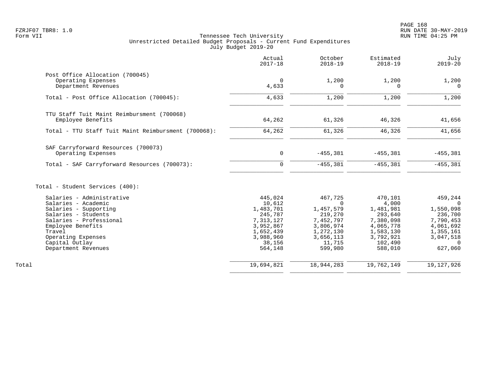|                                                                                                                                                                                                                           | Actual<br>$2017 - 18$                                                                                              | October<br>$2018 - 19$                                                                                               | Estimated<br>$2018 - 19$                                                                                           | July<br>$2019 - 20$                                                                                        |
|---------------------------------------------------------------------------------------------------------------------------------------------------------------------------------------------------------------------------|--------------------------------------------------------------------------------------------------------------------|----------------------------------------------------------------------------------------------------------------------|--------------------------------------------------------------------------------------------------------------------|------------------------------------------------------------------------------------------------------------|
| Post Office Allocation (700045)<br>Operating Expenses<br>Department Revenues                                                                                                                                              | $\mathbf 0$<br>4,633                                                                                               | 1,200<br>0                                                                                                           | 1,200<br>$\Omega$                                                                                                  | 1,200<br>$\Omega$                                                                                          |
| Total - Post Office Allocation (700045):                                                                                                                                                                                  | 4,633                                                                                                              | 1,200                                                                                                                | 1,200                                                                                                              | 1,200                                                                                                      |
| TTU Staff Tuit Maint Reimbursment (700068)<br>Employee Benefits<br>Total - TTU Staff Tuit Maint Reimbursment (700068):                                                                                                    | 64,262<br>64,262                                                                                                   | 61,326<br>61,326                                                                                                     | 46,326<br>46,326                                                                                                   | 41,656<br>41,656                                                                                           |
| SAF Carryforward Resources (700073)                                                                                                                                                                                       |                                                                                                                    |                                                                                                                      |                                                                                                                    |                                                                                                            |
| Operating Expenses                                                                                                                                                                                                        | $\mathbf 0$                                                                                                        | $-455,381$                                                                                                           | $-455,381$                                                                                                         | $-455,381$                                                                                                 |
| Total - SAF Carryforward Resources (700073):                                                                                                                                                                              | $\mathbf 0$                                                                                                        | $-455,381$                                                                                                           | $-455,381$                                                                                                         | $-455,381$                                                                                                 |
| Total - Student Services (400):                                                                                                                                                                                           |                                                                                                                    |                                                                                                                      |                                                                                                                    |                                                                                                            |
| Salaries - Administrative<br>Salaries - Academic<br>Salaries - Supporting<br>Salaries - Students<br>Salaries - Professional<br>Employee Benefits<br>Travel<br>Operating Expenses<br>Capital Outlay<br>Department Revenues | 445,024<br>10,612<br>1,483,701<br>245,787<br>7,313,127<br>3,952,867<br>1,652,439<br>3,988,960<br>38,156<br>564,148 | 467,725<br>$\Omega$<br>1,457,579<br>219,270<br>7,452,797<br>3,806,974<br>1,272,130<br>3,656,113<br>11,715<br>599,980 | 470,101<br>4,000<br>1,481,981<br>293,640<br>7,380,098<br>4,065,778<br>1,583,130<br>3,792,921<br>102,490<br>588,010 | 459,244<br>$\Omega$<br>1,550,098<br>236,700<br>7,790,453<br>4,061,692<br>1,355,161<br>3,047,518<br>627,060 |
| Total                                                                                                                                                                                                                     | 19,694,821                                                                                                         | 18,944,283                                                                                                           | 19,762,149                                                                                                         | 19, 127, 926                                                                                               |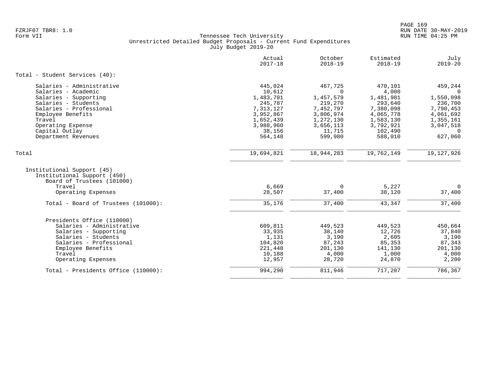|                                                                                         | Actual<br>$2017 - 18$  | October<br>$2018 - 19$ | Estimated<br>$2018 - 19$ | July<br>$2019 - 20$    |
|-----------------------------------------------------------------------------------------|------------------------|------------------------|--------------------------|------------------------|
| Total - Student Services (40):                                                          |                        |                        |                          |                        |
| Salaries - Administrative                                                               | 445,024                | 467,725                | 470,101                  | 459,244                |
| Salaries - Academic                                                                     | 10,612                 | $\Omega$               | 4,000                    | $\Omega$               |
| Salaries - Supporting                                                                   | 1,483,701              | 1,457,579              | 1,481,981                | 1,550,098              |
| Salaries - Students<br>Salaries - Professional                                          | 245,787                | 219,270                | 293,640                  | 236,700                |
| Employee Benefits                                                                       | 7,313,127<br>3,952,867 | 7,452,797<br>3,806,974 | 7,380,098<br>4,065,778   | 7,790,453<br>4,061,692 |
| Travel                                                                                  | 1,652,439              | 1,272,130              | 1,583,130                | 1,355,161              |
| Operating Expense                                                                       | 3,988,960              | 3,656,113              | 3,792,921                | 3,047,518              |
| Capital Outlay                                                                          | 38,156                 | 11,715                 | 102,490                  | $\Omega$               |
| Department Revenues                                                                     | 564,148                | 599,980                | 588,010                  | 627,060                |
| Total                                                                                   | 19,694,821             | 18,944,283             | 19,762,149               | 19, 127, 926           |
|                                                                                         |                        |                        |                          |                        |
| Institutional Support (45)<br>Institutional Support (450)<br>Board of Trustees (101000) |                        |                        |                          |                        |
| Travel                                                                                  | 6,669                  | $\Omega$               | 5,227                    | $\Omega$               |
| Operating Expenses                                                                      | 28,507                 | 37,400                 | 38,120                   | 37,400                 |
| Total - Board of Trustees (101000):                                                     | 35,176                 | 37,400                 | 43,347                   | 37,400                 |
| Presidents Office (110000)                                                              |                        |                        |                          |                        |
| Salaries - Administrative                                                               | 609,811                | 449,523                | 449,523                  | 450,664                |
| Salaries - Supporting                                                                   | 33,935                 | 38,140                 | 12,726                   | 37,840                 |
| Salaries - Students                                                                     | 1,131                  | 3,190                  | 2,605                    | 3,190                  |
| Salaries - Professional                                                                 | 104,820                | 87,243                 | 85,353                   | 87,343                 |
| Employee Benefits                                                                       | 221,448                | 201,130                | 141,130                  | 201,130                |
| Travel                                                                                  | 10,188                 | 4,000                  | 1,000                    | 4,000                  |
| Operating Expenses                                                                      | 12,957                 | 28,720                 | 24,870                   | 2,200                  |
| Total - Presidents Office (110000):                                                     | 994,290                | 811,946                | 717,207                  | 786,367                |
|                                                                                         |                        |                        |                          |                        |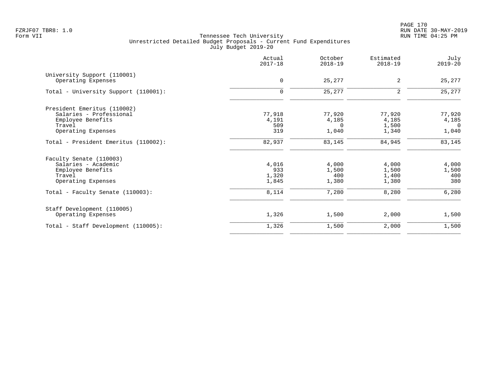PAGE 170 FZRJF07 TBR8: 1.0 RUN DATE 30-MAY-2019

|                                      | Actual<br>$2017 - 18$ | October<br>$2018 - 19$ | Estimated<br>$2018 - 19$ | July<br>$2019 - 20$ |
|--------------------------------------|-----------------------|------------------------|--------------------------|---------------------|
| University Support (110001)          | $\mathbf 0$           | 25,277                 | 2                        | 25,277              |
| Operating Expenses                   |                       |                        |                          |                     |
| Total - University Support (110001): | $\mathbf 0$           | 25,277                 | 2                        | 25,277              |
| President Emeritus (110002)          |                       |                        |                          |                     |
| Salaries - Professional              | 77,918                | 77,920                 | 77,920                   | 77,920              |
| Employee Benefits                    | 4,191                 | 4,185                  | 4,185                    | 4,185               |
| Travel                               | 509                   | $\Omega$               | 1,500                    | $\overline{0}$      |
| Operating Expenses                   | 319                   | 1,040                  | 1,340                    | 1,040               |
| Total - President Emeritus (110002): | 82,937                | 83,145                 | 84,945                   | 83,145              |
| Faculty Senate (110003)              |                       |                        |                          |                     |
| Salaries - Academic                  | 4,016                 | 4,000                  | 4,000                    | 4,000               |
| Employee Benefits                    | 933                   | 1,500                  | 1,500                    | 1,500               |
| Travel                               | 1,320                 | 400                    | 1,400                    | 400                 |
| Operating Expenses                   | 1,845                 | 1,380                  | 1,380                    | 380                 |
| Total - Faculty Senate (110003):     | 8,114                 | 7,280                  | 8,280                    | 6,280               |
| Staff Development (110005)           |                       |                        |                          |                     |
| Operating Expenses                   | 1,326                 | 1,500                  | 2,000                    | 1,500               |
| Total - Staff Development (110005):  | 1,326                 | 1,500                  | 2,000                    | 1,500               |
|                                      |                       |                        |                          |                     |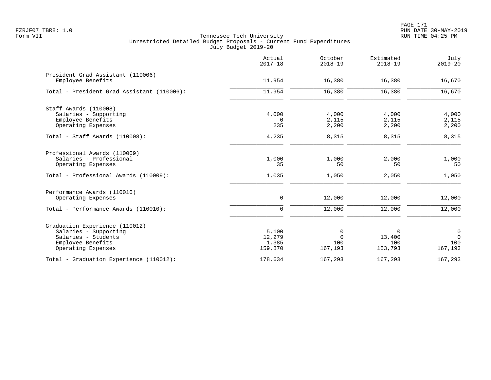|                                                                                                                           | Actual<br>$2017 - 18$               | October<br>$2018 - 19$          | Estimated<br>$2018 - 19$      | July<br>$2019 - 20$                       |
|---------------------------------------------------------------------------------------------------------------------------|-------------------------------------|---------------------------------|-------------------------------|-------------------------------------------|
| President Grad Assistant (110006)<br>Employee Benefits                                                                    | 11,954                              | 16,380                          | 16,380                        | 16,670                                    |
| Total - President Grad Assistant (110006):                                                                                | 11,954                              | 16,380                          | 16,380                        | 16,670                                    |
| Staff Awards (110008)<br>Salaries - Supporting                                                                            | 4,000                               | 4,000                           | 4,000                         | 4,000                                     |
| Employee Benefits<br>Operating Expenses                                                                                   | $\Omega$<br>235                     | 2,115<br>2,200                  | 2,115<br>2,200                | 2,115<br>2,200                            |
| Total - Staff Awards (110008):                                                                                            | 4,235                               | 8,315                           | 8,315                         | 8,315                                     |
| Professional Awards (110009)<br>Salaries - Professional<br>Operating Expenses                                             | 1,000<br>35                         | 1,000<br>50                     | 2,000<br>50                   | 1,000<br>50                               |
| Total - Professional Awards (110009):                                                                                     | 1,035                               | 1,050                           | 2,050                         | 1,050                                     |
| Performance Awards (110010)<br>Operating Expenses                                                                         | 0                                   | 12,000                          | 12,000                        | 12,000                                    |
| Total - Performance Awards (110010):                                                                                      | 0                                   | 12,000                          | 12,000                        | 12,000                                    |
| Graduation Experience (110012)<br>Salaries - Supporting<br>Salaries - Students<br>Employee Benefits<br>Operating Expenses | 5,100<br>12,279<br>1,385<br>159,870 | 0<br>$\Omega$<br>100<br>167,193 | 0<br>13,400<br>100<br>153,793 | $\mathbf 0$<br>$\Omega$<br>100<br>167,193 |
| Total - Graduation Experience (110012):                                                                                   | 178,634                             | 167,293                         | 167,293                       | 167, 293                                  |
|                                                                                                                           |                                     |                                 |                               |                                           |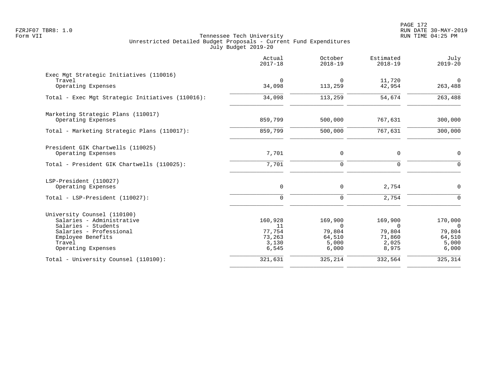PAGE 172 FZRJF07 TBR8: 1.0 RUN DATE 30-MAY-2019

|                                                                                                                                                                 | Actual<br>$2017 - 18$                               | October<br>$2018 - 19$                                    | Estimated<br>$2018 - 19$                                  | July<br>$2019 - 20$                                             |
|-----------------------------------------------------------------------------------------------------------------------------------------------------------------|-----------------------------------------------------|-----------------------------------------------------------|-----------------------------------------------------------|-----------------------------------------------------------------|
| Exec Mgt Strategic Initiatives (110016)<br>Travel<br>Operating Expenses                                                                                         | $\mathbf 0$<br>34,098                               | 0<br>113,259                                              | 11,720<br>42,954                                          | $\mathbf 0$<br>263,488                                          |
| Total - Exec Mgt Strategic Initiatives (110016):                                                                                                                | 34,098                                              | 113,259                                                   | 54,674                                                    | 263,488                                                         |
| Marketing Strategic Plans (110017)<br>Operating Expenses                                                                                                        | 859,799                                             | 500,000                                                   | 767,631                                                   | 300,000                                                         |
| Total - Marketing Strategic Plans (110017):                                                                                                                     | 859,799                                             | 500,000                                                   | 767,631                                                   | 300,000                                                         |
| President GIK Chartwells (110025)<br>Operating Expenses<br>Total - President GIK Chartwells (110025):                                                           | 7,701<br>7,701                                      | 0<br>$\mathbf 0$                                          | 0<br>$\mathbf 0$                                          | $\mathbf 0$<br>$\Omega$                                         |
| LSP-President (110027)<br>Operating Expenses                                                                                                                    | 0                                                   | 0                                                         | 2,754                                                     | $\mathbf 0$                                                     |
| Total - LSP-President (110027):                                                                                                                                 | $\Omega$                                            | $\Omega$                                                  | 2,754                                                     | $\Omega$                                                        |
| University Counsel (110100)<br>Salaries - Administrative<br>Salaries - Students<br>Salaries - Professional<br>Employee Benefits<br>Travel<br>Operating Expenses | 160,928<br>11<br>77,754<br>73,263<br>3,130<br>6,545 | 169,900<br>$\Omega$<br>79,804<br>64,510<br>5,000<br>6,000 | 169,900<br>$\Omega$<br>79,804<br>71,860<br>2,025<br>8,975 | 170,000<br>$\overline{0}$<br>79,804<br>64,510<br>5,000<br>6,000 |
| Total - University Counsel (110100):                                                                                                                            | 321,631                                             | 325,214                                                   | 332,564                                                   | 325,314                                                         |
|                                                                                                                                                                 |                                                     |                                                           |                                                           |                                                                 |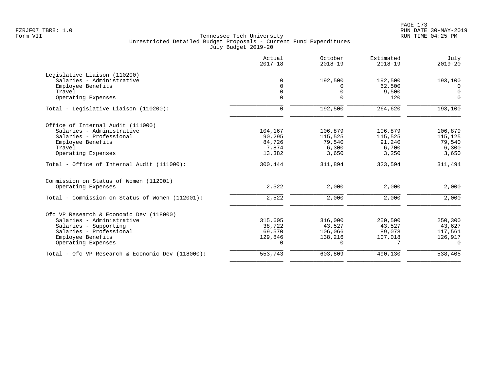|                                                  | Actual<br>$2017 - 18$ | October<br>$2018 - 19$ | Estimated<br>$2018 - 19$ | July<br>$2019 - 20$ |
|--------------------------------------------------|-----------------------|------------------------|--------------------------|---------------------|
| Legislative Liaison (110200)                     |                       |                        |                          |                     |
| Salaries - Administrative                        | $\mathbf 0$           | 192,500                | 192,500                  | 193,100             |
| Employee Benefits                                | $\mathbf 0$           | 0                      | 62,500                   | 0                   |
| Travel                                           | 0                     | 0                      | 9,500                    | $\mathbf 0$         |
| Operating Expenses                               | $\mathbf 0$           | $\mathbf 0$            | 120                      | $\mathbf 0$         |
| Total - Legislative Liaison (110200):            | 0                     | 192,500                | 264,620                  | 193,100             |
| Office of Internal Audit (111000)                |                       |                        |                          |                     |
| Salaries - Administrative                        | 104,167               | 106,879                | 106,879                  | 106,879             |
| Salaries - Professional                          | 90,295                | 115,525                | 115,525                  | 115,125             |
| Employee Benefits                                | 84,726                | 79,540                 | 91,240                   | 79,540              |
| Travel                                           | 7,874                 | 6,300                  | 6,700                    | 6,300               |
| Operating Expenses                               | 13,382                | 3,650                  | 3,250                    | 3,650               |
| Total - Office of Internal Audit (111000):       | 300,444               | 311,894                | 323,594                  | 311,494             |
| Commission on Status of Women (112001)           |                       |                        |                          |                     |
| Operating Expenses                               | 2,522                 | 2,000                  | 2,000                    | 2,000               |
| Total - Commission on Status of Women (112001):  | 2,522                 | 2,000                  | 2,000                    | 2,000               |
| Ofc VP Research & Economic Dev (118000)          |                       |                        |                          |                     |
| Salaries - Administrative                        | 315,605               | 316,000                | 250,500                  | 250,300             |
| Salaries - Supporting                            | 38,722                | 43,527                 | 43,527                   | 43,627              |
| Salaries - Professional                          | 69,570                | 106,066                | 89,078                   | 117,561             |
| Employee Benefits                                | 129,846               | 138,216                | 107,018                  | 126,917             |
| Operating Expenses                               | $\Omega$              | $\Omega$               |                          | $\Omega$            |
| Total - Ofc VP Research & Economic Dev (118000): | 553,743               | 603,809                | 490,130                  | 538,405             |
|                                                  |                       |                        |                          |                     |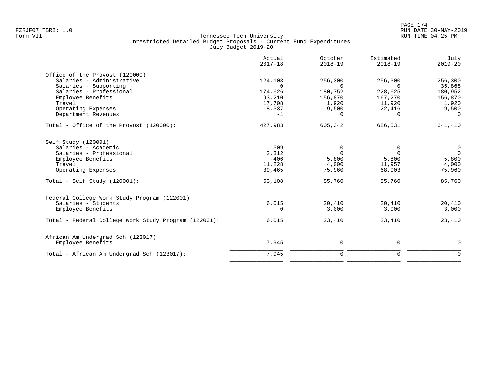|                                                      | Actual<br>$2017 - 18$ | October<br>$2018 - 19$ | Estimated<br>$2018 - 19$ | July<br>$2019 - 20$ |
|------------------------------------------------------|-----------------------|------------------------|--------------------------|---------------------|
| Office of the Provost (120000)                       |                       |                        |                          |                     |
| Salaries - Administrative                            | 124,103               | 256,300                | 256,300                  | 256,300             |
| Salaries - Supporting                                | $\Omega$              | $\Omega$               | $\cap$                   | 35,868              |
| Salaries - Professional                              | 174,626               | 180,752                | 228,625                  | 180,952             |
| Employee Benefits<br>Travel                          | 93,210<br>17,708      | 156,870<br>1,920       | 167,270<br>11,920        | 156,870             |
| Operating Expenses                                   | 18,337                | 9,500                  | 22,416                   | 1,920<br>9,500      |
| Department Revenues                                  | $-1$                  | $\Omega$               | $\Omega$                 | $\Omega$            |
| Total - Office of the Provost (120000):              | 427,983               | 605,342                | 686,531                  | 641,410             |
| Self Study (120001)                                  |                       |                        |                          |                     |
| Salaries - Academic                                  | 509                   | 0                      | 0                        | $\overline{0}$      |
| Salaries - Professional                              | 2,312                 | $\Omega$               | $\Omega$                 | $\Omega$            |
| Employee Benefits                                    | $-406$                | 5,800                  | 5,800                    | 5,800               |
| Travel                                               | 11,228                | 4,000                  | 11,957                   | 4,000               |
| Operating Expenses                                   | 39,465                | 75,960                 | 68,003                   | 75,960              |
| Total - Self Study $(120001)$ :                      | 53,108                | 85,760                 | 85,760                   | 85,760              |
| Federal College Work Study Program (122001)          |                       |                        |                          |                     |
| Salaries - Students                                  | 6,015                 | 20,410                 | 20,410                   | 20,410              |
| Employee Benefits                                    | 0                     | 3,000                  | 3,000                    | 3,000               |
| Total - Federal College Work Study Program (122001): | 6,015                 | 23,410                 | 23,410                   | 23,410              |
| African Am Undergrad Sch (123017)                    |                       |                        |                          |                     |
| Employee Benefits                                    | 7,945                 | $\mathsf{O}$           | 0                        | 0                   |
| Total - African Am Undergrad Sch (123017):           | 7,945                 | $\mathbf 0$            | $\mathbf 0$              | $\mathbf 0$         |
|                                                      |                       |                        |                          |                     |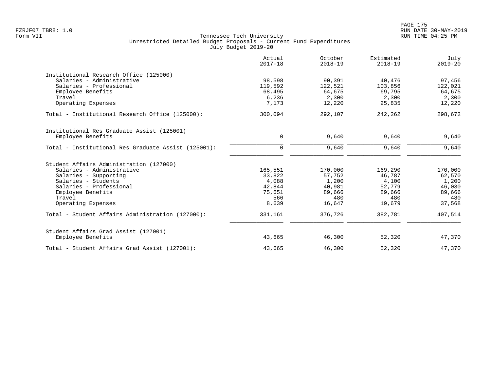|                                                     | Actual<br>$2017 - 18$ | October<br>$2018 - 19$ | Estimated<br>$2018 - 19$ | July<br>$2019 - 20$ |
|-----------------------------------------------------|-----------------------|------------------------|--------------------------|---------------------|
| Institutional Research Office (125000)              |                       |                        |                          |                     |
| Salaries - Administrative                           | 98,598                | 90,391                 | 40,476                   | 97,456              |
| Salaries - Professional                             | 119,592               | 122,521                | 103,856                  | 122,021             |
| Employee Benefits                                   | 68,495                | 64,675                 | 69,795                   | 64,675              |
| Travel                                              | 6,236                 | 2,300                  | 2,300                    | 2,300               |
| Operating Expenses                                  | 7,173                 | 12,220                 | 25,835                   | 12,220              |
| Total - Institutional Research Office (125000):     | 300,094               | 292,107                | 242,262                  | 298,672             |
| Institutional Res Graduate Assist (125001)          |                       |                        |                          |                     |
| Employee Benefits                                   | 0                     | 9,640                  | 9,640                    | 9,640               |
| Total - Institutional Res Graduate Assist (125001): | $\Omega$              | 9,640                  | 9,640                    | 9,640               |
| Student Affairs Administration (127000)             |                       |                        |                          |                     |
| Salaries - Administrative                           | 165,551               | 170,000                | 169,290                  | 170,000             |
| Salaries - Supporting                               | 33,822                | 57,752                 | 46,787                   | 62,570              |
| Salaries - Students                                 | 4,088                 | 1,200                  | 4,100                    | 1,200               |
| Salaries - Professional                             | 42,844                | 40,981                 | 52,779                   | 46,030              |
| Employee Benefits                                   | 75,651                | 89,666                 | 89,666                   | 89,666              |
| Travel                                              | 566                   | 480                    | 480                      | 480                 |
| Operating Expenses                                  | 8,639                 | 16,647                 | 19,679                   | 37,568              |
| Total - Student Affairs Administration (127000):    | 331,161               | 376,726                | 382,781                  | 407,514             |
| Student Affairs Grad Assist (127001)                |                       |                        |                          |                     |
| Employee Benefits                                   | 43,665                | 46,300                 | 52,320                   | 47,370              |
| Total - Student Affairs Grad Assist (127001):       | 43,665                | 46,300                 | 52,320                   | 47,370              |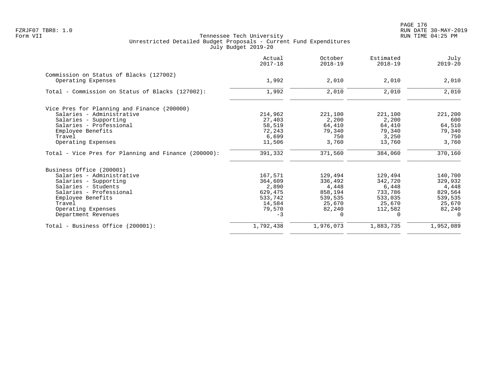|                                                      | Actual<br>$2017 - 18$ | October<br>$2018 - 19$ | Estimated<br>$2018 - 19$ | July<br>$2019 - 20$ |
|------------------------------------------------------|-----------------------|------------------------|--------------------------|---------------------|
| Commission on Status of Blacks (127002)              |                       |                        |                          |                     |
| Operating Expenses                                   | 1,992                 | 2,010                  | 2,010                    | 2,010               |
| Total - Commission on Status of Blacks (127002):     | 1,992                 | 2,010                  | 2,010                    | 2,010               |
| Vice Pres for Planning and Finance (200000)          |                       |                        |                          |                     |
| Salaries - Administrative                            | 214,962               | 221,100                | 221,100                  | 221,200             |
| Salaries - Supporting                                | 27,403                | 2,200                  | 2,200                    | 600                 |
| Salaries - Professional                              | 58,519                | 64,410                 | 64,410                   | 64,510              |
| Employee Benefits                                    | 72,243                | 79,340                 | 79,340                   | 79,340              |
| Travel                                               | 6,699                 | 750                    | 3,250                    | 750                 |
| Operating Expenses                                   | 11,506                | 3,760                  | 13,760                   | 3,760               |
| Total - Vice Pres for Planning and Finance (200000): | 391,332               | 371,560                | 384,060                  | 370,160             |
| Business Office (200001)                             |                       |                        |                          |                     |
| Salaries - Administrative                            | 167,571               | 129,494                | 129,494                  | 140,700             |
| Salaries - Supporting                                | 364,609               | 336,492                | 342,720                  | 329,932             |
| Salaries - Students                                  | 2,890                 | 4,448                  | 6,448                    | 4,448               |
| Salaries - Professional                              | 629,475               | 858,194                | 733,786                  | 829,564             |
| Employee Benefits                                    | 533,742               | 539,535                | 533,035                  | 539,535             |
| Travel                                               | 14,584                | 25,670                 | 25,670                   | 25,670              |
| Operating Expenses                                   | 79,570                | 82,240                 | 112,582                  | 82,240              |
| Department Revenues                                  | $-3$                  | $\Omega$               | $\Omega$                 | $\Omega$            |
| Total - Business Office (200001):                    | 1,792,438             | 1,976,073              | 1,883,735                | 1,952,089           |
|                                                      |                       |                        |                          |                     |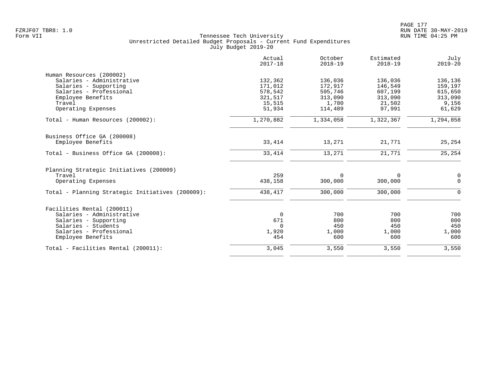|                                                  | Actual<br>$2017 - 18$ | October<br>$2018 - 19$ | Estimated<br>$2018 - 19$ | July<br>$2019 - 20$ |
|--------------------------------------------------|-----------------------|------------------------|--------------------------|---------------------|
| Human Resources (200002)                         |                       |                        |                          |                     |
| Salaries - Administrative                        | 132,362               | 136,036                | 136,036                  | 136,136             |
| Salaries - Supporting                            | 171,012               | 172,917                | 146,549                  | 159,197             |
| Salaries - Professional                          | 578,542               | 595,746                | 607,199                  | 615,650             |
| Employee Benefits                                | 321,517               | 313,090                | 313,090                  | 313,090             |
| Travel                                           | 15,515                | 1,780                  | 21,502                   | 9,156               |
| Operating Expenses                               | 51,934                | 114,489                | 97,991                   | 61,629              |
| Total - Human Resources (200002):                | 1,270,882             | 1,334,058              | 1,322,367                | 1,294,858           |
| Business Office GA (200008)                      |                       |                        |                          |                     |
| Employee Benefits                                | 33,414                | 13,271                 | 21,771                   | 25,254              |
| Total - Business Office GA (200008):             | 33,414                | 13,271                 | 21,771                   | 25,254              |
| Planning Strategic Initiatives (200009)          |                       |                        |                          |                     |
| Travel                                           | 259                   | $\Omega$               | 0                        | $\mathsf 0$         |
| Operating Expenses                               | 438,158               | 300,000                | 300,000                  | $\Omega$            |
| Total - Planning Strategic Initiatives (200009): | 438,417               | 300,000                | 300,000                  | $\Omega$            |
| Facilities Rental (200011)                       |                       |                        |                          |                     |
| Salaries - Administrative                        | $\mathbf 0$           | 700                    | 700                      | 700                 |
| Salaries - Supporting                            | 671                   | 800                    | 800                      | 800                 |
| Salaries - Students                              | $\Omega$              | 450                    | 450                      | 450                 |
| Salaries - Professional                          | 1,920                 | 1,000                  | 1,000                    | 1,000               |
| Employee Benefits                                | 454                   | 600                    | 600                      | 600                 |
| Total - Facilities Rental (200011):              | 3,045                 | 3,550                  | 3,550                    | 3,550               |
|                                                  |                       |                        |                          |                     |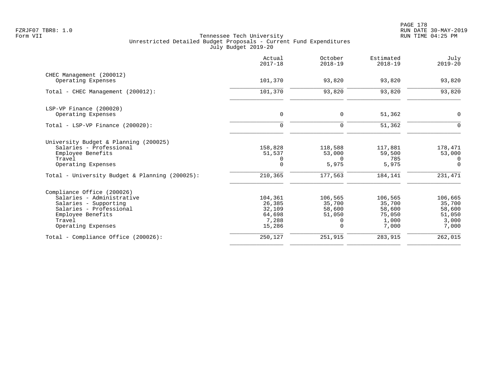|                                                | Actual<br>$2017 - 18$ | October<br>$2018 - 19$ | Estimated<br>$2018 - 19$ | July<br>$2019 - 20$ |
|------------------------------------------------|-----------------------|------------------------|--------------------------|---------------------|
| CHEC Management (200012)                       | 101,370               | 93,820                 | 93,820                   | 93,820              |
| Operating Expenses                             |                       |                        |                          |                     |
| Total - CHEC Management (200012):              | 101,370               | 93,820                 | 93,820                   | 93,820              |
| LSP-VP Finance (200020)                        |                       |                        |                          |                     |
| Operating Expenses                             | 0                     | 0                      | 51,362                   | 0                   |
| Total - LSP-VP Finance (200020):               | $\mathbf 0$           | $\mathbf 0$            | 51,362                   | $\mathbf 0$         |
| University Budget & Planning (200025)          |                       |                        |                          |                     |
| Salaries - Professional                        | 158,828               | 118,588                | 117,881                  | 178,471             |
| Employee Benefits                              | 51,537                | 53,000                 | 59,500                   | 53,000              |
| Travel                                         | 0                     | $\Omega$               | 785                      | $\Omega$            |
| Operating Expenses                             | $\Omega$              | 5,975                  | 5,975                    | $\Omega$            |
| Total - University Budget & Planning (200025): | 210,365               | 177,563                | 184,141                  | 231,471             |
| Compliance Office (200026)                     |                       |                        |                          |                     |
| Salaries - Administrative                      | 104,361               | 106,565                | 106,565                  | 106,665             |
| Salaries - Supporting                          | 26,385                | 35,700                 | 35,700                   | 35,700              |
| Salaries - Professional                        | 32,109                | 58,600                 | 58,600                   | 58,600              |
| Employee Benefits<br>Travel                    | 64,698<br>7,288       | 51,050                 | 75,050<br>1,000          | 51,050<br>3,000     |
| Operating Expenses                             | 15,286                | 0<br>$\Omega$          | 7,000                    | 7,000               |
| Total - Compliance Office (200026):            | 250,127               | 251,915                | 283,915                  | 262,015             |
|                                                |                       |                        |                          |                     |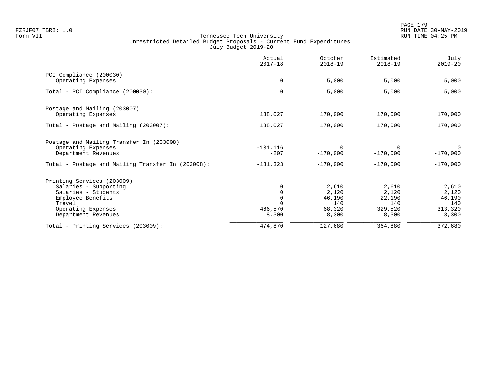PAGE 179 FZRJF07 TBR8: 1.0 RUN DATE 30-MAY-2019

|                                                   | Actual<br>$2017 - 18$ | October<br>$2018 - 19$ | Estimated<br>$2018 - 19$ | July<br>$2019 - 20$ |
|---------------------------------------------------|-----------------------|------------------------|--------------------------|---------------------|
| PCI Compliance (200030)                           |                       |                        |                          |                     |
| Operating Expenses                                | $\mathbf 0$           | 5,000                  | 5,000                    | 5,000               |
| Total - PCI Compliance (200030):                  | $\mathbf 0$           | 5,000                  | 5,000                    | 5,000               |
| Postage and Mailing (203007)                      |                       |                        |                          |                     |
| Operating Expenses                                | 138,027               | 170,000                | 170,000                  | 170,000             |
| Total - Postage and Mailing (203007):             | 138,027               | 170,000                | 170,000                  | 170,000             |
| Postage and Mailing Transfer In (203008)          |                       |                        |                          |                     |
| Operating Expenses<br>Department Revenues         | $-131, 116$<br>$-207$ | $\Omega$<br>$-170,000$ | $-170,000$               | 0<br>$-170,000$     |
| Total - Postage and Mailing Transfer In (203008): | $-131, 323$           | $-170,000$             | $-170,000$               | $-170,000$          |
| Printing Services (203009)                        |                       |                        |                          |                     |
| Salaries - Supporting                             |                       | 2,610                  | 2,610                    | 2,610               |
| Salaries - Students                               |                       | 2,120                  | 2,120                    | 2,120               |
| Employee Benefits                                 | $\overline{0}$        | 46,190                 | 22,190                   | 46,190              |
| Travel                                            |                       | 140                    | 140                      | 140                 |
| Operating Expenses<br>Department Revenues         | 466,570<br>8,300      | 68,320<br>8,300        | 329,520<br>8,300         | 313,320<br>8,300    |
| Total - Printing Services (203009):               | 474,870               | 127,680                | 364,880                  | 372,680             |
|                                                   |                       |                        |                          |                     |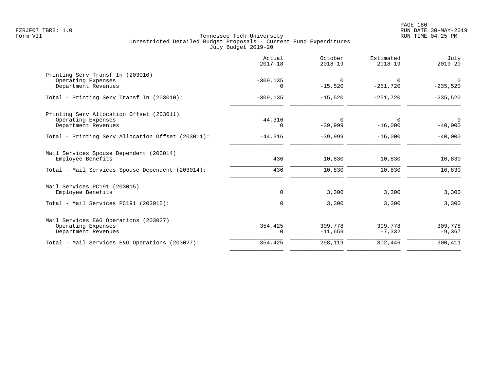|                                                                                       | Actual<br>$2017 - 18$   | October<br>$2018 - 19$ | Estimated<br>$2018 - 19$ | July<br>$2019 - 20$         |
|---------------------------------------------------------------------------------------|-------------------------|------------------------|--------------------------|-----------------------------|
| Printing Serv Transf In (203010)<br>Operating Expenses<br>Department Revenues         | $-309, 135$<br>$\Omega$ | $\Omega$<br>$-15,520$  | $\Omega$<br>$-251,720$   | $\Omega$<br>$-235,520$      |
| Total - Printing Serv Transf In (203010):                                             | $-309, 135$             | $-15,520$              | $-251,720$               | $-235,520$                  |
| Printing Serv Allocation Offset (203011)<br>Operating Expenses<br>Department Revenues | $-44,316$<br>$\Omega$   | 0<br>$-39,999$         | $\Omega$<br>$-16,000$    | $\overline{0}$<br>$-40,000$ |
| Total - Printing Serv Allocation Offset (203011):                                     | $-44,316$               | $-39,999$              | $-16,000$                | $-40,000$                   |
| Mail Services Spouse Dependent (203014)<br>Employee Benefits                          | 436                     | 10,830                 | 10,830                   | 10,830                      |
| Total - Mail Services Spouse Dependent (203014):                                      | 436                     | 10,830                 | 10,830                   | 10,830                      |
| Mail Services PC191 (203015)<br>Employee Benefits                                     | 0                       | 3,300                  | 3,300                    | 3,300                       |
| Total - Mail Services PC191 (203015):                                                 | $\mathbf 0$             | 3,300                  | 3,300                    | 3,300                       |
| Mail Services E&G Operations (203027)<br>Operating Expenses<br>Department Revenues    | 354,425<br>0            | 309,778<br>$-11,659$   | 309,778<br>$-7,332$      | 309,778<br>$-9,367$         |
| Total - Mail Services E&G Operations (203027):                                        | 354,425                 | 298,119                | 302,446                  | 300,411                     |
|                                                                                       |                         |                        |                          |                             |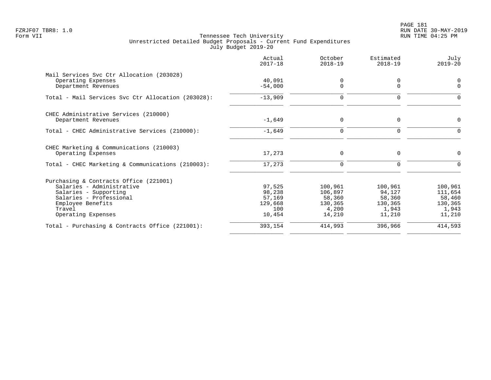PAGE 181 FZRJF07 TBR8: 1.0 RUN DATE 30-MAY-2019

|                                                                | Actual<br>$2017 - 18$ | October<br>$2018 - 19$ | Estimated<br>$2018 - 19$ | July<br>$2019 - 20$ |
|----------------------------------------------------------------|-----------------------|------------------------|--------------------------|---------------------|
| Mail Services Svc Ctr Allocation (203028)                      |                       |                        |                          |                     |
| Operating Expenses<br>Department Revenues                      | 40,091<br>$-54,000$   | 0<br>$\mathbf 0$       | 0<br>$\Omega$            | 0<br>$\Omega$       |
| Total - Mail Services Svc Ctr Allocation (203028):             | $-13,909$             | $\mathbf 0$            | $\mathbf 0$              | $\Omega$            |
| CHEC Administrative Services (210000)<br>Department Revenues   | $-1,649$              | 0                      | $\mathbf 0$              | 0                   |
|                                                                |                       |                        |                          |                     |
| Total - CHEC Administrative Services (210000):                 | $-1,649$              | $\mathbf 0$            | $\Omega$                 | $\Omega$            |
| CHEC Marketing & Communications (210003)<br>Operating Expenses | 17,273                | $\mathbf 0$            | $\Omega$                 | 0                   |
| Total - CHEC Marketing & Communications (210003):              | 17,273                | $\mathbf 0$            | $\mathbf 0$              | 0                   |
| Purchasing & Contracts Office (221001)                         |                       |                        |                          |                     |
| Salaries - Administrative                                      | 97,525                | 100,961                | 100,961                  | 100,961             |
| Salaries - Supporting                                          | 98,238                | 106,897                | 94,127                   | 111,654             |
| Salaries - Professional                                        | 57,169                | 58,360                 | 58,360                   | 58,460              |
| Employee Benefits<br>Travel                                    | 129,668<br>100        | 130,365<br>4,200       | 130,365<br>1,943         | 130,365<br>1,943    |
| Operating Expenses                                             | 10,454                | 14,210                 | 11,210                   | 11,210              |
| Total - Purchasing & Contracts Office (221001):                | 393,154               | 414,993                | 396,966                  | 414,593             |
|                                                                |                       |                        |                          |                     |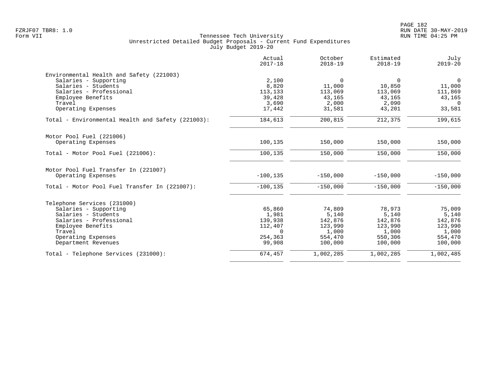|                                                      | Actual<br>$2017 - 18$ | October<br>$2018 - 19$ | Estimated<br>$2018 - 19$ | July<br>$2019 - 20$ |
|------------------------------------------------------|-----------------------|------------------------|--------------------------|---------------------|
| Environmental Health and Safety (221003)             |                       |                        |                          |                     |
| Salaries - Supporting                                | 2,100                 | $\overline{0}$         | $\Omega$                 | $\overline{0}$      |
| Salaries - Students                                  | 8,820                 | 11,000                 | 10,850                   | 11,000              |
| Salaries - Professional                              | 113,133               | 113,069                | 113,069                  | 111,869             |
| Employee Benefits                                    | 39,428                | 43,165                 | 43,165                   | 43,165              |
| Travel                                               | 3,690                 | 2,000                  | 2,090                    | $\Omega$            |
| Operating Expenses                                   | 17,442                | 31,581                 | 43,201                   | 33,581              |
| Total - Environmental Health and Safety (221003):    | 184,613               | 200,815                | 212,375                  | 199,615             |
| Motor Pool Fuel (221006)                             |                       |                        |                          |                     |
| Operating Expenses                                   | 100,135               | 150,000                | 150,000                  | 150,000             |
| Total - Motor Pool Fuel (221006):                    | 100,135               | 150,000                | 150,000                  | 150,000             |
| Motor Pool Fuel Transfer In (221007)                 |                       |                        |                          |                     |
| Operating Expenses                                   | $-100, 135$           | $-150,000$             | $-150,000$               | $-150,000$          |
| Total - Motor Pool Fuel Transfer In (221007):        | $-100, 135$           | $-150,000$             | $-150,000$               | $-150,000$          |
|                                                      |                       |                        |                          |                     |
| Telephone Services (231000)<br>Salaries - Supporting | 65,860                | 74,809                 | 78,973                   | 75,009              |
| Salaries - Students                                  | 1,981                 | 5,140                  | 5,140                    | 5,140               |
| Salaries - Professional                              | 139,938               | 142,876                | 142,876                  | 142,876             |
| Employee Benefits                                    | 112,407               | 123,990                | 123,990                  | 123,990             |
| Travel                                               | $\Omega$              | 1,000                  | 1,000                    | 1,000               |
| Operating Expenses                                   | 254,363               | 554,470                | 550,306                  | 554,470             |
| Department Revenues                                  | 99,908                | 100,000                | 100,000                  | 100,000             |
| Total - Telephone Services (231000):                 | 674,457               | 1,002,285              | 1,002,285                | 1,002,485           |
|                                                      |                       |                        |                          |                     |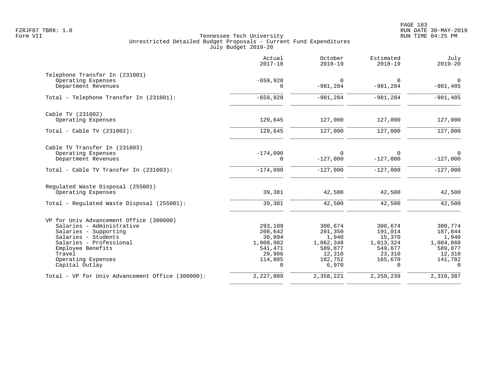|                                                  | Actual<br>$2017 - 18$  | October<br>$2018 - 19$        | Estimated<br>$2018 - 19$   | July<br>$2019 - 20$        |
|--------------------------------------------------|------------------------|-------------------------------|----------------------------|----------------------------|
| Telephone Transfer In (231001)                   |                        |                               |                            |                            |
| Operating Expenses<br>Department Revenues        | $-659,928$<br>$\Omega$ | $\overline{0}$<br>$-981, 284$ | 0<br>$-981, 284$           | $\mathbf 0$<br>$-981, 485$ |
|                                                  |                        |                               |                            |                            |
| Total - Telephone Transfer In (231001):          | $-659,928$             | $-981, 284$                   | $-981, 284$                | $-981, 485$                |
| Cable TV (231002)                                |                        |                               |                            |                            |
| Operating Expenses                               | 129,645                | 127,000                       | 127,000                    | 127,000                    |
| Total - Cable TV $(231002)$ :                    | 129,645                | 127,000                       | 127,000                    | 127,000                    |
| Cable TV Transfer In (231003)                    |                        |                               |                            |                            |
| Operating Expenses<br>Department Revenues        | $-174,090$<br>0        | $\Omega$<br>$-127,000$        | <sup>0</sup><br>$-127,000$ | $\Omega$<br>$-127,000$     |
| Total - Cable TV Transfer In (231003):           | $-174,090$             | $-127,000$                    | $-127,000$                 | $-127,000$                 |
| Regulated Waste Disposal (255001)                |                        |                               |                            |                            |
| Operating Expenses                               | 39,381                 | 42,500                        | 42,500                     | 42,500                     |
| Total - Regulated Waste Disposal (255001):       | 39,381                 | 42,500                        | 42,500                     | 42,500                     |
| VP for Univ Advancement Office (300000)          |                        |                               |                            |                            |
| Salaries - Administrative                        | 293,109                | 300,674                       | 300,674                    | 300,774                    |
| Salaries - Supporting<br>Salaries - Students     | 208,642<br>30,894      | 201,350<br>1,940              | 191,014<br>15,370          | 187,844<br>1,940           |
| Salaries - Professional                          | 1,008,982              | 1,062,348                     | 1,013,324                  | 1,084,860                  |
| Employee Benefits                                | 541,471                | 589,877                       | 549,877                    | 589,877                    |
| Travel                                           | 29,906                 | 12,310                        | 23,310                     | 12,310                     |
| Operating Expenses<br>Capital Outlay             | 114,805<br>$\Omega$    | 182,752<br>6,970              | 165,670<br>$\Omega$        | 141,782<br>$\Omega$        |
| Total - VP for Univ Advancement Office (300000): | 2,227,809              | 2,358,221                     | 2,259,239                  | 2,319,387                  |
|                                                  |                        |                               |                            |                            |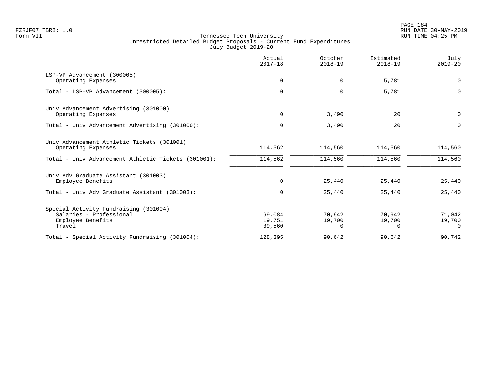| Actual<br>$2017 - 18$      | October<br>$2018 - 19$       | Estimated<br>$2018 - 19$     | July<br>$2019 - 20$          |
|----------------------------|------------------------------|------------------------------|------------------------------|
| 0                          | 0                            | 5,781                        | $\mathbf 0$                  |
| $\Omega$                   | $\mathbf 0$                  | 5,781                        | $\Omega$                     |
| 0                          | 3,490                        | 20                           | 0                            |
| $\mathbf 0$                | 3,490                        | 20                           | $\mathbf 0$                  |
| 114,562                    | 114,560                      | 114,560                      | 114,560                      |
| 114,562                    | 114,560                      | 114,560                      | 114,560                      |
| 0                          | 25,440                       | 25,440                       | 25,440                       |
| $\mathbf 0$                |                              |                              | 25,440                       |
| 69,084<br>19,751<br>39,560 | 70,942<br>19,700<br>$\Omega$ | 70,942<br>19,700<br>$\Omega$ | 71,042<br>19,700<br>$\Omega$ |
| 128,395                    | 90,642                       | 90,642                       | 90,742                       |
|                            |                              | 25,440                       | 25,440                       |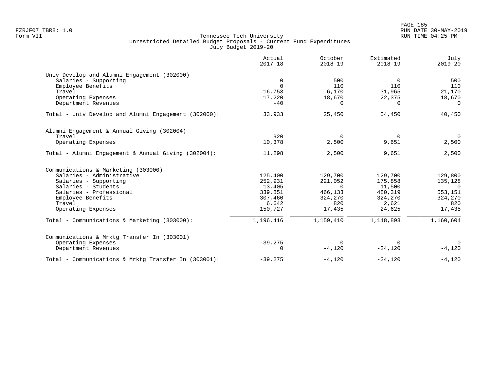| 0<br>$\Omega$ | 500                                                                      |                                                      |                                                             |
|---------------|--------------------------------------------------------------------------|------------------------------------------------------|-------------------------------------------------------------|
|               |                                                                          |                                                      |                                                             |
|               |                                                                          | $\Omega$                                             | 500                                                         |
|               | 110                                                                      | 110                                                  | 110                                                         |
| 16,753        | 6,170                                                                    | 31,965                                               | 21,170                                                      |
| 17,220        | 18,670                                                                   | 22,375                                               | 18,670                                                      |
| $-40$         | $\Omega$                                                                 | $\Omega$                                             | $\Omega$                                                    |
| 33,933        | 25,450                                                                   | 54,450                                               | 40,450                                                      |
|               |                                                                          |                                                      |                                                             |
| 920           | $\Omega$                                                                 | $\Omega$                                             | $\overline{0}$                                              |
| 10,378        | 2,500                                                                    | 9,651                                                | 2,500                                                       |
| 11,298        | 2,500                                                                    | 9,651                                                | 2,500                                                       |
|               |                                                                          |                                                      |                                                             |
|               |                                                                          |                                                      | 129,800                                                     |
|               |                                                                          |                                                      | 135,128                                                     |
|               |                                                                          |                                                      | $\Omega$                                                    |
|               |                                                                          |                                                      | 553,151                                                     |
|               |                                                                          |                                                      | 324,270                                                     |
|               | 820                                                                      |                                                      | 820                                                         |
| 150,727       | 17,435                                                                   | 24,625                                               | 17,435                                                      |
| 1,196,416     | 1,159,410                                                                | 1,148,893                                            | 1,160,604                                                   |
|               |                                                                          |                                                      |                                                             |
|               | $\Omega$                                                                 | $\Omega$                                             | $\overline{0}$                                              |
| 0             | $-4,120$                                                                 | $-24,120$                                            | $-4,120$                                                    |
| $-39,275$     | $-4,120$                                                                 | $-24,120$                                            | $-4,120$                                                    |
|               | 125,400<br>252,931<br>13,405<br>339,851<br>307,460<br>6,642<br>$-39,275$ | 129,700<br>221,052<br>$\Omega$<br>466,133<br>324,270 | 129,700<br>175,858<br>11,500<br>480,319<br>324,270<br>2,621 |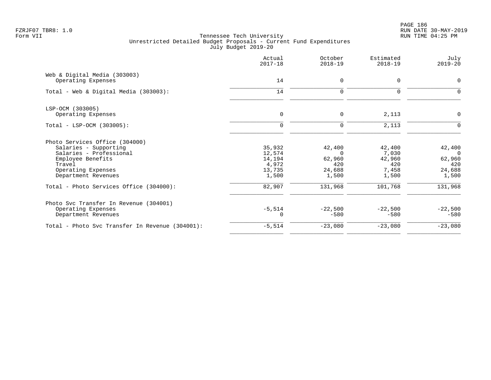PAGE 186 FZRJF07 TBR8: 1.0 RUN DATE 30-MAY-2019

|                                                    | Actual<br>$2017 - 18$ | October<br>$2018 - 19$ | Estimated<br>$2018 - 19$ | July<br>$2019 - 20$ |
|----------------------------------------------------|-----------------------|------------------------|--------------------------|---------------------|
| Web & Digital Media (303003)<br>Operating Expenses | 14                    | $\mathbf 0$            | $\mathbf 0$              | 0                   |
|                                                    |                       |                        |                          |                     |
| Total - Web & Digital Media (303003):              | 14                    | 0                      | $\mathbf 0$              | 0                   |
| LSP-OCM (303005)                                   |                       |                        |                          |                     |
| Operating Expenses                                 | $\mathbf 0$           | $\mathbf 0$            | 2,113                    | $\mathbf 0$         |
| Total - LSP-OCM (303005):                          | $\Omega$              | $\mathbf 0$            | 2,113                    | $\mathbf 0$         |
| Photo Services Office (304000)                     |                       |                        |                          |                     |
| Salaries - Supporting                              | 35,932                | 42,400                 | 42,400                   | 42,400              |
| Salaries - Professional                            | 12,574                | $\Omega$               | 7,030                    | $\Omega$            |
| Employee Benefits                                  | 14,194                | 62,960                 | 42,960                   | 62,960              |
| Travel                                             | 4,972                 | 420                    | 420                      | 420                 |
| Operating Expenses                                 | 13,735                | 24,688                 | 7,458                    | 24,688              |
| Department Revenues                                | 1,500                 | 1,500                  | 1,500                    | 1,500               |
| Total - Photo Services Office (304000):            | 82,907                | 131,968                | 101,768                  | 131,968             |
| Photo Svc Transfer In Revenue (304001)             |                       |                        |                          |                     |
| Operating Expenses                                 | $-5,514$              | $-22,500$              | $-22,500$                | $-22,500$           |
| Department Revenues                                | $\Omega$              | $-580$                 | $-580$                   | $-580$              |
| Total - Photo Svc Transfer In Revenue (304001):    | $-5,514$              | $-23,080$              | $-23,080$                | $-23,080$           |
|                                                    |                       |                        |                          |                     |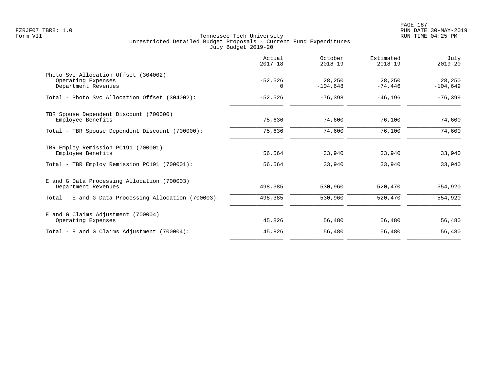|                                                                                   | Actual<br>$2017 - 18$ | October<br>$2018 - 19$ | Estimated<br>$2018 - 19$ | July<br>$2019 - 20$  |
|-----------------------------------------------------------------------------------|-----------------------|------------------------|--------------------------|----------------------|
| Photo Svc Allocation Offset (304002)<br>Operating Expenses<br>Department Revenues | $-52,526$<br>$\Omega$ | 28,250<br>$-104,648$   | 28,250<br>$-74,446$      | 28,250<br>$-104,649$ |
| Total - Photo Syc Allocation Offset (304002):                                     | $-52,526$             | $-76,398$              | $-46,196$                | $-76,399$            |
| TBR Spouse Dependent Discount (700000)<br>Employee Benefits                       | 75,636                | 74,600                 | 76,100                   | 74,600               |
| Total - TBR Spouse Dependent Discount (700000):                                   | 75,636                | 74,600                 | 76,100                   | 74,600               |
| TBR Employ Remission PC191 (700001)<br>Employee Benefits                          | 56,564                | 33,940                 | 33,940                   | 33,940               |
| Total - TBR Employ Remission PC191 (700001):                                      | 56,564                | 33,940                 | 33,940                   | 33,940               |
| E and G Data Processing Allocation (700003)<br>Department Revenues                | 498,385               | 530,960                | 520,470                  | 554,920              |
| Total - E and G Data Processing Allocation (700003):                              | 498,385               | 530,960                | 520,470                  | 554,920              |
| E and G Claims Adjustment (700004)<br>Operating Expenses                          | 45,826                | 56,480                 | 56,480                   | 56,480               |
| Total - E and G Claims Adjustment $(700004)$ :                                    | 45,826                | 56,480                 | 56,480                   | 56,480               |
|                                                                                   |                       |                        |                          |                      |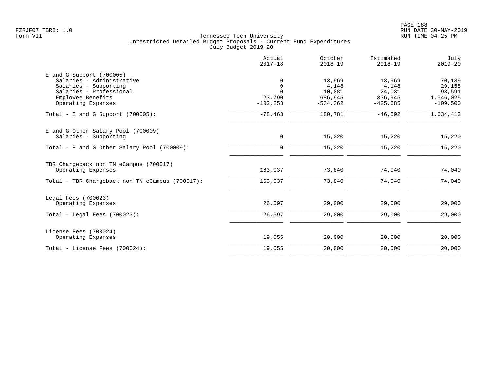| 0<br>$\mathbf 0$<br>$\Omega$<br>23,790<br>$-102, 253$ | 13,969<br>4,148<br>10,081 | 13,969<br>4,148 | 70,139     |
|-------------------------------------------------------|---------------------------|-----------------|------------|
|                                                       |                           |                 |            |
|                                                       |                           |                 |            |
|                                                       |                           |                 | 29,158     |
|                                                       |                           | 24,031          | 98,591     |
|                                                       | 686,945                   | 336,945         | 1,546,025  |
|                                                       | $-534, 362$               | $-425,685$      | $-109,500$ |
| $-78,463$                                             | 180,781                   | $-46,592$       | 1,634,413  |
|                                                       |                           |                 |            |
| 0                                                     | 15,220                    |                 | 15,220     |
| $\mathbf 0$                                           | 15,220                    | 15,220          | 15,220     |
|                                                       |                           |                 |            |
| 163,037                                               | 73,840                    | 74,040          | 74,040     |
| 163,037                                               | 73,840                    | 74,040          | 74,040     |
|                                                       |                           |                 |            |
| 26,597                                                | 29,000                    | 29,000          | 29,000     |
| 26,597                                                | 29,000                    | 29,000          | 29,000     |
|                                                       |                           |                 |            |
| 19,055                                                | 20,000                    | 20,000          | 20,000     |
| 19,055                                                | 20,000                    | 20,000          | 20,000     |
|                                                       |                           |                 | 15,220     |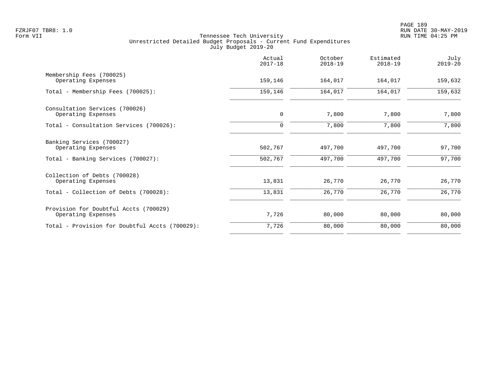|                                                             | Actual<br>$2017 - 18$ | October<br>$2018 - 19$ | Estimated<br>$2018 - 19$ | July<br>$2019 - 20$ |
|-------------------------------------------------------------|-----------------------|------------------------|--------------------------|---------------------|
| Membership Fees (700025)<br>Operating Expenses              | 159,146               | 164,017                | 164,017                  | 159,632             |
| Total - Membership Fees (700025):                           | 159,146               | 164,017                | 164,017                  | 159,632             |
| Consultation Services (700026)<br>Operating Expenses        | $\mathbf 0$           | 7,800                  | 7,800                    | 7,800               |
| Total - Consultation Services (700026):                     | 0                     | 7,800                  | 7,800                    | 7,800               |
| Banking Services (700027)<br>Operating Expenses             | 502,767               | 497,700                | 497,700                  | 97,700              |
| Total - Banking Services (700027):                          | 502,767               | 497,700                | 497,700                  | 97,700              |
| Collection of Debts (700028)<br>Operating Expenses          | 13,831                | 26,770                 | 26,770                   | 26,770              |
| Total - Collection of Debts (700028):                       | 13,831                | 26,770                 | 26,770                   | 26,770              |
| Provision for Doubtful Accts (700029)<br>Operating Expenses | 7,726                 | 80,000                 | 80,000                   | 80,000              |
| Total - Provision for Doubtful Accts (700029):              | 7,726                 | 80,000                 | 80,000                   | 80,000              |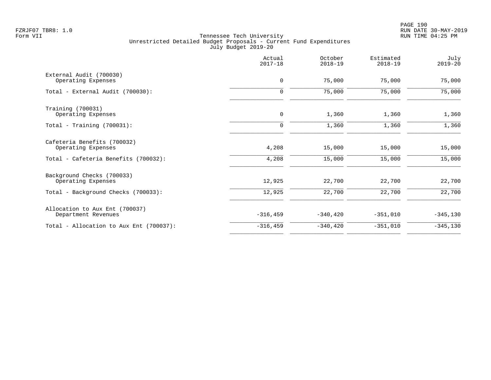|                                                       | Actual<br>$2017 - 18$ | October<br>$2018 - 19$ | Estimated<br>$2018 - 19$ | July<br>$2019 - 20$ |
|-------------------------------------------------------|-----------------------|------------------------|--------------------------|---------------------|
| External Audit (700030)<br>Operating Expenses         | 0                     | 75,000                 | 75,000                   | 75,000              |
| Total - External Audit (700030):                      | $\mathbf 0$           | 75,000                 | 75,000                   | 75,000              |
| Training (700031)<br>Operating Expenses               | $\mathsf{O}$          | 1,360                  | 1,360                    | 1,360               |
| Total - Training $(700031)$ :                         | 0                     | 1,360                  | 1,360                    | 1,360               |
| Cafeteria Benefits (700032)<br>Operating Expenses     | 4,208                 | 15,000                 | 15,000                   | 15,000              |
| Total - Cafeteria Benefits (700032):                  | 4,208                 | 15,000                 | 15,000                   | 15,000              |
| Background Checks (700033)<br>Operating Expenses      | 12,925                | 22,700                 | 22,700                   | 22,700              |
| Total - Background Checks (700033):                   | 12,925                | 22,700                 | 22,700                   | 22,700              |
| Allocation to Aux Ent (700037)<br>Department Revenues | $-316, 459$           | $-340, 420$            | $-351,010$               | $-345,130$          |
| Total - Allocation to Aux Ent (700037):               | $-316, 459$           | $-340, 420$            | $-351,010$               | $-345,130$          |
|                                                       |                       |                        |                          |                     |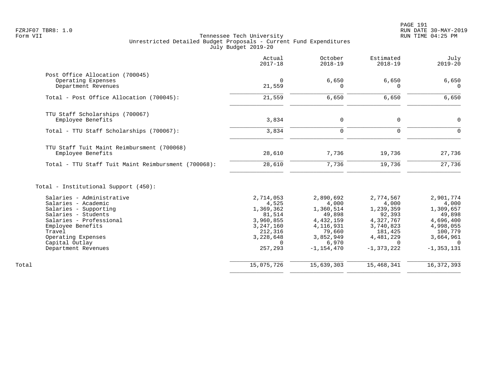|                                                                              | Actual<br>$2017 - 18$ | October<br>$2018 - 19$ | Estimated<br>$2018 - 19$ | July<br>$2019 - 20$ |
|------------------------------------------------------------------------------|-----------------------|------------------------|--------------------------|---------------------|
| Post Office Allocation (700045)<br>Operating Expenses<br>Department Revenues | 0<br>21,559           | 6,650<br>$\Omega$      | 6,650<br>0               | 6,650               |
| Total - Post Office Allocation (700045):                                     |                       |                        |                          |                     |
|                                                                              | 21,559                | 6,650                  | 6,650                    | 6,650               |
| TTU Staff Scholarships (700067)                                              |                       |                        |                          |                     |
| Employee Benefits                                                            | 3,834                 | $\mathbf 0$            | $\mathbf 0$              | 0                   |
| Total - TTU Staff Scholarships (700067):                                     | 3,834                 | $\mathbf 0$            | $\mathbf 0$              | $\Omega$            |
| TTU Staff Tuit Maint Reimbursment (700068)<br>Employee Benefits              | 28,610                | 7,736                  | 19,736                   | 27,736              |
| Total - TTU Staff Tuit Maint Reimbursment (700068):                          | 28,610                | 7,736                  | 19,736                   | 27,736              |
| Total - Institutional Support (450):                                         |                       |                        |                          |                     |
| Salaries - Administrative                                                    | 2,714,053             | 2,890,692              | 2,774,567                | 2,901,774           |
| Salaries - Academic                                                          | 4,525                 | 4,000                  | 4,000                    | 4,000               |
| Salaries - Supporting<br>Salaries - Students                                 | 1,369,362<br>81,514   | 1,360,514<br>49,898    | 1,239,359<br>92,393      | 1,309,657<br>49,898 |
| Salaries - Professional                                                      | 3,960,855             | 4, 432, 159            | 4,327,767                | 4,696,400           |
| Employee Benefits                                                            | 3, 247, 160           | 4, 116, 931            | 3,740,823                | 4,998,055           |
| Travel                                                                       | 212,316               | 79,660                 | 181,425                  | 100,779             |
| Operating Expenses                                                           | 3,228,648             | 3,852,949              | 4,481,229                | 3,664,961           |
| Capital Outlay                                                               | $\Omega$              | 6,970                  | $\Omega$                 |                     |
| Department Revenues                                                          | 257,293               | $-1, 154, 470$         | $-1, 373, 222$           | $-1, 353, 131$      |
| Total                                                                        | 15,075,726            | 15,639,303             | 15,468,341               | 16, 372, 393        |
|                                                                              |                       |                        |                          |                     |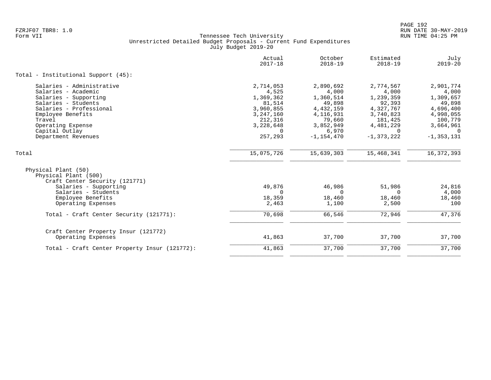|                                                                                                                                                                                                                          | Actual<br>$2017 - 18$                                                                                              | October<br>$2018 - 19$                                                                                                  | Estimated<br>$2018 - 19$                                                                                           | July<br>$2019 - 20$                                                                                                       |
|--------------------------------------------------------------------------------------------------------------------------------------------------------------------------------------------------------------------------|--------------------------------------------------------------------------------------------------------------------|-------------------------------------------------------------------------------------------------------------------------|--------------------------------------------------------------------------------------------------------------------|---------------------------------------------------------------------------------------------------------------------------|
| Total - Institutional Support (45):                                                                                                                                                                                      |                                                                                                                    |                                                                                                                         |                                                                                                                    |                                                                                                                           |
| Salaries - Administrative<br>Salaries - Academic<br>Salaries - Supporting<br>Salaries - Students<br>Salaries - Professional<br>Employee Benefits<br>Travel<br>Operating Expense<br>Capital Outlay<br>Department Revenues | 2,714,053<br>4,525<br>1,369,362<br>81,514<br>3,960,855<br>3,247,160<br>212,316<br>3,228,648<br>$\Omega$<br>257,293 | 2,890,692<br>4,000<br>1,360,514<br>49,898<br>4,432,159<br>4, 116, 931<br>79,660<br>3,852,949<br>6,970<br>$-1, 154, 470$ | 2,774,567<br>4,000<br>1,239,359<br>92,393<br>4,327,767<br>3,740,823<br>181,425<br>4,481,229<br>0<br>$-1, 373, 222$ | 2,901,774<br>4,000<br>1,309,657<br>49,898<br>4,696,400<br>4,998,055<br>100,779<br>3,664,961<br>$\Omega$<br>$-1, 353, 131$ |
| Total                                                                                                                                                                                                                    | 15,075,726                                                                                                         | 15,639,303                                                                                                              | 15,468,341                                                                                                         | 16, 372, 393                                                                                                              |
| Physical Plant (50)<br>Physical Plant (500)<br>Craft Center Security (121771)<br>Salaries - Supporting<br>Salaries - Students<br>Employee Benefits<br>Operating Expenses                                                 | 49,876<br>$\Omega$<br>18,359<br>2,463                                                                              | 46,986<br>$\Omega$<br>18,460<br>1,100                                                                                   | 51,986<br>$\Omega$<br>18,460<br>2,500                                                                              | 24,816<br>4,000<br>18,460<br>100                                                                                          |
| Total - Craft Center Security (121771):                                                                                                                                                                                  | 70,698                                                                                                             | 66,546                                                                                                                  | 72,946                                                                                                             | 47,376                                                                                                                    |
| Craft Center Property Insur (121772)<br>Operating Expenses                                                                                                                                                               | 41,863                                                                                                             | 37,700                                                                                                                  | 37,700                                                                                                             | 37,700                                                                                                                    |
| Total - Craft Center Property Insur (121772):                                                                                                                                                                            | 41,863                                                                                                             | 37,700                                                                                                                  | 37,700                                                                                                             | 37,700                                                                                                                    |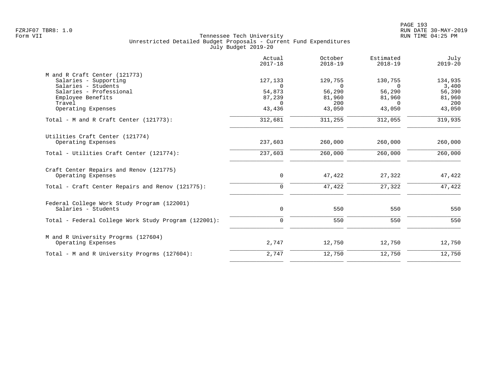|                                                      | Actual<br>$2017 - 18$ | October<br>$2018 - 19$ | Estimated<br>$2018 - 19$ | July<br>$2019 - 20$ |
|------------------------------------------------------|-----------------------|------------------------|--------------------------|---------------------|
| M and R Craft Center (121773)                        |                       |                        |                          |                     |
| Salaries - Supporting                                | 127,133               | 129,755                | 130,755                  | 134,935             |
| Salaries - Students                                  | $\Omega$              | $\Omega$               | $\Omega$                 | 3,400               |
| Salaries - Professional<br>Employee Benefits         | 54,873<br>87,239      | 56,290<br>81,960       | 56,290<br>81,960         | 56,390<br>81,960    |
| Travel                                               | $\Omega$              | 200                    | $\Omega$                 | 200                 |
| Operating Expenses                                   | 43,436                | 43,050                 | 43,050                   | 43,050              |
| Total - M and R Craft Center $(121773)$ :            | 312,681               | 311,255                | 312,055                  | 319,935             |
| Utilities Craft Center (121774)                      |                       |                        |                          |                     |
| Operating Expenses                                   | 237,603               | 260,000                | 260,000                  | 260,000             |
| Total - Utilities Craft Center (121774):             | 237,603               | 260,000                | 260,000                  | 260,000             |
| Craft Center Repairs and Renov (121775)              |                       |                        |                          |                     |
| Operating Expenses                                   | $\mathbf 0$           | 47,422                 | 27,322                   | 47,422              |
| Total - Craft Center Repairs and Renov (121775):     | $\mathbf 0$           | 47,422                 | 27,322                   | 47,422              |
| Federal College Work Study Program (122001)          |                       |                        |                          |                     |
| Salaries - Students                                  | 0                     | 550                    | 550                      | 550                 |
| Total - Federal College Work Study Program (122001): | $\mathbf 0$           | 550                    | 550                      | 550                 |
| M and R University Progrms (127604)                  |                       |                        |                          |                     |
| Operating Expenses                                   | 2,747                 | 12,750                 | 12,750                   | 12,750              |
| Total - M and R University Progrms (127604):         | 2,747                 | 12,750                 | 12,750                   | 12,750              |
|                                                      |                       |                        |                          |                     |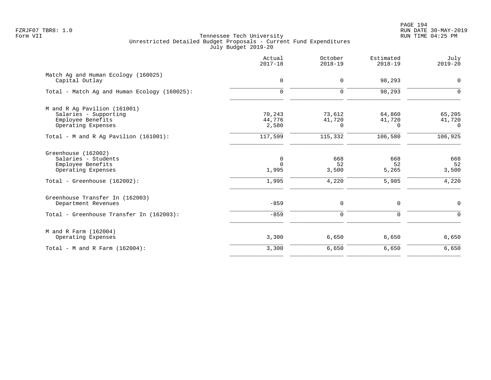PAGE 194 FZRJF07 TBR8: 1.0 RUN DATE 30-MAY-2019

|                                                                                                                       | Actual<br>$2017 - 18$                     | October<br>$2018 - 19$       | Estimated<br>$2018 - 19$     | July<br>$2019 - 20$          |
|-----------------------------------------------------------------------------------------------------------------------|-------------------------------------------|------------------------------|------------------------------|------------------------------|
| Match Ag and Human Ecology (160025)<br>Capital Outlay                                                                 | $\mathbf 0$                               | 0                            | 98,293                       | $\mathbf 0$                  |
| Total - Match Ag and Human Ecology (160025):                                                                          | $\mathbf 0$                               | 0                            | 98,293                       | $\mathbf 0$                  |
| M and R Ag Pavilion (161001)<br>Salaries - Supporting<br>Employee Benefits<br>Operating Expenses                      | 70,243<br>44,776<br>2,580                 | 73,612<br>41,720<br>$\Omega$ | 64,860<br>41,720<br>$\Omega$ | 65,205<br>41,720<br>$\Omega$ |
| Total - M and R Aq Pavilion $(161001)$ :                                                                              | 117,599                                   | 115,332                      | 106,580                      | 106,925                      |
| Greenhouse (162002)<br>Salaries - Students<br>Employee Benefits<br>Operating Expenses<br>Total - Greenhouse (162002): | $\mathbf 0$<br>$\Omega$<br>1,995<br>1,995 | 668<br>52<br>3,500<br>4,220  | 668<br>52<br>5,265<br>5,985  | 668<br>52<br>3,500<br>4,220  |
| Greenhouse Transfer In (162003)<br>Department Revenues<br>Total - Greenhouse Transfer In (162003):                    | $-859$<br>$-859$                          | 0<br>$\mathbf 0$             | 0<br>$\mathbf 0$             | $\mathbf 0$<br>$\Omega$      |
| M and R Farm (162004)<br>Operating Expenses                                                                           | 3,300                                     | 6,650                        | 6,650                        | 6,650                        |
| Total - M and R Farm $(162004)$ :                                                                                     | 3,300                                     | 6,650                        | 6,650                        | 6,650                        |
|                                                                                                                       |                                           |                              |                              |                              |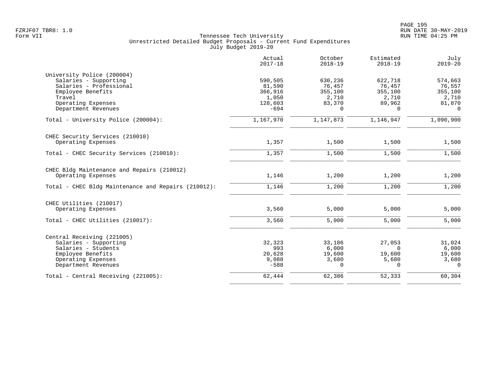|                                                                                                                                                            | Actual<br>$2017 - 18$                                      | October<br>$2018 - 19$                               | Estimated<br>$2018 - 19$                             | July<br>$2019 - 20$                                         |
|------------------------------------------------------------------------------------------------------------------------------------------------------------|------------------------------------------------------------|------------------------------------------------------|------------------------------------------------------|-------------------------------------------------------------|
| University Police (200004)<br>Salaries - Supporting<br>Salaries - Professional<br>Employee Benefits<br>Travel<br>Operating Expenses<br>Department Revenues | 590,505<br>81,590<br>366,916<br>1,050<br>128,603<br>$-694$ | 630,236<br>76,457<br>355,100<br>2,710<br>83,370<br>0 | 622,718<br>76,457<br>355,100<br>2,710<br>89,962<br>0 | 574,663<br>76,557<br>355,100<br>2,710<br>81,870<br>$\Omega$ |
| Total - University Police (200004):                                                                                                                        | 1,167,970                                                  | 1,147,873                                            | 1,146,947                                            | 1,090,900                                                   |
| CHEC Security Services (210010)<br>Operating Expenses                                                                                                      | 1,357                                                      | 1,500                                                | 1,500                                                | 1,500                                                       |
| Total - CHEC Security Services (210010):                                                                                                                   | 1,357                                                      | 1,500                                                | 1,500                                                | 1,500                                                       |
| CHEC Bldg Maintenance and Repairs (210012)<br>Operating Expenses                                                                                           | 1,146                                                      | 1,200                                                | 1,200                                                | 1,200                                                       |
| Total - CHEC Bldg Maintenance and Repairs (210012):                                                                                                        | 1,146                                                      | 1,200                                                | 1,200                                                | 1,200                                                       |
| CHEC Utilities (210017)<br>Operating Expenses                                                                                                              | 3,560                                                      | 5,000                                                | 5,000                                                | 5,000                                                       |
| Total - CHEC Utilities (210017):                                                                                                                           | 3,560                                                      | 5,000                                                | 5,000                                                | 5,000                                                       |
| Central Receiving (221005)<br>Salaries - Supporting<br>Salaries - Students<br>Employee Benefits<br>Operating Expenses<br>Department Revenues               | 32,323<br>993<br>20,628<br>9,088<br>$-588$                 | 33,106<br>6,000<br>19,600<br>3,680<br>$\Omega$       | 27,053<br>$\Omega$<br>19,600<br>5,680<br>$\Omega$    | 31,024<br>6,000<br>19,600<br>3,680<br>$\Omega$              |
| Total - Central Receiving (221005):                                                                                                                        | 62,444                                                     | 62,386                                               | 52,333                                               | 60,304                                                      |
|                                                                                                                                                            |                                                            |                                                      |                                                      |                                                             |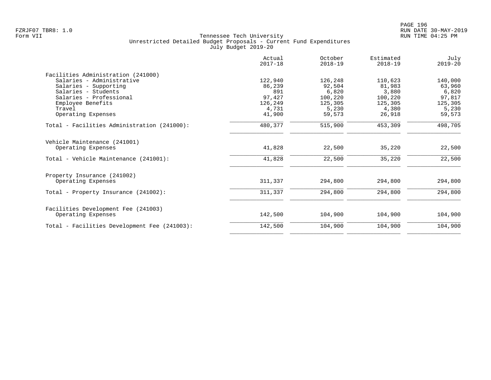|                                              | Actual<br>$2017 - 18$ | October<br>$2018 - 19$ | Estimated<br>$2018 - 19$ | July<br>$2019 - 20$ |
|----------------------------------------------|-----------------------|------------------------|--------------------------|---------------------|
| Facilities Administration (241000)           |                       |                        |                          |                     |
| Salaries - Administrative                    | 122,940               | 126,248                | 110,623                  | 140,000             |
| Salaries - Supporting                        | 86,239                | 92,504                 | 81,983                   | 63,960              |
| Salaries - Students                          | 891                   | 6,820                  | 3,880                    | 6,820               |
| Salaries - Professional                      | 97,427                | 100,220                | 100,220                  | 97,817              |
| Employee Benefits                            | 126,249               | 125,305                | 125,305                  | 125,305             |
| Travel                                       | 4,731                 | 5,230                  | 4,380                    | 5,230               |
| Operating Expenses                           | 41,900                | 59,573                 | 26,918                   | 59,573              |
| Total - Facilities Administration (241000):  | 480,377               | 515,900                | 453,309                  | 498,705             |
| Vehicle Maintenance (241001)                 |                       |                        |                          |                     |
| Operating Expenses                           | 41,828                | 22,500                 | 35,220                   | 22,500              |
| Total - Vehicle Maintenance (241001):        | 41,828                | 22,500                 | 35,220                   | 22,500              |
| Property Insurance (241002)                  |                       |                        |                          |                     |
| Operating Expenses                           | 311,337               | 294,800                | 294,800                  | 294,800             |
| Total - Property Insurance (241002):         | 311,337               | 294,800                | 294,800                  | 294,800             |
| Facilities Development Fee (241003)          |                       |                        |                          |                     |
| Operating Expenses                           | 142,500               | 104,900                | 104,900                  | 104,900             |
| Total - Facilities Development Fee (241003): | 142,500               | 104,900                | 104,900                  | 104,900             |
|                                              |                       |                        |                          |                     |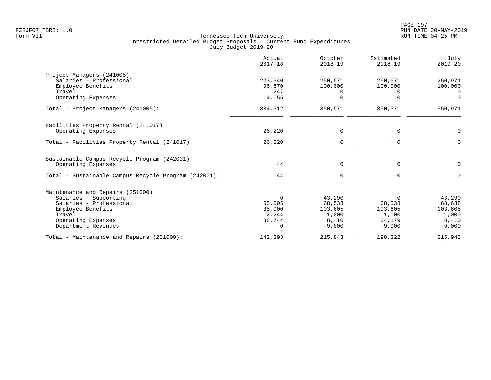|                                                      | Actual<br>$2017 - 18$ | October<br>$2018 - 19$ | Estimated<br>$2018 - 19$ | July<br>$2019 - 20$ |
|------------------------------------------------------|-----------------------|------------------------|--------------------------|---------------------|
| Project Managers (241005)                            |                       |                        |                          |                     |
| Salaries - Professional                              | 223,340               | 250,571                | 250,571                  | 250,971             |
| Employee Benefits                                    | 96,670                | 100,000                | 100,000                  | 100,000             |
| Travel                                               | 247                   | 0                      | $\left( \right)$         | $\Omega$            |
| Operating Expenses                                   | 14,055                | $\Omega$               | $\Omega$                 | $\Omega$            |
| Total - Project Managers (241005):                   | 334,312               | 350,571                | 350,571                  | 350,971             |
| Facilities Property Rental (241017)                  |                       |                        |                          |                     |
| Operating Expenses                                   | 26,220                | 0                      | 0                        | $\Omega$            |
| Total - Facilities Property Rental (241017):         | 26,220                | $\mathbf 0$            | $\mathbf 0$              | $\Omega$            |
| Sustainable Campus Recycle Program (242001)          |                       |                        |                          |                     |
| Operating Expenses                                   | 44                    | 0                      | 0                        | $\Omega$            |
| Total - Sustainable Campus Recycle Program (242001): | 44                    | 0                      | $\mathbf 0$              | $\Omega$            |
| Maintenance and Repairs (251000)                     |                       |                        |                          |                     |
| Salaries - Supporting                                | $\Omega$              | 43,290                 | $\Omega$                 | 43,290              |
| Salaries - Professional                              | 65,505                | 68,538                 | 68,538                   | 68,638              |
| Employee Benefits                                    | 35,900                | 103,605                | 103,605                  | 103,605             |
| Travel                                               | 2,244                 | 1,000                  | 1,000                    | 1,000               |
| Operating Expenses                                   | 38,744                | 8,410                  | 34,179                   | 8,410               |
| Department Revenues                                  | $\Omega$              | $-9,000$               | $-9,000$                 | $-9,000$            |
| Total - Maintenance and Repairs (251000):            | 142,393               | 215,843                | 198,322                  | 215,943             |
|                                                      |                       |                        |                          |                     |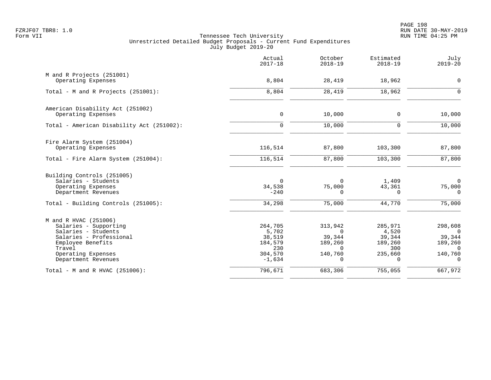|                                                                       | Actual<br>$2017 - 18$        | October<br>$2018 - 19$         | Estimated<br>$2018 - 19$    | July<br>$2019 - 20$            |
|-----------------------------------------------------------------------|------------------------------|--------------------------------|-----------------------------|--------------------------------|
| M and R Projects (251001)<br>Operating Expenses                       | 8,804                        | 28,419                         | 18,962                      | $\mathbf 0$                    |
| Total - M and R Projects (251001):                                    | 8,804                        | 28,419                         | 18,962                      | $\Omega$                       |
| American Disability Act (251002)<br>Operating Expenses                | $\mathbf 0$                  | 10,000                         | 0                           | 10,000                         |
| Total - American Disability Act (251002):                             | $\mathbf 0$                  | 10,000                         | 0                           | 10,000                         |
|                                                                       |                              |                                |                             |                                |
| Fire Alarm System (251004)<br>Operating Expenses                      | 116,514                      | 87,800                         | 103,300                     | 87,800                         |
| Total - Fire Alarm System (251004):                                   | 116,514                      | 87,800                         | 103,300                     | 87,800                         |
| Building Controls (251005)                                            |                              |                                |                             |                                |
| Salaries - Students<br>Operating Expenses<br>Department Revenues      | $\Omega$<br>34,538<br>$-240$ | $\Omega$<br>75,000<br>$\Omega$ | 1,409<br>43,361<br>$\Omega$ | $\Omega$<br>75,000<br>$\Omega$ |
| Total - Building Controls (251005):                                   | 34,298                       | 75,000                         | 44,770                      | 75,000                         |
|                                                                       |                              |                                |                             |                                |
| M and R HVAC (251006)<br>Salaries - Supporting<br>Salaries - Students | 264,705<br>5,702             | 313,942<br>$\Omega$            | 285,971<br>4,520            | 298,608<br>$\Omega$            |
| Salaries - Professional                                               | 38,519                       | 39,344                         | 39,344                      | 39,344                         |
| Employee Benefits<br>Travel                                           | 184,579<br>230               | 189,260<br>$\Omega$            | 189,260<br>300              | 189,260<br>$\Omega$            |
| Operating Expenses                                                    | 304,570                      | 140,760                        | 235,660                     | 140,760                        |
| Department Revenues                                                   | $-1,634$                     | $\Omega$                       | $\Omega$                    | $\Omega$                       |
| Total - M and R HVAC (251006):                                        | 796,671                      | 683,306                        | 755,055                     | 667,972                        |
|                                                                       |                              |                                |                             |                                |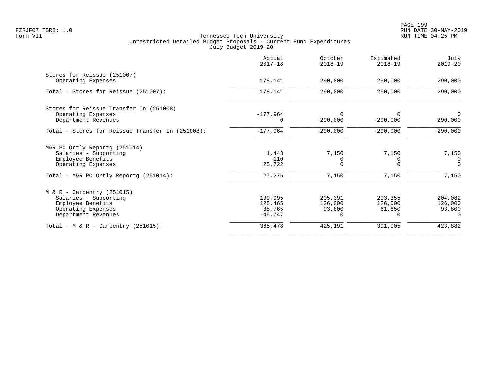| Actual<br>$2017 - 18$                     | October<br>$2018 - 19$                   | Estimated<br>$2018 - 19$     | July<br>$2019 - 20$                    |
|-------------------------------------------|------------------------------------------|------------------------------|----------------------------------------|
| 178,141                                   | 290,000                                  | 290,000                      | 290,000                                |
| 178,141                                   | 290,000                                  | 290,000                      | 290,000                                |
| $-177,964$                                | $\Omega$<br>$-290,000$                   | $-290,000$                   | $-290,000$                             |
| $-177,964$                                | $-290,000$                               | $-290,000$                   | $-290,000$                             |
| 1,443<br>110<br>25,722                    | 7,150<br>0<br>$\Omega$                   | 7,150<br>U<br>$\Omega$       | 7,150<br>$\Omega$<br>$\Omega$          |
| 27,275                                    | 7,150                                    | 7,150                        | 7,150                                  |
| 199,995<br>125,465<br>85,765<br>$-45,747$ | 205,391<br>126,000<br>93,800<br>$\Omega$ | 203,355<br>126,000<br>61,650 | 204,082<br>126,000<br>93,800<br>$\cap$ |
| 365,478                                   | 425,191                                  | 391,005                      | 423,882                                |
|                                           |                                          |                              |                                        |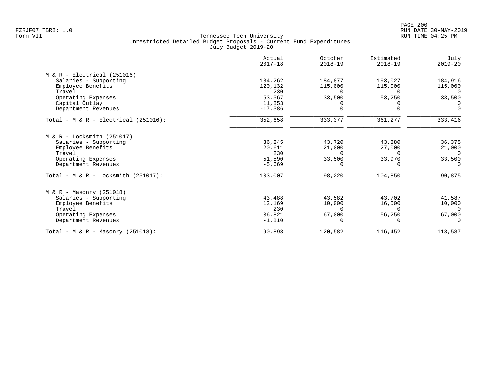|                                         | Actual<br>$2017 - 18$ | October<br>$2018 - 19$ | Estimated<br>$2018 - 19$ | July<br>$2019 - 20$ |
|-----------------------------------------|-----------------------|------------------------|--------------------------|---------------------|
| $M & R - Electrical (251016)$           |                       |                        |                          |                     |
| Salaries - Supporting                   | 184,262               | 184,877                | 193,027                  | 184,916             |
| Employee Benefits                       | 120,132               | 115,000                | 115,000                  | 115,000             |
| Travel                                  | 230                   | $\Omega$               | $\Omega$                 | $\Omega$            |
| Operating Expenses                      | 53,567                | 33,500                 | 53,250                   | 33,500              |
| Capital Outlay                          | 11,853                | 0                      | $\Omega$                 | $\Omega$            |
| Department Revenues                     | $-17,386$             | $\Omega$               | $\Omega$                 | $\Omega$            |
| Total - $M & R - Electrical (251016)$ : | 352,658               | 333,377                | 361,277                  | 333,416             |
| $M & R - Locksmith (251017)$            |                       |                        |                          |                     |
| Salaries - Supporting                   | 36,245                | 43,720                 | 43,880                   | 36,375              |
| Employee Benefits                       | 20,611                | 21,000                 | 27,000                   | 21,000              |
| Travel                                  | 230                   | $\Omega$               | $\Omega$                 | $\Omega$            |
| Operating Expenses                      | 51,590                | 33,500                 | 33,970                   | 33,500              |
| Department Revenues                     | $-5,669$              | $\Omega$               |                          | $\Omega$            |
| Total - M & R - Locksmith $(251017)$ :  | 103,007               | 98,220                 | 104,850                  | 90,875              |
| $M & R - Massonry (251018)$             |                       |                        |                          |                     |
| Salaries - Supporting                   | 43,488                | 43,582                 | 43,702                   | 41,587              |
| Employee Benefits                       | 12,169                | 10,000                 | 16,500                   | 10,000              |
| Travel                                  | 230                   | $\Omega$               | $\Omega$                 | $\Omega$            |
| Operating Expenses                      | 36,821                | 67,000                 | 56,250                   | 67,000              |
| Department Revenues                     | $-1,810$              | $\Omega$               |                          |                     |
| Total - M & R - Masonry $(251018)$ :    | 90,898                | 120,582                | 116,452                  | 118,587             |
|                                         |                       |                        |                          |                     |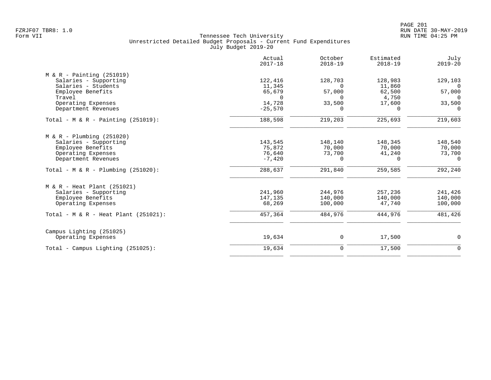| Actual<br>$2017 - 18$ | October<br>$2018 - 19$                                                  | Estimated<br>$2018 - 19$                                                          | July<br>$2019 - 20$                                                  |
|-----------------------|-------------------------------------------------------------------------|-----------------------------------------------------------------------------------|----------------------------------------------------------------------|
|                       |                                                                         |                                                                                   |                                                                      |
| 122,416               | 128,703                                                                 | 128,983                                                                           | 129,103                                                              |
| 11,345                | $\Omega$                                                                | 11,860                                                                            | $\Omega$                                                             |
| 65,679                |                                                                         | 62,500                                                                            | 57,000<br>$\Omega$                                                   |
|                       |                                                                         |                                                                                   | 33,500                                                               |
| $-25,570$             | $\Omega$                                                                | $\Omega$                                                                          | $\Omega$                                                             |
| 188,598               | 219,203                                                                 | 225,693                                                                           | 219,603                                                              |
|                       |                                                                         |                                                                                   |                                                                      |
|                       |                                                                         |                                                                                   | 148,540                                                              |
|                       |                                                                         |                                                                                   | 70,000                                                               |
|                       |                                                                         |                                                                                   | 73,700                                                               |
| $-7,420$              | 0                                                                       | $\Omega$                                                                          | $\Omega$                                                             |
| 288,637               | 291,840                                                                 | 259,585                                                                           | 292,240                                                              |
|                       |                                                                         |                                                                                   |                                                                      |
|                       |                                                                         |                                                                                   | 241,426                                                              |
|                       |                                                                         |                                                                                   | 140,000                                                              |
| 68,269                | 100,000                                                                 | 47,740                                                                            | 100,000                                                              |
| 457,364               | 484,976                                                                 | 444,976                                                                           | 481,426                                                              |
|                       |                                                                         |                                                                                   |                                                                      |
| 19,634                | 0                                                                       | 17,500                                                                            | 0                                                                    |
| 19,634                | $\mathbf 0$                                                             | 17,500                                                                            | $\mathbf 0$                                                          |
|                       | $\Omega$<br>14,728<br>143,545<br>75,872<br>76,640<br>241,960<br>147,135 | 57,000<br>$\Omega$<br>33,500<br>148,140<br>70,000<br>73,700<br>244,976<br>140,000 | 4,750<br>17,600<br>148,345<br>70,000<br>41,240<br>257,236<br>140,000 |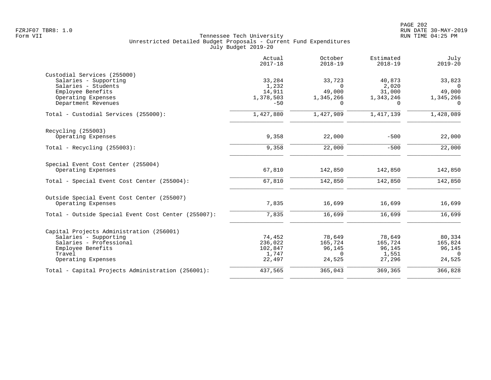|                                                     | Actual<br>$2017 - 18$ | October<br>$2018 - 19$ | Estimated<br>$2018 - 19$ | July<br>$2019 - 20$ |
|-----------------------------------------------------|-----------------------|------------------------|--------------------------|---------------------|
| Custodial Services (255000)                         |                       |                        |                          |                     |
| Salaries - Supporting                               | 33,284                | 33,723                 | 40,873                   | 33,823              |
| Salaries - Students                                 | 1,232                 | $\Omega$               | 2,020                    | $\Omega$            |
| Employee Benefits                                   | 14,911                | 49,000                 | 31,000                   | 49,000              |
| Operating Expenses                                  | 1,378,503             | 1,345,266              | 1,343,246                | 1,345,266           |
| Department Revenues                                 | $-50$                 | $\Omega$               | $\Omega$                 | $\Omega$            |
| Total - Custodial Services (255000):                | 1,427,880             | 1,427,989              | 1,417,139                | 1,428,089           |
| Recycling (255003)                                  |                       |                        |                          |                     |
| Operating Expenses                                  | 9,358                 | 22,000                 | $-500$                   | 22,000              |
| Total - Recycling $(255003)$ :                      | 9,358                 | 22,000                 | $-500$                   | 22,000              |
| Special Event Cost Center (255004)                  |                       |                        |                          |                     |
| Operating Expenses                                  | 67,810                | 142,850                | 142,850                  | 142,850             |
| Total - Special Event Cost Center (255004):         | 67,810                | 142,850                | 142,850                  | 142,850             |
| Outside Special Event Cost Center (255007)          |                       |                        |                          |                     |
| Operating Expenses                                  | 7,835                 | 16,699                 | 16,699                   | 16,699              |
| Total - Outside Special Event Cost Center (255007): | 7,835                 | 16,699                 | 16,699                   | 16,699              |
| Capital Projects Administration (256001)            |                       |                        |                          |                     |
| Salaries - Supporting                               | 74,452                | 78,649                 | 78,649                   | 80,334              |
| Salaries - Professional                             | 236,022               | 165,724                | 165,724                  | 165,824             |
| Employee Benefits                                   | 102,847               | 96,145                 | 96,145                   | 96,145              |
| Travel                                              | 1,747                 | $\Omega$               | 1,551                    | $\Omega$            |
| Operating Expenses                                  | 22,497                | 24,525                 | 27,296                   | 24,525              |
| Total - Capital Projects Administration (256001):   | 437,565               | 365,043                | 369,365                  | 366,828             |
|                                                     |                       |                        |                          |                     |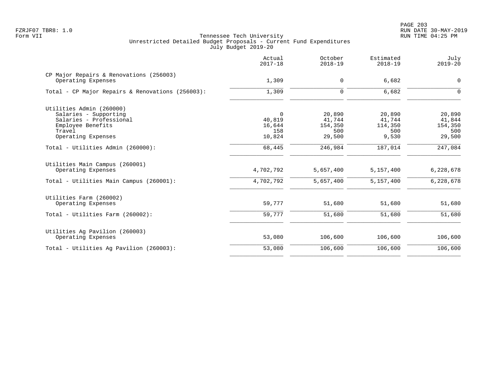|                                                               | Actual<br>$2017 - 18$ | October<br>$2018 - 19$ | Estimated<br>$2018 - 19$ | July<br>$2019 - 20$ |
|---------------------------------------------------------------|-----------------------|------------------------|--------------------------|---------------------|
| CP Major Repairs & Renovations (256003)<br>Operating Expenses | 1,309                 | 0                      | 6,682                    | $\mathsf{O}$        |
| Total - CP Major Repairs & Renovations (256003):              | 1,309                 | $\mathbf 0$            | 6,682                    | $\mathbf 0$         |
| Utilities Admin (260000)                                      |                       |                        |                          |                     |
| Salaries - Supporting                                         | $\overline{0}$        | 20,890                 | 20,890                   | 20,890              |
| Salaries - Professional                                       | 40,819                | 41,744                 | 41,744                   | 41,844              |
| Employee Benefits                                             | 16,644                | 154,350                | 114,350                  | 154,350             |
| Travel<br>Operating Expenses                                  | 158<br>10,824         | 500<br>29,500          | 500<br>9,530             | 500<br>29,500       |
| Total - Utilities Admin (260000):                             | 68,445                | 246,984                | 187,014                  | 247,084             |
| Utilities Main Campus (260001)<br>Operating Expenses          | 4,702,792             | 5,657,400              | 5,157,400                | 6,228,678           |
| Total - Utilities Main Campus (260001):                       | 4,702,792             | 5,657,400              | 5,157,400                | 6,228,678           |
| Utilities Farm (260002)                                       |                       |                        |                          |                     |
| Operating Expenses                                            | 59,777                | 51,680                 | 51,680                   | 51,680              |
| Total - Utilities Farm (260002):                              | 59,777                | 51,680                 | 51,680                   | 51,680              |
| Utilities Ag Pavilion (260003)                                |                       |                        |                          |                     |
| Operating Expenses                                            | 53,080                | 106,600                | 106,600                  | 106,600             |
| Total - Utilities Aq Pavilion (260003):                       | 53,080                | 106,600                | 106,600                  | 106,600             |
|                                                               |                       |                        |                          |                     |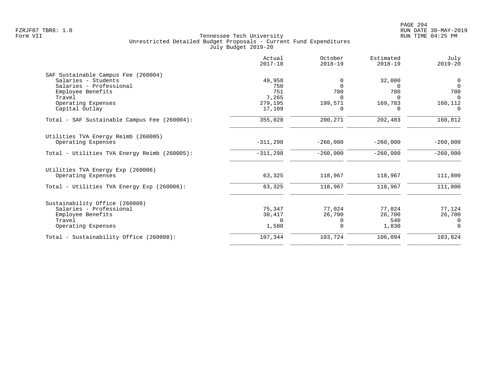|                                              | Actual<br>$2017 - 18$ | October<br>$2018 - 19$ | Estimated<br>$2018 - 19$ | July<br>$2019 - 20$ |
|----------------------------------------------|-----------------------|------------------------|--------------------------|---------------------|
| SAF Sustainable Campus Fee (260004)          |                       |                        |                          |                     |
| Salaries - Students                          | 49,958                | 0                      | 32,000                   | $\overline{0}$      |
| Salaries - Professional                      | 750                   | $\Omega$               | $\Omega$                 | $\Omega$            |
| Employee Benefits                            | 751                   | 700                    | 700                      | 700                 |
| Travel                                       | 7,265                 | $\Omega$               | $\Omega$                 | $\Omega$            |
| Operating Expenses                           | 279,195               | 199,571                | 169,783                  | 160,112             |
| Capital Outlay                               | 17,109                | 0                      | 0                        | 0                   |
| Total - SAF Sustainable Campus Fee (260004): | 355,028               | 200,271                | 202,483                  | 160,812             |
| Utilities TVA Energy Reimb (260005)          |                       |                        |                          |                     |
| Operating Expenses                           | $-311,298$            | $-260,000$             | $-260,000$               | $-260,000$          |
| Total - Utilities TVA Energy Reimb (260005): | $-311,298$            | $-260,000$             | $-260,000$               | $-260,000$          |
| Utilities TVA Energy Exp (260006)            |                       |                        |                          |                     |
| Operating Expenses                           | 63,325                | 118,967                | 118,967                  | 111,800             |
| Total - Utilities TVA Energy Exp (260006):   | 63,325                | 118,967                | 118,967                  | 111,800             |
| Sustainability Office (260008)               |                       |                        |                          |                     |
| Salaries - Professional                      | 75,347                | 77,024                 | 77,024                   | 77,124              |
| Employee Benefits                            | 30,417                | 26,700                 | 26,700                   | 26,700              |
| Travel                                       | $\Omega$              | 0                      | 540                      | 0                   |
| Operating Expenses                           | 1,580                 | $\Omega$               | 1,830                    | $\Omega$            |
| Total - Sustainability Office (260008):      | 107,344               | 103,724                | 106,094                  | 103,824             |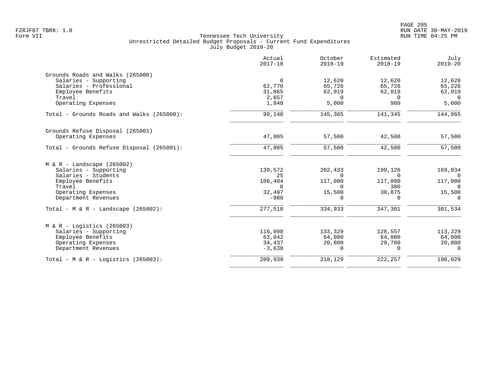|                                           | Actual<br>$2017 - 18$ | October<br>$2018 - 19$ | Estimated<br>$2018 - 19$ | July<br>$2019 - 20$ |
|-------------------------------------------|-----------------------|------------------------|--------------------------|---------------------|
| Grounds Roads and Walks (265000)          |                       |                        |                          |                     |
| Salaries - Supporting                     | $\overline{0}$        | 12,620                 | 12,620                   | 12,620              |
| Salaries - Professional                   | 62,770                | 65,726                 | 65,726                   | 65,226              |
| Employee Benefits                         | 31,865                | 62,019                 | 62,019                   | 62,019              |
| Travel                                    | 2,657                 | $\Omega$               | $\Omega$                 | $\Omega$            |
| Operating Expenses                        | 1,848                 | 5,000                  | 980                      | 5,000               |
| Total - Grounds Roads and Walks (265000): | 99,140                | 145,365                | 141,345                  | 144,865             |
| Grounds Refuse Disposal (265001)          |                       |                        |                          |                     |
| Operating Expenses                        | 47,805                | 57,500                 | 42,500                   | 57,500              |
| Total - Grounds Refuse Disposal (265001): | 47,805                | 57,500                 | 42,500                   | 57,500              |
| $M & R -$ Landscape (265002)              |                       |                        |                          |                     |
| Salaries - Supporting                     | 139,572               | 202,433                | 199,126                  | 169,034             |
| Salaries - Students                       | 25                    | $\Omega$               | $\Omega$                 | $\Omega$            |
| Employee Benefits                         | 106,404               | 117,000                | 117,000                  | 117,000             |
| Travel                                    | $\Omega$              | $\Omega$               | 300                      | $\Omega$            |
| Operating Expenses                        | 32,497                | 15,500                 | 30,875                   | 15,500              |
| Department Revenues                       | $-980$                | $\Omega$               | $\Omega$                 | $\Omega$            |
| Total - M & R - Landscape $(265002)$ :    | 277,518               | 334,933                | 347,301                  | 301,534             |
| $M & R -$ Logistics (265003)              |                       |                        |                          |                     |
| Salaries - Supporting                     | 116,098               | 133,329                | 128,557                  | 113,229             |
| Employee Benefits                         | 63,042                | 64,000                 | 64,000                   | 64,000              |
| Operating Expenses                        | 34,437                | 20,800                 | 29,700                   | 20,800              |
| Department Revenues                       | $-3,638$              | $\Omega$               | $\Omega$                 | $\Omega$            |
| Total - M & R - Logistics (265003):       | 209,939               | 218,129                | 222, 257                 | 198,029             |
|                                           |                       |                        |                          |                     |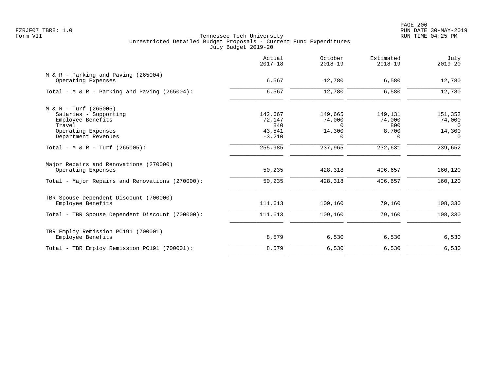|                                                              | Actual<br>$2017 - 18$ | October<br>$2018 - 19$ | Estimated<br>$2018 - 19$ | July<br>$2019 - 20$ |
|--------------------------------------------------------------|-----------------------|------------------------|--------------------------|---------------------|
| $M & R - Parking$ and Paving (265004)<br>Operating Expenses  | 6,567                 | 12,780                 | 6,580                    | 12,780              |
| Total - M & R - Parking and Paving $(265004)$ :              | 6,567                 | 12,780                 | 6,580                    | 12,780              |
| M & R - Turf (265005)                                        |                       |                        |                          |                     |
| Salaries - Supporting                                        | 142,667               | 149,665                | 149,131                  | 151,352             |
| Employee Benefits                                            | 72,147                | 74,000                 | 74,000                   | 74,000              |
| Travel                                                       | 840                   | $\Omega$               | 800                      | $\Omega$            |
| Operating Expenses                                           | 43,541                | 14,300                 | 8,700                    | 14,300              |
| Department Revenues                                          | $-3,210$              | $\Omega$               | $\Omega$                 | $\Omega$            |
| Total - M & R - Turf (265005):                               | 255,985               | 237,965                | 232,631                  | 239,652             |
| Major Repairs and Renovations (270000)<br>Operating Expenses | 50,235                | 428,318                | 406,657                  | 160,120             |
| Total - Major Repairs and Renovations (270000):              | 50,235                | 428,318                | 406,657                  | 160,120             |
| TBR Spouse Dependent Discount (700000)                       |                       |                        |                          |                     |
| Employee Benefits                                            | 111,613               | 109,160                | 79,160                   | 108,330             |
| Total - TBR Spouse Dependent Discount (700000):              | 111,613               | 109,160                | 79,160                   | 108,330             |
| TBR Employ Remission PC191 (700001)                          |                       |                        |                          |                     |
| Employee Benefits                                            | 8,579                 | 6,530                  | 6,530                    | 6,530               |
| Total - TBR Employ Remission PC191 (700001):                 | 8,579                 | 6,530                  | 6,530                    | 6,530               |
|                                                              |                       |                        |                          |                     |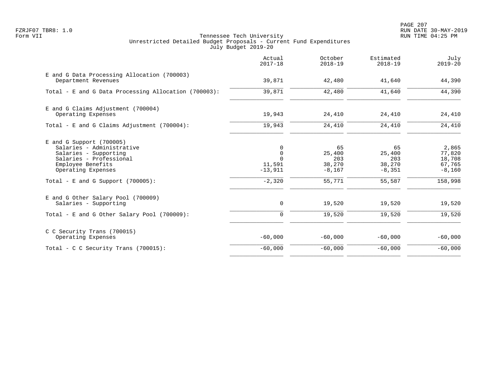PAGE 207 FZRJF07 TBR8: 1.0 RUN DATE 30-MAY-2019

|                                                                                                                                                                                                | Actual<br>$2017 - 18$                                           | October<br>$2018 - 19$                              | Estimated<br>$2018 - 19$                            | July<br>$2019 - 20$                                        |
|------------------------------------------------------------------------------------------------------------------------------------------------------------------------------------------------|-----------------------------------------------------------------|-----------------------------------------------------|-----------------------------------------------------|------------------------------------------------------------|
| E and G Data Processing Allocation (700003)<br>Department Revenues                                                                                                                             | 39,871                                                          | 42,480                                              | 41,640                                              | 44,390                                                     |
| Total - E and G Data Processing Allocation (700003):                                                                                                                                           | 39,871                                                          | 42,480                                              | 41,640                                              | 44,390                                                     |
| E and G Claims Adjustment (700004)<br>Operating Expenses                                                                                                                                       | 19,943                                                          | 24,410                                              | 24,410                                              | 24,410                                                     |
| Total - E and G Claims Adjustment (700004):                                                                                                                                                    | 19,943                                                          | 24,410                                              | 24,410                                              | 24,410                                                     |
| $E$ and G Support (700005)<br>Salaries - Administrative<br>Salaries - Supporting<br>Salaries - Professional<br>Employee Benefits<br>Operating Expenses<br>Total - E and G Support $(700005)$ : | 0<br>$\mathbf 0$<br>$\Omega$<br>11,591<br>$-13,911$<br>$-2,320$ | 65<br>25,400<br>203<br>38,270<br>$-8,167$<br>55,771 | 65<br>25,400<br>203<br>38,270<br>$-8,351$<br>55,587 | 2,865<br>77,820<br>18,708<br>67,765<br>$-8,160$<br>158,998 |
| E and G Other Salary Pool (700009)<br>Salaries - Supporting                                                                                                                                    | 0                                                               | 19,520                                              | 19,520                                              | 19,520                                                     |
| Total - E and G Other Salary Pool (700009):                                                                                                                                                    | $\Omega$                                                        | 19,520                                              | 19,520                                              | 19,520                                                     |
| C C Security Trans (700015)<br>Operating Expenses                                                                                                                                              | $-60,000$                                                       | $-60,000$                                           | $-60,000$                                           | $-60,000$                                                  |
| Total - C C Security Trans $(700015)$ :                                                                                                                                                        | $-60,000$                                                       | $-60,000$                                           | $-60,000$                                           | $-60,000$                                                  |
|                                                                                                                                                                                                |                                                                 |                                                     |                                                     |                                                            |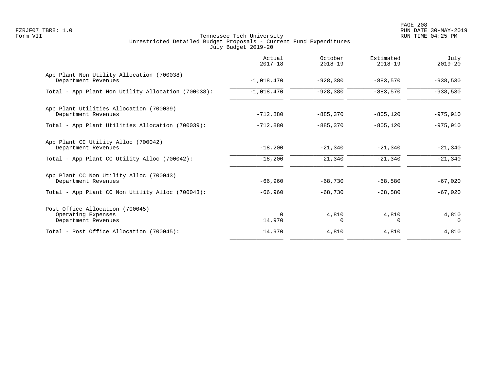|                                                                              | Actual<br>$2017 - 18$ | October<br>$2018 - 19$ | Estimated<br>$2018 - 19$ | July<br>$2019 - 20$ |
|------------------------------------------------------------------------------|-----------------------|------------------------|--------------------------|---------------------|
| App Plant Non Utility Allocation (700038)<br>Department Revenues             | $-1,018,470$          | $-928,380$             | $-883,570$               | $-938,530$          |
| Total - App Plant Non Utility Allocation (700038):                           | $-1,018,470$          | $-928,380$             | $-883,570$               | $-938,530$          |
| App Plant Utilities Allocation (700039)<br>Department Revenues               | $-712,880$            | $-885,370$             | $-805, 120$              | $-975,910$          |
| Total - App Plant Utilities Allocation (700039):                             | $-712,880$            | $-885,370$             | $-805, 120$              | $-975,910$          |
| App Plant CC Utility Alloc (700042)<br>Department Revenues                   | $-18,200$             | $-21,340$              | $-21,340$                | $-21,340$           |
| Total - App Plant CC Utility Alloc (700042):                                 | $-18,200$             | $-21,340$              | $-21,340$                | $-21,340$           |
| App Plant CC Non Utility Alloc (700043)<br>Department Revenues               | $-66,960$             | $-68,730$              | $-68,580$                | $-67,020$           |
| Total - App Plant CC Non Utility Alloc (700043):                             | $-66,960$             | $-68,730$              | $-68,580$                | $-67,020$           |
| Post Office Allocation (700045)<br>Operating Expenses<br>Department Revenues | $\Omega$<br>14,970    | 4,810<br>$\Omega$      | 4,810<br>$\Omega$        | 4,810<br>$\Omega$   |
| Total - Post Office Allocation (700045):                                     | 14,970                | 4,810                  | 4,810                    | 4,810               |
|                                                                              |                       |                        |                          |                     |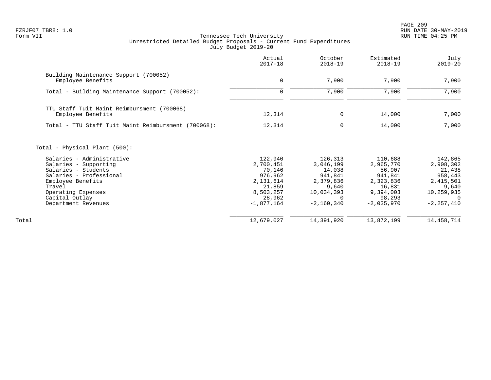PAGE 209 FZRJF07 TBR8: 1.0 RUN DATE 30-MAY-2019

|                                                                                                                                                                                                                                     | Actual<br>$2017 - 18$                                                                                   | October<br>$2018 - 19$                                                                        | Estimated<br>$2018 - 19$                                                                                | July<br>$2019 - 20$                                                                                    |
|-------------------------------------------------------------------------------------------------------------------------------------------------------------------------------------------------------------------------------------|---------------------------------------------------------------------------------------------------------|-----------------------------------------------------------------------------------------------|---------------------------------------------------------------------------------------------------------|--------------------------------------------------------------------------------------------------------|
| Building Maintenance Support (700052)<br>Employee Benefits                                                                                                                                                                          | $\mathbf 0$                                                                                             | 7,900                                                                                         | 7,900                                                                                                   | 7,900                                                                                                  |
| Total - Building Maintenance Support (700052):                                                                                                                                                                                      | $\mathbf 0$                                                                                             | 7,900                                                                                         | 7,900                                                                                                   | 7,900                                                                                                  |
| TTU Staff Tuit Maint Reimbursment (700068)<br>Employee Benefits                                                                                                                                                                     | 12,314                                                                                                  | 0                                                                                             | 14,000                                                                                                  | 7,000                                                                                                  |
| Total - TTU Staff Tuit Maint Reimbursment (700068):                                                                                                                                                                                 | 12,314                                                                                                  | $\mathbf 0$                                                                                   | 14,000                                                                                                  | 7,000                                                                                                  |
| Total - Physical Plant (500):<br>Salaries - Administrative<br>Salaries - Supporting<br>Salaries - Students<br>Salaries - Professional<br>Employee Benefits<br>Travel<br>Operating Expenses<br>Capital Outlay<br>Department Revenues | 122,940<br>2,700,451<br>70,146<br>976,962<br>2,131,614<br>21,859<br>8,503,257<br>28,962<br>$-1,877,164$ | 126,313<br>3,046,199<br>14,038<br>941,841<br>2,379,836<br>9,640<br>10,034,393<br>$-2,160,340$ | 110,688<br>2,965,770<br>56,907<br>941,841<br>2,323,836<br>16,831<br>9,394,003<br>98,293<br>$-2,035,970$ | 142,865<br>2,908,302<br>21,438<br>958,443<br>2,415,501<br>9,640<br>10,259,935<br>- 0<br>$-2, 257, 410$ |
| Total                                                                                                                                                                                                                               | 12,679,027                                                                                              | 14,391,920                                                                                    | 13,872,199                                                                                              | 14, 458, 714                                                                                           |
|                                                                                                                                                                                                                                     |                                                                                                         |                                                                                               |                                                                                                         |                                                                                                        |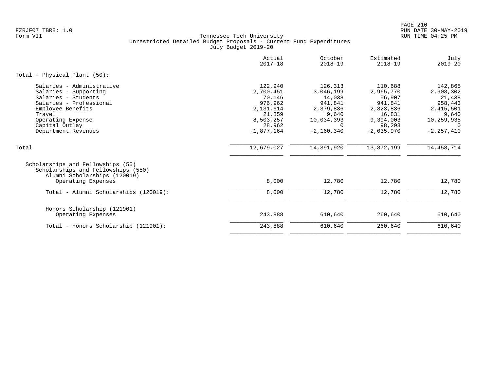|                                                                                                                                                                                                   | Actual<br>$2017 - 18$                                                                                   | October<br>$2018 - 19$                                                                                    | Estimated<br>$2018 - 19$                                                                                | July<br>$2019 - 20$                                                                                  |
|---------------------------------------------------------------------------------------------------------------------------------------------------------------------------------------------------|---------------------------------------------------------------------------------------------------------|-----------------------------------------------------------------------------------------------------------|---------------------------------------------------------------------------------------------------------|------------------------------------------------------------------------------------------------------|
| Total - Physical Plant (50):                                                                                                                                                                      |                                                                                                         |                                                                                                           |                                                                                                         |                                                                                                      |
| Salaries - Administrative<br>Salaries - Supporting<br>Salaries - Students<br>Salaries - Professional<br>Employee Benefits<br>Travel<br>Operating Expense<br>Capital Outlay<br>Department Revenues | 122,940<br>2,700,451<br>70,146<br>976,962<br>2,131,614<br>21,859<br>8,503,257<br>28,962<br>$-1,877,164$ | 126,313<br>3,046,199<br>14,038<br>941,841<br>2,379,836<br>9,640<br>10,034,393<br>$\Omega$<br>$-2,160,340$ | 110,688<br>2,965,770<br>56,907<br>941,841<br>2,323,836<br>16,831<br>9,394,003<br>98,293<br>$-2,035,970$ | 142,865<br>2,908,302<br>21,438<br>958,443<br>2,415,501<br>9,640<br>10,259,935<br>0<br>$-2, 257, 410$ |
| Total                                                                                                                                                                                             | 12,679,027                                                                                              | 14,391,920                                                                                                | 13,872,199                                                                                              | 14,458,714                                                                                           |
| Scholarships and Fellowships (55)<br>Scholarships and Fellowships (550)<br>Alumni Scholarships (120019)<br>Operating Expenses                                                                     | 8,000                                                                                                   | 12,780                                                                                                    | 12,780                                                                                                  | 12,780                                                                                               |
| Total - Alumni Scholarships (120019):                                                                                                                                                             | 8,000                                                                                                   | 12,780                                                                                                    | 12,780                                                                                                  | 12,780                                                                                               |
| Honors Scholarship (121901)<br>Operating Expenses                                                                                                                                                 | 243,888                                                                                                 | 610,640                                                                                                   | 260,640                                                                                                 | 610,640                                                                                              |
| Total - Honors Scholarship (121901):                                                                                                                                                              | 243,888                                                                                                 | 610,640                                                                                                   | 260,640                                                                                                 | 610,640                                                                                              |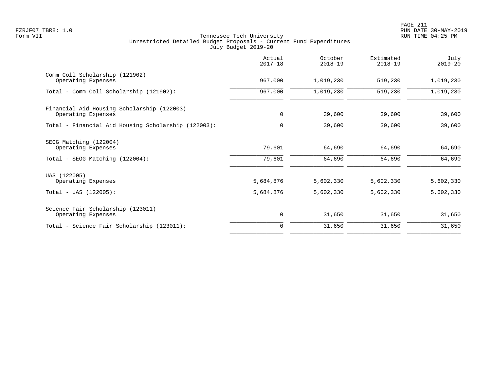|                                                                                 | Actual<br>$2017 - 18$  | October<br>$2018 - 19$ | Estimated<br>$2018 - 19$ | July<br>$2019 - 20$    |
|---------------------------------------------------------------------------------|------------------------|------------------------|--------------------------|------------------------|
| Comm Coll Scholarship (121902)<br>Operating Expenses                            | 967,000                | 1,019,230              | 519,230                  | 1,019,230              |
| Total - Comm Coll Scholarship (121902):                                         | 967,000                | 1,019,230              | 519,230                  | 1,019,230              |
| Financial Aid Housing Scholarship (122003)<br>Operating Expenses                | $\mathbf 0$            | 39,600                 | 39,600                   | 39,600                 |
| Total - Financial Aid Housing Scholarship (122003):                             | 0                      | 39,600                 | 39,600                   | 39,600                 |
| SEOG Matching (122004)<br>Operating Expenses<br>Total - SEOG Matching (122004): | 79,601<br>79,601       | 64,690<br>64,690       | 64,690<br>64,690         | 64,690<br>64,690       |
| UAS (122005)<br>Operating Expenses<br>$Total - UAS (122005):$                   | 5,684,876<br>5,684,876 | 5,602,330<br>5,602,330 | 5,602,330<br>5,602,330   | 5,602,330<br>5,602,330 |
| Science Fair Scholarship (123011)<br>Operating Expenses                         | 0                      | 31,650                 | 31,650                   | 31,650                 |
| Total - Science Fair Scholarship (123011):                                      | $\Omega$               | 31,650                 | 31,650                   | 31,650                 |
|                                                                                 |                        |                        |                          |                        |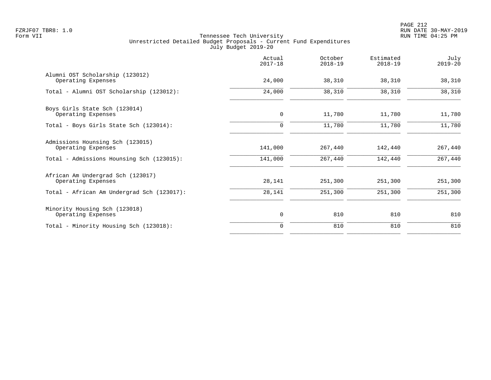PAGE 212 FZRJF07 TBR8: 1.0 RUN DATE 30-MAY-2019

|                                                         | Actual<br>$2017 - 18$ | October<br>$2018 - 19$ | Estimated<br>$2018 - 19$ | July<br>$2019 - 20$ |
|---------------------------------------------------------|-----------------------|------------------------|--------------------------|---------------------|
| Alumni OST Scholarship (123012)<br>Operating Expenses   | 24,000                | 38,310                 | 38,310                   | 38,310              |
| Total - Alumni OST Scholarship (123012):                | 24,000                | 38,310                 | 38,310                   | 38,310              |
| Boys Girls State Sch (123014)<br>Operating Expenses     | $\mathbf 0$           | 11,780                 | 11,780                   | 11,780              |
| Total - Boys Girls State Sch (123014):                  | $\mathbf 0$           | 11,780                 | 11,780                   | 11,780              |
| Admissions Hounsing Sch (123015)<br>Operating Expenses  | 141,000               | 267,440                | 142,440                  | 267,440             |
| Total - Admissions Hounsing Sch (123015):               | 141,000               | 267,440                | 142,440                  | 267,440             |
| African Am Undergrad Sch (123017)<br>Operating Expenses | 28,141                | 251,300                | 251,300                  | 251,300             |
| Total - African Am Undergrad Sch (123017):              | 28,141                | 251,300                | 251,300                  | 251,300             |
| Minority Housing Sch (123018)<br>Operating Expenses     | 0                     | 810                    | 810                      | 810                 |
| Total - Minority Housing Sch (123018):                  | $\Omega$              | 810                    | 810                      | 810                 |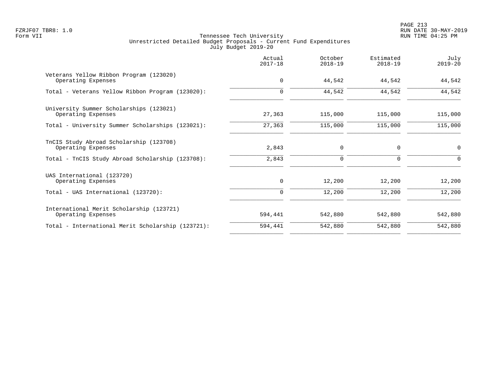PAGE 213 FZRJF07 TBR8: 1.0 RUN DATE 30-MAY-2019

|                                                                | Actual<br>$2017 - 18$ | October<br>$2018 - 19$ | Estimated<br>$2018 - 19$ | July<br>$2019 - 20$ |
|----------------------------------------------------------------|-----------------------|------------------------|--------------------------|---------------------|
| Veterans Yellow Ribbon Program (123020)<br>Operating Expenses  | $\mathbf 0$           | 44,542                 | 44,542                   | 44,542              |
| Total - Veterans Yellow Ribbon Program (123020):               | 0                     | 44,542                 | 44,542                   | 44,542              |
| University Summer Scholarships (123021)<br>Operating Expenses  | 27,363                | 115,000                | 115,000                  | 115,000             |
| Total - University Summer Scholarships (123021):               | 27,363                | 115,000                | 115,000                  | 115,000             |
| TnCIS Study Abroad Scholarship (123708)<br>Operating Expenses  | 2,843                 | $\mathbf 0$            | 0                        | $\mathbf 0$         |
| Total - TnCIS Study Abroad Scholarship (123708):               | 2,843                 | $\mathbf 0$            | 0                        | $\Omega$            |
| UAS International (123720)<br>Operating Expenses               | 0                     | 12,200                 | 12,200                   | 12,200              |
| Total - UAS International (123720):                            | 0                     | 12,200                 | 12,200                   | 12,200              |
| International Merit Scholarship (123721)<br>Operating Expenses | 594,441               | 542,880                | 542,880                  | 542,880             |
| Total - International Merit Scholarship (123721):              | 594,441               | 542,880                | 542,880                  | 542,880             |
|                                                                |                       |                        |                          |                     |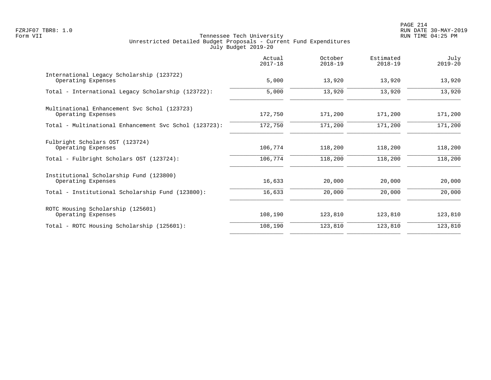PAGE 214 FZRJF07 TBR8: 1.0 RUN DATE 30-MAY-2019

|                                                                    | Actual<br>$2017 - 18$ | October<br>$2018 - 19$ | Estimated<br>$2018 - 19$ | July<br>$2019 - 20$ |
|--------------------------------------------------------------------|-----------------------|------------------------|--------------------------|---------------------|
| International Legacy Scholarship (123722)<br>Operating Expenses    | 5,000                 | 13,920                 | 13,920                   | 13,920              |
| Total - International Legacy Scholarship (123722):                 | 5,000                 | 13,920                 | 13,920                   | 13,920              |
| Multinational Enhancement Svc Schol (123723)<br>Operating Expenses | 172,750               | 171,200                | 171,200                  | 171,200             |
| Total - Multinational Enhancement Svc Schol (123723):              | 172,750               | 171,200                | 171,200                  | 171,200             |
| Fulbright Scholars OST (123724)<br>Operating Expenses              | 106,774               | 118,200                | 118,200                  | 118,200             |
| Total - Fulbright Scholars OST (123724):                           | 106,774               | 118,200                | 118,200                  | 118,200             |
| Institutional Scholarship Fund (123800)<br>Operating Expenses      | 16,633                | 20,000                 | 20,000                   | 20,000              |
| Total - Institutional Scholarship Fund (123800):                   | 16,633                | 20,000                 | 20,000                   | 20,000              |
| ROTC Housing Scholarship (125601)<br>Operating Expenses            | 108,190               | 123,810                | 123,810                  | 123,810             |
| Total - ROTC Housing Scholarship (125601):                         | 108,190               | 123,810                | 123,810                  | 123,810             |
|                                                                    |                       |                        |                          |                     |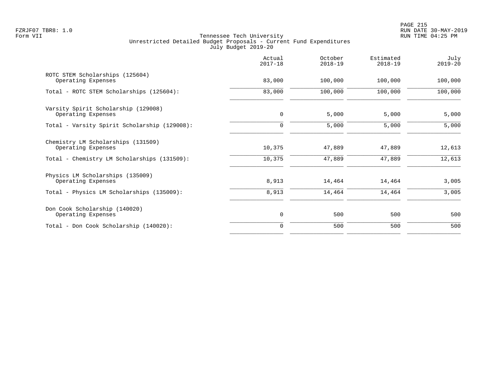|                                                           | Actual<br>$2017 - 18$ | October<br>$2018 - 19$ | Estimated<br>$2018 - 19$ | July<br>$2019 - 20$ |
|-----------------------------------------------------------|-----------------------|------------------------|--------------------------|---------------------|
| ROTC STEM Scholarships (125604)<br>Operating Expenses     | 83,000                | 100,000                | 100,000                  | 100,000             |
| Total - ROTC STEM Scholarships (125604):                  | 83,000                | 100,000                | 100,000                  | 100,000             |
| Varsity Spirit Scholarship (129008)<br>Operating Expenses | $\mathbf 0$           | 5,000                  | 5,000                    | 5,000               |
| Total - Varsity Spirit Scholarship (129008):              | 0                     | 5,000                  | 5,000                    | 5,000               |
| Chemistry LM Scholarships (131509)<br>Operating Expenses  | 10,375                | 47,889                 | 47,889                   | 12,613              |
| Total - Chemistry LM Scholarships (131509):               | 10,375                | 47,889                 | 47,889                   | 12,613              |
| Physics LM Scholarships (135009)<br>Operating Expenses    | 8,913                 | 14,464                 | 14,464                   | 3,005               |
| Total - Physics LM Scholarships (135009):                 | 8,913                 | 14,464                 | 14,464                   | 3,005               |
| Don Cook Scholarship (140020)<br>Operating Expenses       | $\mathbf 0$           | 500                    | 500                      | 500                 |
| Total - Don Cook Scholarship (140020):                    | $\Omega$              | 500                    | 500                      | 500                 |
|                                                           |                       |                        |                          |                     |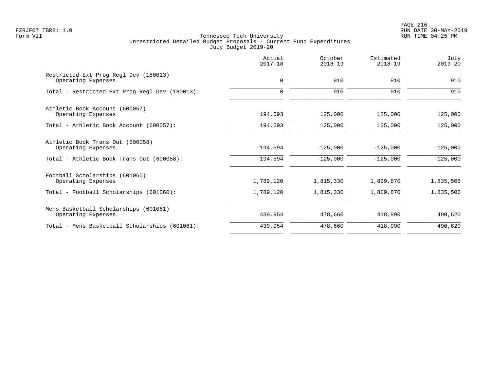PAGE 216 FZRJF07 TBR8: 1.0 RUN DATE 30-MAY-2019

|                                                             | Actual<br>$2017 - 18$ | October<br>$2018 - 19$ | Estimated<br>$2018 - 19$ | July<br>$2019 - 20$ |
|-------------------------------------------------------------|-----------------------|------------------------|--------------------------|---------------------|
| Restricted Ext Prog Regl Dev (180013)<br>Operating Expenses | $\mathbf 0$           | 910                    | 910                      | 910                 |
| Total - Restricted Ext Prog Regl Dev (180013):              | $\Omega$              | 910                    | 910                      | 910                 |
| Athletic Book Account (600057)<br>Operating Expenses        | 194,593               | 125,000                | 125,000                  | 125,000             |
| Total - Athletic Book Account (600057):                     | 194,593               | 125,000                | 125,000                  | 125,000             |
| Athletic Book Trans Out (600058)<br>Operating Expenses      | $-194,594$            | $-125,000$             | $-125,000$               | $-125,000$          |
| Total - Athletic Book Trans Out (600058):                   | $-194,594$            | $-125,000$             | $-125,000$               | $-125,000$          |
| Football Scholarships (601060)<br>Operating Expenses        | 1,789,120             | 1,815,330              | 1,829,870                | 1,835,506           |
| Total - Football Scholarships (601060):                     | 1,789,120             | 1,815,330              | 1,829,870                | 1,835,506           |
| Mens Basketball Scholarships (601061)<br>Operating Expenses | 439,954               | 478,660                | 418,990                  | 490,620             |
| Total - Mens Basketball Scholarships (601061):              | 439,954               | 478,660                | 418,990                  | 490,620             |
|                                                             |                       |                        |                          |                     |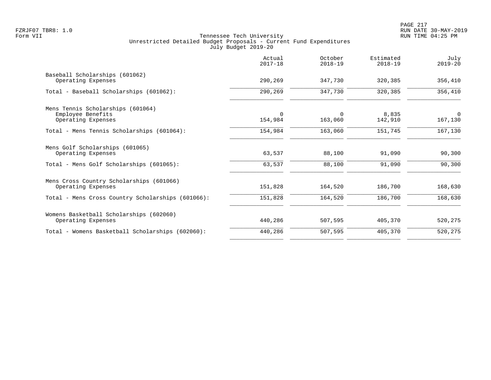|                                                                              | Actual<br>$2017 - 18$ | October<br>$2018 - 19$ | Estimated<br>$2018 - 19$ | July<br>$2019 - 20$    |
|------------------------------------------------------------------------------|-----------------------|------------------------|--------------------------|------------------------|
| Baseball Scholarships (601062)<br>Operating Expenses                         | 290,269               | 347,730                | 320,385                  | 356,410                |
| Total - Baseball Scholarships (601062):                                      | 290,269               | 347,730                | 320,385                  | 356,410                |
| Mens Tennis Scholarships (601064)<br>Employee Benefits<br>Operating Expenses | $\Omega$<br>154,984   | $\Omega$<br>163,060    | 8,835<br>142,910         | $\mathbf 0$<br>167,130 |
| Total - Mens Tennis Scholarships (601064):                                   | 154,984               | 163,060                | 151,745                  | 167,130                |
| Mens Golf Scholarships (601065)<br>Operating Expenses                        | 63,537                | 88,100                 | 91,090                   | 90,300                 |
| Total - Mens Golf Scholarships (601065):                                     | 63,537                | 88,100                 | 91,090                   | 90,300                 |
| Mens Cross Country Scholarships (601066)<br>Operating Expenses               | 151,828               | 164,520                | 186,700                  | 168,630                |
| Total - Mens Cross Country Scholarships (601066):                            | 151,828               | 164,520                | 186,700                  | 168,630                |
| Womens Basketball Scholarships (602060)<br>Operating Expenses                | 440,286               | 507,595                | 405,370                  | 520,275                |
| Total - Womens Basketball Scholarships (602060):                             | 440,286               | 507,595                | 405,370                  | 520,275                |
|                                                                              |                       |                        |                          |                        |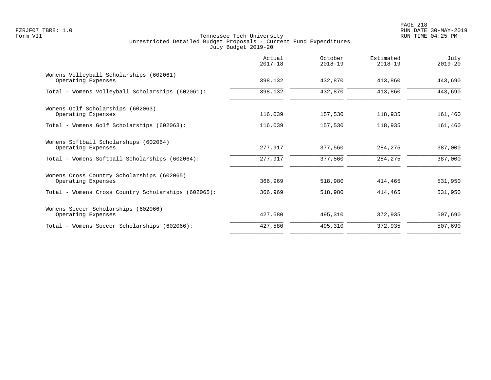PAGE 218 FZRJF07 TBR8: 1.0 RUN DATE 30-MAY-2019

|                                                                  | Actual<br>$2017 - 18$ | October<br>$2018 - 19$ | Estimated<br>$2018 - 19$ | July<br>$2019 - 20$ |
|------------------------------------------------------------------|-----------------------|------------------------|--------------------------|---------------------|
| Womens Volleyball Scholarships (602061)<br>Operating Expenses    | 398,132               | 432,870                | 413,860                  | 443,690             |
| Total - Womens Volleyball Scholarships (602061):                 | 398,132               | 432,870                | 413,860                  | 443,690             |
| Womens Golf Scholarships (602063)<br>Operating Expenses          | 116,039               | 157,530                | 118,935                  | 161,460             |
| Total - Womens Golf Scholarships (602063):                       | 116,039               | 157,530                | 118,935                  | 161,460             |
| Womens Softball Scholarships (602064)<br>Operating Expenses      | 277,917               | 377,560                | 284,275                  | 387,000             |
| Total - Womens Softball Scholarships (602064):                   | 277,917               | 377,560                | 284,275                  | 387,000             |
| Womens Cross Country Scholarships (602065)<br>Operating Expenses | 366,969               | 518,980                | 414,465                  | 531,950             |
| Total - Womens Cross Country Scholarships (602065):              | 366,969               | 518,980                | 414,465                  | 531,950             |
| Womens Soccer Scholarships (602066)<br>Operating Expenses        | 427,580               | 495,310                | 372,935                  | 507,690             |
| Total - Womens Soccer Scholarships (602066):                     | 427,580               | 495,310                | 372,935                  | 507,690             |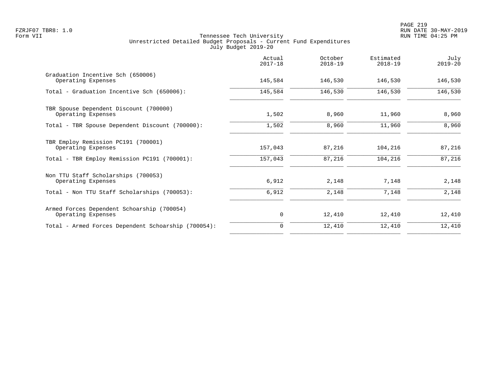|                                                                  | Actual<br>$2017 - 18$ | October<br>$2018 - 19$ | Estimated<br>$2018 - 19$ | July<br>$2019 - 20$ |
|------------------------------------------------------------------|-----------------------|------------------------|--------------------------|---------------------|
| Graduation Incentive Sch (650006)<br>Operating Expenses          | 145,584               | 146,530                | 146,530                  | 146,530             |
| Total - Graduation Incentive Sch (650006):                       | 145,584               | 146,530                | 146,530                  | 146,530             |
| TBR Spouse Dependent Discount (700000)<br>Operating Expenses     | 1,502                 | 8,960                  | 11,960                   | 8,960               |
| Total - TBR Spouse Dependent Discount (700000):                  | 1,502                 | 8,960                  | 11,960                   | 8,960               |
| TBR Employ Remission PC191 (700001)<br>Operating Expenses        | 157,043               | 87,216                 | 104,216                  | 87,216              |
| Total - TBR Employ Remission PC191 (700001):                     | 157,043               | 87,216                 | 104,216                  | 87,216              |
| Non TTU Staff Scholarships (700053)<br>Operating Expenses        | 6,912                 | 2,148                  | 7,148                    | 2,148               |
| Total - Non TTU Staff Scholarships (700053):                     | 6,912                 | 2,148                  | 7,148                    | 2,148               |
| Armed Forces Dependent Schoarship (700054)<br>Operating Expenses | 0                     | 12,410                 | 12,410                   | 12,410              |
| Total - Armed Forces Dependent Schoarship (700054):              | $\Omega$              | 12,410                 | 12,410                   | 12,410              |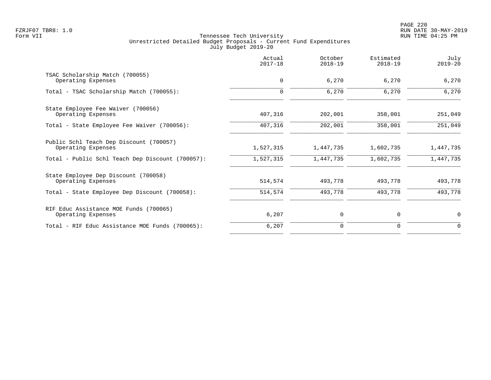|                                                               | Actual<br>$2017 - 18$ | October<br>$2018 - 19$ | Estimated<br>$2018 - 19$ | July<br>$2019 - 20$ |
|---------------------------------------------------------------|-----------------------|------------------------|--------------------------|---------------------|
| TSAC Scholarship Match (700055)<br>Operating Expenses         | $\mathbf 0$           | 6,270                  | 6,270                    | 6,270               |
| Total - TSAC Scholarship Match (700055):                      | $\mathbf 0$           | 6,270                  | 6,270                    | 6,270               |
| State Employee Fee Waiver (700056)<br>Operating Expenses      | 407,316               | 202,001                | 358,001                  | 251,049             |
| Total - State Employee Fee Waiver (700056):                   | 407,316               | 202,001                | 358,001                  | 251,049             |
| Public Schl Teach Dep Discount (700057)<br>Operating Expenses | 1,527,315             | 1,447,735              | 1,602,735                | 1,447,735           |
| Total - Public Schl Teach Dep Discount (700057):              | 1,527,315             | 1,447,735              | 1,602,735                | 1,447,735           |
| State Employee Dep Discount (700058)<br>Operating Expenses    | 514,574               | 493,778                | 493,778                  | 493,778             |
| Total - State Employee Dep Discount (700058):                 | 514,574               | 493,778                | 493,778                  | 493,778             |
| RIF Educ Assistance MOE Funds (700065)<br>Operating Expenses  | 6,207                 | 0                      | 0                        | $\mathbf 0$         |
| Total - RIF Educ Assistance MOE Funds (700065):               | 6,207                 | 0                      | 0                        | $\Omega$            |
|                                                               |                       |                        |                          |                     |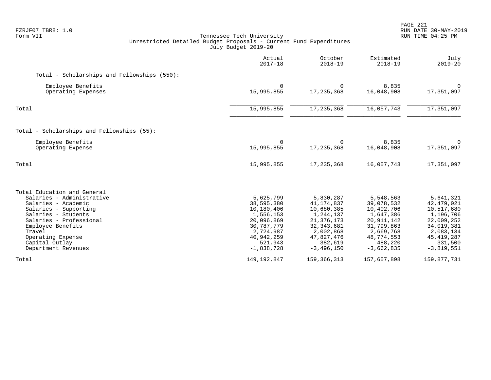| FZRJF07 TBR8: 1.0<br>Form VII<br>Tennessee Tech University<br>Unrestricted Detailed Budget Proposals - Current Fund Expenditures<br>July Budget 2019-20                                                                                                 |                                                                                                                                      | PAGE 221<br>RUN DATE 30-MAY-2019<br>RUN TIME 04:25 PM                                                                                      |                                                                                                                                      |                                                                                                                                          |
|---------------------------------------------------------------------------------------------------------------------------------------------------------------------------------------------------------------------------------------------------------|--------------------------------------------------------------------------------------------------------------------------------------|--------------------------------------------------------------------------------------------------------------------------------------------|--------------------------------------------------------------------------------------------------------------------------------------|------------------------------------------------------------------------------------------------------------------------------------------|
|                                                                                                                                                                                                                                                         | Actual<br>$2017 - 18$                                                                                                                | October<br>$2018 - 19$                                                                                                                     | Estimated<br>$2018 - 19$                                                                                                             | July<br>$2019 - 20$                                                                                                                      |
| Total - Scholarships and Fellowships (550):                                                                                                                                                                                                             |                                                                                                                                      |                                                                                                                                            |                                                                                                                                      |                                                                                                                                          |
| Employee Benefits<br>Operating Expenses                                                                                                                                                                                                                 | $\Omega$<br>15,995,855                                                                                                               | $\Omega$<br>17, 235, 368                                                                                                                   | 8,835<br>16,048,908                                                                                                                  | $\Omega$<br>17,351,097                                                                                                                   |
| Total                                                                                                                                                                                                                                                   | 15,995,855                                                                                                                           | 17, 235, 368                                                                                                                               | 16,057,743                                                                                                                           | 17,351,097                                                                                                                               |
| Total - Scholarships and Fellowships (55):                                                                                                                                                                                                              |                                                                                                                                      |                                                                                                                                            |                                                                                                                                      |                                                                                                                                          |
| Employee Benefits<br>Operating Expense                                                                                                                                                                                                                  | $\Omega$<br>15,995,855                                                                                                               | $\Omega$<br>17, 235, 368                                                                                                                   | 8,835<br>16,048,908                                                                                                                  | $\Omega$<br>17,351,097                                                                                                                   |
| Total                                                                                                                                                                                                                                                   | 15,995,855                                                                                                                           | 17, 235, 368                                                                                                                               | 16,057,743                                                                                                                           | 17,351,097                                                                                                                               |
| Total Education and General<br>Salaries - Administrative<br>Salaries - Academic<br>Salaries - Supporting<br>Salaries - Students<br>Salaries - Professional<br>Employee Benefits<br>Travel<br>Operating Expense<br>Capital Outlay<br>Department Revenues | 5,625,799<br>38,595,380<br>10,180,406<br>1,556,153<br>20,096,869<br>30,787,779<br>2,724,987<br>40,942,259<br>521,943<br>$-1,838,728$ | 5,830,287<br>41, 174, 837<br>10,680,385<br>1,244,137<br>21, 376, 173<br>32, 343, 681<br>2,002,868<br>47,827,476<br>382,619<br>$-3,496,150$ | 5,548,563<br>39,078,532<br>10,402,706<br>1,647,386<br>20,911,142<br>31,799,863<br>2,669,768<br>48,774,553<br>488,220<br>$-3,662,835$ | 5,641,321<br>42, 479, 021<br>10,517,680<br>1,196,706<br>22,009,252<br>34,019,381<br>2,083,134<br>45, 419, 287<br>331,500<br>$-3,819,551$ |
| Total                                                                                                                                                                                                                                                   | 149, 192, 847                                                                                                                        | 159, 366, 313                                                                                                                              | 157,657,898                                                                                                                          | 159,877,731                                                                                                                              |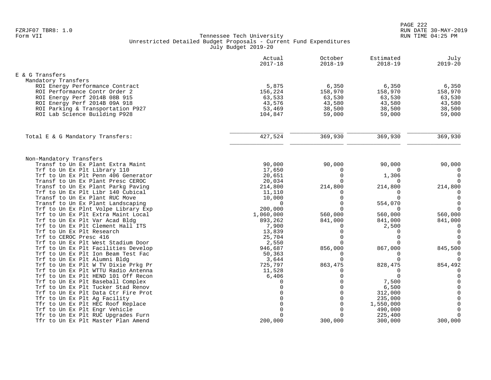|                                                                    | Actual<br>$2017 - 18$ | October<br>$2018 - 19$ | Estimated<br>$2018 - 19$ | July<br>$2019 - 20$     |
|--------------------------------------------------------------------|-----------------------|------------------------|--------------------------|-------------------------|
| E & G Transfers                                                    |                       |                        |                          |                         |
| Mandatory Transfers                                                |                       |                        |                          |                         |
| ROI Energy Performance Contract                                    | 5,875                 | 6,350                  | 6,350                    | 6,350                   |
| ROI Performance Contr Order 2                                      | 156,224               | 158,970                | 158,970                  | 158,970                 |
| ROI Energy Perf 2014B 08B 915                                      | 63,533                | 63,530                 | 63,530                   | 63,530                  |
| ROI Energy Perf 2014B 09A 918                                      | 43,576                | 43,580                 | 43,580                   | 43,580                  |
| ROI Parking & Transportation P927                                  | 53,469                | 38,500                 | 38,500                   | 38,500                  |
| ROI Lab Science Building P928                                      | 104,847               | 59,000                 | 59,000                   | 59,000                  |
| Total E & G Mandatory Transfers:                                   | 427,524               | 369,930                | 369,930                  | 369,930                 |
|                                                                    |                       |                        |                          |                         |
| Non-Mandatory Transfers                                            |                       |                        |                          |                         |
| Transf to Un Ex Plant Extra Maint                                  | 90,000                | 90,000                 | 90,000                   | 90,000                  |
| Trf to Un Ex Plt Library 110                                       | 17,650                | 0                      | $\mathbf 0$              | 0                       |
| Trf to Un Ex Plt Penn 406 Generator                                | 20,651                | $\Omega$               | 1,306                    | $\mathbf 0$             |
| Transf to Un Ex Plant Presc CEROC                                  | 20,034                | $\Omega$               | $\Omega$                 | $\Omega$                |
| Transf to Un Ex Plant Parkg Paving                                 | 214,800               | 214,800                | 214,800                  | 214,800                 |
| Trf to Un Ex Plt Libr 140 Cubical                                  | 11,110                | $\Omega$               | $\mathbf 0$              | 0                       |
| Transf to Un Ex Plant RUC Move                                     | 10,000                | $\Omega$               | $\mathbf 0$              | $\mathbf 0$             |
| Transf to Un Ex Plant Landscaping                                  | $\Omega$              | $\Omega$               | 554,070                  | $\mathbf 0$             |
| Trf to Un Ex Plnt Volpe Library Exp                                | 200,000               | $\Omega$               | $\Omega$                 | $\mathbf 0$             |
| Trf to Un Ex Plt Extra Maint Local                                 | 1,060,000             | 560,000                | 560,000                  | 560,000                 |
| Trf to Un Ex Plt Var Acad Bldg                                     | 893,262               | 841,000                | 841,000                  | 841,000                 |
| Trf to Un Ex Plt Clement Hall ITS                                  | 7,900                 | 0                      | 2,500                    | $\mathbf 0$             |
| Trf to Un Ex Plt Research                                          | 13,839                | $\overline{0}$         | $\mathbf 0$              | $\mathbf 0$             |
| Trf to CEROC Presc 416                                             | 25,704                | $\Omega$               | $\Omega$                 | $\mathbf 0$             |
| Trf to Un Ex Plt West Stadium Door                                 | 2,550                 | $\Omega$               | $\Omega$                 | $\Omega$                |
| Trf to Un Ex Plt Facilities Develop                                | 946,687               | 856,000                | 867,000<br>$\Omega$      | 845,500                 |
| Trf to Un Ex Plt Ion Beam Test Fac<br>Trf to Un Ex Plt Alumni Bldg | 50,363                | $\Omega$<br>$\Omega$   | $\mathbf 0$              | $\Omega$<br>$\mathbf 0$ |
| Trf to Un Ex Plt W TV Dixie Prkg Pr                                | 3,644<br>725,797      | 863,475                | 828,475                  | 854,492                 |
| Trf to Un Ex Plt WTTU Radio Antenna                                | 11,528                | $\Omega$               | 0                        | 0                       |
| Trf to Un Ex Plt HEND 101 Off Recon                                | 6,406                 | $\Omega$               | $\Omega$                 | $\mathbf 0$             |
| Trf to Un Ex Plt Baseball Complex                                  | $\Omega$              | $\Omega$               | 7,500                    | $\Omega$                |
| Trf to Un Ex Plt Tucker Stad Renov                                 | $\Omega$              | $\Omega$               | 6,500                    | $\mathbf 0$             |
| Trf to Un Ex Plt Data Ctr Fire Prot                                | $\Omega$              | $\Omega$               | 312,000                  | $\mathbf 0$             |
| Tfr to Un Ex Plt Aq Facility                                       | $\Omega$              | $\Omega$               | 235,000                  | $\mathbf 0$             |
| Tfr to Un Ex Plt HEC Roof Replace                                  | $\Omega$              | $\Omega$               | 1,550,000                | $\mathbf 0$             |
| Trf to Un Ex Plt Engr Vehicle                                      | $\Omega$              | $\Omega$               | 490,000                  | $\mathbf 0$             |
| Tfr to Un Ex Plt RUC Upgrades Furn                                 | $\Omega$              | $\Omega$               | 225,400                  | $\mathbf 0$             |
| Tfr to Un Ex Plt Master Plan Amend                                 | 200,000               | 300,000                | 300,000                  | 300,000                 |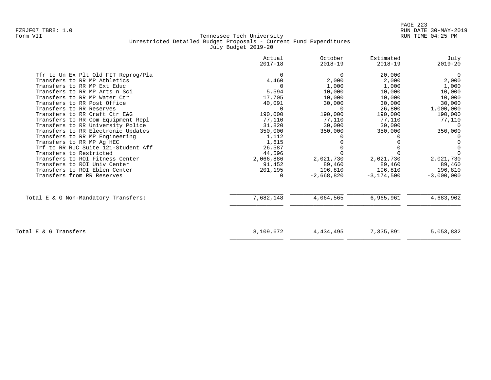|                                      | Actual<br>$2017 - 18$ | October<br>$2018 - 19$ | Estimated<br>$2018 - 19$ | July<br>$2019 - 20$ |
|--------------------------------------|-----------------------|------------------------|--------------------------|---------------------|
| Tfr to Un Ex Plt Old FIT Reprog/Pla  | $\Omega$              | $\Omega$               | 20,000                   | $\overline{0}$      |
| Transfers to RR MP Athletics         | 4,460                 | 2,000                  | 2,000                    | 2,000               |
| Transfers to RR MP Ext Educ          | $\Omega$              | 1,000                  | 1,000                    | 1,000               |
| Transfers to RR MP Arts n Sci        | 5,594                 | 10,000                 | 10,000                   | 10,000              |
| Transfers to RR MP Water Ctr         | 17,705                | 10,000                 | 10,000                   | 10,000              |
| Transfers to RR Post Office          | 40,091                | 30,000                 | 30,000                   | 30,000              |
| Transfers to RR Reserves             | $\Omega$              | $\Omega$               | 26,800                   | 1,000,000           |
| Transfers to RR Craft Ctr E&G        | 190,000               | 190,000                | 190,000                  | 190,000             |
| Transfers to RR Com Equipment Repl   | 77,110                | 77,110                 | 77,110                   | 77,110              |
| Transfers to RR University Police    | 31,820                | 30,000                 | 30,000                   |                     |
| Transfers to RR Electronic Updates   | 350,000               | 350,000                | 350,000                  | 350,000             |
| Transfers to RR MP Engineering       | 1,112                 |                        |                          |                     |
| Transfers to RR MP Ag HEC            | 1,615                 |                        |                          | $\Omega$            |
| Trf to RR RUC Suite 121-Student Aff  | 26,587                |                        |                          |                     |
| Transfers to Restricted              | 44,596                |                        |                          |                     |
| Transfers to ROI Fitness Center      | 2,066,886             | 2,021,730              | 2,021,730                | 2,021,730           |
| Transfers to ROI Univ Center         | 91,452                | 89,460                 | 89,460                   | 89,460              |
| Transfers to ROI Eblen Center        | 201,195               | 196,810                | 196,810                  | 196,810             |
| Transfers from RR Reserves           | $\Omega$              | $-2,668,820$           | $-3.174.500$             | $-3,000,000$        |
|                                      |                       |                        |                          |                     |
| Total E & G Non-Mandatory Transfers: | 7,682,148             | 4,064,565              | 6,965,961                | 4,683,902           |
|                                      |                       |                        |                          |                     |
| Total E & G Transfers                | 8,109,672             | 4,434,495              | 7,335,891                | 5,053,832           |
|                                      |                       |                        |                          |                     |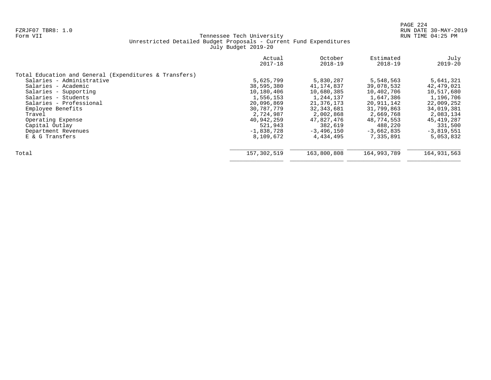|                                                        | Actual<br>$2017 - 18$ | October<br>$2018 - 19$ | Estimated<br>$2018 - 19$ | July<br>$2019 - 20$ |
|--------------------------------------------------------|-----------------------|------------------------|--------------------------|---------------------|
| Total Education and General (Expenditures & Transfers) |                       |                        |                          |                     |
| Salaries - Administrative                              | 5,625,799             | 5,830,287              | 5,548,563                | 5,641,321           |
| Salaries - Academic                                    | 38,595,380            | 41,174,837             | 39,078,532               | 42,479,021          |
| Salaries - Supporting                                  | 10,180,406            | 10,680,385             | 10,402,706               | 10,517,680          |
| Salaries - Students                                    | 1,556,153             | 1,244,137              | 1,647,386                | 1,196,706           |
| Salaries - Professional                                | 20,096,869            | 21, 376, 173           | 20,911,142               | 22,009,252          |
| Employee Benefits                                      | 30,787,779            | 32, 343, 681           | 31,799,863               | 34,019,381          |
| Travel                                                 | 2,724,987             | 2,002,868              | 2,669,768                | 2,083,134           |
| Operating Expense                                      | 40,942,259            | 47,827,476             | 48,774,553               | 45, 419, 287        |
| Capital Outlay                                         | 521,943               | 382,619                | 488,220                  | 331,500             |
| Department Revenues                                    | $-1,838,728$          | $-3,496,150$           | $-3,662,835$             | $-3,819,551$        |
| E & G Transfers                                        | 8,109,672             | 4,434,495              | 7,335,891                | 5,053,832           |
| Total                                                  | 157,302,519           | 163,800,808            | 164,993,789              | 164, 931, 563       |
|                                                        |                       |                        |                          |                     |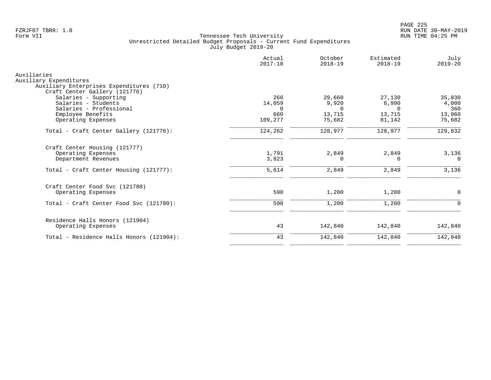| Actual<br>$2017 - 18$     | October<br>$2018 - 19$      | Estimated<br>$2018 - 19$    | July<br>$2019 - 20$    |
|---------------------------|-----------------------------|-----------------------------|------------------------|
|                           |                             |                             |                        |
| 266<br>14,059<br>$\Omega$ | 29,660<br>9,920<br>$\Omega$ | 27,130<br>6,990<br>$\Omega$ | 35,830<br>4,000<br>360 |
| 109,277                   | 75,682                      | 81,142                      | 13,960<br>75,682       |
| 124,262                   | 128,977                     | 128,977                     | 129,832                |
| 1,791<br>3,823            | 2,849<br>$\Omega$           | 2,849<br>0                  | 3,136<br>$\Omega$      |
| 5,614                     | 2,849                       | 2,849                       | 3,136                  |
| 590                       | 1,200                       | 1,200                       | $\mathbf 0$            |
| 590                       | 1,200                       | 1,200                       | $\Omega$               |
| 43                        | 142,840                     | 142,840                     | 142,840                |
| 43                        | 142,840                     | 142,840                     | 142,840                |
|                           | 660                         | 13,715                      | 13,715                 |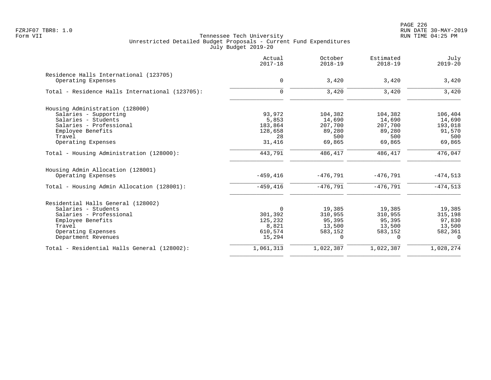PAGE 226 FZRJF07 TBR8: 1.0 RUN DATE 30-MAY-2019

|                                                              | Actual<br>$2017 - 18$ | October<br>$2018 - 19$ | Estimated<br>$2018 - 19$ | July<br>$2019 - 20$ |
|--------------------------------------------------------------|-----------------------|------------------------|--------------------------|---------------------|
| Residence Halls International (123705)<br>Operating Expenses | $\mathbf 0$           | 3,420                  | 3,420                    | 3,420               |
| Total - Residence Halls International (123705):              | $\mathbf 0$           | 3,420                  | 3,420                    | 3,420               |
| Housing Administration (128000)                              |                       |                        |                          |                     |
| Salaries - Supporting                                        | 93,972                | 104,382                | 104,382                  | 106,404             |
| Salaries - Students                                          | 5,853                 | 14,690                 | 14,690                   | 14,690              |
| Salaries - Professional                                      | 183,864               | 207,700                | 207,700                  | 193,018             |
| Employee Benefits                                            | 128,658               | 89,280                 | 89,280                   | 91,570              |
| Travel                                                       | 28                    | 500                    | 500                      | 500                 |
| Operating Expenses                                           | 31,416                | 69,865                 | 69,865                   | 69,865              |
| Total - Housing Administration (128000):                     | 443,791               | 486,417                | 486,417                  | 476,047             |
| Housing Admin Allocation (128001)<br>Operating Expenses      | $-459, 416$           | $-476.791$             | $-476,791$               | $-474,513$          |
|                                                              |                       |                        |                          |                     |
| Total - Housing Admin Allocation (128001):                   | $-459, 416$           | $-476,791$             | $-476,791$               | $-474,513$          |
| Residential Halls General (128002)                           |                       |                        |                          |                     |
| Salaries - Students                                          | 0                     | 19,385                 | 19,385                   | 19,385              |
| Salaries - Professional                                      | 301,392               | 310,955                | 310,955                  | 315,198             |
| Employee Benefits                                            | 125,232               | 95,395                 | 95,395                   | 97,830              |
| Travel                                                       | 8,821                 | 13,500                 | 13,500                   | 13,500              |
| Operating Expenses                                           | 610,574               | 583,152                | 583,152                  | 582,361             |
| Department Revenues                                          | 15,294                | 0                      | $\Omega$                 | $\mathbf 0$         |
| Total - Residential Halls General (128002):                  | 1,061,313             | 1,022,387              | 1,022,387                | 1,028,274           |
|                                                              |                       |                        |                          |                     |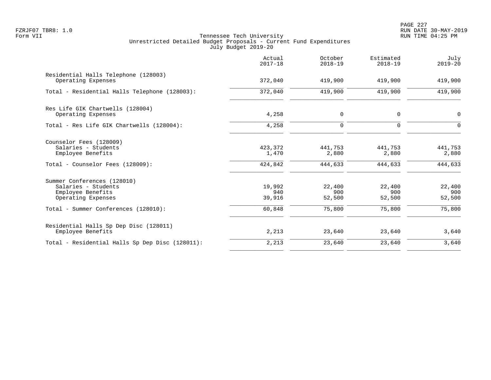PAGE 227 FZRJF07 TBR8: 1.0 RUN DATE 30-MAY-2019

|                                                                                                         | Actual<br>$2017 - 18$       | October<br>$2018 - 19$      | Estimated<br>$2018 - 19$    | July<br>$2019 - 20$         |
|---------------------------------------------------------------------------------------------------------|-----------------------------|-----------------------------|-----------------------------|-----------------------------|
| Residential Halls Telephone (128003)<br>Operating Expenses                                              | 372,040                     | 419,900                     | 419,900                     | 419,900                     |
| Total - Residential Halls Telephone (128003):                                                           | 372,040                     | 419,900                     | 419,900                     | 419,900                     |
| Res Life GIK Chartwells (128004)<br>Operating Expenses                                                  | 4,258                       | $\mathbf 0$                 | $\mathbf 0$                 | $\mathbf 0$                 |
| Total - Res Life GIK Chartwells (128004):                                                               | 4,258                       | $\mathbf 0$                 | $\Omega$                    | $\Omega$                    |
| Counselor Fees (128009)<br>Salaries - Students<br>Employee Benefits<br>Total - Counselor Fees (128009): | 423,372<br>1,470<br>424,842 | 441,753<br>2,880<br>444,633 | 441,753<br>2,880<br>444,633 | 441,753<br>2,880<br>444,633 |
| Summer Conferences (128010)<br>Salaries - Students<br>Employee Benefits<br>Operating Expenses           | 19,992<br>940<br>39,916     | 22,400<br>900<br>52,500     | 22,400<br>900<br>52,500     | 22,400<br>900<br>52,500     |
| Total - Summer Conferences (128010):                                                                    | 60,848                      | 75,800                      | 75,800                      | 75,800                      |
| Residential Halls Sp Dep Disc (128011)<br>Employee Benefits                                             | 2,213                       | 23,640                      | 23,640                      | 3,640                       |
| Total - Residential Halls Sp Dep Disc (128011):                                                         | 2,213                       | 23,640                      | 23,640                      | 3,640                       |
|                                                                                                         |                             |                             |                             |                             |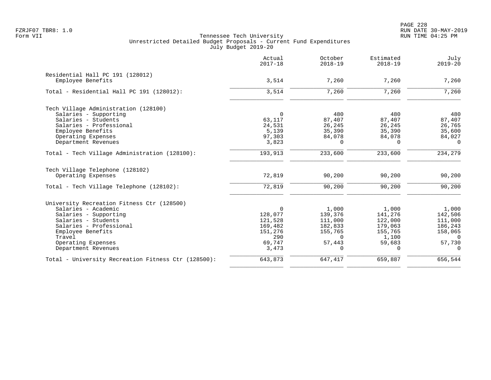PAGE 228 FZRJF07 TBR8: 1.0 RUN DATE 30-MAY-2019

|                                                     | Actual<br>$2017 - 18$ | October<br>$2018 - 19$ | Estimated<br>$2018 - 19$ | July<br>$2019 - 20$ |
|-----------------------------------------------------|-----------------------|------------------------|--------------------------|---------------------|
| Residential Hall PC 191 (128012)                    |                       |                        |                          |                     |
| Employee Benefits                                   | 3,514                 | 7,260                  | 7,260                    | 7,260               |
| Total - Residential Hall PC 191 (128012):           | 3,514                 | 7,260                  | 7,260                    | 7,260               |
| Tech Village Administration (128100)                |                       |                        |                          |                     |
| Salaries - Supporting                               | $\Omega$              | 480                    | 480                      | 480                 |
| Salaries - Students                                 | 63,117                | 87,407                 | 87,407                   | 87,407              |
| Salaries - Professional                             | 24,531                | 26,245                 | 26,245                   | 26,765              |
| Employee Benefits                                   | 5,139                 | 35,390                 | 35,390                   | 35,600              |
| Operating Expenses                                  | 97,303                | 84,078                 | 84,078                   | 84,027              |
| Department Revenues                                 | 3,823                 | $\Omega$               | $\Omega$                 | $\Omega$            |
| Total - Tech Village Administration (128100):       | 193,913               | 233,600                | 233,600                  | 234,279             |
| Tech Village Telephone (128102)                     |                       |                        |                          |                     |
| Operating Expenses                                  | 72,819                | 90,200                 | 90,200                   | 90,200              |
| Total - Tech Village Telephone (128102):            | 72,819                | 90,200                 | 90,200                   | 90,200              |
| University Recreation Fitness Ctr (128500)          |                       |                        |                          |                     |
| Salaries - Academic                                 | $\mathbf 0$           | 1,000                  | 1,000                    | 1,000               |
| Salaries - Supporting                               | 128,077               | 139,376                | 141,276                  | 142,506             |
| Salaries - Students                                 | 121,528               | 111,000                | 122,000                  | 111,000             |
| Salaries - Professional                             | 169,482               | 182,833                | 179,063                  | 186,243             |
| Employee Benefits                                   | 151,276               | 155,765                | 155,765                  | 158,065             |
| Travel                                              | 290                   | $\Omega$               | 1,100                    | $\Omega$            |
| Operating Expenses                                  | 69,747                | 57,443                 | 59,683                   | 57,730              |
| Department Revenues                                 | 3,473                 | $\Omega$               | $\Omega$                 | $\Omega$            |
| Total - University Recreation Fitness Ctr (128500): | 643,873               | 647,417                | 659,887                  | 656,544             |
|                                                     |                       |                        |                          |                     |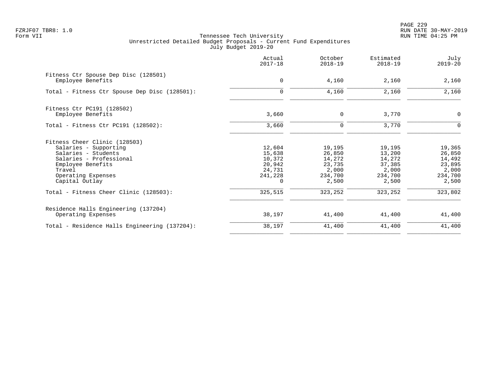PAGE 229 FZRJF07 TBR8: 1.0 RUN DATE 30-MAY-2019

|                                                           | Actual<br>$2017 - 18$ | October<br>$2018 - 19$ | Estimated<br>$2018 - 19$ | July<br>$2019 - 20$ |
|-----------------------------------------------------------|-----------------------|------------------------|--------------------------|---------------------|
| Fitness Ctr Spouse Dep Disc (128501)<br>Employee Benefits | $\mathbf 0$           | 4,160                  | 2,160                    | 2,160               |
| Total - Fitness Ctr Spouse Dep Disc (128501):             | $\Omega$              | 4,160                  | 2,160                    | 2,160               |
| Fitness Ctr PC191 (128502)                                |                       |                        |                          |                     |
| Employee Benefits                                         | 3,660                 | 0                      | 3,770                    | $\mathbf 0$         |
| Total - Fitness Ctr PC191 $(128502)$ :                    | 3,660                 | 0                      | 3,770                    | $\Omega$            |
| Fitness Cheer Clinic (128503)                             |                       |                        |                          |                     |
| Salaries - Supporting                                     | 12,604                | 19,195                 | 19,195                   | 19,365              |
| Salaries - Students                                       | 15,638                | 26,850                 | 13,200                   | 26,850              |
| Salaries - Professional                                   | 10,372                | 14,272                 | 14,272                   | 14,492              |
| Employee Benefits                                         | 20,942                | 23,735                 | 37,385                   | 23,895              |
| Travel                                                    | 24,731                | 2,000                  | 2,000                    | 2,000               |
| Operating Expenses<br>Capital Outlay                      | 241,228<br>0          | 234,700<br>2,500       | 234,700<br>2,500         | 234,700<br>2,500    |
| Total - Fitness Cheer Clinic (128503):                    | 325,515               | 323,252                | 323,252                  | 323,802             |
| Residence Halls Engineering (137204)                      |                       |                        |                          |                     |
| Operating Expenses                                        | 38,197                | 41,400                 | 41,400                   | 41,400              |
| Total - Residence Halls Engineering (137204):             | 38,197                | 41,400                 | 41,400                   | 41,400              |
|                                                           |                       |                        |                          |                     |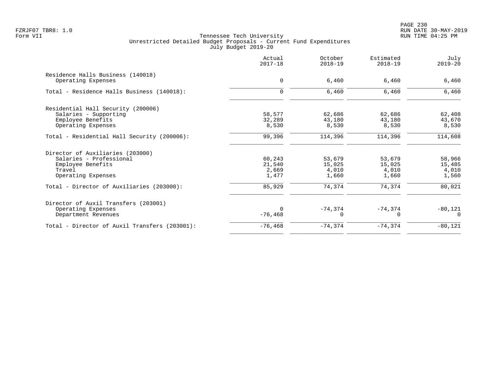| Actual<br>$2017 - 18$ | October<br>$2018 - 19$ | Estimated<br>$2018 - 19$ | July<br>$2019 - 20$ |
|-----------------------|------------------------|--------------------------|---------------------|
|                       |                        |                          |                     |
|                       |                        |                          | 6,460               |
| $\mathbf 0$           | 6,460                  | 6,460                    | 6,460               |
|                       |                        |                          |                     |
| 58,577                | 62,686                 | 62,686                   | 62,408              |
| 32,289                | 43,180                 | 43,180                   | 43,670              |
| 8,530                 | 8,530                  | 8,530                    | 8,530               |
| 99,396                | 114,396                | 114,396                  | 114,608             |
|                       |                        |                          |                     |
| 60,243                | 53,679                 | 53,679                   | 58,966              |
| 21,540                | 15,025                 | 15,025                   | 15,485              |
| 2,669                 | 4,010                  | 4,010                    | 4,010               |
| 1,477                 | 1,660                  | 1,660                    | 1,560               |
| 85,929                | 74,374                 | 74,374                   | 80,021              |
|                       |                        |                          |                     |
| $\Omega$              |                        |                          | $-80,121$           |
| $-76, 468$            | 0                      | $\Omega$                 | $\Omega$            |
| $-76,468$             | $-74, 374$             | $-74, 374$               | $-80,121$           |
|                       | $\mathbf 0$            | 6,460<br>$-74, 374$      | 6,460<br>$-74,374$  |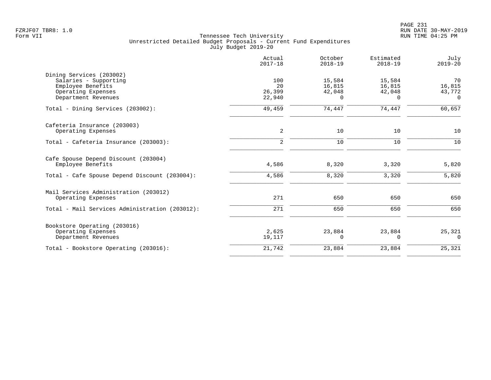|                                                | Actual<br>$2017 - 18$ | October<br>$2018 - 19$ | Estimated<br>$2018 - 19$ | July<br>$2019 - 20$ |
|------------------------------------------------|-----------------------|------------------------|--------------------------|---------------------|
| Dining Services (203002)                       |                       |                        |                          |                     |
| Salaries - Supporting                          | 100                   | 15,584                 | 15,584                   | 70                  |
| Employee Benefits                              | 20                    | 16,815                 | 16,815                   | 16,815              |
| Operating Expenses                             | 26,399                | 42,048                 | 42,048                   | 43,772              |
| Department Revenues                            | 22,940                | $\Omega$               | $\Omega$                 | $\Omega$            |
| Total - Dining Services (203002):              | 49,459                | 74,447                 | 74,447                   | 60,657              |
| Cafeteria Insurance (203003)                   |                       |                        |                          |                     |
| Operating Expenses                             | 2                     | 10                     | 10                       | 10                  |
| Total - Cafeteria Insurance (203003):          | 2                     | 10                     | 10                       | 10                  |
| Cafe Spouse Depend Discount (203004)           |                       |                        |                          |                     |
| Employee Benefits                              | 4,586                 | 8,320                  | 3,320                    | 5,820               |
| Total - Cafe Spouse Depend Discount (203004):  | 4,586                 | 8,320                  | 3,320                    | 5,820               |
| Mail Services Administration (203012)          |                       |                        |                          |                     |
| Operating Expenses                             | 271                   | 650                    | 650                      | 650                 |
| Total - Mail Services Administration (203012): | 271                   | 650                    | 650                      | 650                 |
| Bookstore Operating (203016)                   |                       |                        |                          |                     |
| Operating Expenses                             | 2,625                 | 23,884                 | 23,884                   | 25,321              |
| Department Revenues                            | 19,117                | $\Omega$               | $\Omega$                 | $\Omega$            |
| Total - Bookstore Operating (203016):          | 21,742                | 23,884                 | 23,884                   | 25,321              |
|                                                |                       |                        |                          |                     |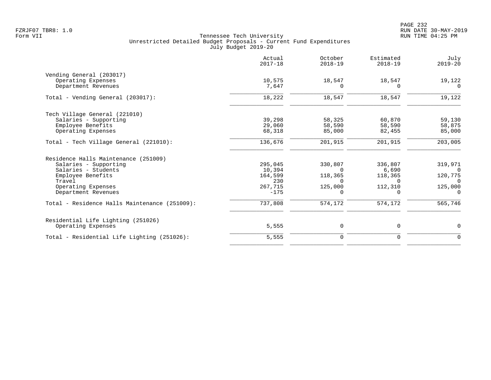|                                               | Actual<br>$2017 - 18$ | October<br>$2018 - 19$ | Estimated<br>$2018 - 19$ | July<br>$2019 - 20$ |
|-----------------------------------------------|-----------------------|------------------------|--------------------------|---------------------|
| Vending General (203017)                      |                       |                        |                          |                     |
| Operating Expenses                            | 10,575                | 18,547                 | 18,547                   | 19,122              |
| Department Revenues                           | 7,647                 | $\Omega$               | $\Omega$                 | $\Omega$            |
| Total - Vending General (203017):             | 18,222                | 18,547                 | 18,547                   | 19,122              |
| Tech Village General (221010)                 |                       |                        |                          |                     |
| Salaries - Supporting                         | 39,298                | 58,325                 | 60,870                   | 59,130              |
| Employee Benefits                             | 29,060                | 58,590                 | 58,590                   | 58,875              |
| Operating Expenses                            | 68,318                | 85,000                 | 82,455                   | 85,000              |
| Total - Tech Village General (221010):        | 136,676               | 201,915                | 201,915                  | 203,005             |
| Residence Halls Maintenance (251009)          |                       |                        |                          |                     |
| Salaries - Supporting                         | 295,045               | 330,807                | 336,807                  | 319,971             |
| Salaries - Students                           | 10,394                | $\Omega$               | 6,690                    |                     |
| Employee Benefits                             | 164,599               | 118,365                | 118,365                  | 120,775             |
| Travel                                        | 230                   | $\Omega$               | $\Omega$                 | $\overline{0}$      |
| Operating Expenses                            | 267,715               | 125,000                | 112,310                  | 125,000             |
| Department Revenues                           | $-175$                | $\Omega$               | $\Omega$                 | $\Omega$            |
| Total - Residence Halls Maintenance (251009): | 737,808               | 574,172                | 574,172                  | 565,746             |
| Residential Life Lighting (251026)            |                       |                        |                          |                     |
| Operating Expenses                            | 5,555                 | 0                      | 0                        | 0                   |
| Total - Residential Life Lighting (251026):   | 5,555                 | $\mathbf 0$            | 0                        | $\mathbf 0$         |
|                                               |                       |                        |                          |                     |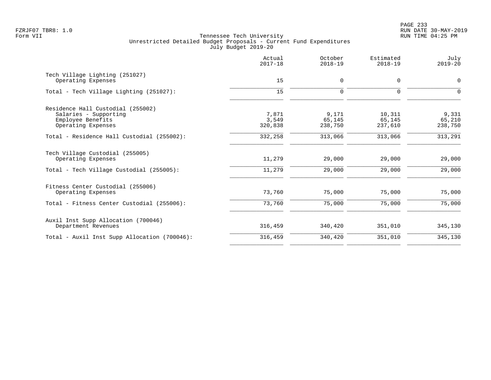PAGE 233 FZRJF07 TBR8: 1.0 RUN DATE 30-MAY-2019

|                                                       | Actual<br>$2017 - 18$ | October<br>$2018 - 19$ | Estimated<br>$2018 - 19$ | July<br>$2019 - 20$ |
|-------------------------------------------------------|-----------------------|------------------------|--------------------------|---------------------|
| Tech Village Lighting (251027)<br>Operating Expenses  | 15                    | $\mathbf 0$            | $\mathbf 0$              | 0                   |
| Total - Tech Village Lighting (251027):               | 15                    | $\mathbf 0$            | $\Omega$                 | $\Omega$            |
|                                                       |                       |                        |                          |                     |
| Residence Hall Custodial (255002)                     |                       |                        |                          |                     |
| Salaries - Supporting                                 | 7,871                 | 9,171                  | 10,311                   | 9,331               |
| Employee Benefits                                     | 3,549                 | 65,145                 | 65,145                   | 65,210              |
| Operating Expenses                                    | 320,838               | 238,750                | 237,610                  | 238,750             |
| Total - Residence Hall Custodial (255002):            | 332,258               | 313,066                | 313,066                  | 313,291             |
| Tech Village Custodial (255005)<br>Operating Expenses | 11,279                | 29,000                 | 29,000                   | 29,000              |
| Total - Tech Village Custodial (255005):              | 11,279                | 29,000                 | 29,000                   | 29,000              |
| Fitness Center Custodial (255006)                     |                       |                        |                          |                     |
| Operating Expenses                                    | 73,760                | 75,000                 | 75,000                   | 75,000              |
| Total - Fitness Center Custodial (255006):            | 73,760                | 75,000                 | 75,000                   | 75,000              |
| Auxil Inst Supp Allocation (700046)                   |                       |                        |                          |                     |
| Department Revenues                                   | 316,459               | 340,420                | 351,010                  | 345,130             |
| Total - Auxil Inst Supp Allocation (700046):          | 316,459               | 340,420                | 351,010                  | 345,130             |
|                                                       |                       |                        |                          |                     |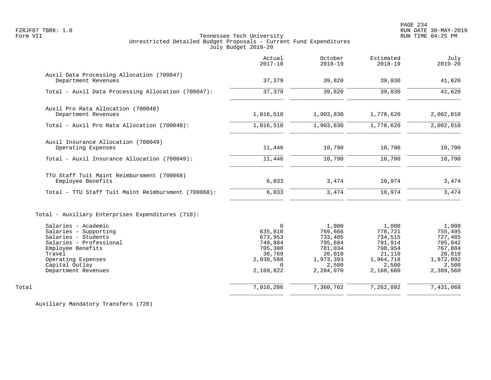PAGE 234 FZRJF07 TBR8: 1.0 RUN DATE 30-MAY-2019

# Form VII Tennessee Tech University RUN TIME 04:25 PM Unrestricted Detailed Budget Proposals - Current Fund Expenditures July Budget 2019-20

|                                                                                              | Actual<br>$2017 - 18$                        | October<br>$2018 - 19$                            | Estimated<br>$2018 - 19$                          | July<br>$2019 - 20$                               |
|----------------------------------------------------------------------------------------------|----------------------------------------------|---------------------------------------------------|---------------------------------------------------|---------------------------------------------------|
| Auxil Data Processing Allocation (700047)<br>Department Revenues                             | 37,379                                       | 39,820                                            | 39,030                                            | 41,620                                            |
| Total - Auxil Data Processing Allocation (700047):                                           | 37,379                                       | 39,820                                            | 39,030                                            | 41,620                                            |
| Auxil Pro Rata Allocation (700048)<br>Department Revenues                                    | 1,816,510                                    | 1,903,830                                         | 1,778,620                                         | 2,002,810                                         |
| Total - Auxil Pro Rata Allocation (700048):                                                  | 1,816,510                                    | 1,903,830                                         | 1,778,620                                         | 2,002,810                                         |
| Auxil Insurance Allocation (700049)<br>Operating Expenses                                    | 11,446                                       | 10,790                                            | 10,790                                            | 10,790                                            |
| Total - Auxil Insurance Allocation (700049):                                                 | 11,446                                       | 10,790                                            | 10,790                                            | 10,790                                            |
| TTU Staff Tuit Maint Reimbursment (700068)<br>Employee Benefits                              | 6,033                                        | 3,474                                             | 10,974                                            | 3,474                                             |
| Total - TTU Staff Tuit Maint Reimbursment (700068):                                          | 6,033                                        | 3,474                                             | 10,974                                            | 3,474                                             |
| Total - Auxiliary Enterprises Expenditures (710):<br>Salaries - Academic                     | $\Omega$                                     |                                                   |                                                   |                                                   |
| Salaries - Supporting<br>Salaries - Students<br>Salaries - Professional<br>Employee Benefits | 635,810<br>673,953<br>749,884<br>705,380     | 1,000<br>769,666<br>733,405<br>795,684<br>781,034 | 1,000<br>778,721<br>734,515<br>791,914<br>798,954 | 1,000<br>755,495<br>727,485<br>795,042<br>767,884 |
| Travel<br>Operating Expenses<br>Capital Outlay<br>Department Revenues                        | 36,769<br>2,038,588<br>$\Omega$<br>2,169,822 | 20,010<br>1,973,393<br>2,500<br>2,284,070         | 21,110<br>1,964,718<br>2,500<br>2,168,660         | 20,010<br>1,972,092<br>2,500<br>2,389,560         |
| Total                                                                                        | 7,010,206                                    | 7,360,762                                         | 7,262,092                                         | 7,431,068                                         |
|                                                                                              |                                              |                                                   |                                                   |                                                   |

Auxiliary Mandatory Transfers (720)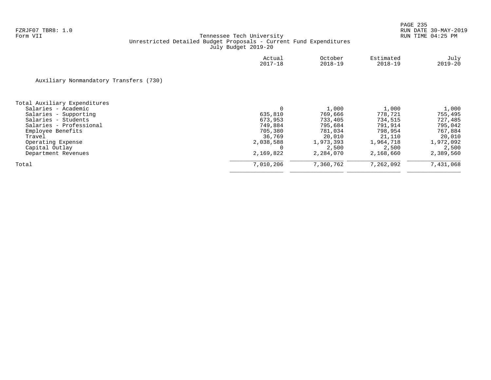|                                        | Actual<br>$2017 - 18$ | October<br>2018-19 | Estimated<br>$2018 - 19$ | July<br>$2019 - 20$ |
|----------------------------------------|-----------------------|--------------------|--------------------------|---------------------|
| Auxiliary Nonmandatory Transfers (730) |                       |                    |                          |                     |
| Total Auxiliary Expenditures           |                       |                    |                          |                     |
| Salaries - Academic                    | $\mathbf 0$           | 1,000              | 1,000                    | 1,000               |
| Salaries - Supporting                  | 635,810               | 769,666            | 778,721                  | 755,495             |
| Salaries - Students                    | 673,953               | 733,405            | 734,515                  | 727,485             |
| Salaries - Professional                | 749,884               | 795,684            | 791,914                  | 795,042             |
| Employee Benefits                      | 705,380               | 781,034            | 798,954                  | 767,884             |
| Travel                                 | 36,769                | 20,010             | 21,110                   | 20,010              |
| Operating Expense                      | 2,038,588             | 1,973,393          | 1,964,718                | 1,972,092           |
| Capital Outlay                         |                       | 2,500              | 2,500                    | 2,500               |
| Department Revenues                    | 2,169,822             | 2,284,070          | 2,168,660                | 2,389,560           |
| Total                                  | 7,010,206             | 7,360,762          | 7,262,092                | 7,431,068           |
|                                        |                       |                    |                          |                     |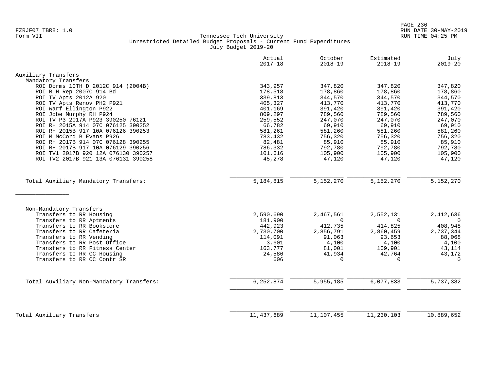|                                          | Actual<br>$2017 - 18$ | October<br>$2018 - 19$ | Estimated<br>$2018 - 19$ | July<br>$2019 - 20$ |
|------------------------------------------|-----------------------|------------------------|--------------------------|---------------------|
| Auxiliary Transfers                      |                       |                        |                          |                     |
| Mandatory Transfers                      |                       |                        |                          |                     |
| ROI Dorms 10TH D 2012C 914 (2004B)       | 343,957               | 347,820                | 347,820                  | 347,820             |
| ROI R H Rep 2007C 914 Bd                 | 178,518               | 178,860                | 178,860                  | 178,860             |
| ROI TV Apts 2012A 920                    | 339,813               | 344,570                | 344,570                  | 344,570             |
| ROI TV Apts Renov PH2 P921               | 405,327               | 413,770                | 413,770                  | 413,770             |
| ROI Warf Ellington P922                  | 401,169               | 391,420                | 391,420                  | 391,420             |
| ROI Jobe Murphy RH P924                  | 809,297               | 789,560                | 789,560                  | 789,560             |
| ROI TV P3 2017A P923 390250 76121        | 259,552               | 247,070                | 247,070                  | 247,070             |
| ROI RH 2015A 914 07C 076125 390252       | 66,782                | 69,910                 | 69,910                   | 69,910              |
| ROI RH 2015B 917 10A 076126 390253       | 581,261               | 581,260                | 581,260                  | 581,260             |
| ROI M McCord B Evans P926                | 783,432               | 756,320                | 756,320                  | 756,320             |
| ROI RH 2017B 914 07C 076128 390255       | 82,481                | 85,910                 | 85,910                   | 85,910              |
| ROI RH 2017B 917 10A 076129 390256       | 786,332               | 792,780                | 792,780                  | 792,780             |
| ROI TV1 2017B 920 12A 076130 390257      | 101,616               | 105,900                | 105,900                  | 105,900             |
| ROI TV2 2017B 921 13A 076131 390258      | 45,278                | 47,120                 | 47,120                   | 47,120              |
| Total Auxiliary Mandatory Transfers:     | 5, 184, 815           | 5, 152, 270            | 5,152,270                | 5,152,270           |
|                                          |                       |                        |                          |                     |
|                                          |                       |                        |                          |                     |
| Non-Mandatory Transfers                  |                       |                        |                          |                     |
| Transfers to RR Housing                  | 2,590,690             | 2,467,561              | 2,552,131                | 2,412,636           |
| Transfers to RR Aptments                 | 181,900               | $\Omega$               | $\Omega$                 | $\overline{0}$      |
| Transfers to RR Bookstore                | 442,923               | 412,735                | 414,825                  | 408,948             |
| Transfers to RR Cafeteria                | 2,730,700             | 2,856,791              | 2,860,459                | 2,737,344           |
| Transfers to RR Vending                  | 114,091               | 91,063                 | 93,653                   | 88,068              |
| Transfers to RR Post Office              | 3,601                 | 4,100                  | 4,100                    | 4,100               |
| Transfers to RR Fitness Center           | 163,777               | 81,001                 | 109,901                  | 43,114              |
| Transfers to RR CC Housing               | 24,586                | 41,934                 | 42,764                   | 43,172              |
| Transfers to RR CC Contr SR              | 606                   | $\Omega$               | $\Omega$                 | $\Omega$            |
| Total Auxiliary Non-Mandatory Transfers: | 6, 252, 874           | 5,955,185              | 6,077,833                | 5,737,382           |
|                                          |                       |                        |                          |                     |
|                                          |                       |                        |                          |                     |
| Total Auxiliary Transfers                | 11, 437, 689          | 11,107,455             | 11,230,103               | 10,889,652          |
|                                          |                       |                        |                          |                     |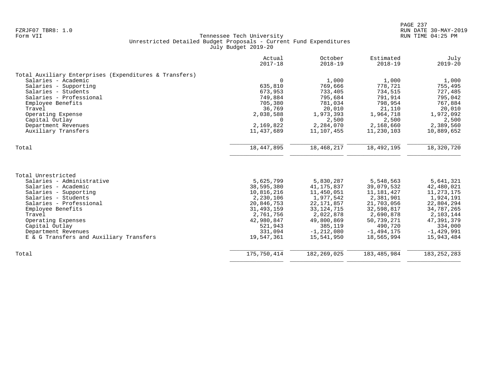|                                                        | Actual<br>$2017 - 18$ | October<br>$2018 - 19$ | Estimated<br>$2018 - 19$ | July<br>$2019 - 20$ |
|--------------------------------------------------------|-----------------------|------------------------|--------------------------|---------------------|
| Total Auxiliary Enterprises (Expenditures & Transfers) |                       |                        |                          |                     |
| Salaries - Academic                                    | $\Omega$              | 1,000                  | 1,000                    | 1,000               |
| Salaries - Supporting                                  | 635,810               | 769,666                | 778,721                  | 755,495             |
| Salaries - Students                                    | 673,953               | 733,405                | 734,515                  | 727,485             |
| Salaries - Professional                                | 749,884               | 795,684                | 791,914                  | 795,042             |
| Employee Benefits                                      | 705,380               | 781,034                | 798,954                  | 767,884             |
| Travel                                                 | 36,769                | 20,010                 | 21,110                   | 20,010              |
| Operating Expense                                      | 2,038,588             | 1,973,393              | 1,964,718                | 1,972,092           |
| Capital Outlay                                         | $\Omega$              | 2,500                  | 2,500                    | 2,500               |
| Department Revenues                                    | 2,169,822             | 2,284,070              | 2,168,660                | 2,389,560           |
| Auxiliary Transfers                                    | 11,437,689            | 11,107,455             | 11,230,103               | 10,889,652          |
| Total                                                  | 18,447,895            | 18,468,217             | 18,492,195               | 18,320,720          |
|                                                        |                       |                        |                          |                     |
| Total Unrestricted                                     |                       |                        |                          |                     |
| Salaries - Administrative                              | 5,625,799             | 5,830,287              | 5,548,563                | 5,641,321           |
| Salaries - Academic                                    | 38,595,380            | 41, 175, 837           | 39,079,532               | 42,480,021          |
| Salaries - Supporting                                  | 10,816,216            | 11,450,051             | 11,181,427               | 11,273,175          |
| Salaries - Students                                    | 2,230,106             | 1,977,542              | 2,381,901                | 1,924,191           |
| Salaries - Professional                                | 20,846,753            | 22, 171, 857           | 21,703,056               | 22,804,294          |
| Employee Benefits                                      | 31, 493, 159          | 33, 124, 715           | 32,598,817               | 34,787,265          |
| Travel                                                 | 2,761,756             | 2,022,878              | 2,690,878                | 2,103,144           |
| Operating Expenses                                     | 42,980,847            | 49,800,869             | 50,739,271               | 47,391,379          |
| Capital Outlay                                         | 521,943               | 385,119                | 490,720                  | 334,000             |
| Department Revenues                                    | 331,094               | $-1, 212, 080$         | $-1,494,175$             | $-1,429,991$        |
| E & G Transfers and Auxiliary Transfers                | 19,547,361            | 15,541,950             | 18,565,994               | 15,943,484          |
| Total                                                  | 175,750,414           | 182, 269, 025          | 183,485,984              | 183, 252, 283       |
|                                                        |                       |                        |                          |                     |